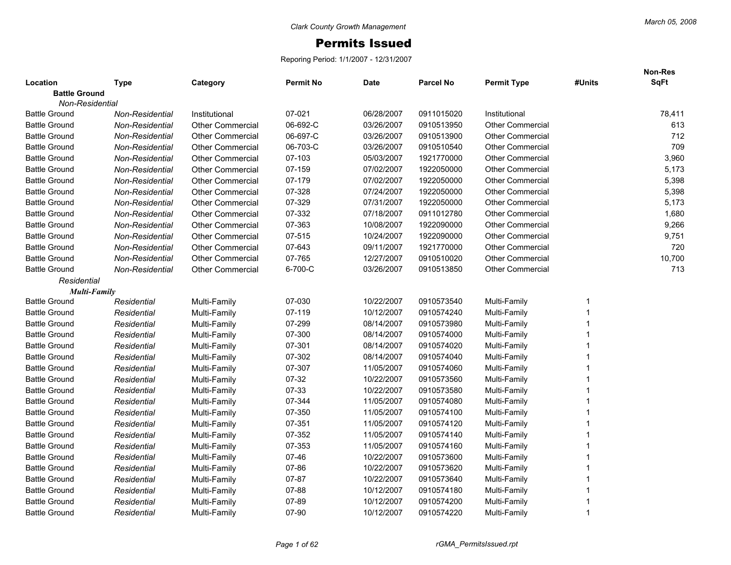## Permits Issued

Reporing Period: 1/1/2007 - 12/31/2007

|                                  |                        |                         |                  |             |                  |                         |        | Non-Res<br><b>SqFt</b> |
|----------------------------------|------------------------|-------------------------|------------------|-------------|------------------|-------------------------|--------|------------------------|
| Location<br><b>Battle Ground</b> | <b>Type</b>            | Category                | <b>Permit No</b> | <b>Date</b> | <b>Parcel No</b> | <b>Permit Type</b>      | #Units |                        |
| <b>Non-Residential</b>           |                        |                         |                  |             |                  |                         |        |                        |
| <b>Battle Ground</b>             | Non-Residential        | Institutional           | 07-021           | 06/28/2007  | 0911015020       | Institutional           |        | 78,411                 |
| <b>Battle Ground</b>             | Non-Residential        | <b>Other Commercial</b> | 06-692-C         | 03/26/2007  | 0910513950       | <b>Other Commercial</b> |        | 613                    |
| <b>Battle Ground</b>             | Non-Residential        | <b>Other Commercial</b> | 06-697-C         | 03/26/2007  | 0910513900       | <b>Other Commercial</b> |        | 712                    |
| <b>Battle Ground</b>             | <b>Non-Residential</b> | <b>Other Commercial</b> | 06-703-C         | 03/26/2007  | 0910510540       | <b>Other Commercial</b> |        | 709                    |
| <b>Battle Ground</b>             | Non-Residential        | <b>Other Commercial</b> | 07-103           | 05/03/2007  | 1921770000       | <b>Other Commercial</b> |        | 3,960                  |
| <b>Battle Ground</b>             | Non-Residential        | <b>Other Commercial</b> | 07-159           | 07/02/2007  | 1922050000       | <b>Other Commercial</b> |        | 5,173                  |
| <b>Battle Ground</b>             | <b>Non-Residential</b> | <b>Other Commercial</b> | 07-179           | 07/02/2007  | 1922050000       | <b>Other Commercial</b> |        | 5,398                  |
| <b>Battle Ground</b>             | Non-Residential        | <b>Other Commercial</b> | 07-328           | 07/24/2007  | 1922050000       | <b>Other Commercial</b> |        | 5,398                  |
| <b>Battle Ground</b>             | Non-Residential        | <b>Other Commercial</b> | 07-329           | 07/31/2007  | 1922050000       | <b>Other Commercial</b> |        | 5,173                  |
| <b>Battle Ground</b>             | <b>Non-Residential</b> | <b>Other Commercial</b> | 07-332           | 07/18/2007  | 0911012780       | <b>Other Commercial</b> |        | 1,680                  |
| <b>Battle Ground</b>             | Non-Residential        | <b>Other Commercial</b> | 07-363           | 10/08/2007  | 1922090000       | <b>Other Commercial</b> |        | 9,266                  |
| <b>Battle Ground</b>             | Non-Residential        | <b>Other Commercial</b> | 07-515           | 10/24/2007  | 1922090000       | <b>Other Commercial</b> |        | 9,751                  |
| <b>Battle Ground</b>             | Non-Residential        | <b>Other Commercial</b> | 07-643           | 09/11/2007  | 1921770000       | <b>Other Commercial</b> |        | 720                    |
| <b>Battle Ground</b>             | Non-Residential        | <b>Other Commercial</b> | 07-765           | 12/27/2007  | 0910510020       | <b>Other Commercial</b> |        | 10,700                 |
| <b>Battle Ground</b>             | Non-Residential        | <b>Other Commercial</b> | 6-700-C          | 03/26/2007  | 0910513850       | <b>Other Commercial</b> |        | 713                    |
| Residential                      |                        |                         |                  |             |                  |                         |        |                        |
| <b>Multi-Family</b>              |                        |                         |                  |             |                  |                         |        |                        |
| <b>Battle Ground</b>             | Residential            | Multi-Family            | 07-030           | 10/22/2007  | 0910573540       | Multi-Family            |        |                        |
| <b>Battle Ground</b>             | Residential            | Multi-Family            | 07-119           | 10/12/2007  | 0910574240       | Multi-Family            |        |                        |
| <b>Battle Ground</b>             | Residential            | Multi-Family            | 07-299           | 08/14/2007  | 0910573980       | Multi-Family            |        |                        |
| <b>Battle Ground</b>             | Residential            | Multi-Family            | 07-300           | 08/14/2007  | 0910574000       | Multi-Family            |        |                        |
| <b>Battle Ground</b>             | Residential            | Multi-Family            | 07-301           | 08/14/2007  | 0910574020       | Multi-Family            |        |                        |
| <b>Battle Ground</b>             | Residential            | Multi-Family            | 07-302           | 08/14/2007  | 0910574040       | Multi-Family            |        |                        |
| <b>Battle Ground</b>             | Residential            | Multi-Family            | 07-307           | 11/05/2007  | 0910574060       | Multi-Family            |        |                        |
| <b>Battle Ground</b>             | Residential            | Multi-Family            | 07-32            | 10/22/2007  | 0910573560       | Multi-Family            |        |                        |
| <b>Battle Ground</b>             | Residential            | Multi-Family            | 07-33            | 10/22/2007  | 0910573580       | Multi-Family            |        |                        |
| <b>Battle Ground</b>             | Residential            | Multi-Family            | 07-344           | 11/05/2007  | 0910574080       | Multi-Family            |        |                        |
| <b>Battle Ground</b>             | Residential            | Multi-Family            | 07-350           | 11/05/2007  | 0910574100       | Multi-Family            |        |                        |
| <b>Battle Ground</b>             | Residential            | Multi-Family            | 07-351           | 11/05/2007  | 0910574120       | Multi-Family            |        |                        |
| <b>Battle Ground</b>             | Residential            | Multi-Family            | 07-352           | 11/05/2007  | 0910574140       | Multi-Family            |        |                        |
| <b>Battle Ground</b>             | Residential            | Multi-Family            | 07-353           | 11/05/2007  | 0910574160       | Multi-Family            |        |                        |
| <b>Battle Ground</b>             | Residential            | Multi-Family            | $07 - 46$        | 10/22/2007  | 0910573600       | Multi-Family            |        |                        |
| <b>Battle Ground</b>             | Residential            | Multi-Family            | 07-86            | 10/22/2007  | 0910573620       | Multi-Family            |        |                        |
| <b>Battle Ground</b>             | Residential            | Multi-Family            | 07-87            | 10/22/2007  | 0910573640       | Multi-Family            |        |                        |
| <b>Battle Ground</b>             | Residential            | Multi-Family            | $07 - 88$        | 10/12/2007  | 0910574180       | Multi-Family            |        |                        |
| <b>Battle Ground</b>             | Residential            | Multi-Family            | $07 - 89$        | 10/12/2007  | 0910574200       | Multi-Family            |        |                        |
| <b>Battle Ground</b>             | Residential            | Multi-Family            | 07-90            | 10/12/2007  | 0910574220       | Multi-Family            | 1      |                        |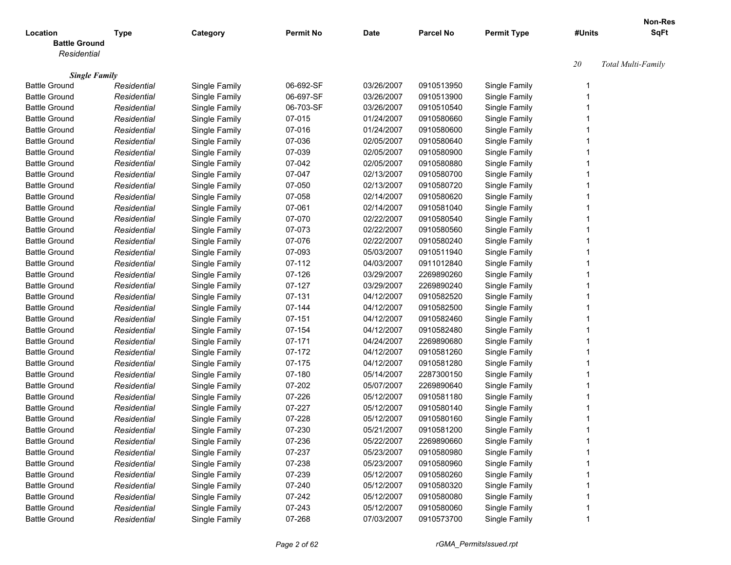|                                              |             |               |                  |             |                  |                    |        | Non-Res            |
|----------------------------------------------|-------------|---------------|------------------|-------------|------------------|--------------------|--------|--------------------|
| Location                                     | <b>Type</b> | Category      | <b>Permit No</b> | <b>Date</b> | <b>Parcel No</b> | <b>Permit Type</b> | #Units | <b>SqFt</b>        |
| <b>Battle Ground</b>                         |             |               |                  |             |                  |                    |        |                    |
| Residential                                  |             |               |                  |             |                  |                    |        |                    |
|                                              |             |               |                  |             |                  |                    | 20     | Total Multi-Family |
| <b>Single Family</b><br><b>Battle Ground</b> | Residential | Single Family | 06-692-SF        | 03/26/2007  | 0910513950       | Single Family      | -1     |                    |
| <b>Battle Ground</b>                         | Residential | Single Family | 06-697-SF        | 03/26/2007  | 0910513900       | Single Family      |        |                    |
| <b>Battle Ground</b>                         | Residential | Single Family | 06-703-SF        | 03/26/2007  | 0910510540       | Single Family      |        |                    |
| <b>Battle Ground</b>                         | Residential | Single Family | 07-015           | 01/24/2007  | 0910580660       | Single Family      |        |                    |
| <b>Battle Ground</b>                         | Residential | Single Family | 07-016           | 01/24/2007  | 0910580600       | Single Family      |        |                    |
| <b>Battle Ground</b>                         | Residential | Single Family | 07-036           | 02/05/2007  | 0910580640       | Single Family      |        |                    |
| <b>Battle Ground</b>                         |             |               | 07-039           | 02/05/2007  | 0910580900       |                    |        |                    |
|                                              | Residential | Single Family |                  |             |                  | Single Family      |        |                    |
| <b>Battle Ground</b>                         | Residential | Single Family | 07-042           | 02/05/2007  | 0910580880       | Single Family      |        |                    |
| <b>Battle Ground</b>                         | Residential | Single Family | 07-047           | 02/13/2007  | 0910580700       | Single Family      |        |                    |
| <b>Battle Ground</b>                         | Residential | Single Family | 07-050           | 02/13/2007  | 0910580720       | Single Family      |        |                    |
| <b>Battle Ground</b>                         | Residential | Single Family | 07-058           | 02/14/2007  | 0910580620       | Single Family      |        |                    |
| <b>Battle Ground</b>                         | Residential | Single Family | 07-061           | 02/14/2007  | 0910581040       | Single Family      |        |                    |
| <b>Battle Ground</b>                         | Residential | Single Family | 07-070           | 02/22/2007  | 0910580540       | Single Family      |        |                    |
| <b>Battle Ground</b>                         | Residential | Single Family | 07-073           | 02/22/2007  | 0910580560       | Single Family      |        |                    |
| <b>Battle Ground</b>                         | Residential | Single Family | 07-076           | 02/22/2007  | 0910580240       | Single Family      |        |                    |
| <b>Battle Ground</b>                         | Residential | Single Family | 07-093           | 05/03/2007  | 0910511940       | Single Family      |        |                    |
| <b>Battle Ground</b>                         | Residential | Single Family | 07-112           | 04/03/2007  | 0911012840       | Single Family      |        |                    |
| <b>Battle Ground</b>                         | Residential | Single Family | 07-126           | 03/29/2007  | 2269890260       | Single Family      |        |                    |
| <b>Battle Ground</b>                         | Residential | Single Family | 07-127           | 03/29/2007  | 2269890240       | Single Family      |        |                    |
| <b>Battle Ground</b>                         | Residential | Single Family | 07-131           | 04/12/2007  | 0910582520       | Single Family      |        |                    |
| <b>Battle Ground</b>                         | Residential | Single Family | 07-144           | 04/12/2007  | 0910582500       | Single Family      |        |                    |
| <b>Battle Ground</b>                         | Residential | Single Family | 07-151           | 04/12/2007  | 0910582460       | Single Family      |        |                    |
| <b>Battle Ground</b>                         | Residential | Single Family | 07-154           | 04/12/2007  | 0910582480       | Single Family      |        |                    |
| <b>Battle Ground</b>                         | Residential | Single Family | 07-171           | 04/24/2007  | 2269890680       | Single Family      |        |                    |
| <b>Battle Ground</b>                         | Residential | Single Family | 07-172           | 04/12/2007  | 0910581260       | Single Family      |        |                    |
| <b>Battle Ground</b>                         | Residential | Single Family | 07-175           | 04/12/2007  | 0910581280       | Single Family      |        |                    |
| <b>Battle Ground</b>                         | Residential | Single Family | 07-180           | 05/14/2007  | 2287300150       | Single Family      |        |                    |
| <b>Battle Ground</b>                         | Residential | Single Family | 07-202           | 05/07/2007  | 2269890640       | Single Family      |        |                    |
| <b>Battle Ground</b>                         | Residential | Single Family | 07-226           | 05/12/2007  | 0910581180       | Single Family      |        |                    |
| <b>Battle Ground</b>                         | Residential | Single Family | 07-227           | 05/12/2007  | 0910580140       | Single Family      |        |                    |
| <b>Battle Ground</b>                         | Residential |               | 07-228           | 05/12/2007  | 0910580160       | Single Family      |        |                    |
| <b>Battle Ground</b>                         |             | Single Family | 07-230           |             | 0910581200       |                    |        |                    |
|                                              | Residential | Single Family |                  | 05/21/2007  |                  | Single Family      |        |                    |
| <b>Battle Ground</b>                         | Residential | Single Family | 07-236           | 05/22/2007  | 2269890660       | Single Family      |        |                    |
| <b>Battle Ground</b>                         | Residential | Single Family | 07-237           | 05/23/2007  | 0910580980       | Single Family      |        |                    |
| <b>Battle Ground</b>                         | Residential | Single Family | 07-238           | 05/23/2007  | 0910580960       | Single Family      |        |                    |
| <b>Battle Ground</b>                         | Residential | Single Family | 07-239           | 05/12/2007  | 0910580260       | Single Family      |        |                    |
| <b>Battle Ground</b>                         | Residential | Single Family | 07-240           | 05/12/2007  | 0910580320       | Single Family      |        |                    |
| <b>Battle Ground</b>                         | Residential | Single Family | 07-242           | 05/12/2007  | 0910580080       | Single Family      |        |                    |
| <b>Battle Ground</b>                         | Residential | Single Family | 07-243           | 05/12/2007  | 0910580060       | Single Family      |        |                    |
| <b>Battle Ground</b>                         | Residential | Single Family | 07-268           | 07/03/2007  | 0910573700       | Single Family      |        |                    |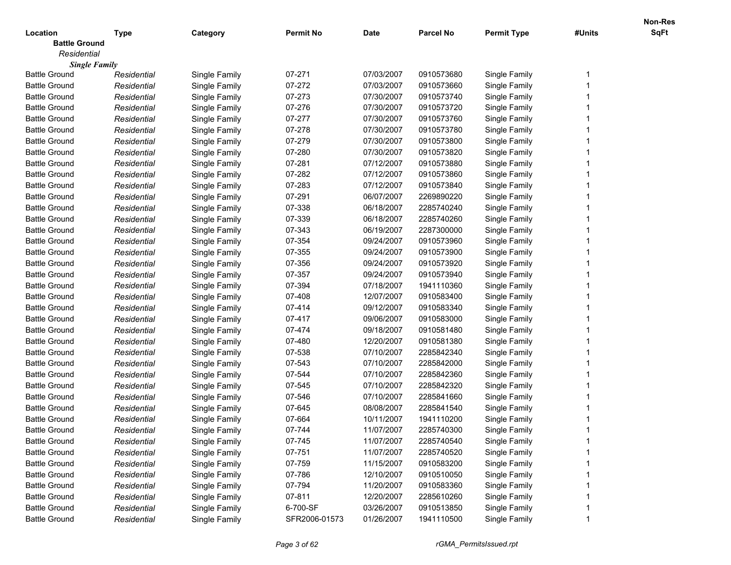|                      |             |               |                  |             |                  |                    |        | Non-Res     |
|----------------------|-------------|---------------|------------------|-------------|------------------|--------------------|--------|-------------|
| Location             | <b>Type</b> | Category      | <b>Permit No</b> | <b>Date</b> | <b>Parcel No</b> | <b>Permit Type</b> | #Units | <b>SqFt</b> |
| <b>Battle Ground</b> |             |               |                  |             |                  |                    |        |             |
| Residential          |             |               |                  |             |                  |                    |        |             |
| <b>Single Family</b> |             |               |                  |             |                  |                    |        |             |
| Battle Ground        | Residential | Single Family | 07-271           | 07/03/2007  | 0910573680       | Single Family      |        |             |
| <b>Battle Ground</b> | Residential | Single Family | 07-272           | 07/03/2007  | 0910573660       | Single Family      |        |             |
| <b>Battle Ground</b> | Residential | Single Family | 07-273           | 07/30/2007  | 0910573740       | Single Family      |        |             |
| <b>Battle Ground</b> | Residential | Single Family | 07-276           | 07/30/2007  | 0910573720       | Single Family      |        |             |
| <b>Battle Ground</b> | Residential | Single Family | 07-277           | 07/30/2007  | 0910573760       | Single Family      |        |             |
| <b>Battle Ground</b> | Residential | Single Family | 07-278           | 07/30/2007  | 0910573780       | Single Family      |        |             |
| <b>Battle Ground</b> | Residential | Single Family | 07-279           | 07/30/2007  | 0910573800       | Single Family      |        |             |
| <b>Battle Ground</b> | Residential | Single Family | 07-280           | 07/30/2007  | 0910573820       | Single Family      |        |             |
| <b>Battle Ground</b> | Residential | Single Family | 07-281           | 07/12/2007  | 0910573880       | Single Family      |        |             |
| <b>Battle Ground</b> | Residential | Single Family | 07-282           | 07/12/2007  | 0910573860       | Single Family      |        |             |
| <b>Battle Ground</b> | Residential | Single Family | 07-283           | 07/12/2007  | 0910573840       | Single Family      |        |             |
| <b>Battle Ground</b> | Residential | Single Family | 07-291           | 06/07/2007  | 2269890220       | Single Family      |        |             |
| <b>Battle Ground</b> | Residential | Single Family | 07-338           | 06/18/2007  | 2285740240       | Single Family      |        |             |
| <b>Battle Ground</b> | Residential | Single Family | 07-339           | 06/18/2007  | 2285740260       | Single Family      |        |             |
| <b>Battle Ground</b> | Residential | Single Family | 07-343           | 06/19/2007  | 2287300000       | Single Family      |        |             |
| <b>Battle Ground</b> | Residential | Single Family | 07-354           | 09/24/2007  | 0910573960       | Single Family      |        |             |
| <b>Battle Ground</b> | Residential | Single Family | 07-355           | 09/24/2007  | 0910573900       | Single Family      |        |             |
| <b>Battle Ground</b> | Residential | Single Family | 07-356           | 09/24/2007  | 0910573920       | Single Family      |        |             |
| <b>Battle Ground</b> | Residential | Single Family | 07-357           | 09/24/2007  | 0910573940       | Single Family      |        |             |
| <b>Battle Ground</b> | Residential | Single Family | 07-394           | 07/18/2007  | 1941110360       | Single Family      |        |             |
| <b>Battle Ground</b> | Residential | Single Family | 07-408           | 12/07/2007  | 0910583400       | Single Family      |        |             |
| <b>Battle Ground</b> | Residential | Single Family | 07-414           | 09/12/2007  | 0910583340       | Single Family      |        |             |
| <b>Battle Ground</b> | Residential | Single Family | 07-417           | 09/06/2007  | 0910583000       | Single Family      |        |             |
| <b>Battle Ground</b> | Residential | Single Family | 07-474           | 09/18/2007  | 0910581480       | Single Family      |        |             |
| <b>Battle Ground</b> | Residential | Single Family | 07-480           | 12/20/2007  | 0910581380       | Single Family      |        |             |
| <b>Battle Ground</b> | Residential | Single Family | 07-538           | 07/10/2007  | 2285842340       | Single Family      |        |             |
| <b>Battle Ground</b> | Residential | Single Family | 07-543           | 07/10/2007  | 2285842000       | Single Family      |        |             |
| <b>Battle Ground</b> | Residential | Single Family | 07-544           | 07/10/2007  | 2285842360       | Single Family      |        |             |
| <b>Battle Ground</b> | Residential | Single Family | 07-545           | 07/10/2007  | 2285842320       | Single Family      |        |             |
| <b>Battle Ground</b> | Residential | Single Family | 07-546           | 07/10/2007  | 2285841660       | Single Family      |        |             |
| <b>Battle Ground</b> | Residential | Single Family | 07-645           | 08/08/2007  | 2285841540       | Single Family      |        |             |
| <b>Battle Ground</b> | Residential | Single Family | 07-664           | 10/11/2007  | 1941110200       | Single Family      |        |             |
| <b>Battle Ground</b> | Residential | Single Family | 07-744           | 11/07/2007  | 2285740300       | Single Family      |        |             |
| <b>Battle Ground</b> | Residential | Single Family | 07-745           | 11/07/2007  | 2285740540       | Single Family      |        |             |
| <b>Battle Ground</b> | Residential | Single Family | 07-751           | 11/07/2007  | 2285740520       | Single Family      |        |             |
| <b>Battle Ground</b> | Residential | Single Family | 07-759           | 11/15/2007  | 0910583200       | Single Family      |        |             |
| <b>Battle Ground</b> | Residential | Single Family | 07-786           | 12/10/2007  | 0910510050       | Single Family      |        |             |
| <b>Battle Ground</b> | Residential | Single Family | 07-794           | 11/20/2007  | 0910583360       | Single Family      |        |             |
| <b>Battle Ground</b> | Residential | Single Family | 07-811           | 12/20/2007  | 2285610260       | Single Family      |        |             |
| <b>Battle Ground</b> | Residential | Single Family | 6-700-SF         | 03/26/2007  | 0910513850       | Single Family      |        |             |
| <b>Battle Ground</b> | Residential | Single Family | SFR2006-01573    | 01/26/2007  | 1941110500       | Single Family      |        |             |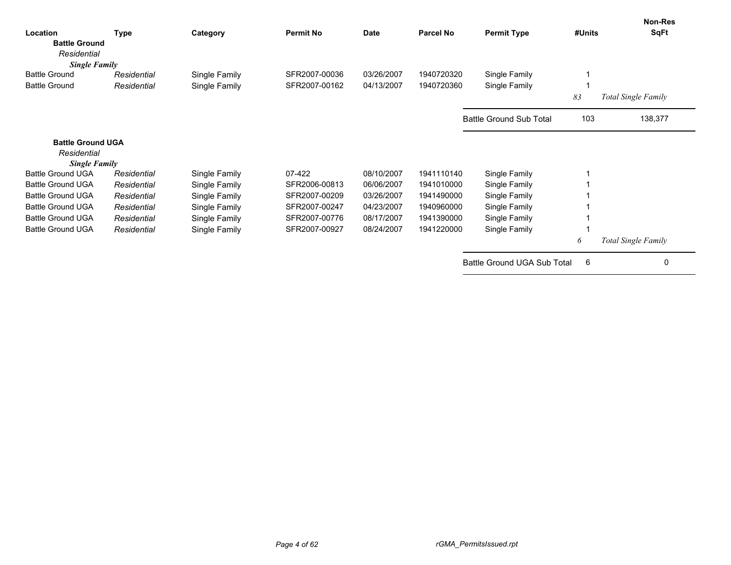| Location<br><b>Battle Ground</b><br>Residential                 | <b>Type</b> | Category      | <b>Permit No</b> | <b>Date</b> | Parcel No  | <b>Permit Type</b>             | #Units | Non-Res<br><b>SqFt</b>     |
|-----------------------------------------------------------------|-------------|---------------|------------------|-------------|------------|--------------------------------|--------|----------------------------|
| <b>Single Family</b>                                            |             |               |                  |             |            |                                |        |                            |
| <b>Battle Ground</b>                                            | Residential | Single Family | SFR2007-00036    | 03/26/2007  | 1940720320 | Single Family                  |        |                            |
| <b>Battle Ground</b>                                            | Residential | Single Family | SFR2007-00162    | 04/13/2007  | 1940720360 | Single Family                  |        |                            |
|                                                                 |             |               |                  |             |            |                                | 83     | Total Single Family        |
|                                                                 |             |               |                  |             |            | <b>Battle Ground Sub Total</b> | 103    | 138,377                    |
| <b>Battle Ground UGA</b><br>Residential<br><b>Single Family</b> |             |               |                  |             |            |                                |        |                            |
| <b>Battle Ground UGA</b>                                        | Residential | Single Family | 07-422           | 08/10/2007  | 1941110140 | Single Family                  |        |                            |
| <b>Battle Ground UGA</b>                                        | Residential | Single Family | SFR2006-00813    | 06/06/2007  | 1941010000 | Single Family                  |        |                            |
| <b>Battle Ground UGA</b>                                        | Residential | Single Family | SFR2007-00209    | 03/26/2007  | 1941490000 | Single Family                  |        |                            |
| <b>Battle Ground UGA</b>                                        | Residential | Single Family | SFR2007-00247    | 04/23/2007  | 1940960000 | Single Family                  |        |                            |
| <b>Battle Ground UGA</b>                                        | Residential | Single Family | SFR2007-00776    | 08/17/2007  | 1941390000 | Single Family                  |        |                            |
| <b>Battle Ground UGA</b>                                        | Residential | Single Family | SFR2007-00927    | 08/24/2007  | 1941220000 | Single Family                  |        |                            |
|                                                                 |             |               |                  |             |            |                                | 6      | <b>Total Single Family</b> |
|                                                                 |             |               |                  |             |            | Battle Ground UGA Sub Total    | 6      | 0                          |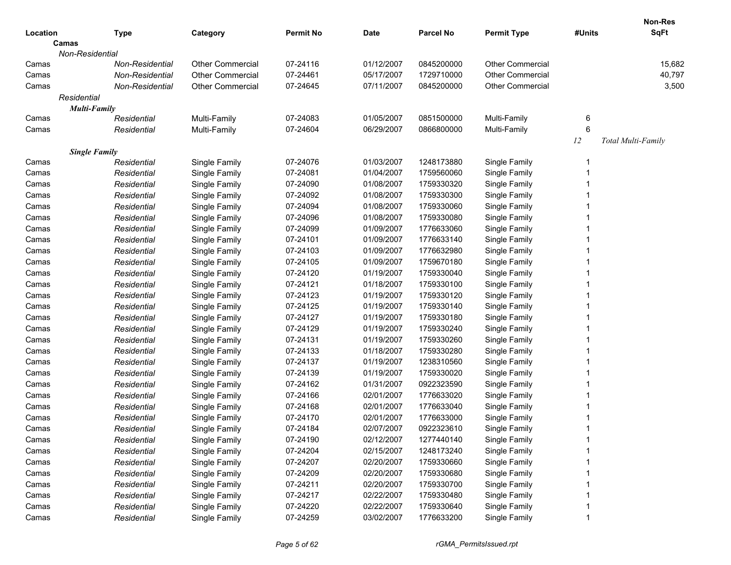| Location                      | <b>Type</b>     | Category                | <b>Permit No</b> | <b>Date</b> | <b>Parcel No</b> | <b>Permit Type</b>      | #Units | Non-Res<br><b>SqFt</b> |
|-------------------------------|-----------------|-------------------------|------------------|-------------|------------------|-------------------------|--------|------------------------|
| Camas                         |                 |                         |                  |             |                  |                         |        |                        |
| Non-Residential               |                 |                         |                  |             |                  |                         |        |                        |
| Camas                         | Non-Residential | <b>Other Commercial</b> | 07-24116         | 01/12/2007  | 0845200000       | <b>Other Commercial</b> |        | 15,682                 |
| Camas                         | Non-Residential | <b>Other Commercial</b> | 07-24461         | 05/17/2007  | 1729710000       | <b>Other Commercial</b> |        | 40,797                 |
| Camas                         | Non-Residential | <b>Other Commercial</b> | 07-24645         | 07/11/2007  | 0845200000       | <b>Other Commercial</b> |        | 3,500                  |
| Residential                   |                 |                         |                  |             |                  |                         |        |                        |
| <b>Multi-Family</b>           |                 |                         |                  |             |                  |                         |        |                        |
| Camas                         | Residential     | Multi-Family            | 07-24083         | 01/05/2007  | 0851500000       | Multi-Family            | 6      |                        |
| Camas                         | Residential     | Multi-Family            | 07-24604         | 06/29/2007  | 0866800000       | Multi-Family            | 6      |                        |
|                               |                 |                         |                  |             |                  |                         | 12     | Total Multi-Family     |
| <b>Single Family</b><br>Camas | Residential     | Single Family           | 07-24076         | 01/03/2007  | 1248173880       | Single Family           |        |                        |
| Camas                         | Residential     | Single Family           | 07-24081         | 01/04/2007  | 1759560060       | Single Family           |        |                        |
| Camas                         | Residential     | Single Family           | 07-24090         | 01/08/2007  | 1759330320       | Single Family           |        |                        |
| Camas                         | Residential     | Single Family           | 07-24092         | 01/08/2007  | 1759330300       | Single Family           |        |                        |
| Camas                         | Residential     | Single Family           | 07-24094         | 01/08/2007  | 1759330060       | Single Family           |        |                        |
| Camas                         | Residential     | Single Family           | 07-24096         | 01/08/2007  | 1759330080       | Single Family           |        |                        |
| Camas                         | Residential     | Single Family           | 07-24099         | 01/09/2007  | 1776633060       | Single Family           |        |                        |
| Camas                         | Residential     | Single Family           | 07-24101         | 01/09/2007  | 1776633140       | Single Family           |        |                        |
| Camas                         | Residential     | Single Family           | 07-24103         | 01/09/2007  | 1776632980       | Single Family           |        |                        |
| Camas                         | Residential     | Single Family           | 07-24105         | 01/09/2007  | 1759670180       | Single Family           |        |                        |
| Camas                         | Residential     | Single Family           | 07-24120         | 01/19/2007  | 1759330040       | Single Family           |        |                        |
| Camas                         | Residential     | Single Family           | 07-24121         | 01/18/2007  | 1759330100       | Single Family           |        |                        |
| Camas                         | Residential     | Single Family           | 07-24123         | 01/19/2007  | 1759330120       | Single Family           |        |                        |
| Camas                         | Residential     | Single Family           | 07-24125         | 01/19/2007  | 1759330140       | Single Family           |        |                        |
| Camas                         | Residential     | Single Family           | 07-24127         | 01/19/2007  | 1759330180       | Single Family           |        |                        |
| Camas                         | Residential     | Single Family           | 07-24129         | 01/19/2007  | 1759330240       | Single Family           |        |                        |
| Camas                         | Residential     | Single Family           | 07-24131         | 01/19/2007  | 1759330260       | Single Family           |        |                        |
| Camas                         | Residential     | Single Family           | 07-24133         | 01/18/2007  | 1759330280       | Single Family           |        |                        |
| Camas                         | Residential     | Single Family           | 07-24137         | 01/19/2007  | 1238310560       | Single Family           |        |                        |
| Camas                         | Residential     | Single Family           | 07-24139         | 01/19/2007  | 1759330020       | Single Family           |        |                        |
| Camas                         | Residential     | Single Family           | 07-24162         | 01/31/2007  | 0922323590       | Single Family           |        |                        |
| Camas                         | Residential     | Single Family           | 07-24166         | 02/01/2007  | 1776633020       | Single Family           |        |                        |
| Camas                         | Residential     | Single Family           | 07-24168         | 02/01/2007  | 1776633040       | Single Family           |        |                        |
| Camas                         | Residential     | Single Family           | 07-24170         | 02/01/2007  | 1776633000       | Single Family           |        |                        |
| Camas                         | Residential     | Single Family           | 07-24184         | 02/07/2007  | 0922323610       | Single Family           |        |                        |
| Camas                         | Residential     | Single Family           | 07-24190         | 02/12/2007  | 1277440140       | Single Family           |        |                        |
| Camas                         | Residential     | Single Family           | 07-24204         | 02/15/2007  | 1248173240       | Single Family           |        |                        |
| Camas                         | Residential     | Single Family           | 07-24207         | 02/20/2007  | 1759330660       | Single Family           |        |                        |
| Camas                         | Residential     | Single Family           | 07-24209         | 02/20/2007  | 1759330680       | Single Family           |        |                        |
| Camas                         | Residential     | Single Family           | 07-24211         | 02/20/2007  | 1759330700       | Single Family           |        |                        |
| Camas                         | Residential     | Single Family           | 07-24217         | 02/22/2007  | 1759330480       | Single Family           |        |                        |
| Camas                         | Residential     | Single Family           | 07-24220         | 02/22/2007  | 1759330640       | Single Family           |        |                        |
| Camas                         | Residential     | Single Family           | 07-24259         | 03/02/2007  | 1776633200       | Single Family           | 1      |                        |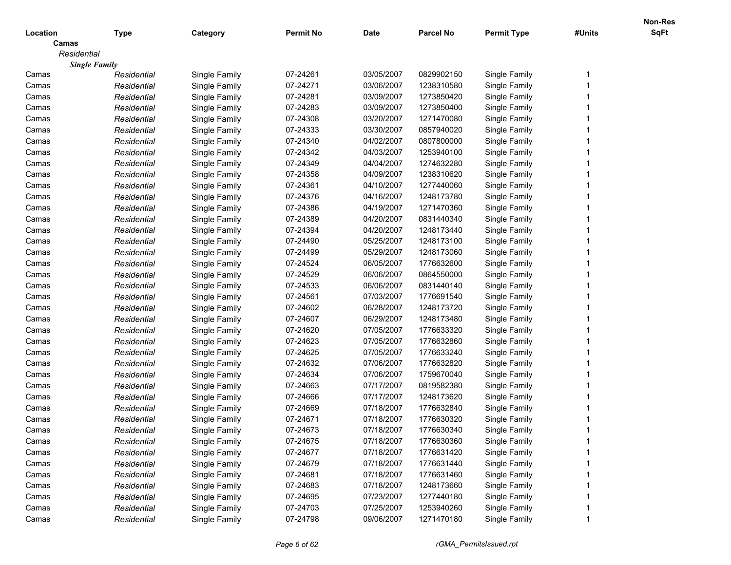|             |                      |               |                  |             |                  |                    |        | Non-Res     |
|-------------|----------------------|---------------|------------------|-------------|------------------|--------------------|--------|-------------|
| Location    | <b>Type</b>          | Category      | <b>Permit No</b> | <b>Date</b> | <b>Parcel No</b> | <b>Permit Type</b> | #Units | <b>SqFt</b> |
| Camas       |                      |               |                  |             |                  |                    |        |             |
| Residential |                      |               |                  |             |                  |                    |        |             |
|             | <b>Single Family</b> |               |                  |             |                  |                    |        |             |
| Camas       | Residential          | Single Family | 07-24261         | 03/05/2007  | 0829902150       | Single Family      | 1      |             |
| Camas       | Residential          | Single Family | 07-24271         | 03/06/2007  | 1238310580       | Single Family      |        |             |
| Camas       | Residential          | Single Family | 07-24281         | 03/09/2007  | 1273850420       | Single Family      |        |             |
| Camas       | Residential          | Single Family | 07-24283         | 03/09/2007  | 1273850400       | Single Family      |        |             |
| Camas       | Residential          | Single Family | 07-24308         | 03/20/2007  | 1271470080       | Single Family      |        |             |
| Camas       | Residential          | Single Family | 07-24333         | 03/30/2007  | 0857940020       | Single Family      |        |             |
| Camas       | Residential          | Single Family | 07-24340         | 04/02/2007  | 0807800000       | Single Family      |        |             |
| Camas       | Residential          | Single Family | 07-24342         | 04/03/2007  | 1253940100       | Single Family      |        |             |
| Camas       | Residential          | Single Family | 07-24349         | 04/04/2007  | 1274632280       | Single Family      |        |             |
| Camas       | Residential          | Single Family | 07-24358         | 04/09/2007  | 1238310620       | Single Family      |        |             |
| Camas       | Residential          | Single Family | 07-24361         | 04/10/2007  | 1277440060       | Single Family      |        |             |
| Camas       | Residential          | Single Family | 07-24376         | 04/16/2007  | 1248173780       | Single Family      |        |             |
| Camas       | Residential          | Single Family | 07-24386         | 04/19/2007  | 1271470360       | Single Family      |        |             |
| Camas       | Residential          | Single Family | 07-24389         | 04/20/2007  | 0831440340       | Single Family      |        |             |
| Camas       | Residential          | Single Family | 07-24394         | 04/20/2007  | 1248173440       | Single Family      |        |             |
| Camas       | Residential          | Single Family | 07-24490         | 05/25/2007  | 1248173100       | Single Family      |        |             |
| Camas       | Residential          | Single Family | 07-24499         | 05/29/2007  | 1248173060       | Single Family      |        |             |
| Camas       | Residential          | Single Family | 07-24524         | 06/05/2007  | 1776632600       | Single Family      |        |             |
| Camas       | Residential          | Single Family | 07-24529         | 06/06/2007  | 0864550000       | Single Family      |        |             |
| Camas       | Residential          | Single Family | 07-24533         | 06/06/2007  | 0831440140       | Single Family      |        |             |
| Camas       | Residential          | Single Family | 07-24561         | 07/03/2007  | 1776691540       | Single Family      |        |             |
| Camas       | Residential          | Single Family | 07-24602         | 06/28/2007  | 1248173720       | Single Family      |        |             |
| Camas       | Residential          | Single Family | 07-24607         | 06/29/2007  | 1248173480       | Single Family      |        |             |
| Camas       | Residential          | Single Family | 07-24620         | 07/05/2007  | 1776633320       | Single Family      |        |             |
| Camas       | Residential          | Single Family | 07-24623         | 07/05/2007  | 1776632860       | Single Family      |        |             |
| Camas       | Residential          | Single Family | 07-24625         | 07/05/2007  | 1776633240       | Single Family      |        |             |
| Camas       | Residential          | Single Family | 07-24632         | 07/06/2007  | 1776632820       | Single Family      |        |             |
| Camas       | Residential          | Single Family | 07-24634         | 07/06/2007  | 1759670040       | Single Family      |        |             |
| Camas       | Residential          | Single Family | 07-24663         | 07/17/2007  | 0819582380       | Single Family      |        |             |
| Camas       | Residential          | Single Family | 07-24666         | 07/17/2007  | 1248173620       | Single Family      |        |             |
| Camas       | Residential          | Single Family | 07-24669         | 07/18/2007  | 1776632840       | Single Family      |        |             |
| Camas       | Residential          | Single Family | 07-24671         | 07/18/2007  | 1776630320       | Single Family      |        |             |
| Camas       | Residential          | Single Family | 07-24673         | 07/18/2007  | 1776630340       | Single Family      |        |             |
| Camas       | Residential          | Single Family | 07-24675         | 07/18/2007  | 1776630360       | Single Family      |        |             |
| Camas       | Residential          | Single Family | 07-24677         | 07/18/2007  | 1776631420       | Single Family      |        |             |
| Camas       | Residential          | Single Family | 07-24679         | 07/18/2007  | 1776631440       | Single Family      |        |             |
| Camas       | Residential          | Single Family | 07-24681         | 07/18/2007  | 1776631460       | Single Family      |        |             |
| Camas       | Residential          | Single Family | 07-24683         | 07/18/2007  | 1248173660       | Single Family      |        |             |
| Camas       | Residential          | Single Family | 07-24695         | 07/23/2007  | 1277440180       | Single Family      |        |             |
| Camas       | Residential          | Single Family | 07-24703         | 07/25/2007  | 1253940260       | Single Family      |        |             |
| Camas       | Residential          | Single Family | 07-24798         | 09/06/2007  | 1271470180       | Single Family      |        |             |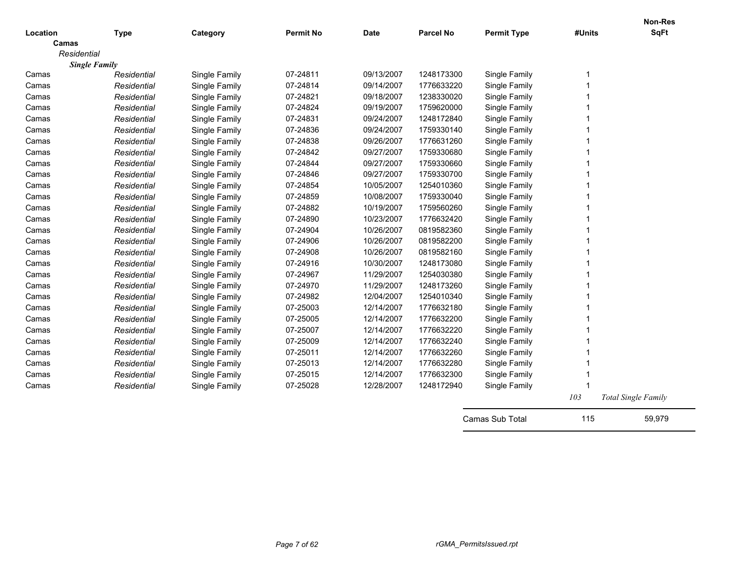| Location    | <b>Type</b>          | Category      | <b>Permit No</b> | <b>Date</b> | <b>Parcel No</b> | <b>Permit Type</b> | #Units | Non-Res<br><b>SqFt</b>     |
|-------------|----------------------|---------------|------------------|-------------|------------------|--------------------|--------|----------------------------|
| Camas       |                      |               |                  |             |                  |                    |        |                            |
| Residential |                      |               |                  |             |                  |                    |        |                            |
|             | <b>Single Family</b> |               |                  |             |                  |                    |        |                            |
| Camas       | Residential          | Single Family | 07-24811         | 09/13/2007  | 1248173300       | Single Family      | -1     |                            |
| Camas       | Residential          | Single Family | 07-24814         | 09/14/2007  | 1776633220       | Single Family      |        |                            |
| Camas       | Residential          | Single Family | 07-24821         | 09/18/2007  | 1238330020       | Single Family      |        |                            |
| Camas       | Residential          | Single Family | 07-24824         | 09/19/2007  | 1759620000       | Single Family      |        |                            |
| Camas       | Residential          | Single Family | 07-24831         | 09/24/2007  | 1248172840       | Single Family      |        |                            |
| Camas       | Residential          | Single Family | 07-24836         | 09/24/2007  | 1759330140       | Single Family      |        |                            |
| Camas       | Residential          | Single Family | 07-24838         | 09/26/2007  | 1776631260       | Single Family      |        |                            |
| Camas       | Residential          | Single Family | 07-24842         | 09/27/2007  | 1759330680       | Single Family      |        |                            |
| Camas       | Residential          | Single Family | 07-24844         | 09/27/2007  | 1759330660       | Single Family      |        |                            |
| Camas       | Residential          | Single Family | 07-24846         | 09/27/2007  | 1759330700       | Single Family      |        |                            |
| Camas       | Residential          | Single Family | 07-24854         | 10/05/2007  | 1254010360       | Single Family      |        |                            |
| Camas       | Residential          | Single Family | 07-24859         | 10/08/2007  | 1759330040       | Single Family      |        |                            |
| Camas       | Residential          | Single Family | 07-24882         | 10/19/2007  | 1759560260       | Single Family      |        |                            |
| Camas       | Residential          | Single Family | 07-24890         | 10/23/2007  | 1776632420       | Single Family      |        |                            |
| Camas       | Residential          | Single Family | 07-24904         | 10/26/2007  | 0819582360       | Single Family      |        |                            |
| Camas       | Residential          | Single Family | 07-24906         | 10/26/2007  | 0819582200       | Single Family      |        |                            |
| Camas       | Residential          | Single Family | 07-24908         | 10/26/2007  | 0819582160       | Single Family      |        |                            |
| Camas       | Residential          | Single Family | 07-24916         | 10/30/2007  | 1248173080       | Single Family      |        |                            |
| Camas       | Residential          | Single Family | 07-24967         | 11/29/2007  | 1254030380       | Single Family      |        |                            |
| Camas       | Residential          | Single Family | 07-24970         | 11/29/2007  | 1248173260       | Single Family      |        |                            |
| Camas       | Residential          | Single Family | 07-24982         | 12/04/2007  | 1254010340       | Single Family      |        |                            |
| Camas       | Residential          | Single Family | 07-25003         | 12/14/2007  | 1776632180       | Single Family      |        |                            |
| Camas       | Residential          | Single Family | 07-25005         | 12/14/2007  | 1776632200       | Single Family      |        |                            |
| Camas       | Residential          | Single Family | 07-25007         | 12/14/2007  | 1776632220       | Single Family      |        |                            |
| Camas       | Residential          | Single Family | 07-25009         | 12/14/2007  | 1776632240       | Single Family      |        |                            |
| Camas       | Residential          | Single Family | 07-25011         | 12/14/2007  | 1776632260       | Single Family      |        |                            |
| Camas       | Residential          | Single Family | 07-25013         | 12/14/2007  | 1776632280       | Single Family      |        |                            |
| Camas       | Residential          | Single Family | 07-25015         | 12/14/2007  | 1776632300       | Single Family      |        |                            |
| Camas       | Residential          | Single Family | 07-25028         | 12/28/2007  | 1248172940       | Single Family      |        |                            |
|             |                      |               |                  |             |                  |                    | 103    | <b>Total Single Family</b> |
|             |                      |               |                  |             |                  | Camas Sub Total    | 115    | 59,979                     |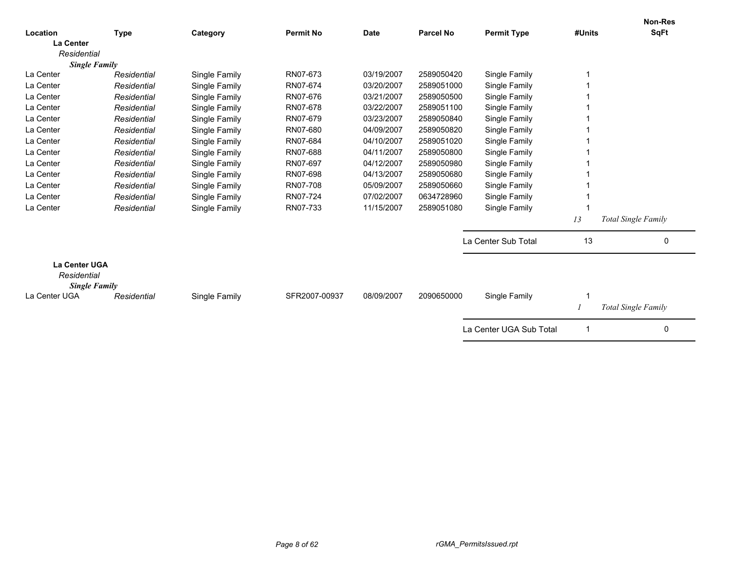| Location                                                    |             |               | <b>Permit No</b> | <b>Date</b> | <b>Parcel No</b> | <b>Permit Type</b>      | #Units | Non-Res<br><b>SqFt</b>     |
|-------------------------------------------------------------|-------------|---------------|------------------|-------------|------------------|-------------------------|--------|----------------------------|
| <b>La Center</b>                                            | <b>Type</b> | Category      |                  |             |                  |                         |        |                            |
| Residential                                                 |             |               |                  |             |                  |                         |        |                            |
| <b>Single Family</b>                                        |             |               |                  |             |                  |                         |        |                            |
| La Center                                                   | Residential | Single Family | RN07-673         | 03/19/2007  | 2589050420       | Single Family           |        |                            |
| La Center                                                   | Residential | Single Family | RN07-674         | 03/20/2007  | 2589051000       | Single Family           |        |                            |
| La Center                                                   | Residential | Single Family | RN07-676         | 03/21/2007  | 2589050500       | Single Family           |        |                            |
| La Center                                                   | Residential | Single Family | RN07-678         | 03/22/2007  | 2589051100       | Single Family           |        |                            |
| La Center                                                   | Residential | Single Family | RN07-679         | 03/23/2007  | 2589050840       | Single Family           |        |                            |
| La Center                                                   | Residential | Single Family | RN07-680         | 04/09/2007  | 2589050820       | Single Family           |        |                            |
| La Center                                                   | Residential | Single Family | RN07-684         | 04/10/2007  | 2589051020       | Single Family           |        |                            |
| La Center                                                   | Residential | Single Family | RN07-688         | 04/11/2007  | 2589050800       | Single Family           |        |                            |
| La Center                                                   | Residential | Single Family | RN07-697         | 04/12/2007  | 2589050980       | Single Family           |        |                            |
| La Center                                                   | Residential | Single Family | RN07-698         | 04/13/2007  | 2589050680       | Single Family           |        |                            |
| La Center                                                   | Residential | Single Family | RN07-708         | 05/09/2007  | 2589050660       | Single Family           |        |                            |
| La Center                                                   | Residential | Single Family | RN07-724         | 07/02/2007  | 0634728960       | Single Family           |        |                            |
| La Center                                                   | Residential | Single Family | RN07-733         | 11/15/2007  | 2589051080       | Single Family           |        |                            |
|                                                             |             |               |                  |             |                  |                         | 13     | Total Single Family        |
|                                                             |             |               |                  |             |                  | La Center Sub Total     | 13     | 0                          |
| <b>La Center UGA</b><br>Residential<br><b>Single Family</b> |             |               |                  |             |                  |                         |        |                            |
| La Center UGA                                               | Residential | Single Family | SFR2007-00937    | 08/09/2007  | 2090650000       | Single Family           |        |                            |
|                                                             |             |               |                  |             |                  |                         |        | <b>Total Single Family</b> |
|                                                             |             |               |                  |             |                  | La Center UGA Sub Total |        | 0                          |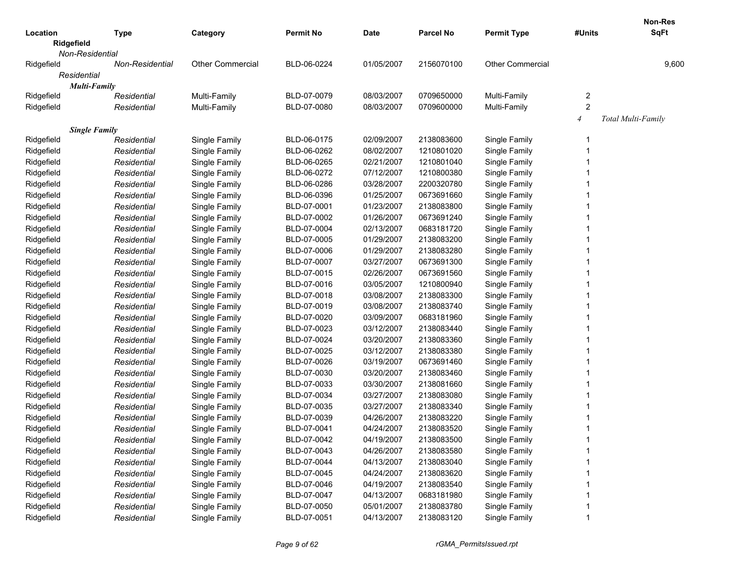|                        |                 |                         |                  |             |                  |                         |                | Non-Res            |
|------------------------|-----------------|-------------------------|------------------|-------------|------------------|-------------------------|----------------|--------------------|
| Location<br>Ridgefield | <b>Type</b>     | Category                | <b>Permit No</b> | <b>Date</b> | <b>Parcel No</b> | <b>Permit Type</b>      | #Units         | <b>SqFt</b>        |
| Non-Residential        |                 |                         |                  |             |                  |                         |                |                    |
| Ridgefield             | Non-Residential | <b>Other Commercial</b> | BLD-06-0224      | 01/05/2007  | 2156070100       | <b>Other Commercial</b> |                | 9,600              |
| Residential            |                 |                         |                  |             |                  |                         |                |                    |
| <b>Multi-Family</b>    |                 |                         |                  |             |                  |                         |                |                    |
| Ridgefield             | Residential     | Multi-Family            | BLD-07-0079      | 08/03/2007  | 0709650000       | Multi-Family            | 2              |                    |
| Ridgefield             | Residential     | Multi-Family            | BLD-07-0080      | 08/03/2007  | 0709600000       | Multi-Family            | $\overline{c}$ |                    |
|                        |                 |                         |                  |             |                  |                         | $\overline{4}$ | Total Multi-Family |
| <b>Single Family</b>   |                 |                         |                  |             |                  |                         |                |                    |
| Ridgefield             | Residential     | Single Family           | BLD-06-0175      | 02/09/2007  | 2138083600       | Single Family           |                |                    |
| Ridgefield             | Residential     | Single Family           | BLD-06-0262      | 08/02/2007  | 1210801020       | Single Family           |                |                    |
| Ridgefield             | Residential     | Single Family           | BLD-06-0265      | 02/21/2007  | 1210801040       | Single Family           |                |                    |
| Ridgefield             | Residential     | Single Family           | BLD-06-0272      | 07/12/2007  | 1210800380       | Single Family           |                |                    |
| Ridgefield             | Residential     | Single Family           | BLD-06-0286      | 03/28/2007  | 2200320780       | Single Family           |                |                    |
| Ridgefield             | Residential     | Single Family           | BLD-06-0396      | 01/25/2007  | 0673691660       | Single Family           |                |                    |
| Ridgefield             | Residential     | Single Family           | BLD-07-0001      | 01/23/2007  | 2138083800       | Single Family           |                |                    |
| Ridgefield             | Residential     | Single Family           | BLD-07-0002      | 01/26/2007  | 0673691240       | Single Family           |                |                    |
| Ridgefield             | Residential     | Single Family           | BLD-07-0004      | 02/13/2007  | 0683181720       | Single Family           |                |                    |
| Ridgefield             | Residential     | Single Family           | BLD-07-0005      | 01/29/2007  | 2138083200       | Single Family           |                |                    |
| Ridgefield             | Residential     | Single Family           | BLD-07-0006      | 01/29/2007  | 2138083280       | Single Family           |                |                    |
| Ridgefield             | Residential     | Single Family           | BLD-07-0007      | 03/27/2007  | 0673691300       | Single Family           |                |                    |
| Ridgefield             | Residential     | Single Family           | BLD-07-0015      | 02/26/2007  | 0673691560       | Single Family           |                |                    |
| Ridgefield             | Residential     | Single Family           | BLD-07-0016      | 03/05/2007  | 1210800940       | Single Family           |                |                    |
| Ridgefield             | Residential     | Single Family           | BLD-07-0018      | 03/08/2007  | 2138083300       | Single Family           |                |                    |
| Ridgefield             | Residential     | Single Family           | BLD-07-0019      | 03/08/2007  | 2138083740       | Single Family           |                |                    |
| Ridgefield             | Residential     | Single Family           | BLD-07-0020      | 03/09/2007  | 0683181960       | Single Family           |                |                    |
| Ridgefield             | Residential     | Single Family           | BLD-07-0023      | 03/12/2007  | 2138083440       | Single Family           |                |                    |
| Ridgefield             | Residential     | Single Family           | BLD-07-0024      | 03/20/2007  | 2138083360       | Single Family           |                |                    |
| Ridgefield             | Residential     | Single Family           | BLD-07-0025      | 03/12/2007  | 2138083380       | Single Family           |                |                    |
| Ridgefield             | Residential     | Single Family           | BLD-07-0026      | 03/19/2007  | 0673691460       | Single Family           |                |                    |
| Ridgefield             | Residential     | Single Family           | BLD-07-0030      | 03/20/2007  | 2138083460       | Single Family           |                |                    |
| Ridgefield             | Residential     | Single Family           | BLD-07-0033      | 03/30/2007  | 2138081660       | Single Family           |                |                    |
| Ridgefield             | Residential     | Single Family           | BLD-07-0034      | 03/27/2007  | 2138083080       | Single Family           |                |                    |
| Ridgefield             | Residential     | Single Family           | BLD-07-0035      | 03/27/2007  | 2138083340       | Single Family           |                |                    |
| Ridgefield             | Residential     | Single Family           | BLD-07-0039      | 04/26/2007  | 2138083220       | Single Family           |                |                    |
| Ridgefield             | Residential     | Single Family           | BLD-07-0041      | 04/24/2007  | 2138083520       | Single Family           |                |                    |
| Ridgefield             | Residential     | Single Family           | BLD-07-0042      | 04/19/2007  | 2138083500       | Single Family           |                |                    |
| Ridgefield             | Residential     | Single Family           | BLD-07-0043      | 04/26/2007  | 2138083580       | Single Family           |                |                    |
| Ridgefield             | Residential     | Single Family           | BLD-07-0044      | 04/13/2007  | 2138083040       | Single Family           |                |                    |
| Ridgefield             | Residential     | Single Family           | BLD-07-0045      | 04/24/2007  | 2138083620       | Single Family           |                |                    |
| Ridgefield             | Residential     | Single Family           | BLD-07-0046      | 04/19/2007  | 2138083540       | Single Family           |                |                    |
| Ridgefield             | Residential     | Single Family           | BLD-07-0047      | 04/13/2007  | 0683181980       | Single Family           |                |                    |
| Ridgefield             | Residential     | Single Family           | BLD-07-0050      | 05/01/2007  | 2138083780       | Single Family           |                |                    |
| Ridgefield             | Residential     | Single Family           | BLD-07-0051      | 04/13/2007  | 2138083120       | Single Family           |                |                    |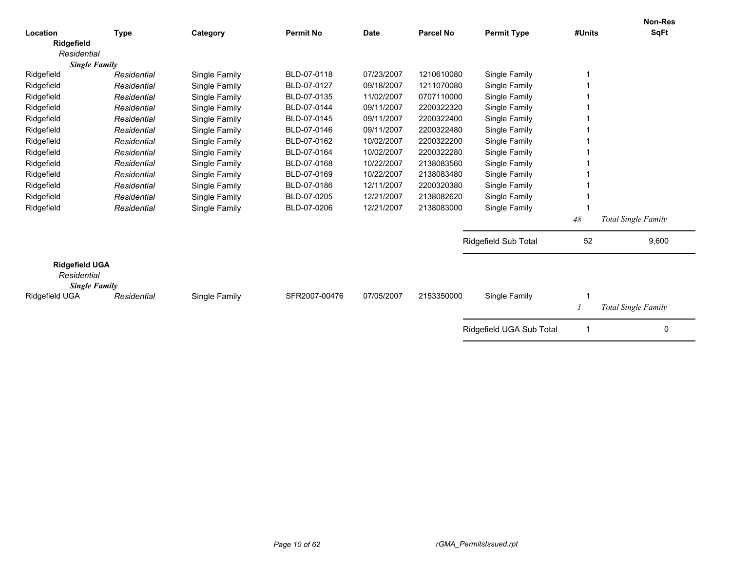| Location                                                     | <b>Type</b> | Category      | <b>Permit No</b> | <b>Date</b> | <b>Parcel No</b> | <b>Permit Type</b>       | #Units | <b>Non-Res</b><br>SqFt     |
|--------------------------------------------------------------|-------------|---------------|------------------|-------------|------------------|--------------------------|--------|----------------------------|
| Ridgefield                                                   |             |               |                  |             |                  |                          |        |                            |
| Residential                                                  |             |               |                  |             |                  |                          |        |                            |
| <b>Single Family</b>                                         |             |               |                  |             |                  |                          |        |                            |
| Ridgefield                                                   | Residential | Single Family | BLD-07-0118      | 07/23/2007  | 1210610080       | Single Family            |        |                            |
| Ridgefield                                                   | Residential | Single Family | BLD-07-0127      | 09/18/2007  | 1211070080       | Single Family            |        |                            |
| Ridgefield                                                   | Residential | Single Family | BLD-07-0135      | 11/02/2007  | 0707110000       | Single Family            |        |                            |
| Ridgefield                                                   | Residential | Single Family | BLD-07-0144      | 09/11/2007  | 2200322320       | Single Family            |        |                            |
| Ridgefield                                                   | Residential | Single Family | BLD-07-0145      | 09/11/2007  | 2200322400       | Single Family            |        |                            |
| Ridgefield                                                   | Residential | Single Family | BLD-07-0146      | 09/11/2007  | 2200322480       | Single Family            |        |                            |
| Ridgefield                                                   | Residential | Single Family | BLD-07-0162      | 10/02/2007  | 2200322200       | Single Family            |        |                            |
| Ridgefield                                                   | Residential | Single Family | BLD-07-0164      | 10/02/2007  | 2200322280       | Single Family            |        |                            |
| Ridgefield                                                   | Residential | Single Family | BLD-07-0168      | 10/22/2007  | 2138083560       | Single Family            |        |                            |
| Ridgefield                                                   | Residential | Single Family | BLD-07-0169      | 10/22/2007  | 2138083480       | Single Family            |        |                            |
| Ridgefield                                                   | Residential | Single Family | BLD-07-0186      | 12/11/2007  | 2200320380       | Single Family            |        |                            |
| Ridgefield                                                   | Residential | Single Family | BLD-07-0205      | 12/21/2007  | 2138082620       | Single Family            |        |                            |
| Ridgefield                                                   | Residential | Single Family | BLD-07-0206      | 12/21/2007  | 2138083000       | Single Family            |        |                            |
|                                                              |             |               |                  |             |                  |                          | 48     | <b>Total Single Family</b> |
|                                                              |             |               |                  |             |                  | Ridgefield Sub Total     | 52     | 9,600                      |
| <b>Ridgefield UGA</b><br>Residential<br><b>Single Family</b> |             |               |                  |             |                  |                          |        |                            |
| Ridgefield UGA                                               | Residential | Single Family | SFR2007-00476    | 07/05/2007  | 2153350000       | Single Family            |        |                            |
|                                                              |             |               |                  |             |                  |                          |        | <b>Total Single Family</b> |
|                                                              |             |               |                  |             |                  | Ridgefield UGA Sub Total |        | 0                          |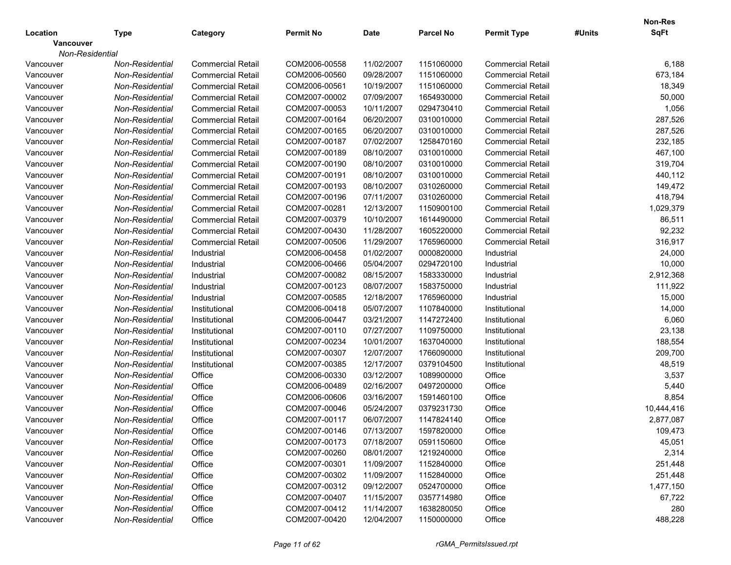| Location<br><b>Permit No</b><br><b>Date</b><br><b>Parcel No</b><br><b>Permit Type</b><br><b>Type</b><br>Category                  | #Units | <b>SqFt</b> |
|-----------------------------------------------------------------------------------------------------------------------------------|--------|-------------|
| <b>Vancouver</b>                                                                                                                  |        |             |
| Non-Residential                                                                                                                   |        |             |
| 11/02/2007<br>1151060000<br><b>Commercial Retail</b><br>Non-Residential<br><b>Commercial Retail</b><br>COM2006-00558<br>Vancouver |        | 6,188       |
| COM2006-00560<br>09/28/2007<br>1151060000<br><b>Commercial Retail</b><br>Vancouver<br>Non-Residential<br><b>Commercial Retail</b> |        | 673,184     |
| COM2006-00561<br>10/19/2007<br>1151060000<br>Vancouver<br><b>Commercial Retail</b><br>Non-Residential<br><b>Commercial Retail</b> |        | 18,349      |
| COM2007-00002<br>07/09/2007<br>1654930000<br>Vancouver<br><b>Commercial Retail</b><br>Non-Residential<br><b>Commercial Retail</b> |        | 50,000      |
| COM2007-00053<br>10/11/2007<br>0294730410<br><b>Commercial Retail</b><br>Vancouver<br>Non-Residential<br><b>Commercial Retail</b> |        | 1,056       |
| COM2007-00164<br>06/20/2007<br>0310010000<br>Vancouver<br>Non-Residential<br><b>Commercial Retail</b><br><b>Commercial Retail</b> |        | 287,526     |
| COM2007-00165<br>06/20/2007<br>0310010000<br>Vancouver<br>Non-Residential<br><b>Commercial Retail</b><br><b>Commercial Retail</b> |        | 287,526     |
| COM2007-00187<br>07/02/2007<br>1258470160<br>Vancouver<br>Non-Residential<br><b>Commercial Retail</b><br><b>Commercial Retail</b> |        | 232,185     |
| COM2007-00189<br>08/10/2007<br>0310010000<br>Vancouver<br>Non-Residential<br><b>Commercial Retail</b><br><b>Commercial Retail</b> |        | 467,100     |
| COM2007-00190<br>08/10/2007<br>0310010000<br>Vancouver<br>Non-Residential<br><b>Commercial Retail</b><br><b>Commercial Retail</b> |        | 319,704     |
| COM2007-00191<br>08/10/2007<br>Vancouver<br>0310010000<br><b>Commercial Retail</b><br>Non-Residential<br><b>Commercial Retail</b> |        | 440,112     |
| COM2007-00193<br>08/10/2007<br>0310260000<br><b>Commercial Retail</b><br>Vancouver<br>Non-Residential<br><b>Commercial Retail</b> |        | 149,472     |
| COM2007-00196<br>07/11/2007<br>0310260000<br>Vancouver<br>Non-Residential<br><b>Commercial Retail</b><br><b>Commercial Retail</b> |        | 418,794     |
| COM2007-00281<br>12/13/2007<br>1150900100<br>Vancouver<br>Non-Residential<br><b>Commercial Retail</b><br><b>Commercial Retail</b> |        | 1,029,379   |
| COM2007-00379<br>10/10/2007<br>1614490000<br>Vancouver<br>Non-Residential<br><b>Commercial Retail</b><br><b>Commercial Retail</b> |        | 86,511      |
| COM2007-00430<br>11/28/2007<br>Vancouver<br>Non-Residential<br><b>Commercial Retail</b><br>1605220000<br><b>Commercial Retail</b> |        | 92,232      |
| COM2007-00506<br>11/29/2007<br>Vancouver<br>Non-Residential<br><b>Commercial Retail</b><br>1765960000<br><b>Commercial Retail</b> |        | 316,917     |
| COM2006-00458<br>01/02/2007<br>Vancouver<br>0000820000<br>Industrial<br>Non-Residential<br>Industrial                             |        | 24,000      |
| 05/04/2007<br>Vancouver<br>COM2006-00466<br>0294720100<br>Industrial<br>Non-Residential<br>Industrial                             |        | 10,000      |
| COM2007-00082<br>08/15/2007<br>Industrial<br>Vancouver<br>Non-Residential<br>1583330000<br>Industrial                             |        | 2,912,368   |
| COM2007-00123<br>08/07/2007<br>1583750000<br>Industrial<br>Vancouver<br>Non-Residential<br>Industrial                             |        | 111,922     |
| COM2007-00585<br>12/18/2007<br>Industrial<br>Vancouver<br>Non-Residential<br>1765960000<br>Industrial                             |        | 15,000      |
| COM2006-00418<br>05/07/2007<br>1107840000<br>Vancouver<br>Non-Residential<br>Institutional<br>Institutional                       |        | 14,000      |
| COM2006-00447<br>03/21/2007<br>1147272400<br>Vancouver<br>Non-Residential<br>Institutional<br>Institutional                       |        | 6,060       |
| COM2007-00110<br>07/27/2007<br>Vancouver<br>Non-Residential<br>1109750000<br>Institutional<br>Institutional                       |        | 23,138      |
| COM2007-00234<br>Vancouver<br>10/01/2007<br>1637040000<br>Institutional<br>Non-Residential<br>Institutional                       |        | 188,554     |
| COM2007-00307<br>12/07/2007<br>1766090000<br>Vancouver<br>Non-Residential<br>Institutional<br>Institutional                       |        | 209,700     |
| COM2007-00385<br>12/17/2007<br>Vancouver<br>Non-Residential<br>0379104500<br>Institutional<br>Institutional                       |        | 48,519      |
| COM2006-00330<br>03/12/2007<br>Office<br>Vancouver<br>Non-Residential<br>Office<br>1089900000                                     |        | 3,537       |
| COM2006-00489<br>02/16/2007<br>Office<br>Vancouver<br>Non-Residential<br>Office<br>0497200000                                     |        | 5,440       |
| COM2006-00606<br>Office<br>Vancouver<br>Office<br>03/16/2007<br>1591460100<br>Non-Residential                                     |        | 8,854       |
| COM2007-00046<br>Office<br>Vancouver<br>Non-Residential<br>Office<br>05/24/2007<br>0379231730                                     |        | 10,444,416  |
| COM2007-00117<br>06/07/2007<br>1147824140<br>Office<br>Vancouver<br>Non-Residential<br>Office                                     |        | 2,877,087   |
| COM2007-00146<br>07/13/2007<br>1597820000<br>Office<br>Office<br>Vancouver<br>Non-Residential                                     |        | 109,473     |
| COM2007-00173<br>07/18/2007<br>0591150600<br>Office<br>Vancouver<br>Non-Residential<br>Office                                     |        | 45,051      |
| COM2007-00260<br>08/01/2007<br>Office<br>Vancouver<br>Non-Residential<br>Office<br>1219240000                                     |        | 2,314       |
| COM2007-00301<br>11/09/2007<br>Office<br>Vancouver<br>Non-Residential<br>Office<br>1152840000                                     |        | 251,448     |
| COM2007-00302<br>11/09/2007<br>Office<br>Vancouver<br>Non-Residential<br>Office<br>1152840000                                     |        | 251,448     |
| COM2007-00312<br>09/12/2007<br>Office<br>Vancouver<br>Non-Residential<br>Office<br>0524700000                                     |        | 1,477,150   |
| COM2007-00407<br>11/15/2007<br>Office<br>Vancouver<br>Non-Residential<br>Office<br>0357714980                                     |        | 67,722      |
| COM2007-00412<br>11/14/2007<br>Office<br>Vancouver<br>1638280050<br>Non-Residential<br>Office                                     |        | 280         |
| Office<br>COM2007-00420<br>12/04/2007<br>1150000000<br>Office<br>Vancouver<br>Non-Residential                                     |        | 488,228     |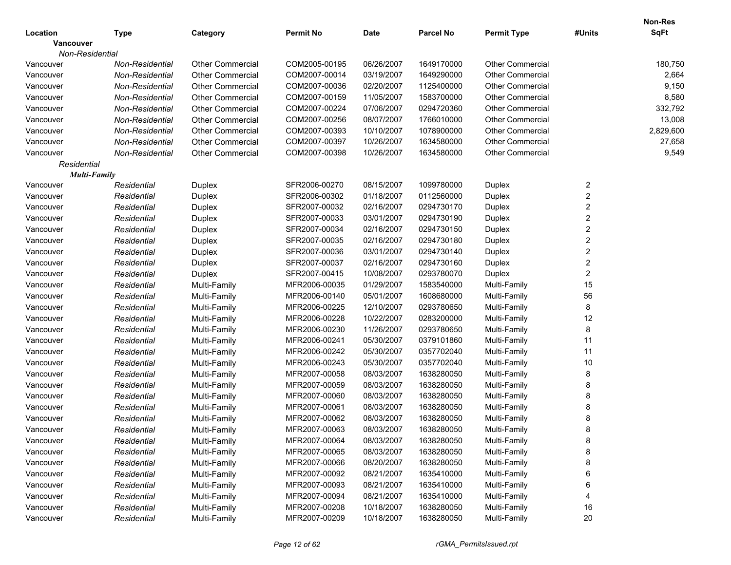| Location         | <b>Type</b>         | Category                | <b>Permit No</b> | <b>Date</b> | <b>Parcel No</b> | <b>Permit Type</b>      | #Units                  | <b>Non-Res</b><br><b>SqFt</b> |
|------------------|---------------------|-------------------------|------------------|-------------|------------------|-------------------------|-------------------------|-------------------------------|
| <b>Vancouver</b> |                     |                         |                  |             |                  |                         |                         |                               |
| Non-Residential  |                     |                         |                  |             |                  |                         |                         |                               |
| Vancouver        | Non-Residential     | <b>Other Commercial</b> | COM2005-00195    | 06/26/2007  | 1649170000       | <b>Other Commercial</b> |                         | 180,750                       |
| Vancouver        | Non-Residential     | <b>Other Commercial</b> | COM2007-00014    | 03/19/2007  | 1649290000       | <b>Other Commercial</b> |                         | 2,664                         |
| Vancouver        | Non-Residential     | <b>Other Commercial</b> | COM2007-00036    | 02/20/2007  | 1125400000       | <b>Other Commercial</b> |                         | 9,150                         |
| Vancouver        | Non-Residential     | <b>Other Commercial</b> | COM2007-00159    | 11/05/2007  | 1583700000       | <b>Other Commercial</b> |                         | 8,580                         |
| Vancouver        | Non-Residential     | <b>Other Commercial</b> | COM2007-00224    | 07/06/2007  | 0294720360       | <b>Other Commercial</b> |                         | 332,792                       |
| Vancouver        | Non-Residential     | <b>Other Commercial</b> | COM2007-00256    | 08/07/2007  | 1766010000       | <b>Other Commercial</b> |                         | 13,008                        |
| Vancouver        | Non-Residential     | <b>Other Commercial</b> | COM2007-00393    | 10/10/2007  | 1078900000       | <b>Other Commercial</b> |                         | 2,829,600                     |
| Vancouver        | Non-Residential     | <b>Other Commercial</b> | COM2007-00397    | 10/26/2007  | 1634580000       | <b>Other Commercial</b> |                         | 27,658                        |
| Vancouver        | Non-Residential     | <b>Other Commercial</b> | COM2007-00398    | 10/26/2007  | 1634580000       | <b>Other Commercial</b> |                         | 9,549                         |
| Residential      |                     |                         |                  |             |                  |                         |                         |                               |
|                  | <b>Multi-Family</b> |                         |                  |             |                  |                         |                         |                               |
| Vancouver        | Residential         | Duplex                  | SFR2006-00270    | 08/15/2007  | 1099780000       | Duplex                  | $\overline{\mathbf{c}}$ |                               |
| Vancouver        | Residential         | Duplex                  | SFR2006-00302    | 01/18/2007  | 0112560000       | Duplex                  | $\overline{\mathbf{c}}$ |                               |
| Vancouver        | Residential         | Duplex                  | SFR2007-00032    | 02/16/2007  | 0294730170       | Duplex                  | $\overline{\mathbf{c}}$ |                               |
| Vancouver        | Residential         | Duplex                  | SFR2007-00033    | 03/01/2007  | 0294730190       | Duplex                  | $\overline{\mathbf{c}}$ |                               |
| Vancouver        | Residential         | Duplex                  | SFR2007-00034    | 02/16/2007  | 0294730150       | Duplex                  | $\overline{\mathbf{c}}$ |                               |
| Vancouver        | Residential         | Duplex                  | SFR2007-00035    | 02/16/2007  | 0294730180       | Duplex                  | $\overline{\mathbf{c}}$ |                               |
| Vancouver        | Residential         | Duplex                  | SFR2007-00036    | 03/01/2007  | 0294730140       | Duplex                  | $\overline{\mathbf{c}}$ |                               |
| Vancouver        | Residential         | Duplex                  | SFR2007-00037    | 02/16/2007  | 0294730160       | Duplex                  | $\overline{\mathbf{c}}$ |                               |
| Vancouver        | Residential         | Duplex                  | SFR2007-00415    | 10/08/2007  | 0293780070       | Duplex                  | 2                       |                               |
| Vancouver        | Residential         | Multi-Family            | MFR2006-00035    | 01/29/2007  | 1583540000       | Multi-Family            | 15                      |                               |
| Vancouver        | Residential         | Multi-Family            | MFR2006-00140    | 05/01/2007  | 1608680000       | Multi-Family            | 56                      |                               |
| Vancouver        | Residential         | Multi-Family            | MFR2006-00225    | 12/10/2007  | 0293780650       | Multi-Family            | 8                       |                               |
| Vancouver        | Residential         | Multi-Family            | MFR2006-00228    | 10/22/2007  | 0283200000       | Multi-Family            | 12                      |                               |
| Vancouver        | Residential         | Multi-Family            | MFR2006-00230    | 11/26/2007  | 0293780650       | Multi-Family            | 8                       |                               |
| Vancouver        | Residential         | Multi-Family            | MFR2006-00241    | 05/30/2007  | 0379101860       | Multi-Family            | 11                      |                               |
| Vancouver        | Residential         | Multi-Family            | MFR2006-00242    | 05/30/2007  | 0357702040       | Multi-Family            | 11                      |                               |
| Vancouver        | Residential         | Multi-Family            | MFR2006-00243    | 05/30/2007  | 0357702040       | Multi-Family            | 10                      |                               |
| Vancouver        | Residential         | Multi-Family            | MFR2007-00058    | 08/03/2007  | 1638280050       | Multi-Family            | 8                       |                               |
| Vancouver        | Residential         | Multi-Family            | MFR2007-00059    | 08/03/2007  | 1638280050       | Multi-Family            | 8                       |                               |
| Vancouver        | Residential         | Multi-Family            | MFR2007-00060    | 08/03/2007  | 1638280050       | Multi-Family            | 8                       |                               |
| Vancouver        | Residential         | Multi-Family            | MFR2007-00061    | 08/03/2007  | 1638280050       | Multi-Family            | 8                       |                               |
| Vancouver        | Residential         | Multi-Family            | MFR2007-00062    | 08/03/2007  | 1638280050       | Multi-Family            | 8                       |                               |
| Vancouver        | Residential         | Multi-Family            | MFR2007-00063    | 08/03/2007  | 1638280050       | Multi-Family            |                         |                               |
| Vancouver        | Residential         | Multi-Family            | MFR2007-00064    | 08/03/2007  | 1638280050       | Multi-Family            | 8                       |                               |
| Vancouver        | Residential         | Multi-Family            | MFR2007-00065    | 08/03/2007  | 1638280050       | Multi-Family            | 8                       |                               |
| Vancouver        | Residential         | Multi-Family            | MFR2007-00066    | 08/20/2007  | 1638280050       | Multi-Family            | 8                       |                               |
| Vancouver        | Residential         | Multi-Family            | MFR2007-00092    | 08/21/2007  | 1635410000       | Multi-Family            | 6                       |                               |
| Vancouver        | Residential         | Multi-Family            | MFR2007-00093    | 08/21/2007  | 1635410000       | Multi-Family            | 6                       |                               |
| Vancouver        | Residential         | Multi-Family            | MFR2007-00094    | 08/21/2007  | 1635410000       | Multi-Family            | 4                       |                               |
| Vancouver        |                     |                         | MFR2007-00208    | 10/18/2007  | 1638280050       | Multi-Family            | 16                      |                               |
|                  | Residential         | Multi-Family            |                  |             |                  |                         |                         |                               |
| Vancouver        | Residential         | Multi-Family            | MFR2007-00209    | 10/18/2007  | 1638280050       | Multi-Family            | 20                      |                               |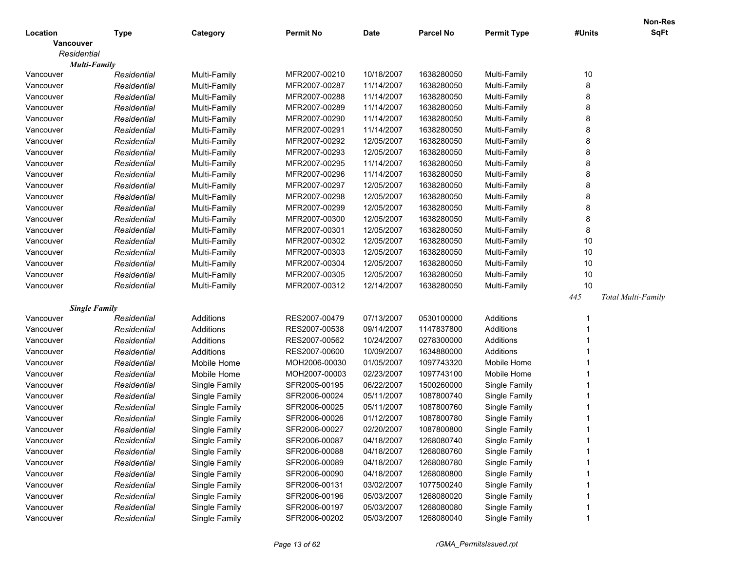|                      |             |               |               |             |                  |                    |        | <b>Non-Res</b>     |
|----------------------|-------------|---------------|---------------|-------------|------------------|--------------------|--------|--------------------|
| Location             | <b>Type</b> | Category      | Permit No     | <b>Date</b> | <b>Parcel No</b> | <b>Permit Type</b> | #Units | <b>SqFt</b>        |
| Vancouver            |             |               |               |             |                  |                    |        |                    |
| Residential          |             |               |               |             |                  |                    |        |                    |
| <b>Multi-Family</b>  |             |               |               |             |                  |                    |        |                    |
| Vancouver            | Residential | Multi-Family  | MFR2007-00210 | 10/18/2007  | 1638280050       | Multi-Family       | 10     |                    |
| Vancouver            | Residential | Multi-Family  | MFR2007-00287 | 11/14/2007  | 1638280050       | Multi-Family       | 8      |                    |
| Vancouver            | Residential | Multi-Family  | MFR2007-00288 | 11/14/2007  | 1638280050       | Multi-Family       | 8      |                    |
| Vancouver            | Residential | Multi-Family  | MFR2007-00289 | 11/14/2007  | 1638280050       | Multi-Family       | 8      |                    |
| Vancouver            | Residential | Multi-Family  | MFR2007-00290 | 11/14/2007  | 1638280050       | Multi-Family       | 8      |                    |
| Vancouver            | Residential | Multi-Family  | MFR2007-00291 | 11/14/2007  | 1638280050       | Multi-Family       | 8      |                    |
| Vancouver            | Residential | Multi-Family  | MFR2007-00292 | 12/05/2007  | 1638280050       | Multi-Family       | 8      |                    |
| Vancouver            | Residential | Multi-Family  | MFR2007-00293 | 12/05/2007  | 1638280050       | Multi-Family       | 8      |                    |
| Vancouver            | Residential | Multi-Family  | MFR2007-00295 | 11/14/2007  | 1638280050       | Multi-Family       | 8      |                    |
| Vancouver            | Residential | Multi-Family  | MFR2007-00296 | 11/14/2007  | 1638280050       | Multi-Family       | 8      |                    |
| Vancouver            | Residential | Multi-Family  | MFR2007-00297 | 12/05/2007  | 1638280050       | Multi-Family       | 8      |                    |
| Vancouver            | Residential | Multi-Family  | MFR2007-00298 | 12/05/2007  | 1638280050       | Multi-Family       | 8      |                    |
| Vancouver            | Residential | Multi-Family  | MFR2007-00299 | 12/05/2007  | 1638280050       | Multi-Family       | 8      |                    |
| Vancouver            | Residential | Multi-Family  | MFR2007-00300 | 12/05/2007  | 1638280050       | Multi-Family       | 8      |                    |
| Vancouver            | Residential | Multi-Family  | MFR2007-00301 | 12/05/2007  | 1638280050       | Multi-Family       | 8      |                    |
| Vancouver            | Residential | Multi-Family  | MFR2007-00302 | 12/05/2007  | 1638280050       | Multi-Family       | 10     |                    |
| Vancouver            | Residential | Multi-Family  | MFR2007-00303 | 12/05/2007  | 1638280050       | Multi-Family       | 10     |                    |
| Vancouver            | Residential | Multi-Family  | MFR2007-00304 | 12/05/2007  | 1638280050       | Multi-Family       | 10     |                    |
| Vancouver            | Residential | Multi-Family  | MFR2007-00305 | 12/05/2007  | 1638280050       | Multi-Family       | 10     |                    |
| Vancouver            | Residential | Multi-Family  | MFR2007-00312 | 12/14/2007  | 1638280050       | Multi-Family       | 10     |                    |
|                      |             |               |               |             |                  |                    | 445    | Total Multi-Family |
| <b>Single Family</b> |             |               |               |             |                  |                    |        |                    |
| Vancouver            | Residential | Additions     | RES2007-00479 | 07/13/2007  | 0530100000       | Additions          |        |                    |
| Vancouver            | Residential | Additions     | RES2007-00538 | 09/14/2007  | 1147837800       | Additions          |        |                    |
| Vancouver            | Residential | Additions     | RES2007-00562 | 10/24/2007  | 0278300000       | Additions          |        |                    |
| Vancouver            | Residential | Additions     | RES2007-00600 | 10/09/2007  | 1634880000       | Additions          |        |                    |
| Vancouver            | Residential | Mobile Home   | MOH2006-00030 | 01/05/2007  | 1097743320       | Mobile Home        |        |                    |
| Vancouver            | Residential | Mobile Home   | MOH2007-00003 | 02/23/2007  | 1097743100       | Mobile Home        |        |                    |
| Vancouver            | Residential | Single Family | SFR2005-00195 | 06/22/2007  | 1500260000       | Single Family      |        |                    |
| Vancouver            | Residential | Single Family | SFR2006-00024 | 05/11/2007  | 1087800740       | Single Family      |        |                    |
| Vancouver            | Residential | Single Family | SFR2006-00025 | 05/11/2007  | 1087800760       | Single Family      |        |                    |
| Vancouver            | Residential | Single Family | SFR2006-00026 | 01/12/2007  | 1087800780       | Single Family      |        |                    |
| Vancouver            | Residential | Single Family | SFR2006-00027 | 02/20/2007  | 1087800800       | Single Family      |        |                    |
| Vancouver            | Residential | Single Family | SFR2006-00087 | 04/18/2007  | 1268080740       | Single Family      |        |                    |
| Vancouver            | Residential | Single Family | SFR2006-00088 | 04/18/2007  | 1268080760       | Single Family      |        |                    |
| Vancouver            | Residential | Single Family | SFR2006-00089 | 04/18/2007  | 1268080780       | Single Family      |        |                    |
| Vancouver            | Residential | Single Family | SFR2006-00090 | 04/18/2007  | 1268080800       | Single Family      |        |                    |
| Vancouver            | Residential | Single Family | SFR2006-00131 | 03/02/2007  | 1077500240       | Single Family      |        |                    |
| Vancouver            | Residential | Single Family | SFR2006-00196 | 05/03/2007  | 1268080020       | Single Family      |        |                    |
| Vancouver            | Residential | Single Family | SFR2006-00197 | 05/03/2007  | 1268080080       | Single Family      |        |                    |
| Vancouver            | Residential | Single Family | SFR2006-00202 | 05/03/2007  | 1268080040       | Single Family      |        |                    |
|                      |             |               |               |             |                  |                    |        |                    |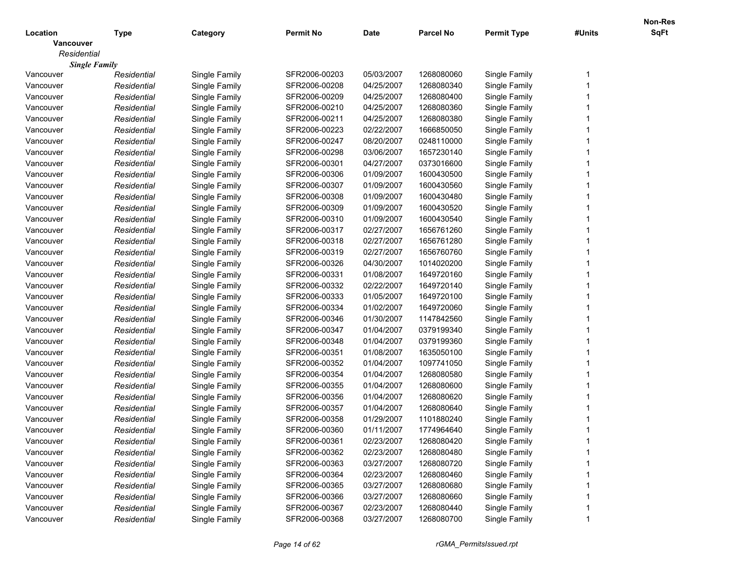|                  |                      |               |                  |             |                  |                    |        | <b>Non-Res</b> |
|------------------|----------------------|---------------|------------------|-------------|------------------|--------------------|--------|----------------|
| Location         | <b>Type</b>          | Category      | <b>Permit No</b> | <b>Date</b> | <b>Parcel No</b> | <b>Permit Type</b> | #Units | SqFt           |
| <b>Vancouver</b> |                      |               |                  |             |                  |                    |        |                |
| Residential      |                      |               |                  |             |                  |                    |        |                |
|                  | <b>Single Family</b> |               |                  |             |                  |                    |        |                |
| Vancouver        | Residential          | Single Family | SFR2006-00203    | 05/03/2007  | 1268080060       | Single Family      |        |                |
| Vancouver        | Residential          | Single Family | SFR2006-00208    | 04/25/2007  | 1268080340       | Single Family      |        |                |
| Vancouver        | Residential          | Single Family | SFR2006-00209    | 04/25/2007  | 1268080400       | Single Family      |        |                |
| Vancouver        | Residential          | Single Family | SFR2006-00210    | 04/25/2007  | 1268080360       | Single Family      |        |                |
| Vancouver        | Residential          | Single Family | SFR2006-00211    | 04/25/2007  | 1268080380       | Single Family      |        |                |
| Vancouver        | Residential          | Single Family | SFR2006-00223    | 02/22/2007  | 1666850050       | Single Family      |        |                |
| Vancouver        | Residential          | Single Family | SFR2006-00247    | 08/20/2007  | 0248110000       | Single Family      |        |                |
| Vancouver        | Residential          | Single Family | SFR2006-00298    | 03/06/2007  | 1657230140       | Single Family      |        |                |
| Vancouver        | Residential          | Single Family | SFR2006-00301    | 04/27/2007  | 0373016600       | Single Family      |        |                |
| Vancouver        | Residential          | Single Family | SFR2006-00306    | 01/09/2007  | 1600430500       | Single Family      |        |                |
| Vancouver        | Residential          | Single Family | SFR2006-00307    | 01/09/2007  | 1600430560       | Single Family      |        |                |
| Vancouver        | Residential          | Single Family | SFR2006-00308    | 01/09/2007  | 1600430480       | Single Family      |        |                |
| Vancouver        | Residential          | Single Family | SFR2006-00309    | 01/09/2007  | 1600430520       | Single Family      |        |                |
| Vancouver        | Residential          | Single Family | SFR2006-00310    | 01/09/2007  | 1600430540       | Single Family      |        |                |
| Vancouver        | Residential          | Single Family | SFR2006-00317    | 02/27/2007  | 1656761260       | Single Family      |        |                |
| Vancouver        | Residential          | Single Family | SFR2006-00318    | 02/27/2007  | 1656761280       | Single Family      |        |                |
| Vancouver        | Residential          | Single Family | SFR2006-00319    | 02/27/2007  | 1656760760       | Single Family      |        |                |
| Vancouver        | Residential          | Single Family | SFR2006-00326    | 04/30/2007  | 1014020200       | Single Family      |        |                |
| Vancouver        | Residential          | Single Family | SFR2006-00331    | 01/08/2007  | 1649720160       | Single Family      |        |                |
| Vancouver        | Residential          | Single Family | SFR2006-00332    | 02/22/2007  | 1649720140       | Single Family      |        |                |
| Vancouver        | Residential          | Single Family | SFR2006-00333    | 01/05/2007  | 1649720100       | Single Family      |        |                |
| Vancouver        | Residential          | Single Family | SFR2006-00334    | 01/02/2007  | 1649720060       | Single Family      |        |                |
| Vancouver        | Residential          | Single Family | SFR2006-00346    | 01/30/2007  | 1147842560       | Single Family      |        |                |
| Vancouver        | Residential          | Single Family | SFR2006-00347    | 01/04/2007  | 0379199340       | Single Family      |        |                |
| Vancouver        | Residential          | Single Family | SFR2006-00348    | 01/04/2007  | 0379199360       | Single Family      |        |                |
| Vancouver        | Residential          | Single Family | SFR2006-00351    | 01/08/2007  | 1635050100       | Single Family      |        |                |
| Vancouver        | Residential          | Single Family | SFR2006-00352    | 01/04/2007  | 1097741050       | Single Family      |        |                |
| Vancouver        | Residential          | Single Family | SFR2006-00354    | 01/04/2007  | 1268080580       | Single Family      |        |                |
| Vancouver        | Residential          | Single Family | SFR2006-00355    | 01/04/2007  | 1268080600       | Single Family      |        |                |
| Vancouver        | Residential          | Single Family | SFR2006-00356    | 01/04/2007  | 1268080620       | Single Family      |        |                |
| Vancouver        | Residential          | Single Family | SFR2006-00357    | 01/04/2007  | 1268080640       | Single Family      |        |                |
| Vancouver        | Residential          | Single Family | SFR2006-00358    | 01/29/2007  | 1101880240       | Single Family      |        |                |
| Vancouver        | Residential          | Single Family | SFR2006-00360    | 01/11/2007  | 1774964640       | Single Family      |        |                |
| Vancouver        | Residential          | Single Family | SFR2006-00361    | 02/23/2007  | 1268080420       | Single Family      |        |                |
| Vancouver        | Residential          | Single Family | SFR2006-00362    | 02/23/2007  | 1268080480       | Single Family      |        |                |
| Vancouver        | Residential          | Single Family | SFR2006-00363    | 03/27/2007  | 1268080720       | Single Family      |        |                |
| Vancouver        | Residential          | Single Family | SFR2006-00364    | 02/23/2007  | 1268080460       | Single Family      |        |                |
| Vancouver        | Residential          | Single Family | SFR2006-00365    | 03/27/2007  | 1268080680       | Single Family      |        |                |
| Vancouver        | Residential          | Single Family | SFR2006-00366    | 03/27/2007  | 1268080660       | Single Family      |        |                |
| Vancouver        | Residential          | Single Family | SFR2006-00367    | 02/23/2007  | 1268080440       | Single Family      |        |                |
|                  |                      |               | SFR2006-00368    |             |                  |                    |        |                |
| Vancouver        | Residential          | Single Family |                  | 03/27/2007  | 1268080700       | Single Family      |        |                |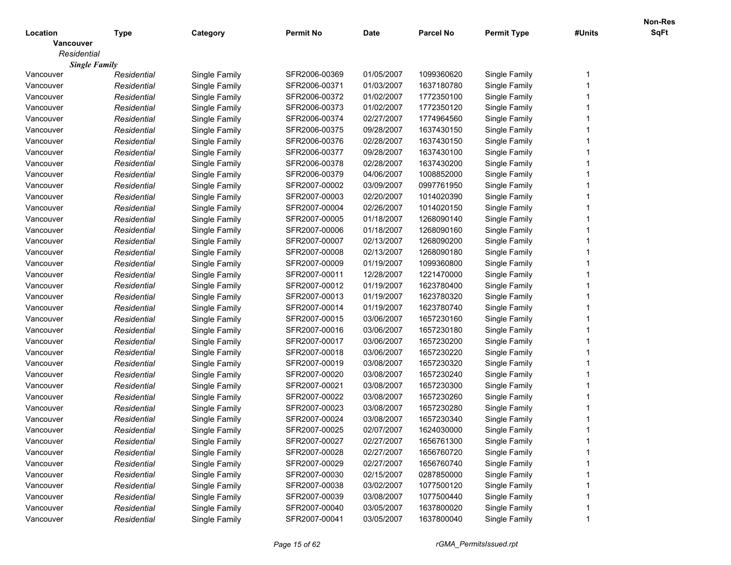|                  |                      |               |                  |             |                  |                    |        | <b>Non-Res</b> |
|------------------|----------------------|---------------|------------------|-------------|------------------|--------------------|--------|----------------|
| Location         | <b>Type</b>          | Category      | <b>Permit No</b> | <b>Date</b> | <b>Parcel No</b> | <b>Permit Type</b> | #Units | SqFt           |
| <b>Vancouver</b> |                      |               |                  |             |                  |                    |        |                |
| Residential      |                      |               |                  |             |                  |                    |        |                |
|                  | <b>Single Family</b> |               |                  |             |                  |                    |        |                |
| Vancouver        | Residential          | Single Family | SFR2006-00369    | 01/05/2007  | 1099360620       | Single Family      |        |                |
| Vancouver        | Residential          | Single Family | SFR2006-00371    | 01/03/2007  | 1637180780       | Single Family      |        |                |
| Vancouver        | Residential          | Single Family | SFR2006-00372    | 01/02/2007  | 1772350100       | Single Family      |        |                |
| Vancouver        | Residential          | Single Family | SFR2006-00373    | 01/02/2007  | 1772350120       | Single Family      |        |                |
| Vancouver        | Residential          | Single Family | SFR2006-00374    | 02/27/2007  | 1774964560       | Single Family      |        |                |
| Vancouver        | Residential          | Single Family | SFR2006-00375    | 09/28/2007  | 1637430150       | Single Family      |        |                |
| Vancouver        | Residential          | Single Family | SFR2006-00376    | 02/28/2007  | 1637430150       | Single Family      |        |                |
| Vancouver        | Residential          | Single Family | SFR2006-00377    | 09/28/2007  | 1637430100       | Single Family      |        |                |
| Vancouver        | Residential          | Single Family | SFR2006-00378    | 02/28/2007  | 1637430200       | Single Family      |        |                |
| Vancouver        | Residential          | Single Family | SFR2006-00379    | 04/06/2007  | 1008852000       | Single Family      |        |                |
| Vancouver        | Residential          | Single Family | SFR2007-00002    | 03/09/2007  | 0997761950       | Single Family      |        |                |
| Vancouver        | Residential          | Single Family | SFR2007-00003    | 02/20/2007  | 1014020390       | Single Family      |        |                |
| Vancouver        | Residential          | Single Family | SFR2007-00004    | 02/26/2007  | 1014020150       | Single Family      |        |                |
| Vancouver        | Residential          | Single Family | SFR2007-00005    | 01/18/2007  | 1268090140       | Single Family      |        |                |
| Vancouver        | Residential          | Single Family | SFR2007-00006    | 01/18/2007  | 1268090160       | Single Family      |        |                |
| Vancouver        | Residential          | Single Family | SFR2007-00007    | 02/13/2007  | 1268090200       | Single Family      |        |                |
| Vancouver        | Residential          | Single Family | SFR2007-00008    | 02/13/2007  | 1268090180       | Single Family      |        |                |
| Vancouver        | Residential          | Single Family | SFR2007-00009    | 01/19/2007  | 1099360800       | Single Family      |        |                |
| Vancouver        | Residential          | Single Family | SFR2007-00011    | 12/28/2007  | 1221470000       | Single Family      |        |                |
| Vancouver        | Residential          | Single Family | SFR2007-00012    | 01/19/2007  | 1623780400       | Single Family      |        |                |
| Vancouver        | Residential          | Single Family | SFR2007-00013    | 01/19/2007  | 1623780320       | Single Family      |        |                |
| Vancouver        | Residential          | Single Family | SFR2007-00014    | 01/19/2007  | 1623780740       | Single Family      |        |                |
| Vancouver        | Residential          | Single Family | SFR2007-00015    | 03/06/2007  | 1657230160       | Single Family      |        |                |
| Vancouver        | Residential          | Single Family | SFR2007-00016    | 03/06/2007  | 1657230180       | Single Family      |        |                |
| Vancouver        | Residential          | Single Family | SFR2007-00017    | 03/06/2007  | 1657230200       | Single Family      |        |                |
| Vancouver        | Residential          | Single Family | SFR2007-00018    | 03/06/2007  | 1657230220       | Single Family      |        |                |
| Vancouver        | Residential          | Single Family | SFR2007-00019    | 03/08/2007  | 1657230320       | Single Family      |        |                |
| Vancouver        | Residential          | Single Family | SFR2007-00020    | 03/08/2007  | 1657230240       | Single Family      |        |                |
| Vancouver        | Residential          | Single Family | SFR2007-00021    | 03/08/2007  | 1657230300       | Single Family      |        |                |
| Vancouver        | Residential          | Single Family | SFR2007-00022    | 03/08/2007  | 1657230260       | Single Family      |        |                |
| Vancouver        | Residential          | Single Family | SFR2007-00023    | 03/08/2007  | 1657230280       | Single Family      |        |                |
| Vancouver        | Residential          | Single Family | SFR2007-00024    | 03/08/2007  | 1657230340       | Single Family      |        |                |
| Vancouver        | Residential          | Single Family | SFR2007-00025    | 02/07/2007  | 1624030000       | Single Family      |        |                |
| Vancouver        | Residential          | Single Family | SFR2007-00027    | 02/27/2007  | 1656761300       | Single Family      |        |                |
| Vancouver        | Residential          | Single Family | SFR2007-00028    | 02/27/2007  | 1656760720       | Single Family      |        |                |
| Vancouver        | Residential          | Single Family | SFR2007-00029    | 02/27/2007  | 1656760740       | Single Family      |        |                |
| Vancouver        | Residential          | Single Family | SFR2007-00030    | 02/15/2007  | 0287850000       | Single Family      |        |                |
| Vancouver        | Residential          | Single Family | SFR2007-00038    | 03/02/2007  | 1077500120       | Single Family      |        |                |
| Vancouver        | Residential          | Single Family | SFR2007-00039    | 03/08/2007  | 1077500440       | Single Family      |        |                |
| Vancouver        | Residential          | Single Family | SFR2007-00040    | 03/05/2007  | 1637800020       | Single Family      |        |                |
| Vancouver        | Residential          | Single Family | SFR2007-00041    | 03/05/2007  | 1637800040       | Single Family      |        |                |
|                  |                      |               |                  |             |                  |                    |        |                |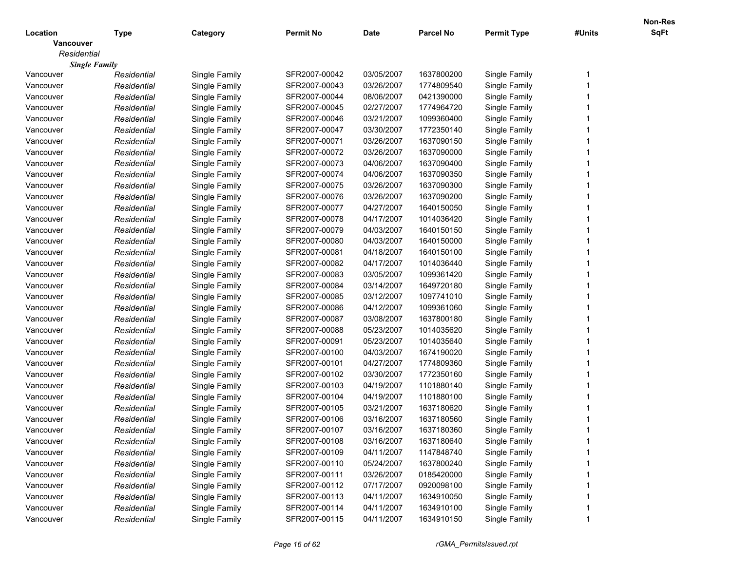|                  |                      |               |                  |             |                  |                    |        | <b>Non-Res</b> |
|------------------|----------------------|---------------|------------------|-------------|------------------|--------------------|--------|----------------|
| Location         | <b>Type</b>          | Category      | <b>Permit No</b> | <b>Date</b> | <b>Parcel No</b> | <b>Permit Type</b> | #Units | SqFt           |
| <b>Vancouver</b> |                      |               |                  |             |                  |                    |        |                |
| Residential      |                      |               |                  |             |                  |                    |        |                |
|                  | <b>Single Family</b> |               |                  |             |                  |                    |        |                |
| Vancouver        | Residential          | Single Family | SFR2007-00042    | 03/05/2007  | 1637800200       | Single Family      |        |                |
| Vancouver        | Residential          | Single Family | SFR2007-00043    | 03/26/2007  | 1774809540       | Single Family      |        |                |
| Vancouver        | Residential          | Single Family | SFR2007-00044    | 08/06/2007  | 0421390000       | Single Family      |        |                |
| Vancouver        | Residential          | Single Family | SFR2007-00045    | 02/27/2007  | 1774964720       | Single Family      |        |                |
| Vancouver        | Residential          | Single Family | SFR2007-00046    | 03/21/2007  | 1099360400       | Single Family      |        |                |
| Vancouver        | Residential          | Single Family | SFR2007-00047    | 03/30/2007  | 1772350140       | Single Family      |        |                |
| Vancouver        | Residential          | Single Family | SFR2007-00071    | 03/26/2007  | 1637090150       | Single Family      |        |                |
| Vancouver        | Residential          | Single Family | SFR2007-00072    | 03/26/2007  | 1637090000       | Single Family      |        |                |
| Vancouver        | Residential          | Single Family | SFR2007-00073    | 04/06/2007  | 1637090400       | Single Family      |        |                |
| Vancouver        | Residential          | Single Family | SFR2007-00074    | 04/06/2007  | 1637090350       | Single Family      |        |                |
| Vancouver        | Residential          | Single Family | SFR2007-00075    | 03/26/2007  | 1637090300       | Single Family      |        |                |
| Vancouver        | Residential          | Single Family | SFR2007-00076    | 03/26/2007  | 1637090200       | Single Family      |        |                |
| Vancouver        | Residential          | Single Family | SFR2007-00077    | 04/27/2007  | 1640150050       | Single Family      |        |                |
| Vancouver        | Residential          | Single Family | SFR2007-00078    | 04/17/2007  | 1014036420       | Single Family      |        |                |
| Vancouver        | Residential          | Single Family | SFR2007-00079    | 04/03/2007  | 1640150150       | Single Family      |        |                |
| Vancouver        | Residential          | Single Family | SFR2007-00080    | 04/03/2007  | 1640150000       | Single Family      |        |                |
| Vancouver        | Residential          | Single Family | SFR2007-00081    | 04/18/2007  | 1640150100       | Single Family      |        |                |
| Vancouver        | Residential          | Single Family | SFR2007-00082    | 04/17/2007  | 1014036440       | Single Family      |        |                |
| Vancouver        | Residential          | Single Family | SFR2007-00083    | 03/05/2007  | 1099361420       | Single Family      |        |                |
| Vancouver        | Residential          | Single Family | SFR2007-00084    | 03/14/2007  | 1649720180       | Single Family      |        |                |
| Vancouver        | Residential          | Single Family | SFR2007-00085    | 03/12/2007  | 1097741010       | Single Family      |        |                |
| Vancouver        | Residential          | Single Family | SFR2007-00086    | 04/12/2007  | 1099361060       | Single Family      |        |                |
| Vancouver        | Residential          | Single Family | SFR2007-00087    | 03/08/2007  | 1637800180       | Single Family      |        |                |
| Vancouver        | Residential          | Single Family | SFR2007-00088    | 05/23/2007  | 1014035620       | Single Family      |        |                |
| Vancouver        | Residential          | Single Family | SFR2007-00091    | 05/23/2007  | 1014035640       | Single Family      |        |                |
| Vancouver        | Residential          | Single Family | SFR2007-00100    | 04/03/2007  | 1674190020       | Single Family      |        |                |
| Vancouver        | Residential          | Single Family | SFR2007-00101    | 04/27/2007  | 1774809360       | Single Family      |        |                |
| Vancouver        | Residential          | Single Family | SFR2007-00102    | 03/30/2007  | 1772350160       | Single Family      |        |                |
| Vancouver        | Residential          | Single Family | SFR2007-00103    | 04/19/2007  | 1101880140       | Single Family      |        |                |
| Vancouver        | Residential          | Single Family | SFR2007-00104    | 04/19/2007  | 1101880100       | Single Family      |        |                |
| Vancouver        | Residential          | Single Family | SFR2007-00105    | 03/21/2007  | 1637180620       | Single Family      |        |                |
| Vancouver        | Residential          | Single Family | SFR2007-00106    | 03/16/2007  | 1637180560       | Single Family      |        |                |
| Vancouver        | Residential          | Single Family | SFR2007-00107    | 03/16/2007  | 1637180360       | Single Family      |        |                |
| Vancouver        | Residential          | Single Family | SFR2007-00108    | 03/16/2007  | 1637180640       | Single Family      |        |                |
| Vancouver        | Residential          | Single Family | SFR2007-00109    | 04/11/2007  | 1147848740       | Single Family      |        |                |
| Vancouver        | Residential          | Single Family | SFR2007-00110    | 05/24/2007  | 1637800240       | Single Family      |        |                |
| Vancouver        | Residential          | Single Family | SFR2007-00111    | 03/26/2007  | 0185420000       | Single Family      |        |                |
| Vancouver        | Residential          | Single Family | SFR2007-00112    | 07/17/2007  | 0920098100       | Single Family      |        |                |
| Vancouver        | Residential          | Single Family | SFR2007-00113    | 04/11/2007  | 1634910050       | Single Family      |        |                |
| Vancouver        | Residential          | Single Family | SFR2007-00114    | 04/11/2007  | 1634910100       | Single Family      |        |                |
| Vancouver        | Residential          | Single Family | SFR2007-00115    | 04/11/2007  | 1634910150       | Single Family      |        |                |
|                  |                      |               |                  |             |                  |                    |        |                |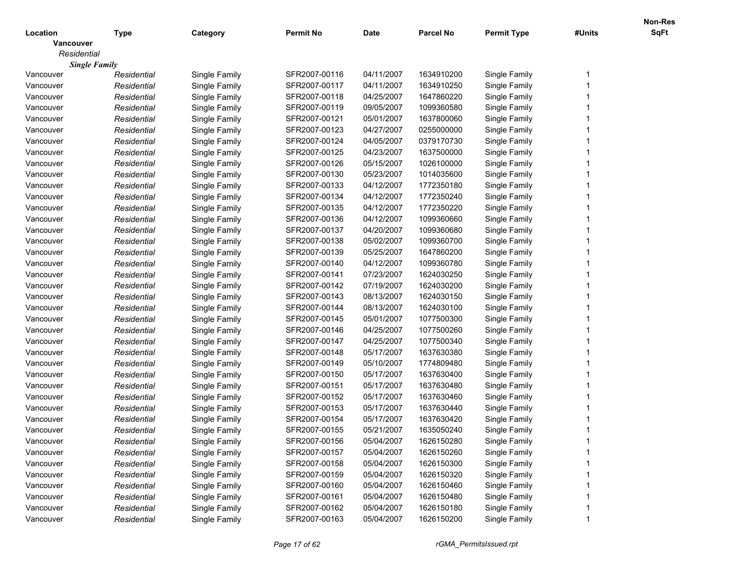|                  |                      |               |                  |             |                  |                    |        | <b>Non-Res</b> |
|------------------|----------------------|---------------|------------------|-------------|------------------|--------------------|--------|----------------|
| Location         | <b>Type</b>          | Category      | <b>Permit No</b> | <b>Date</b> | <b>Parcel No</b> | <b>Permit Type</b> | #Units | SqFt           |
| <b>Vancouver</b> |                      |               |                  |             |                  |                    |        |                |
| Residential      |                      |               |                  |             |                  |                    |        |                |
|                  | <b>Single Family</b> |               |                  |             |                  |                    |        |                |
| Vancouver        | Residential          | Single Family | SFR2007-00116    | 04/11/2007  | 1634910200       | Single Family      |        |                |
| Vancouver        | Residential          | Single Family | SFR2007-00117    | 04/11/2007  | 1634910250       | Single Family      |        |                |
| Vancouver        | Residential          | Single Family | SFR2007-00118    | 04/25/2007  | 1647860220       | Single Family      |        |                |
| Vancouver        | Residential          | Single Family | SFR2007-00119    | 09/05/2007  | 1099360580       | Single Family      |        |                |
| Vancouver        | Residential          | Single Family | SFR2007-00121    | 05/01/2007  | 1637800060       | Single Family      |        |                |
| Vancouver        | Residential          | Single Family | SFR2007-00123    | 04/27/2007  | 0255000000       | Single Family      |        |                |
| Vancouver        | Residential          | Single Family | SFR2007-00124    | 04/05/2007  | 0379170730       | Single Family      |        |                |
| Vancouver        | Residential          | Single Family | SFR2007-00125    | 04/23/2007  | 1637500000       | Single Family      |        |                |
| Vancouver        | Residential          | Single Family | SFR2007-00126    | 05/15/2007  | 1026100000       | Single Family      |        |                |
| Vancouver        | Residential          | Single Family | SFR2007-00130    | 05/23/2007  | 1014035600       | Single Family      |        |                |
| Vancouver        | Residential          | Single Family | SFR2007-00133    | 04/12/2007  | 1772350180       | Single Family      |        |                |
| Vancouver        | Residential          | Single Family | SFR2007-00134    | 04/12/2007  | 1772350240       | Single Family      |        |                |
| Vancouver        | Residential          | Single Family | SFR2007-00135    | 04/12/2007  | 1772350220       | Single Family      |        |                |
| Vancouver        | Residential          | Single Family | SFR2007-00136    | 04/12/2007  | 1099360660       | Single Family      |        |                |
| Vancouver        | Residential          | Single Family | SFR2007-00137    | 04/20/2007  | 1099360680       | Single Family      |        |                |
| Vancouver        | Residential          | Single Family | SFR2007-00138    | 05/02/2007  | 1099360700       | Single Family      |        |                |
| Vancouver        | Residential          | Single Family | SFR2007-00139    | 05/25/2007  | 1647860200       | Single Family      |        |                |
| Vancouver        | Residential          | Single Family | SFR2007-00140    | 04/12/2007  | 1099360780       | Single Family      |        |                |
| Vancouver        | Residential          | Single Family | SFR2007-00141    | 07/23/2007  | 1624030250       | Single Family      |        |                |
| Vancouver        | Residential          | Single Family | SFR2007-00142    | 07/19/2007  | 1624030200       | Single Family      |        |                |
| Vancouver        | Residential          | Single Family | SFR2007-00143    | 08/13/2007  | 1624030150       | Single Family      |        |                |
| Vancouver        | Residential          | Single Family | SFR2007-00144    | 08/13/2007  | 1624030100       | Single Family      |        |                |
| Vancouver        | Residential          | Single Family | SFR2007-00145    | 05/01/2007  | 1077500300       | Single Family      |        |                |
| Vancouver        | Residential          | Single Family | SFR2007-00146    | 04/25/2007  | 1077500260       | Single Family      |        |                |
| Vancouver        | Residential          | Single Family | SFR2007-00147    | 04/25/2007  | 1077500340       | Single Family      |        |                |
| Vancouver        | Residential          | Single Family | SFR2007-00148    | 05/17/2007  | 1637630380       | Single Family      |        |                |
| Vancouver        | Residential          | Single Family | SFR2007-00149    | 05/10/2007  | 1774809480       | Single Family      |        |                |
| Vancouver        | Residential          | Single Family | SFR2007-00150    | 05/17/2007  | 1637630400       | Single Family      |        |                |
| Vancouver        | Residential          | Single Family | SFR2007-00151    | 05/17/2007  | 1637630480       | Single Family      |        |                |
| Vancouver        | Residential          | Single Family | SFR2007-00152    | 05/17/2007  | 1637630460       | Single Family      |        |                |
| Vancouver        | Residential          | Single Family | SFR2007-00153    | 05/17/2007  | 1637630440       | Single Family      |        |                |
| Vancouver        | Residential          | Single Family | SFR2007-00154    | 05/17/2007  | 1637630420       | Single Family      |        |                |
| Vancouver        | Residential          | Single Family | SFR2007-00155    | 05/21/2007  | 1635050240       | Single Family      |        |                |
| Vancouver        | Residential          | Single Family | SFR2007-00156    | 05/04/2007  | 1626150280       | Single Family      |        |                |
| Vancouver        | Residential          | Single Family | SFR2007-00157    | 05/04/2007  | 1626150260       | Single Family      |        |                |
| Vancouver        | Residential          | Single Family | SFR2007-00158    | 05/04/2007  | 1626150300       | Single Family      |        |                |
| Vancouver        | Residential          | Single Family | SFR2007-00159    | 05/04/2007  | 1626150320       | Single Family      |        |                |
| Vancouver        | Residential          | Single Family | SFR2007-00160    | 05/04/2007  | 1626150460       | Single Family      |        |                |
| Vancouver        | Residential          | Single Family | SFR2007-00161    | 05/04/2007  | 1626150480       | Single Family      |        |                |
| Vancouver        | Residential          | Single Family | SFR2007-00162    | 05/04/2007  | 1626150180       | Single Family      |        |                |
|                  |                      |               |                  |             |                  |                    |        |                |
| Vancouver        | Residential          | Single Family | SFR2007-00163    | 05/04/2007  | 1626150200       | Single Family      |        |                |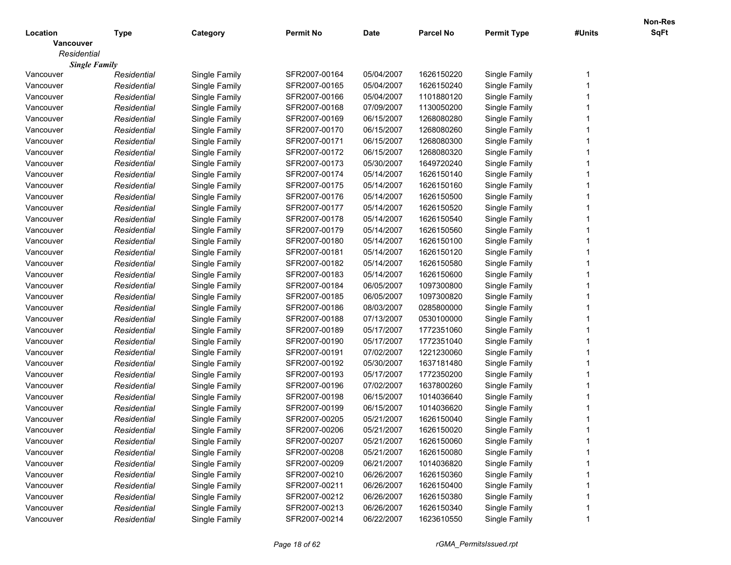|                  |                      |               |                  |             |                  |                    |        | <b>Non-Res</b> |
|------------------|----------------------|---------------|------------------|-------------|------------------|--------------------|--------|----------------|
| Location         | <b>Type</b>          | Category      | <b>Permit No</b> | <b>Date</b> | <b>Parcel No</b> | <b>Permit Type</b> | #Units | SqFt           |
| <b>Vancouver</b> |                      |               |                  |             |                  |                    |        |                |
| Residential      |                      |               |                  |             |                  |                    |        |                |
|                  | <b>Single Family</b> |               |                  |             |                  |                    |        |                |
| Vancouver        | Residential          | Single Family | SFR2007-00164    | 05/04/2007  | 1626150220       | Single Family      |        |                |
| Vancouver        | Residential          | Single Family | SFR2007-00165    | 05/04/2007  | 1626150240       | Single Family      |        |                |
| Vancouver        | Residential          | Single Family | SFR2007-00166    | 05/04/2007  | 1101880120       | Single Family      |        |                |
| Vancouver        | Residential          | Single Family | SFR2007-00168    | 07/09/2007  | 1130050200       | Single Family      |        |                |
| Vancouver        | Residential          | Single Family | SFR2007-00169    | 06/15/2007  | 1268080280       | Single Family      |        |                |
| Vancouver        | Residential          | Single Family | SFR2007-00170    | 06/15/2007  | 1268080260       | Single Family      |        |                |
| Vancouver        | Residential          | Single Family | SFR2007-00171    | 06/15/2007  | 1268080300       | Single Family      |        |                |
| Vancouver        | Residential          | Single Family | SFR2007-00172    | 06/15/2007  | 1268080320       | Single Family      |        |                |
| Vancouver        | Residential          | Single Family | SFR2007-00173    | 05/30/2007  | 1649720240       | Single Family      |        |                |
| Vancouver        | Residential          | Single Family | SFR2007-00174    | 05/14/2007  | 1626150140       | Single Family      |        |                |
| Vancouver        | Residential          | Single Family | SFR2007-00175    | 05/14/2007  | 1626150160       | Single Family      |        |                |
| Vancouver        | Residential          | Single Family | SFR2007-00176    | 05/14/2007  | 1626150500       | Single Family      |        |                |
| Vancouver        | Residential          | Single Family | SFR2007-00177    | 05/14/2007  | 1626150520       | Single Family      |        |                |
| Vancouver        | Residential          | Single Family | SFR2007-00178    | 05/14/2007  | 1626150540       | Single Family      |        |                |
| Vancouver        | Residential          | Single Family | SFR2007-00179    | 05/14/2007  | 1626150560       | Single Family      |        |                |
| Vancouver        | Residential          | Single Family | SFR2007-00180    | 05/14/2007  | 1626150100       | Single Family      |        |                |
| Vancouver        | Residential          | Single Family | SFR2007-00181    | 05/14/2007  | 1626150120       | Single Family      |        |                |
| Vancouver        | Residential          | Single Family | SFR2007-00182    | 05/14/2007  | 1626150580       | Single Family      |        |                |
| Vancouver        | Residential          | Single Family | SFR2007-00183    | 05/14/2007  | 1626150600       | Single Family      |        |                |
| Vancouver        | Residential          | Single Family | SFR2007-00184    | 06/05/2007  | 1097300800       | Single Family      |        |                |
| Vancouver        | Residential          | Single Family | SFR2007-00185    | 06/05/2007  | 1097300820       | Single Family      |        |                |
| Vancouver        | Residential          | Single Family | SFR2007-00186    | 08/03/2007  | 0285800000       | Single Family      |        |                |
| Vancouver        | Residential          | Single Family | SFR2007-00188    | 07/13/2007  | 0530100000       | Single Family      |        |                |
| Vancouver        | Residential          | Single Family | SFR2007-00189    | 05/17/2007  | 1772351060       | Single Family      |        |                |
| Vancouver        | Residential          | Single Family | SFR2007-00190    | 05/17/2007  | 1772351040       | Single Family      |        |                |
| Vancouver        | Residential          | Single Family | SFR2007-00191    | 07/02/2007  | 1221230060       | Single Family      |        |                |
| Vancouver        | Residential          | Single Family | SFR2007-00192    | 05/30/2007  | 1637181480       | Single Family      |        |                |
| Vancouver        | Residential          | Single Family | SFR2007-00193    | 05/17/2007  | 1772350200       | Single Family      |        |                |
| Vancouver        | Residential          | Single Family | SFR2007-00196    | 07/02/2007  | 1637800260       | Single Family      |        |                |
| Vancouver        | Residential          | Single Family | SFR2007-00198    | 06/15/2007  | 1014036640       | Single Family      |        |                |
| Vancouver        | Residential          | Single Family | SFR2007-00199    | 06/15/2007  | 1014036620       | Single Family      |        |                |
| Vancouver        | Residential          | Single Family | SFR2007-00205    | 05/21/2007  | 1626150040       | Single Family      |        |                |
| Vancouver        | Residential          | Single Family | SFR2007-00206    | 05/21/2007  | 1626150020       | Single Family      |        |                |
| Vancouver        | Residential          | Single Family | SFR2007-00207    | 05/21/2007  | 1626150060       | Single Family      |        |                |
| Vancouver        | Residential          | Single Family | SFR2007-00208    | 05/21/2007  | 1626150080       | Single Family      |        |                |
| Vancouver        | Residential          | Single Family | SFR2007-00209    | 06/21/2007  | 1014036820       | Single Family      |        |                |
| Vancouver        | Residential          | Single Family | SFR2007-00210    | 06/26/2007  | 1626150360       | Single Family      |        |                |
| Vancouver        | Residential          | Single Family | SFR2007-00211    | 06/26/2007  | 1626150400       | Single Family      |        |                |
| Vancouver        | Residential          | Single Family | SFR2007-00212    | 06/26/2007  | 1626150380       | Single Family      |        |                |
| Vancouver        | Residential          | Single Family | SFR2007-00213    | 06/26/2007  | 1626150340       | Single Family      |        |                |
| Vancouver        | Residential          | Single Family | SFR2007-00214    | 06/22/2007  | 1623610550       | Single Family      |        |                |
|                  |                      |               |                  |             |                  |                    |        |                |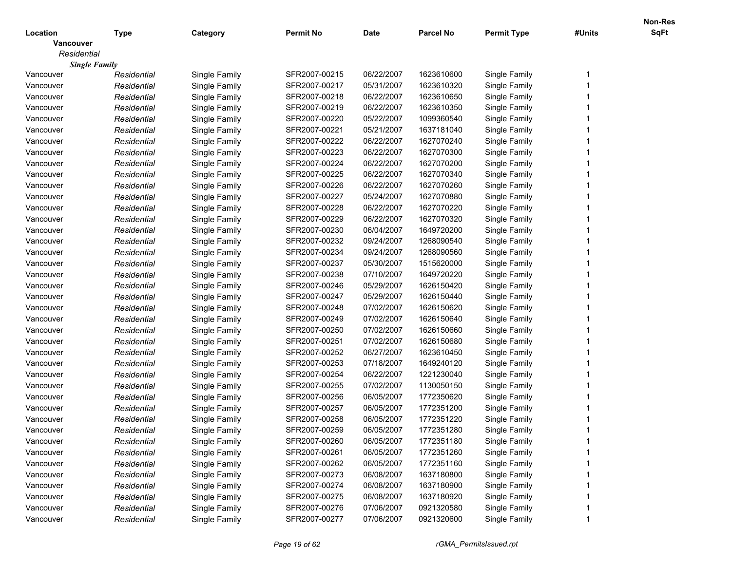|                  |                      |               |                  |             |                  |                    |        | <b>Non-Res</b> |
|------------------|----------------------|---------------|------------------|-------------|------------------|--------------------|--------|----------------|
| Location         | <b>Type</b>          | Category      | <b>Permit No</b> | <b>Date</b> | <b>Parcel No</b> | <b>Permit Type</b> | #Units | SqFt           |
| <b>Vancouver</b> |                      |               |                  |             |                  |                    |        |                |
| Residential      |                      |               |                  |             |                  |                    |        |                |
|                  | <b>Single Family</b> |               |                  |             |                  |                    |        |                |
| Vancouver        | Residential          | Single Family | SFR2007-00215    | 06/22/2007  | 1623610600       | Single Family      |        |                |
| Vancouver        | Residential          | Single Family | SFR2007-00217    | 05/31/2007  | 1623610320       | Single Family      |        |                |
| Vancouver        | Residential          | Single Family | SFR2007-00218    | 06/22/2007  | 1623610650       | Single Family      |        |                |
| Vancouver        | Residential          | Single Family | SFR2007-00219    | 06/22/2007  | 1623610350       | Single Family      |        |                |
| Vancouver        | Residential          | Single Family | SFR2007-00220    | 05/22/2007  | 1099360540       | Single Family      |        |                |
| Vancouver        | Residential          | Single Family | SFR2007-00221    | 05/21/2007  | 1637181040       | Single Family      |        |                |
| Vancouver        | Residential          | Single Family | SFR2007-00222    | 06/22/2007  | 1627070240       | Single Family      |        |                |
| Vancouver        | Residential          | Single Family | SFR2007-00223    | 06/22/2007  | 1627070300       | Single Family      |        |                |
| Vancouver        | Residential          | Single Family | SFR2007-00224    | 06/22/2007  | 1627070200       | Single Family      |        |                |
| Vancouver        | Residential          | Single Family | SFR2007-00225    | 06/22/2007  | 1627070340       | Single Family      |        |                |
| Vancouver        | Residential          | Single Family | SFR2007-00226    | 06/22/2007  | 1627070260       | Single Family      |        |                |
| Vancouver        | Residential          | Single Family | SFR2007-00227    | 05/24/2007  | 1627070880       | Single Family      |        |                |
| Vancouver        | Residential          | Single Family | SFR2007-00228    | 06/22/2007  | 1627070220       | Single Family      |        |                |
| Vancouver        | Residential          | Single Family | SFR2007-00229    | 06/22/2007  | 1627070320       | Single Family      |        |                |
| Vancouver        | Residential          | Single Family | SFR2007-00230    | 06/04/2007  | 1649720200       | Single Family      |        |                |
| Vancouver        | Residential          | Single Family | SFR2007-00232    | 09/24/2007  | 1268090540       | Single Family      |        |                |
| Vancouver        | Residential          | Single Family | SFR2007-00234    | 09/24/2007  | 1268090560       | Single Family      |        |                |
| Vancouver        | Residential          | Single Family | SFR2007-00237    | 05/30/2007  | 1515620000       | Single Family      |        |                |
| Vancouver        | Residential          | Single Family | SFR2007-00238    | 07/10/2007  | 1649720220       | Single Family      |        |                |
| Vancouver        | Residential          | Single Family | SFR2007-00246    | 05/29/2007  | 1626150420       | Single Family      |        |                |
| Vancouver        | Residential          | Single Family | SFR2007-00247    | 05/29/2007  | 1626150440       | Single Family      |        |                |
| Vancouver        | Residential          | Single Family | SFR2007-00248    | 07/02/2007  | 1626150620       | Single Family      |        |                |
| Vancouver        | Residential          | Single Family | SFR2007-00249    | 07/02/2007  | 1626150640       | Single Family      |        |                |
| Vancouver        | Residential          | Single Family | SFR2007-00250    | 07/02/2007  | 1626150660       | Single Family      |        |                |
| Vancouver        | Residential          | Single Family | SFR2007-00251    | 07/02/2007  | 1626150680       | Single Family      |        |                |
| Vancouver        | Residential          | Single Family | SFR2007-00252    | 06/27/2007  | 1623610450       | Single Family      |        |                |
| Vancouver        | Residential          | Single Family | SFR2007-00253    | 07/18/2007  | 1649240120       | Single Family      |        |                |
| Vancouver        | Residential          | Single Family | SFR2007-00254    | 06/22/2007  | 1221230040       | Single Family      |        |                |
| Vancouver        | Residential          | Single Family | SFR2007-00255    | 07/02/2007  | 1130050150       | Single Family      |        |                |
| Vancouver        | Residential          | Single Family | SFR2007-00256    | 06/05/2007  | 1772350620       | Single Family      |        |                |
| Vancouver        | Residential          | Single Family | SFR2007-00257    | 06/05/2007  | 1772351200       | Single Family      |        |                |
| Vancouver        | Residential          | Single Family | SFR2007-00258    | 06/05/2007  | 1772351220       | Single Family      |        |                |
| Vancouver        | Residential          | Single Family | SFR2007-00259    | 06/05/2007  | 1772351280       | Single Family      |        |                |
| Vancouver        | Residential          | Single Family | SFR2007-00260    | 06/05/2007  | 1772351180       | Single Family      |        |                |
| Vancouver        | Residential          | Single Family | SFR2007-00261    | 06/05/2007  | 1772351260       | Single Family      |        |                |
| Vancouver        | Residential          | Single Family | SFR2007-00262    | 06/05/2007  | 1772351160       | Single Family      |        |                |
| Vancouver        | Residential          | Single Family | SFR2007-00273    | 06/08/2007  | 1637180800       | Single Family      |        |                |
| Vancouver        | Residential          | Single Family | SFR2007-00274    | 06/08/2007  | 1637180900       | Single Family      |        |                |
| Vancouver        | Residential          | Single Family | SFR2007-00275    | 06/08/2007  | 1637180920       | Single Family      |        |                |
| Vancouver        | Residential          | Single Family | SFR2007-00276    | 07/06/2007  | 0921320580       | Single Family      |        |                |
| Vancouver        | Residential          | Single Family | SFR2007-00277    | 07/06/2007  | 0921320600       | Single Family      |        |                |
|                  |                      |               |                  |             |                  |                    |        |                |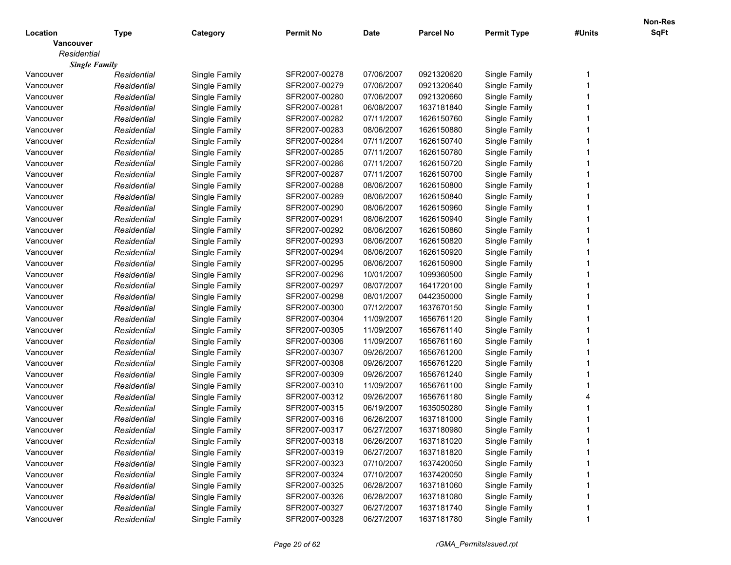|                  |                      |               |                  |             |                  |                    |        | Non-Res |
|------------------|----------------------|---------------|------------------|-------------|------------------|--------------------|--------|---------|
| Location         | <b>Type</b>          | Category      | <b>Permit No</b> | <b>Date</b> | <b>Parcel No</b> | <b>Permit Type</b> | #Units | SqFt    |
| <b>Vancouver</b> |                      |               |                  |             |                  |                    |        |         |
| Residential      |                      |               |                  |             |                  |                    |        |         |
|                  | <b>Single Family</b> |               |                  |             |                  |                    |        |         |
| Vancouver        | Residential          | Single Family | SFR2007-00278    | 07/06/2007  | 0921320620       | Single Family      |        |         |
| Vancouver        | Residential          | Single Family | SFR2007-00279    | 07/06/2007  | 0921320640       | Single Family      |        |         |
| Vancouver        | Residential          | Single Family | SFR2007-00280    | 07/06/2007  | 0921320660       | Single Family      |        |         |
| Vancouver        | Residential          | Single Family | SFR2007-00281    | 06/08/2007  | 1637181840       | Single Family      |        |         |
| Vancouver        | Residential          | Single Family | SFR2007-00282    | 07/11/2007  | 1626150760       | Single Family      |        |         |
| Vancouver        | Residential          | Single Family | SFR2007-00283    | 08/06/2007  | 1626150880       | Single Family      |        |         |
| Vancouver        | Residential          | Single Family | SFR2007-00284    | 07/11/2007  | 1626150740       | Single Family      |        |         |
| Vancouver        | Residential          | Single Family | SFR2007-00285    | 07/11/2007  | 1626150780       | Single Family      |        |         |
| Vancouver        | Residential          | Single Family | SFR2007-00286    | 07/11/2007  | 1626150720       | Single Family      |        |         |
| Vancouver        | Residential          | Single Family | SFR2007-00287    | 07/11/2007  | 1626150700       | Single Family      |        |         |
| Vancouver        | Residential          | Single Family | SFR2007-00288    | 08/06/2007  | 1626150800       | Single Family      |        |         |
| Vancouver        | Residential          | Single Family | SFR2007-00289    | 08/06/2007  | 1626150840       | Single Family      |        |         |
| Vancouver        | Residential          | Single Family | SFR2007-00290    | 08/06/2007  | 1626150960       | Single Family      |        |         |
| Vancouver        | Residential          | Single Family | SFR2007-00291    | 08/06/2007  | 1626150940       | Single Family      |        |         |
| Vancouver        | Residential          | Single Family | SFR2007-00292    | 08/06/2007  | 1626150860       | Single Family      |        |         |
| Vancouver        | Residential          | Single Family | SFR2007-00293    | 08/06/2007  | 1626150820       | Single Family      |        |         |
| Vancouver        | Residential          | Single Family | SFR2007-00294    | 08/06/2007  | 1626150920       | Single Family      |        |         |
| Vancouver        | Residential          | Single Family | SFR2007-00295    | 08/06/2007  | 1626150900       | Single Family      |        |         |
| Vancouver        | Residential          | Single Family | SFR2007-00296    | 10/01/2007  | 1099360500       | Single Family      |        |         |
| Vancouver        | Residential          | Single Family | SFR2007-00297    | 08/07/2007  | 1641720100       | Single Family      |        |         |
| Vancouver        | Residential          | Single Family | SFR2007-00298    | 08/01/2007  | 0442350000       | Single Family      |        |         |
| Vancouver        | Residential          | Single Family | SFR2007-00300    | 07/12/2007  | 1637670150       | Single Family      |        |         |
| Vancouver        | Residential          | Single Family | SFR2007-00304    | 11/09/2007  | 1656761120       | Single Family      |        |         |
| Vancouver        | Residential          | Single Family | SFR2007-00305    | 11/09/2007  | 1656761140       | Single Family      |        |         |
| Vancouver        | Residential          | Single Family | SFR2007-00306    | 11/09/2007  | 1656761160       | Single Family      |        |         |
| Vancouver        | Residential          | Single Family | SFR2007-00307    | 09/26/2007  | 1656761200       | Single Family      |        |         |
| Vancouver        | Residential          | Single Family | SFR2007-00308    | 09/26/2007  | 1656761220       | Single Family      |        |         |
| Vancouver        | Residential          | Single Family | SFR2007-00309    | 09/26/2007  | 1656761240       | Single Family      |        |         |
| Vancouver        | Residential          | Single Family | SFR2007-00310    | 11/09/2007  | 1656761100       | Single Family      |        |         |
| Vancouver        | Residential          | Single Family | SFR2007-00312    | 09/26/2007  | 1656761180       | Single Family      |        |         |
| Vancouver        | Residential          | Single Family | SFR2007-00315    | 06/19/2007  | 1635050280       | Single Family      |        |         |
| Vancouver        | Residential          | Single Family | SFR2007-00316    | 06/26/2007  | 1637181000       | Single Family      |        |         |
| Vancouver        | Residential          | Single Family | SFR2007-00317    | 06/27/2007  | 1637180980       | Single Family      |        |         |
| Vancouver        | Residential          | Single Family | SFR2007-00318    | 06/26/2007  | 1637181020       | Single Family      |        |         |
| Vancouver        | Residential          | Single Family | SFR2007-00319    | 06/27/2007  | 1637181820       | Single Family      |        |         |
| Vancouver        | Residential          | Single Family | SFR2007-00323    | 07/10/2007  | 1637420050       | Single Family      |        |         |
| Vancouver        | Residential          | Single Family | SFR2007-00324    | 07/10/2007  | 1637420050       | Single Family      |        |         |
| Vancouver        | Residential          | Single Family | SFR2007-00325    | 06/28/2007  | 1637181060       | Single Family      |        |         |
| Vancouver        | Residential          | Single Family | SFR2007-00326    | 06/28/2007  | 1637181080       | Single Family      |        |         |
| Vancouver        | Residential          | Single Family | SFR2007-00327    | 06/27/2007  | 1637181740       | Single Family      |        |         |
| Vancouver        | Residential          |               | SFR2007-00328    | 06/27/2007  | 1637181780       |                    |        |         |
|                  |                      | Single Family |                  |             |                  | Single Family      |        |         |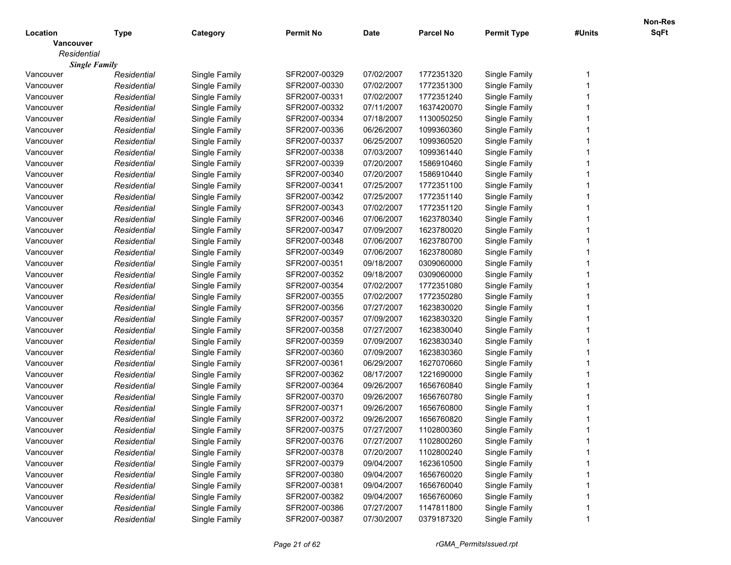|                  |                      |               |                  |             |                  |                    |        | <b>Non-Res</b> |
|------------------|----------------------|---------------|------------------|-------------|------------------|--------------------|--------|----------------|
| Location         | <b>Type</b>          | Category      | <b>Permit No</b> | <b>Date</b> | <b>Parcel No</b> | <b>Permit Type</b> | #Units | SqFt           |
| <b>Vancouver</b> |                      |               |                  |             |                  |                    |        |                |
| Residential      |                      |               |                  |             |                  |                    |        |                |
|                  | <b>Single Family</b> |               |                  |             |                  |                    |        |                |
| Vancouver        | Residential          | Single Family | SFR2007-00329    | 07/02/2007  | 1772351320       | Single Family      |        |                |
| Vancouver        | Residential          | Single Family | SFR2007-00330    | 07/02/2007  | 1772351300       | Single Family      |        |                |
| Vancouver        | Residential          | Single Family | SFR2007-00331    | 07/02/2007  | 1772351240       | Single Family      |        |                |
| Vancouver        | Residential          | Single Family | SFR2007-00332    | 07/11/2007  | 1637420070       | Single Family      |        |                |
| Vancouver        | Residential          | Single Family | SFR2007-00334    | 07/18/2007  | 1130050250       | Single Family      |        |                |
| Vancouver        | Residential          | Single Family | SFR2007-00336    | 06/26/2007  | 1099360360       | Single Family      |        |                |
| Vancouver        | Residential          | Single Family | SFR2007-00337    | 06/25/2007  | 1099360520       | Single Family      |        |                |
| Vancouver        | Residential          | Single Family | SFR2007-00338    | 07/03/2007  | 1099361440       | Single Family      |        |                |
| Vancouver        | Residential          | Single Family | SFR2007-00339    | 07/20/2007  | 1586910460       | Single Family      |        |                |
| Vancouver        | Residential          | Single Family | SFR2007-00340    | 07/20/2007  | 1586910440       | Single Family      |        |                |
| Vancouver        | Residential          | Single Family | SFR2007-00341    | 07/25/2007  | 1772351100       | Single Family      |        |                |
| Vancouver        | Residential          | Single Family | SFR2007-00342    | 07/25/2007  | 1772351140       | Single Family      |        |                |
| Vancouver        | Residential          | Single Family | SFR2007-00343    | 07/02/2007  | 1772351120       | Single Family      |        |                |
| Vancouver        | Residential          | Single Family | SFR2007-00346    | 07/06/2007  | 1623780340       | Single Family      |        |                |
| Vancouver        | Residential          | Single Family | SFR2007-00347    | 07/09/2007  | 1623780020       | Single Family      |        |                |
| Vancouver        | Residential          | Single Family | SFR2007-00348    | 07/06/2007  | 1623780700       | Single Family      |        |                |
| Vancouver        | Residential          | Single Family | SFR2007-00349    | 07/06/2007  | 1623780080       | Single Family      |        |                |
| Vancouver        | Residential          | Single Family | SFR2007-00351    | 09/18/2007  | 0309060000       | Single Family      |        |                |
| Vancouver        | Residential          | Single Family | SFR2007-00352    | 09/18/2007  | 0309060000       | Single Family      |        |                |
| Vancouver        | Residential          | Single Family | SFR2007-00354    | 07/02/2007  | 1772351080       | Single Family      |        |                |
| Vancouver        | Residential          | Single Family | SFR2007-00355    | 07/02/2007  | 1772350280       | Single Family      |        |                |
| Vancouver        | Residential          | Single Family | SFR2007-00356    | 07/27/2007  | 1623830020       | Single Family      |        |                |
| Vancouver        | Residential          | Single Family | SFR2007-00357    | 07/09/2007  | 1623830320       | Single Family      |        |                |
| Vancouver        | Residential          | Single Family | SFR2007-00358    | 07/27/2007  | 1623830040       | Single Family      |        |                |
| Vancouver        | Residential          | Single Family | SFR2007-00359    | 07/09/2007  | 1623830340       | Single Family      |        |                |
| Vancouver        | Residential          | Single Family | SFR2007-00360    | 07/09/2007  | 1623830360       | Single Family      |        |                |
| Vancouver        | Residential          | Single Family | SFR2007-00361    | 06/29/2007  | 1627070660       | Single Family      |        |                |
| Vancouver        | Residential          | Single Family | SFR2007-00362    | 08/17/2007  | 1221690000       | Single Family      |        |                |
| Vancouver        | Residential          | Single Family | SFR2007-00364    | 09/26/2007  | 1656760840       | Single Family      |        |                |
| Vancouver        | Residential          | Single Family | SFR2007-00370    | 09/26/2007  | 1656760780       | Single Family      |        |                |
| Vancouver        | Residential          | Single Family | SFR2007-00371    | 09/26/2007  | 1656760800       | Single Family      |        |                |
| Vancouver        | Residential          | Single Family | SFR2007-00372    | 09/26/2007  | 1656760820       | Single Family      |        |                |
| Vancouver        | Residential          | Single Family | SFR2007-00375    | 07/27/2007  | 1102800360       | Single Family      |        |                |
| Vancouver        | Residential          | Single Family | SFR2007-00376    | 07/27/2007  | 1102800260       | Single Family      |        |                |
| Vancouver        | Residential          | Single Family | SFR2007-00378    | 07/20/2007  | 1102800240       | Single Family      |        |                |
| Vancouver        | Residential          | Single Family | SFR2007-00379    | 09/04/2007  | 1623610500       | Single Family      |        |                |
| Vancouver        | Residential          | Single Family | SFR2007-00380    | 09/04/2007  | 1656760020       | Single Family      |        |                |
| Vancouver        | Residential          | Single Family | SFR2007-00381    | 09/04/2007  | 1656760040       | Single Family      |        |                |
| Vancouver        | Residential          | Single Family | SFR2007-00382    | 09/04/2007  | 1656760060       | Single Family      |        |                |
| Vancouver        | Residential          | Single Family | SFR2007-00386    | 07/27/2007  | 1147811800       | Single Family      |        |                |
| Vancouver        | Residential          | Single Family | SFR2007-00387    | 07/30/2007  | 0379187320       | Single Family      |        |                |
|                  |                      |               |                  |             |                  |                    |        |                |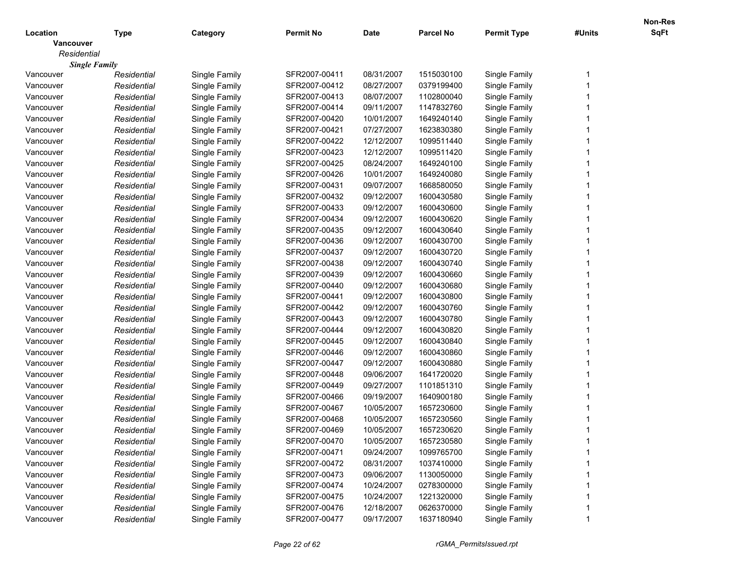|                  |                      |               |                  |             |                  |                    |        | <b>Non-Res</b> |
|------------------|----------------------|---------------|------------------|-------------|------------------|--------------------|--------|----------------|
| Location         | <b>Type</b>          | Category      | <b>Permit No</b> | <b>Date</b> | <b>Parcel No</b> | <b>Permit Type</b> | #Units | SqFt           |
| <b>Vancouver</b> |                      |               |                  |             |                  |                    |        |                |
| Residential      |                      |               |                  |             |                  |                    |        |                |
|                  | <b>Single Family</b> |               |                  |             |                  |                    |        |                |
| Vancouver        | Residential          | Single Family | SFR2007-00411    | 08/31/2007  | 1515030100       | Single Family      |        |                |
| Vancouver        | Residential          | Single Family | SFR2007-00412    | 08/27/2007  | 0379199400       | Single Family      |        |                |
| Vancouver        | Residential          | Single Family | SFR2007-00413    | 08/07/2007  | 1102800040       | Single Family      |        |                |
| Vancouver        | Residential          | Single Family | SFR2007-00414    | 09/11/2007  | 1147832760       | Single Family      |        |                |
| Vancouver        | Residential          | Single Family | SFR2007-00420    | 10/01/2007  | 1649240140       | Single Family      |        |                |
| Vancouver        | Residential          | Single Family | SFR2007-00421    | 07/27/2007  | 1623830380       | Single Family      |        |                |
| Vancouver        | Residential          | Single Family | SFR2007-00422    | 12/12/2007  | 1099511440       | Single Family      |        |                |
| Vancouver        | Residential          | Single Family | SFR2007-00423    | 12/12/2007  | 1099511420       | Single Family      |        |                |
| Vancouver        | Residential          | Single Family | SFR2007-00425    | 08/24/2007  | 1649240100       | Single Family      |        |                |
| Vancouver        | Residential          | Single Family | SFR2007-00426    | 10/01/2007  | 1649240080       | Single Family      |        |                |
| Vancouver        | Residential          | Single Family | SFR2007-00431    | 09/07/2007  | 1668580050       | Single Family      |        |                |
| Vancouver        | Residential          | Single Family | SFR2007-00432    | 09/12/2007  | 1600430580       | Single Family      |        |                |
| Vancouver        | Residential          | Single Family | SFR2007-00433    | 09/12/2007  | 1600430600       | Single Family      |        |                |
| Vancouver        | Residential          | Single Family | SFR2007-00434    | 09/12/2007  | 1600430620       | Single Family      |        |                |
| Vancouver        | Residential          | Single Family | SFR2007-00435    | 09/12/2007  | 1600430640       | Single Family      |        |                |
| Vancouver        | Residential          | Single Family | SFR2007-00436    | 09/12/2007  | 1600430700       | Single Family      |        |                |
| Vancouver        | Residential          | Single Family | SFR2007-00437    | 09/12/2007  | 1600430720       | Single Family      |        |                |
| Vancouver        | Residential          | Single Family | SFR2007-00438    | 09/12/2007  | 1600430740       | Single Family      |        |                |
| Vancouver        | Residential          | Single Family | SFR2007-00439    | 09/12/2007  | 1600430660       | Single Family      |        |                |
| Vancouver        | Residential          | Single Family | SFR2007-00440    | 09/12/2007  | 1600430680       | Single Family      |        |                |
| Vancouver        | Residential          | Single Family | SFR2007-00441    | 09/12/2007  | 1600430800       | Single Family      |        |                |
| Vancouver        | Residential          | Single Family | SFR2007-00442    | 09/12/2007  | 1600430760       | Single Family      |        |                |
| Vancouver        | Residential          | Single Family | SFR2007-00443    | 09/12/2007  | 1600430780       | Single Family      |        |                |
| Vancouver        | Residential          | Single Family | SFR2007-00444    | 09/12/2007  | 1600430820       | Single Family      |        |                |
| Vancouver        | Residential          | Single Family | SFR2007-00445    | 09/12/2007  | 1600430840       | Single Family      |        |                |
| Vancouver        | Residential          | Single Family | SFR2007-00446    | 09/12/2007  | 1600430860       | Single Family      |        |                |
| Vancouver        | Residential          | Single Family | SFR2007-00447    | 09/12/2007  | 1600430880       | Single Family      |        |                |
| Vancouver        | Residential          | Single Family | SFR2007-00448    | 09/06/2007  | 1641720020       | Single Family      |        |                |
| Vancouver        | Residential          | Single Family | SFR2007-00449    | 09/27/2007  | 1101851310       | Single Family      |        |                |
| Vancouver        | Residential          | Single Family | SFR2007-00466    | 09/19/2007  | 1640900180       | Single Family      |        |                |
| Vancouver        | Residential          | Single Family | SFR2007-00467    | 10/05/2007  | 1657230600       | Single Family      |        |                |
| Vancouver        | Residential          | Single Family | SFR2007-00468    | 10/05/2007  | 1657230560       | Single Family      |        |                |
| Vancouver        | Residential          | Single Family | SFR2007-00469    | 10/05/2007  | 1657230620       | Single Family      |        |                |
| Vancouver        | Residential          | Single Family | SFR2007-00470    | 10/05/2007  | 1657230580       | Single Family      |        |                |
| Vancouver        | Residential          | Single Family | SFR2007-00471    | 09/24/2007  | 1099765700       | Single Family      |        |                |
| Vancouver        | Residential          | Single Family | SFR2007-00472    | 08/31/2007  | 1037410000       | Single Family      |        |                |
| Vancouver        | Residential          | Single Family | SFR2007-00473    | 09/06/2007  | 1130050000       | Single Family      |        |                |
| Vancouver        | Residential          | Single Family | SFR2007-00474    | 10/24/2007  | 0278300000       | Single Family      |        |                |
| Vancouver        | Residential          | Single Family | SFR2007-00475    | 10/24/2007  | 1221320000       | Single Family      |        |                |
| Vancouver        | Residential          | Single Family | SFR2007-00476    | 12/18/2007  | 0626370000       | Single Family      |        |                |
| Vancouver        | Residential          | Single Family | SFR2007-00477    | 09/17/2007  | 1637180940       | Single Family      |        |                |
|                  |                      |               |                  |             |                  |                    |        |                |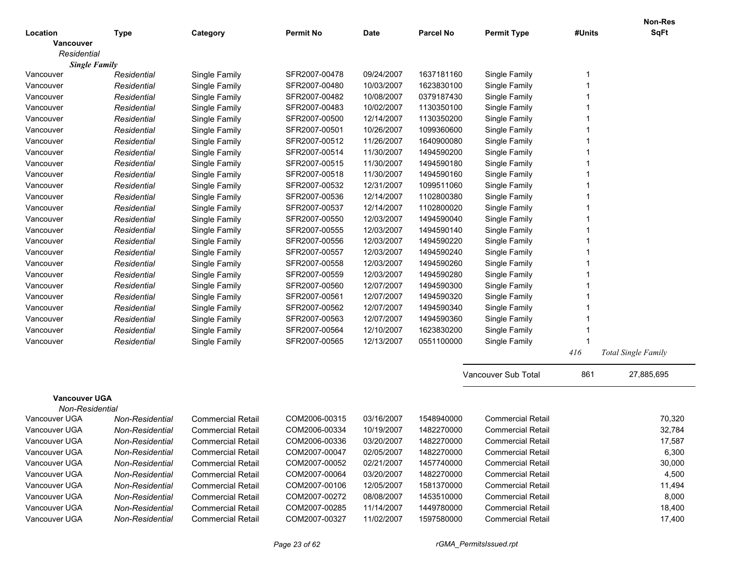|                                   |                 |                          |                  |             |                  |                          |        | <b>Non-Res</b>      |
|-----------------------------------|-----------------|--------------------------|------------------|-------------|------------------|--------------------------|--------|---------------------|
| Location                          | <b>Type</b>     | Category                 | <b>Permit No</b> | <b>Date</b> | <b>Parcel No</b> | <b>Permit Type</b>       | #Units | <b>SqFt</b>         |
| Vancouver                         |                 |                          |                  |             |                  |                          |        |                     |
| Residential                       |                 |                          |                  |             |                  |                          |        |                     |
| <b>Single Family</b><br>Vancouver | Residential     | Single Family            | SFR2007-00478    | 09/24/2007  | 1637181160       | Single Family            |        |                     |
| Vancouver                         | Residential     | Single Family            | SFR2007-00480    | 10/03/2007  | 1623830100       | Single Family            |        |                     |
| Vancouver                         | Residential     | Single Family            | SFR2007-00482    | 10/08/2007  | 0379187430       | Single Family            |        |                     |
| Vancouver                         | Residential     | Single Family            | SFR2007-00483    | 10/02/2007  | 1130350100       | Single Family            |        |                     |
| Vancouver                         | Residential     | Single Family            | SFR2007-00500    | 12/14/2007  | 1130350200       | Single Family            |        |                     |
| Vancouver                         | Residential     | Single Family            | SFR2007-00501    | 10/26/2007  | 1099360600       | Single Family            |        |                     |
| Vancouver                         | Residential     | Single Family            | SFR2007-00512    | 11/26/2007  | 1640900080       | Single Family            |        |                     |
| Vancouver                         | Residential     | Single Family            | SFR2007-00514    | 11/30/2007  | 1494590200       | Single Family            |        |                     |
| Vancouver                         | Residential     | Single Family            | SFR2007-00515    | 11/30/2007  | 1494590180       | Single Family            |        |                     |
| Vancouver                         | Residential     | Single Family            | SFR2007-00518    | 11/30/2007  | 1494590160       | Single Family            |        |                     |
| Vancouver                         | Residential     | Single Family            | SFR2007-00532    | 12/31/2007  | 1099511060       | Single Family            |        |                     |
| Vancouver                         | Residential     | Single Family            | SFR2007-00536    | 12/14/2007  | 1102800380       | Single Family            |        |                     |
| Vancouver                         | Residential     | Single Family            | SFR2007-00537    | 12/14/2007  | 1102800020       | Single Family            |        |                     |
| Vancouver                         | Residential     | Single Family            | SFR2007-00550    | 12/03/2007  | 1494590040       | Single Family            |        |                     |
| Vancouver                         | Residential     | Single Family            | SFR2007-00555    | 12/03/2007  | 1494590140       | Single Family            |        |                     |
| Vancouver                         | Residential     | Single Family            | SFR2007-00556    | 12/03/2007  | 1494590220       | Single Family            |        |                     |
| Vancouver                         | Residential     | Single Family            | SFR2007-00557    | 12/03/2007  | 1494590240       | Single Family            |        |                     |
| Vancouver                         | Residential     | Single Family            | SFR2007-00558    | 12/03/2007  | 1494590260       | Single Family            |        |                     |
| Vancouver                         | Residential     | Single Family            | SFR2007-00559    | 12/03/2007  | 1494590280       | Single Family            |        |                     |
| Vancouver                         | Residential     | Single Family            | SFR2007-00560    | 12/07/2007  | 1494590300       | Single Family            |        |                     |
| Vancouver                         | Residential     | Single Family            | SFR2007-00561    | 12/07/2007  | 1494590320       | Single Family            |        |                     |
| Vancouver                         | Residential     | Single Family            | SFR2007-00562    | 12/07/2007  | 1494590340       | Single Family            |        |                     |
| Vancouver                         | Residential     | Single Family            | SFR2007-00563    | 12/07/2007  | 1494590360       | Single Family            |        |                     |
| Vancouver                         | Residential     | Single Family            | SFR2007-00564    | 12/10/2007  | 1623830200       | Single Family            |        |                     |
| Vancouver                         | Residential     | Single Family            | SFR2007-00565    | 12/13/2007  | 0551100000       | Single Family            |        |                     |
|                                   |                 |                          |                  |             |                  |                          | 416    | Total Single Family |
|                                   |                 |                          |                  |             |                  | Vancouver Sub Total      | 861    | 27,885,695          |
| <b>Vancouver UGA</b>              |                 |                          |                  |             |                  |                          |        |                     |
| Non-Residential                   |                 |                          |                  |             |                  |                          |        |                     |
| Vancouver UGA                     | Non-Residential | <b>Commercial Retail</b> | COM2006-00315    | 03/16/2007  | 1548940000       | <b>Commercial Retail</b> |        | 70,320              |
| Vancouver UGA                     | Non-Residential | <b>Commercial Retail</b> | COM2006-00334    | 10/19/2007  | 1482270000       | <b>Commercial Retail</b> |        | 32,784              |
| Vancouver UGA                     | Non-Residential | <b>Commercial Retail</b> | COM2006-00336    | 03/20/2007  | 1482270000       | <b>Commercial Retail</b> |        | 17,587              |
| Vancouver UGA                     | Non-Residential | <b>Commercial Retail</b> | COM2007-00047    | 02/05/2007  | 1482270000       | <b>Commercial Retail</b> |        | 6,300               |
| Vancouver UGA                     | Non-Residential | <b>Commercial Retail</b> | COM2007-00052    | 02/21/2007  | 1457740000       | <b>Commercial Retail</b> |        | 30,000              |
| Vancouver UGA                     | Non-Residential | <b>Commercial Retail</b> | COM2007-00064    | 03/20/2007  | 1482270000       | <b>Commercial Retail</b> |        | 4,500               |
| Vancouver UGA                     | Non-Residential | <b>Commercial Retail</b> | COM2007-00106    | 12/05/2007  | 1581370000       | <b>Commercial Retail</b> |        | 11,494              |
| Vancouver UGA                     | Non-Residential | <b>Commercial Retail</b> | COM2007-00272    | 08/08/2007  | 1453510000       | <b>Commercial Retail</b> |        | 8,000               |
| Vancouver UGA                     | Non-Residential | <b>Commercial Retail</b> | COM2007-00285    | 11/14/2007  | 1449780000       | <b>Commercial Retail</b> |        | 18,400              |
| Vancouver UGA                     | Non-Residential | <b>Commercial Retail</b> | COM2007-00327    | 11/02/2007  | 1597580000       | <b>Commercial Retail</b> |        | 17,400              |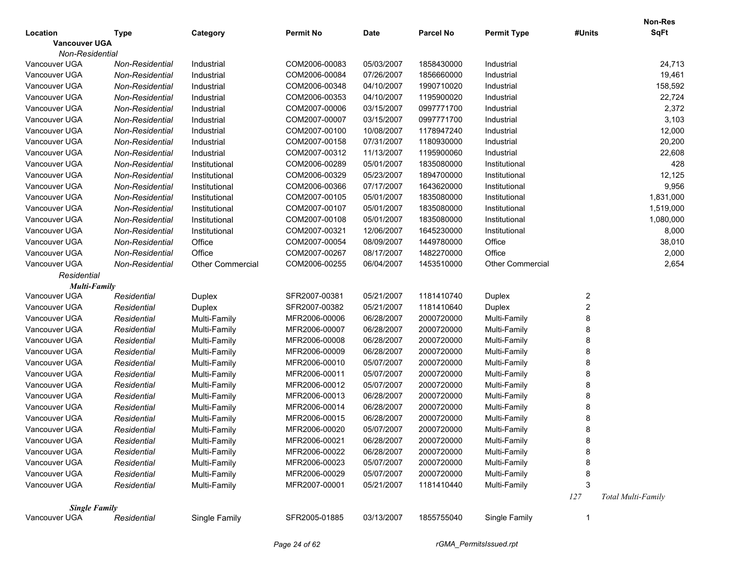|                      |                 |                         |                  |             |                  |                         |             | <b>Non-Res</b>     |
|----------------------|-----------------|-------------------------|------------------|-------------|------------------|-------------------------|-------------|--------------------|
| Location             | Type            | Category                | <b>Permit No</b> | <b>Date</b> | <b>Parcel No</b> | <b>Permit Type</b>      | #Units      | <b>SqFt</b>        |
| <b>Vancouver UGA</b> |                 |                         |                  |             |                  |                         |             |                    |
| Non-Residential      |                 |                         |                  |             |                  |                         |             |                    |
| Vancouver UGA        | Non-Residential | Industrial              | COM2006-00083    | 05/03/2007  | 1858430000       | Industrial              |             | 24,713             |
| Vancouver UGA        | Non-Residential | Industrial              | COM2006-00084    | 07/26/2007  | 1856660000       | Industrial              |             | 19,461             |
| Vancouver UGA        | Non-Residential | Industrial              | COM2006-00348    | 04/10/2007  | 1990710020       | Industrial              |             | 158,592            |
| Vancouver UGA        | Non-Residential | Industrial              | COM2006-00353    | 04/10/2007  | 1195900020       | Industrial              |             | 22,724             |
| Vancouver UGA        | Non-Residential | Industrial              | COM2007-00006    | 03/15/2007  | 0997771700       | Industrial              |             | 2,372              |
| Vancouver UGA        | Non-Residential | Industrial              | COM2007-00007    | 03/15/2007  | 0997771700       | Industrial              |             | 3,103              |
| Vancouver UGA        | Non-Residential | Industrial              | COM2007-00100    | 10/08/2007  | 1178947240       | Industrial              |             | 12,000             |
| Vancouver UGA        | Non-Residential | Industrial              | COM2007-00158    | 07/31/2007  | 1180930000       | Industrial              |             | 20,200             |
| Vancouver UGA        | Non-Residential | Industrial              | COM2007-00312    | 11/13/2007  | 1195900060       | Industrial              |             | 22,608             |
| Vancouver UGA        | Non-Residential | Institutional           | COM2006-00289    | 05/01/2007  | 1835080000       | Institutional           |             | 428                |
| Vancouver UGA        | Non-Residential | Institutional           | COM2006-00329    | 05/23/2007  | 1894700000       | Institutional           |             | 12,125             |
| Vancouver UGA        | Non-Residential | Institutional           | COM2006-00366    | 07/17/2007  | 1643620000       | Institutional           |             | 9,956              |
| Vancouver UGA        | Non-Residential | Institutional           | COM2007-00105    | 05/01/2007  | 1835080000       | Institutional           |             | 1,831,000          |
| Vancouver UGA        | Non-Residential | Institutional           | COM2007-00107    | 05/01/2007  | 1835080000       | Institutional           |             | 1,519,000          |
| Vancouver UGA        | Non-Residential | Institutional           | COM2007-00108    | 05/01/2007  | 1835080000       | Institutional           |             | 1,080,000          |
| Vancouver UGA        | Non-Residential | Institutional           | COM2007-00321    | 12/06/2007  | 1645230000       | Institutional           |             | 8,000              |
| Vancouver UGA        | Non-Residential | Office                  | COM2007-00054    | 08/09/2007  | 1449780000       | Office                  |             | 38,010             |
| Vancouver UGA        | Non-Residential | Office                  | COM2007-00267    | 08/17/2007  | 1482270000       | Office                  |             | 2,000              |
| Vancouver UGA        | Non-Residential | <b>Other Commercial</b> | COM2006-00255    | 06/04/2007  | 1453510000       | <b>Other Commercial</b> |             | 2,654              |
| Residential          |                 |                         |                  |             |                  |                         |             |                    |
| <b>Multi-Family</b>  |                 |                         |                  |             |                  |                         |             |                    |
| Vancouver UGA        | Residential     | Duplex                  | SFR2007-00381    | 05/21/2007  | 1181410740       | Duplex                  | 2           |                    |
| Vancouver UGA        | Residential     | Duplex                  | SFR2007-00382    | 05/21/2007  | 1181410640       | <b>Duplex</b>           | 2           |                    |
| Vancouver UGA        | Residential     | Multi-Family            | MFR2006-00006    | 06/28/2007  | 2000720000       | Multi-Family            | 8           |                    |
| Vancouver UGA        | Residential     | Multi-Family            | MFR2006-00007    | 06/28/2007  | 2000720000       | Multi-Family            | 8           |                    |
| Vancouver UGA        | Residential     | Multi-Family            | MFR2006-00008    | 06/28/2007  | 2000720000       | Multi-Family            | 8           |                    |
| Vancouver UGA        | Residential     | Multi-Family            | MFR2006-00009    | 06/28/2007  | 2000720000       | Multi-Family            | 8           |                    |
| Vancouver UGA        | Residential     | Multi-Family            | MFR2006-00010    | 05/07/2007  | 2000720000       | Multi-Family            | 8           |                    |
| Vancouver UGA        | Residential     | Multi-Family            | MFR2006-00011    | 05/07/2007  | 2000720000       | Multi-Family            | 8           |                    |
| Vancouver UGA        | Residential     | Multi-Family            | MFR2006-00012    | 05/07/2007  | 2000720000       | Multi-Family            | 8           |                    |
| Vancouver UGA        | Residential     | Multi-Family            | MFR2006-00013    | 06/28/2007  | 2000720000       | Multi-Family            | 8           |                    |
| Vancouver UGA        | Residential     | Multi-Family            | MFR2006-00014    | 06/28/2007  | 2000720000       | Multi-Family            | 8           |                    |
| Vancouver UGA        | Residential     | Multi-Family            | MFR2006-00015    | 06/28/2007  | 2000720000       | Multi-Family            | 8           |                    |
| Vancouver UGA        | Residential     | Multi-Family            | MFR2006-00020    | 05/07/2007  | 2000720000       | Multi-Family            | 8           |                    |
| Vancouver UGA        | Residential     | Multi-Family            | MFR2006-00021    | 06/28/2007  | 2000720000       | Multi-Family            | 8           |                    |
| Vancouver UGA        | Residential     | Multi-Family            | MFR2006-00022    | 06/28/2007  | 2000720000       | Multi-Family            | 8           |                    |
| Vancouver UGA        | Residential     | Multi-Family            | MFR2006-00023    | 05/07/2007  | 2000720000       | Multi-Family            | 8           |                    |
| Vancouver UGA        | Residential     | Multi-Family            | MFR2006-00029    | 05/07/2007  | 2000720000       | Multi-Family            | 8           |                    |
| Vancouver UGA        | Residential     | Multi-Family            | MFR2007-00001    | 05/21/2007  | 1181410440       | Multi-Family            | 3           |                    |
|                      |                 |                         |                  |             |                  |                         | 127         | Total Multi-Family |
| <b>Single Family</b> |                 |                         |                  |             |                  |                         |             |                    |
| Vancouver UGA        | Residential     | Single Family           | SFR2005-01885    | 03/13/2007  | 1855755040       | Single Family           | $\mathbf 1$ |                    |
|                      |                 |                         |                  |             |                  |                         |             |                    |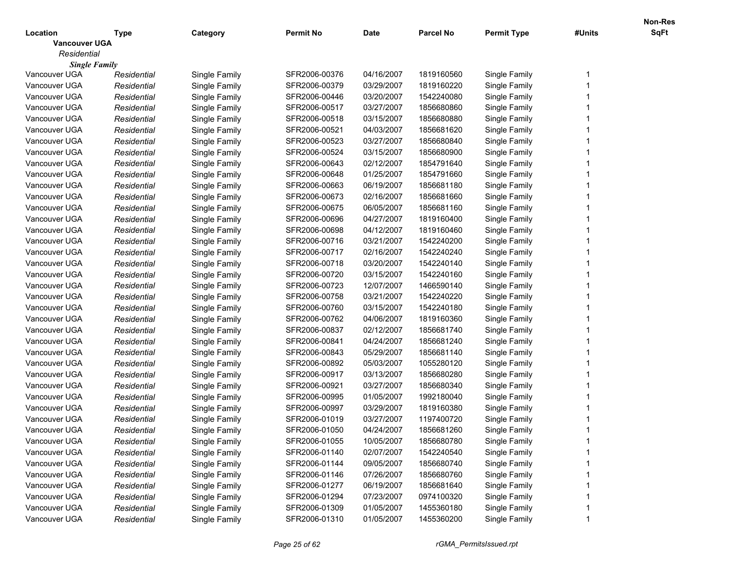|                      |             |               |                  |             |                  |                    |        | Non-Res |
|----------------------|-------------|---------------|------------------|-------------|------------------|--------------------|--------|---------|
| Location             | Type        | Category      | <b>Permit No</b> | <b>Date</b> | <b>Parcel No</b> | <b>Permit Type</b> | #Units | SqFt    |
| <b>Vancouver UGA</b> |             |               |                  |             |                  |                    |        |         |
| Residential          |             |               |                  |             |                  |                    |        |         |
| <b>Single Family</b> |             |               |                  |             |                  |                    |        |         |
| Vancouver UGA        | Residential | Single Family | SFR2006-00376    | 04/16/2007  | 1819160560       | Single Family      |        |         |
| Vancouver UGA        | Residential | Single Family | SFR2006-00379    | 03/29/2007  | 1819160220       | Single Family      |        |         |
| Vancouver UGA        | Residential | Single Family | SFR2006-00446    | 03/20/2007  | 1542240080       | Single Family      |        |         |
| Vancouver UGA        | Residential | Single Family | SFR2006-00517    | 03/27/2007  | 1856680860       | Single Family      |        |         |
| Vancouver UGA        | Residential | Single Family | SFR2006-00518    | 03/15/2007  | 1856680880       | Single Family      |        |         |
| Vancouver UGA        | Residential | Single Family | SFR2006-00521    | 04/03/2007  | 1856681620       | Single Family      |        |         |
| Vancouver UGA        | Residential | Single Family | SFR2006-00523    | 03/27/2007  | 1856680840       | Single Family      |        |         |
| Vancouver UGA        | Residential | Single Family | SFR2006-00524    | 03/15/2007  | 1856680900       | Single Family      |        |         |
| Vancouver UGA        | Residential | Single Family | SFR2006-00643    | 02/12/2007  | 1854791640       | Single Family      |        |         |
| Vancouver UGA        | Residential | Single Family | SFR2006-00648    | 01/25/2007  | 1854791660       | Single Family      |        |         |
| Vancouver UGA        | Residential | Single Family | SFR2006-00663    | 06/19/2007  | 1856681180       | Single Family      |        |         |
| Vancouver UGA        | Residential | Single Family | SFR2006-00673    | 02/16/2007  | 1856681660       | Single Family      |        |         |
| Vancouver UGA        | Residential | Single Family | SFR2006-00675    | 06/05/2007  | 1856681160       | Single Family      |        |         |
| Vancouver UGA        | Residential | Single Family | SFR2006-00696    | 04/27/2007  | 1819160400       | Single Family      |        |         |
| Vancouver UGA        | Residential | Single Family | SFR2006-00698    | 04/12/2007  | 1819160460       | Single Family      |        |         |
| Vancouver UGA        | Residential | Single Family | SFR2006-00716    | 03/21/2007  | 1542240200       | Single Family      |        |         |
| Vancouver UGA        | Residential | Single Family | SFR2006-00717    | 02/16/2007  | 1542240240       | Single Family      |        |         |
| Vancouver UGA        | Residential | Single Family | SFR2006-00718    | 03/20/2007  | 1542240140       | Single Family      |        |         |
| Vancouver UGA        | Residential | Single Family | SFR2006-00720    | 03/15/2007  | 1542240160       | Single Family      |        |         |
| Vancouver UGA        | Residential | Single Family | SFR2006-00723    | 12/07/2007  | 1466590140       | Single Family      |        |         |
| Vancouver UGA        | Residential | Single Family | SFR2006-00758    | 03/21/2007  | 1542240220       | Single Family      |        |         |
| Vancouver UGA        | Residential | Single Family | SFR2006-00760    | 03/15/2007  | 1542240180       | Single Family      |        |         |
| Vancouver UGA        | Residential | Single Family | SFR2006-00762    | 04/06/2007  | 1819160360       | Single Family      |        |         |
| Vancouver UGA        | Residential | Single Family | SFR2006-00837    | 02/12/2007  | 1856681740       | Single Family      |        |         |
| Vancouver UGA        | Residential | Single Family | SFR2006-00841    | 04/24/2007  | 1856681240       | Single Family      |        |         |
| Vancouver UGA        | Residential | Single Family | SFR2006-00843    | 05/29/2007  | 1856681140       | Single Family      |        |         |
| Vancouver UGA        | Residential | Single Family | SFR2006-00892    | 05/03/2007  | 1055280120       | Single Family      |        |         |
| Vancouver UGA        | Residential | Single Family | SFR2006-00917    | 03/13/2007  | 1856680280       | Single Family      |        |         |
| Vancouver UGA        | Residential | Single Family | SFR2006-00921    | 03/27/2007  | 1856680340       | Single Family      |        |         |
| Vancouver UGA        | Residential | Single Family | SFR2006-00995    | 01/05/2007  | 1992180040       | Single Family      |        |         |
| Vancouver UGA        | Residential | Single Family | SFR2006-00997    | 03/29/2007  | 1819160380       | Single Family      |        |         |
| Vancouver UGA        | Residential | Single Family | SFR2006-01019    | 03/27/2007  | 1197400720       | Single Family      |        |         |
| Vancouver UGA        | Residential | Single Family | SFR2006-01050    | 04/24/2007  | 1856681260       | Single Family      |        |         |
| Vancouver UGA        | Residential | Single Family | SFR2006-01055    | 10/05/2007  | 1856680780       | Single Family      |        |         |
| Vancouver UGA        | Residential | Single Family | SFR2006-01140    | 02/07/2007  | 1542240540       | Single Family      |        |         |
| Vancouver UGA        | Residential | Single Family | SFR2006-01144    | 09/05/2007  | 1856680740       | Single Family      |        |         |
| Vancouver UGA        | Residential | Single Family | SFR2006-01146    | 07/26/2007  | 1856680760       | Single Family      |        |         |
| Vancouver UGA        | Residential | Single Family | SFR2006-01277    | 06/19/2007  | 1856681640       | Single Family      |        |         |
| Vancouver UGA        | Residential | Single Family | SFR2006-01294    | 07/23/2007  | 0974100320       | Single Family      |        |         |
| Vancouver UGA        | Residential | Single Family | SFR2006-01309    | 01/05/2007  | 1455360180       | Single Family      |        |         |
| Vancouver UGA        | Residential | Single Family | SFR2006-01310    | 01/05/2007  | 1455360200       | Single Family      |        |         |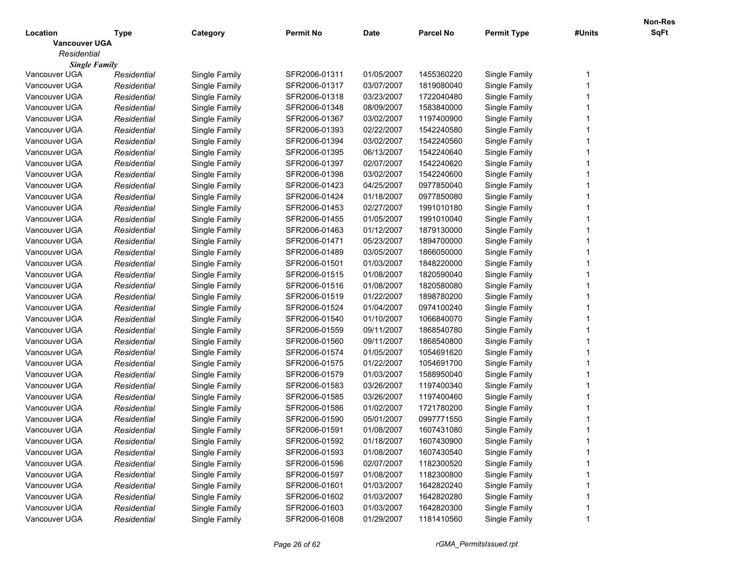|                      |             |               |                  |             |                  |                    |        | <b>Non-Res</b> |
|----------------------|-------------|---------------|------------------|-------------|------------------|--------------------|--------|----------------|
| Location             | Type        | Category      | <b>Permit No</b> | <b>Date</b> | <b>Parcel No</b> | <b>Permit Type</b> | #Units | SqFt           |
| <b>Vancouver UGA</b> |             |               |                  |             |                  |                    |        |                |
| Residential          |             |               |                  |             |                  |                    |        |                |
| <b>Single Family</b> |             |               |                  |             |                  |                    |        |                |
| Vancouver UGA        | Residential | Single Family | SFR2006-01311    | 01/05/2007  | 1455360220       | Single Family      |        |                |
| Vancouver UGA        | Residential | Single Family | SFR2006-01317    | 03/07/2007  | 1819080040       | Single Family      |        |                |
| Vancouver UGA        | Residential | Single Family | SFR2006-01318    | 03/23/2007  | 1722040480       | Single Family      |        |                |
| Vancouver UGA        | Residential | Single Family | SFR2006-01348    | 08/09/2007  | 1583840000       | Single Family      |        |                |
| Vancouver UGA        | Residential | Single Family | SFR2006-01367    | 03/02/2007  | 1197400900       | Single Family      |        |                |
| Vancouver UGA        | Residential | Single Family | SFR2006-01393    | 02/22/2007  | 1542240580       | Single Family      |        |                |
| Vancouver UGA        | Residential | Single Family | SFR2006-01394    | 03/02/2007  | 1542240560       | Single Family      |        |                |
| Vancouver UGA        | Residential | Single Family | SFR2006-01395    | 06/13/2007  | 1542240640       | Single Family      |        |                |
| Vancouver UGA        | Residential | Single Family | SFR2006-01397    | 02/07/2007  | 1542240620       | Single Family      |        |                |
| Vancouver UGA        | Residential | Single Family | SFR2006-01398    | 03/02/2007  | 1542240600       | Single Family      |        |                |
| Vancouver UGA        | Residential | Single Family | SFR2006-01423    | 04/25/2007  | 0977850040       | Single Family      |        |                |
| Vancouver UGA        | Residential | Single Family | SFR2006-01424    | 01/18/2007  | 0977850080       | Single Family      |        |                |
| Vancouver UGA        | Residential | Single Family | SFR2006-01453    | 02/27/2007  | 1991010180       | Single Family      |        |                |
| Vancouver UGA        | Residential | Single Family | SFR2006-01455    | 01/05/2007  | 1991010040       | Single Family      |        |                |
| Vancouver UGA        | Residential | Single Family | SFR2006-01463    | 01/12/2007  | 1879130000       | Single Family      |        |                |
| Vancouver UGA        | Residential | Single Family | SFR2006-01471    | 05/23/2007  | 1894700000       | Single Family      |        |                |
| Vancouver UGA        | Residential | Single Family | SFR2006-01489    | 03/05/2007  | 1866050000       | Single Family      |        |                |
| Vancouver UGA        | Residential | Single Family | SFR2006-01501    | 01/03/2007  | 1848220000       | Single Family      |        |                |
| Vancouver UGA        | Residential | Single Family | SFR2006-01515    | 01/08/2007  | 1820590040       | Single Family      |        |                |
| Vancouver UGA        | Residential | Single Family | SFR2006-01516    | 01/08/2007  | 1820580080       | Single Family      |        |                |
| Vancouver UGA        | Residential | Single Family | SFR2006-01519    | 01/22/2007  | 1898780200       | Single Family      |        |                |
| Vancouver UGA        | Residential | Single Family | SFR2006-01524    | 01/04/2007  | 0974100240       | Single Family      |        |                |
| Vancouver UGA        | Residential | Single Family | SFR2006-01540    | 01/10/2007  | 1066840070       | Single Family      |        |                |
| Vancouver UGA        | Residential | Single Family | SFR2006-01559    | 09/11/2007  | 1868540780       | Single Family      |        |                |
| Vancouver UGA        | Residential | Single Family | SFR2006-01560    | 09/11/2007  | 1868540800       | Single Family      |        |                |
| Vancouver UGA        | Residential | Single Family | SFR2006-01574    | 01/05/2007  | 1054691620       | Single Family      |        |                |
| Vancouver UGA        | Residential | Single Family | SFR2006-01575    | 01/22/2007  | 1054691700       | Single Family      |        |                |
| Vancouver UGA        | Residential | Single Family | SFR2006-01579    | 01/03/2007  | 1588950040       | Single Family      |        |                |
| Vancouver UGA        | Residential | Single Family | SFR2006-01583    | 03/26/2007  | 1197400340       | Single Family      |        |                |
| Vancouver UGA        | Residential | Single Family | SFR2006-01585    | 03/26/2007  | 1197400460       | Single Family      |        |                |
| Vancouver UGA        | Residential | Single Family | SFR2006-01586    | 01/02/2007  | 1721780200       | Single Family      |        |                |
| Vancouver UGA        | Residential | Single Family | SFR2006-01590    | 05/01/2007  | 0997771550       | Single Family      |        |                |
| Vancouver UGA        | Residential | Single Family | SFR2006-01591    | 01/08/2007  | 1607431080       | Single Family      |        |                |
| Vancouver UGA        | Residential | Single Family | SFR2006-01592    | 01/18/2007  | 1607430900       | Single Family      |        |                |
| Vancouver UGA        | Residential | Single Family | SFR2006-01593    | 01/08/2007  | 1607430540       | Single Family      |        |                |
| Vancouver UGA        | Residential | Single Family | SFR2006-01596    | 02/07/2007  | 1182300520       | Single Family      |        |                |
| Vancouver UGA        | Residential | Single Family | SFR2006-01597    | 01/08/2007  | 1182300800       | Single Family      |        |                |
| Vancouver UGA        | Residential | Single Family | SFR2006-01601    | 01/03/2007  | 1642820240       | Single Family      |        |                |
| Vancouver UGA        | Residential | Single Family | SFR2006-01602    | 01/03/2007  | 1642820280       | Single Family      |        |                |
| Vancouver UGA        | Residential | Single Family | SFR2006-01603    | 01/03/2007  | 1642820300       | Single Family      |        |                |
|                      |             |               | SFR2006-01608    |             |                  |                    |        |                |
| Vancouver UGA        | Residential | Single Family |                  | 01/29/2007  | 1181410560       | Single Family      |        |                |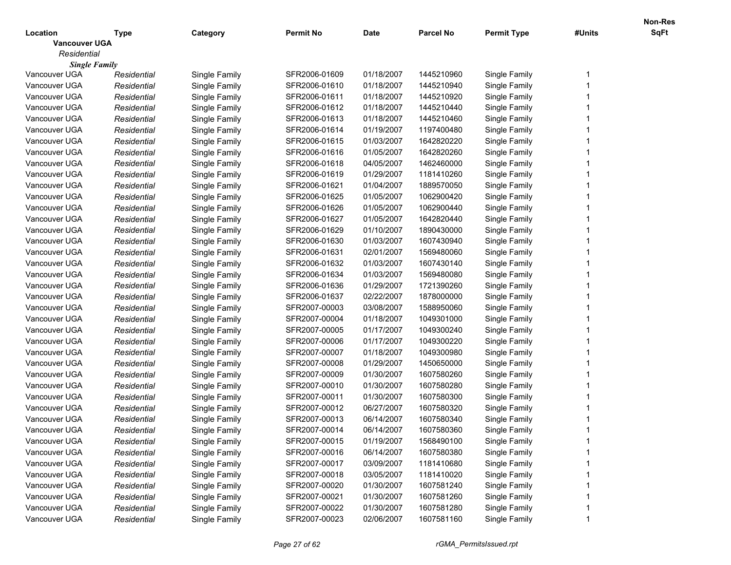|                      |             |               |                  |             |                  |                    |        | <b>Non-Res</b> |
|----------------------|-------------|---------------|------------------|-------------|------------------|--------------------|--------|----------------|
| Location             | Type        | Category      | <b>Permit No</b> | <b>Date</b> | <b>Parcel No</b> | <b>Permit Type</b> | #Units | SqFt           |
| <b>Vancouver UGA</b> |             |               |                  |             |                  |                    |        |                |
| Residential          |             |               |                  |             |                  |                    |        |                |
| <b>Single Family</b> |             |               |                  |             |                  |                    |        |                |
| Vancouver UGA        | Residential | Single Family | SFR2006-01609    | 01/18/2007  | 1445210960       | Single Family      |        |                |
| Vancouver UGA        | Residential | Single Family | SFR2006-01610    | 01/18/2007  | 1445210940       | Single Family      |        |                |
| Vancouver UGA        | Residential | Single Family | SFR2006-01611    | 01/18/2007  | 1445210920       | Single Family      |        |                |
| Vancouver UGA        | Residential | Single Family | SFR2006-01612    | 01/18/2007  | 1445210440       | Single Family      |        |                |
| Vancouver UGA        | Residential | Single Family | SFR2006-01613    | 01/18/2007  | 1445210460       | Single Family      |        |                |
| Vancouver UGA        | Residential | Single Family | SFR2006-01614    | 01/19/2007  | 1197400480       | Single Family      |        |                |
| Vancouver UGA        | Residential | Single Family | SFR2006-01615    | 01/03/2007  | 1642820220       | Single Family      |        |                |
| Vancouver UGA        | Residential | Single Family | SFR2006-01616    | 01/05/2007  | 1642820260       | Single Family      |        |                |
| Vancouver UGA        | Residential | Single Family | SFR2006-01618    | 04/05/2007  | 1462460000       | Single Family      |        |                |
| Vancouver UGA        | Residential | Single Family | SFR2006-01619    | 01/29/2007  | 1181410260       | Single Family      |        |                |
| Vancouver UGA        | Residential | Single Family | SFR2006-01621    | 01/04/2007  | 1889570050       | Single Family      |        |                |
| Vancouver UGA        | Residential | Single Family | SFR2006-01625    | 01/05/2007  | 1062900420       | Single Family      |        |                |
| Vancouver UGA        | Residential | Single Family | SFR2006-01626    | 01/05/2007  | 1062900440       | Single Family      |        |                |
| Vancouver UGA        | Residential | Single Family | SFR2006-01627    | 01/05/2007  | 1642820440       | Single Family      |        |                |
| Vancouver UGA        | Residential | Single Family | SFR2006-01629    | 01/10/2007  | 1890430000       | Single Family      |        |                |
| Vancouver UGA        | Residential | Single Family | SFR2006-01630    | 01/03/2007  | 1607430940       | Single Family      |        |                |
| Vancouver UGA        | Residential | Single Family | SFR2006-01631    | 02/01/2007  | 1569480060       | Single Family      |        |                |
| Vancouver UGA        | Residential | Single Family | SFR2006-01632    | 01/03/2007  | 1607430140       | Single Family      |        |                |
| Vancouver UGA        | Residential | Single Family | SFR2006-01634    | 01/03/2007  | 1569480080       | Single Family      |        |                |
| Vancouver UGA        | Residential | Single Family | SFR2006-01636    | 01/29/2007  | 1721390260       | Single Family      |        |                |
| Vancouver UGA        | Residential | Single Family | SFR2006-01637    | 02/22/2007  | 1878000000       | Single Family      |        |                |
| Vancouver UGA        | Residential | Single Family | SFR2007-00003    | 03/08/2007  | 1588950060       | Single Family      |        |                |
| Vancouver UGA        | Residential | Single Family | SFR2007-00004    | 01/18/2007  | 1049301000       | Single Family      |        |                |
| Vancouver UGA        | Residential | Single Family | SFR2007-00005    | 01/17/2007  | 1049300240       | Single Family      |        |                |
| Vancouver UGA        | Residential | Single Family | SFR2007-00006    | 01/17/2007  | 1049300220       | Single Family      |        |                |
| Vancouver UGA        | Residential | Single Family | SFR2007-00007    | 01/18/2007  | 1049300980       | Single Family      |        |                |
| Vancouver UGA        | Residential | Single Family | SFR2007-00008    | 01/29/2007  | 1450650000       | Single Family      |        |                |
| Vancouver UGA        | Residential | Single Family | SFR2007-00009    | 01/30/2007  | 1607580260       | Single Family      |        |                |
| Vancouver UGA        | Residential | Single Family | SFR2007-00010    | 01/30/2007  | 1607580280       | Single Family      |        |                |
| Vancouver UGA        | Residential | Single Family | SFR2007-00011    | 01/30/2007  | 1607580300       | Single Family      |        |                |
| Vancouver UGA        | Residential | Single Family | SFR2007-00012    | 06/27/2007  | 1607580320       | Single Family      |        |                |
| Vancouver UGA        | Residential | Single Family | SFR2007-00013    | 06/14/2007  | 1607580340       | Single Family      |        |                |
| Vancouver UGA        | Residential | Single Family | SFR2007-00014    | 06/14/2007  | 1607580360       | Single Family      |        |                |
| Vancouver UGA        | Residential | Single Family | SFR2007-00015    | 01/19/2007  | 1568490100       | Single Family      |        |                |
| Vancouver UGA        | Residential | Single Family | SFR2007-00016    | 06/14/2007  | 1607580380       | Single Family      |        |                |
| Vancouver UGA        | Residential | Single Family | SFR2007-00017    | 03/09/2007  | 1181410680       | Single Family      |        |                |
| Vancouver UGA        | Residential | Single Family | SFR2007-00018    | 03/05/2007  | 1181410020       | Single Family      |        |                |
| Vancouver UGA        | Residential | Single Family | SFR2007-00020    | 01/30/2007  | 1607581240       | Single Family      |        |                |
| Vancouver UGA        | Residential | Single Family | SFR2007-00021    | 01/30/2007  | 1607581260       | Single Family      |        |                |
| Vancouver UGA        | Residential | Single Family | SFR2007-00022    | 01/30/2007  | 1607581280       | Single Family      |        |                |
| Vancouver UGA        |             |               | SFR2007-00023    | 02/06/2007  | 1607581160       | Single Family      |        |                |
|                      | Residential | Single Family |                  |             |                  |                    |        |                |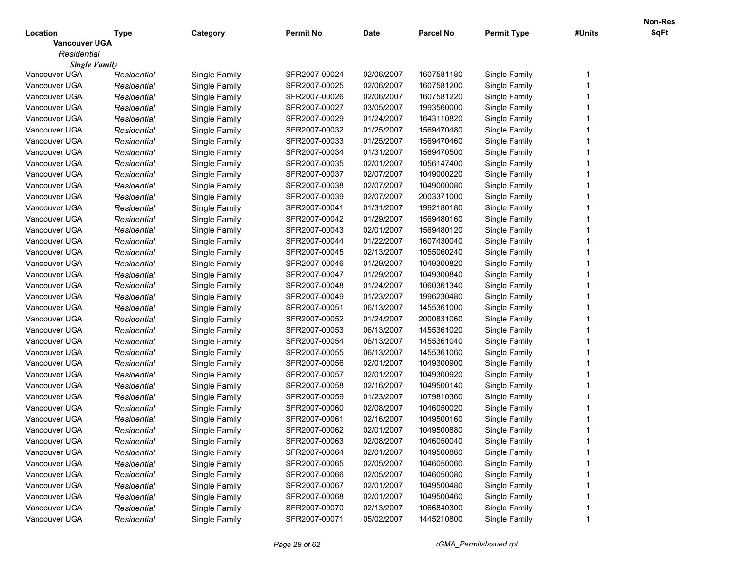|                      |             |               |                  |             |                  |                    |        | <b>Non-Res</b> |
|----------------------|-------------|---------------|------------------|-------------|------------------|--------------------|--------|----------------|
| Location             | Type        | Category      | <b>Permit No</b> | <b>Date</b> | <b>Parcel No</b> | <b>Permit Type</b> | #Units | SqFt           |
| <b>Vancouver UGA</b> |             |               |                  |             |                  |                    |        |                |
| Residential          |             |               |                  |             |                  |                    |        |                |
| <b>Single Family</b> |             |               |                  |             |                  |                    |        |                |
| Vancouver UGA        | Residential | Single Family | SFR2007-00024    | 02/06/2007  | 1607581180       | Single Family      |        |                |
| Vancouver UGA        | Residential | Single Family | SFR2007-00025    | 02/06/2007  | 1607581200       | Single Family      |        |                |
| Vancouver UGA        | Residential | Single Family | SFR2007-00026    | 02/06/2007  | 1607581220       | Single Family      |        |                |
| Vancouver UGA        | Residential | Single Family | SFR2007-00027    | 03/05/2007  | 1993560000       | Single Family      |        |                |
| Vancouver UGA        | Residential | Single Family | SFR2007-00029    | 01/24/2007  | 1643110820       | Single Family      |        |                |
| Vancouver UGA        | Residential | Single Family | SFR2007-00032    | 01/25/2007  | 1569470480       | Single Family      |        |                |
| Vancouver UGA        | Residential | Single Family | SFR2007-00033    | 01/25/2007  | 1569470460       | Single Family      |        |                |
| Vancouver UGA        | Residential | Single Family | SFR2007-00034    | 01/31/2007  | 1569470500       | Single Family      |        |                |
| Vancouver UGA        | Residential | Single Family | SFR2007-00035    | 02/01/2007  | 1056147400       | Single Family      |        |                |
| Vancouver UGA        | Residential | Single Family | SFR2007-00037    | 02/07/2007  | 1049000220       | Single Family      |        |                |
| Vancouver UGA        | Residential | Single Family | SFR2007-00038    | 02/07/2007  | 1049000080       | Single Family      |        |                |
| Vancouver UGA        | Residential | Single Family | SFR2007-00039    | 02/07/2007  | 2003371000       | Single Family      |        |                |
| Vancouver UGA        | Residential | Single Family | SFR2007-00041    | 01/31/2007  | 1992180180       | Single Family      |        |                |
| Vancouver UGA        | Residential | Single Family | SFR2007-00042    | 01/29/2007  | 1569480160       | Single Family      |        |                |
| Vancouver UGA        | Residential | Single Family | SFR2007-00043    | 02/01/2007  | 1569480120       | Single Family      |        |                |
| Vancouver UGA        | Residential | Single Family | SFR2007-00044    | 01/22/2007  | 1607430040       | Single Family      |        |                |
| Vancouver UGA        | Residential | Single Family | SFR2007-00045    | 02/13/2007  | 1055060240       | Single Family      |        |                |
| Vancouver UGA        | Residential | Single Family | SFR2007-00046    | 01/29/2007  | 1049300820       | Single Family      |        |                |
| Vancouver UGA        | Residential | Single Family | SFR2007-00047    | 01/29/2007  | 1049300840       | Single Family      |        |                |
| Vancouver UGA        | Residential | Single Family | SFR2007-00048    | 01/24/2007  | 1060361340       | Single Family      |        |                |
| Vancouver UGA        | Residential | Single Family | SFR2007-00049    | 01/23/2007  | 1996230480       | Single Family      |        |                |
| Vancouver UGA        | Residential | Single Family | SFR2007-00051    | 06/13/2007  | 1455361000       | Single Family      |        |                |
| Vancouver UGA        | Residential | Single Family | SFR2007-00052    | 01/24/2007  | 2000831060       | Single Family      |        |                |
| Vancouver UGA        | Residential | Single Family | SFR2007-00053    | 06/13/2007  | 1455361020       | Single Family      |        |                |
| Vancouver UGA        | Residential | Single Family | SFR2007-00054    | 06/13/2007  | 1455361040       | Single Family      |        |                |
| Vancouver UGA        | Residential | Single Family | SFR2007-00055    | 06/13/2007  | 1455361060       | Single Family      |        |                |
| Vancouver UGA        | Residential | Single Family | SFR2007-00056    | 02/01/2007  | 1049300900       | Single Family      |        |                |
| Vancouver UGA        | Residential | Single Family | SFR2007-00057    | 02/01/2007  | 1049300920       | Single Family      |        |                |
| Vancouver UGA        | Residential | Single Family | SFR2007-00058    | 02/16/2007  | 1049500140       | Single Family      |        |                |
| Vancouver UGA        | Residential | Single Family | SFR2007-00059    | 01/23/2007  | 1079810360       | Single Family      |        |                |
| Vancouver UGA        | Residential | Single Family | SFR2007-00060    | 02/08/2007  | 1046050020       | Single Family      |        |                |
| Vancouver UGA        | Residential | Single Family | SFR2007-00061    | 02/16/2007  | 1049500160       | Single Family      |        |                |
| Vancouver UGA        |             |               | SFR2007-00062    | 02/01/2007  | 1049500880       | Single Family      |        |                |
|                      | Residential | Single Family |                  |             |                  |                    |        |                |
| Vancouver UGA        | Residential | Single Family | SFR2007-00063    | 02/08/2007  | 1046050040       | Single Family      |        |                |
| Vancouver UGA        | Residential | Single Family | SFR2007-00064    | 02/01/2007  | 1049500860       | Single Family      |        |                |
| Vancouver UGA        | Residential | Single Family | SFR2007-00065    | 02/05/2007  | 1046050060       | Single Family      |        |                |
| Vancouver UGA        | Residential | Single Family | SFR2007-00066    | 02/05/2007  | 1046050080       | Single Family      |        |                |
| Vancouver UGA        | Residential | Single Family | SFR2007-00067    | 02/01/2007  | 1049500480       | Single Family      |        |                |
| Vancouver UGA        | Residential | Single Family | SFR2007-00068    | 02/01/2007  | 1049500460       | Single Family      |        |                |
| Vancouver UGA        | Residential | Single Family | SFR2007-00070    | 02/13/2007  | 1066840300       | Single Family      |        |                |
| Vancouver UGA        | Residential | Single Family | SFR2007-00071    | 05/02/2007  | 1445210800       | Single Family      |        |                |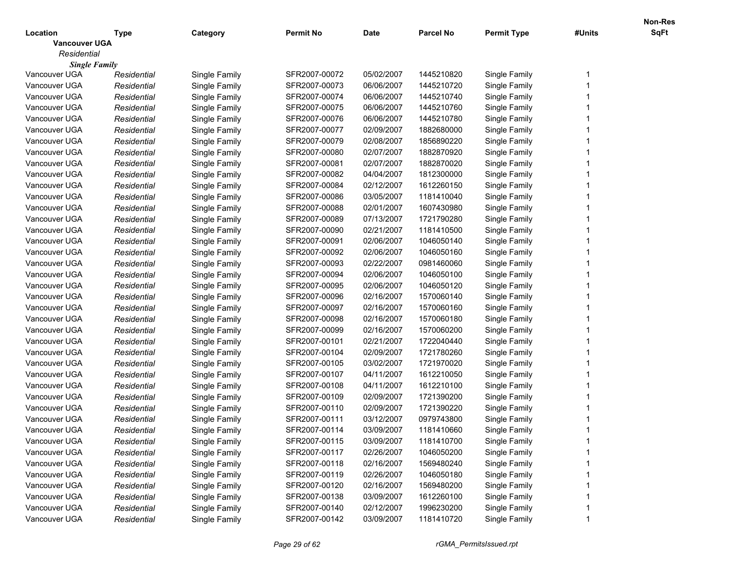|                      |             |               |                  |             |                  |                    |        | <b>Non-Res</b> |
|----------------------|-------------|---------------|------------------|-------------|------------------|--------------------|--------|----------------|
| Location             | Type        | Category      | <b>Permit No</b> | <b>Date</b> | <b>Parcel No</b> | <b>Permit Type</b> | #Units | SqFt           |
| <b>Vancouver UGA</b> |             |               |                  |             |                  |                    |        |                |
| Residential          |             |               |                  |             |                  |                    |        |                |
| <b>Single Family</b> |             |               |                  |             |                  |                    |        |                |
| Vancouver UGA        | Residential | Single Family | SFR2007-00072    | 05/02/2007  | 1445210820       | Single Family      |        |                |
| Vancouver UGA        | Residential | Single Family | SFR2007-00073    | 06/06/2007  | 1445210720       | Single Family      |        |                |
| Vancouver UGA        | Residential | Single Family | SFR2007-00074    | 06/06/2007  | 1445210740       | Single Family      |        |                |
| Vancouver UGA        | Residential | Single Family | SFR2007-00075    | 06/06/2007  | 1445210760       | Single Family      |        |                |
| Vancouver UGA        | Residential | Single Family | SFR2007-00076    | 06/06/2007  | 1445210780       | Single Family      |        |                |
| Vancouver UGA        | Residential | Single Family | SFR2007-00077    | 02/09/2007  | 1882680000       | Single Family      |        |                |
| Vancouver UGA        | Residential | Single Family | SFR2007-00079    | 02/08/2007  | 1856890220       | Single Family      |        |                |
| Vancouver UGA        | Residential | Single Family | SFR2007-00080    | 02/07/2007  | 1882870920       | Single Family      |        |                |
| Vancouver UGA        | Residential | Single Family | SFR2007-00081    | 02/07/2007  | 1882870020       | Single Family      |        |                |
| Vancouver UGA        | Residential | Single Family | SFR2007-00082    | 04/04/2007  | 1812300000       | Single Family      |        |                |
| Vancouver UGA        | Residential | Single Family | SFR2007-00084    | 02/12/2007  | 1612260150       | Single Family      |        |                |
| Vancouver UGA        | Residential | Single Family | SFR2007-00086    | 03/05/2007  | 1181410040       | Single Family      |        |                |
| Vancouver UGA        | Residential | Single Family | SFR2007-00088    | 02/01/2007  | 1607430980       | Single Family      |        |                |
| Vancouver UGA        | Residential | Single Family | SFR2007-00089    | 07/13/2007  | 1721790280       | Single Family      |        |                |
| Vancouver UGA        | Residential | Single Family | SFR2007-00090    | 02/21/2007  | 1181410500       | Single Family      |        |                |
| Vancouver UGA        | Residential | Single Family | SFR2007-00091    | 02/06/2007  | 1046050140       | Single Family      |        |                |
| Vancouver UGA        | Residential | Single Family | SFR2007-00092    | 02/06/2007  | 1046050160       | Single Family      |        |                |
| Vancouver UGA        | Residential | Single Family | SFR2007-00093    | 02/22/2007  | 0981460060       | Single Family      |        |                |
| Vancouver UGA        | Residential | Single Family | SFR2007-00094    | 02/06/2007  | 1046050100       | Single Family      |        |                |
| Vancouver UGA        | Residential | Single Family | SFR2007-00095    | 02/06/2007  | 1046050120       | Single Family      |        |                |
| Vancouver UGA        | Residential | Single Family | SFR2007-00096    | 02/16/2007  | 1570060140       | Single Family      |        |                |
| Vancouver UGA        | Residential | Single Family | SFR2007-00097    | 02/16/2007  | 1570060160       | Single Family      |        |                |
| Vancouver UGA        | Residential | Single Family | SFR2007-00098    | 02/16/2007  | 1570060180       | Single Family      |        |                |
| Vancouver UGA        | Residential | Single Family | SFR2007-00099    | 02/16/2007  | 1570060200       | Single Family      |        |                |
| Vancouver UGA        | Residential | Single Family | SFR2007-00101    | 02/21/2007  | 1722040440       | Single Family      |        |                |
| Vancouver UGA        | Residential | Single Family | SFR2007-00104    | 02/09/2007  | 1721780260       | Single Family      |        |                |
| Vancouver UGA        | Residential | Single Family | SFR2007-00105    | 03/02/2007  | 1721970020       | Single Family      |        |                |
| Vancouver UGA        | Residential | Single Family | SFR2007-00107    | 04/11/2007  | 1612210050       | Single Family      |        |                |
| Vancouver UGA        | Residential | Single Family | SFR2007-00108    | 04/11/2007  | 1612210100       | Single Family      |        |                |
| Vancouver UGA        | Residential | Single Family | SFR2007-00109    | 02/09/2007  | 1721390200       | Single Family      |        |                |
| Vancouver UGA        | Residential | Single Family | SFR2007-00110    | 02/09/2007  | 1721390220       | Single Family      |        |                |
| Vancouver UGA        | Residential | Single Family | SFR2007-00111    | 03/12/2007  | 0979743800       | Single Family      |        |                |
| Vancouver UGA        | Residential | Single Family | SFR2007-00114    | 03/09/2007  | 1181410660       | Single Family      |        |                |
| Vancouver UGA        | Residential | Single Family | SFR2007-00115    | 03/09/2007  | 1181410700       | Single Family      |        |                |
| Vancouver UGA        | Residential | Single Family | SFR2007-00117    | 02/26/2007  | 1046050200       | Single Family      |        |                |
| Vancouver UGA        | Residential | Single Family | SFR2007-00118    | 02/16/2007  | 1569480240       | Single Family      |        |                |
| Vancouver UGA        | Residential | Single Family | SFR2007-00119    | 02/26/2007  | 1046050180       | Single Family      |        |                |
| Vancouver UGA        | Residential | Single Family | SFR2007-00120    | 02/16/2007  | 1569480200       | Single Family      |        |                |
| Vancouver UGA        | Residential | Single Family | SFR2007-00138    | 03/09/2007  | 1612260100       | Single Family      |        |                |
| Vancouver UGA        | Residential | Single Family | SFR2007-00140    | 02/12/2007  | 1996230200       | Single Family      |        |                |
| Vancouver UGA        | Residential | Single Family | SFR2007-00142    | 03/09/2007  | 1181410720       | Single Family      |        |                |
|                      |             |               |                  |             |                  |                    |        |                |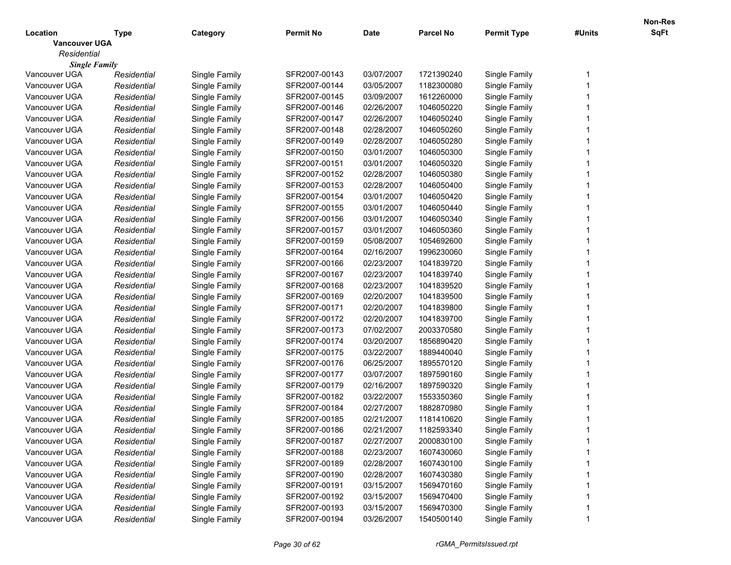|                      |             |               |                  |             |                  |                    |        | <b>Non-Res</b> |
|----------------------|-------------|---------------|------------------|-------------|------------------|--------------------|--------|----------------|
| Location             | Type        | Category      | <b>Permit No</b> | <b>Date</b> | <b>Parcel No</b> | <b>Permit Type</b> | #Units | SqFt           |
| <b>Vancouver UGA</b> |             |               |                  |             |                  |                    |        |                |
| Residential          |             |               |                  |             |                  |                    |        |                |
| <b>Single Family</b> |             |               |                  |             |                  |                    |        |                |
| Vancouver UGA        | Residential | Single Family | SFR2007-00143    | 03/07/2007  | 1721390240       | Single Family      |        |                |
| Vancouver UGA        | Residential | Single Family | SFR2007-00144    | 03/05/2007  | 1182300080       | Single Family      |        |                |
| Vancouver UGA        | Residential | Single Family | SFR2007-00145    | 03/09/2007  | 1612260000       | Single Family      |        |                |
| Vancouver UGA        | Residential | Single Family | SFR2007-00146    | 02/26/2007  | 1046050220       | Single Family      |        |                |
| Vancouver UGA        | Residential | Single Family | SFR2007-00147    | 02/26/2007  | 1046050240       | Single Family      |        |                |
| Vancouver UGA        | Residential | Single Family | SFR2007-00148    | 02/28/2007  | 1046050260       | Single Family      |        |                |
| Vancouver UGA        | Residential | Single Family | SFR2007-00149    | 02/28/2007  | 1046050280       | Single Family      |        |                |
| Vancouver UGA        | Residential | Single Family | SFR2007-00150    | 03/01/2007  | 1046050300       | Single Family      |        |                |
| Vancouver UGA        | Residential | Single Family | SFR2007-00151    | 03/01/2007  | 1046050320       | Single Family      |        |                |
| Vancouver UGA        | Residential | Single Family | SFR2007-00152    | 02/28/2007  | 1046050380       | Single Family      |        |                |
| Vancouver UGA        | Residential | Single Family | SFR2007-00153    | 02/28/2007  | 1046050400       | Single Family      |        |                |
| Vancouver UGA        | Residential | Single Family | SFR2007-00154    | 03/01/2007  | 1046050420       | Single Family      |        |                |
| Vancouver UGA        | Residential | Single Family | SFR2007-00155    | 03/01/2007  | 1046050440       | Single Family      |        |                |
| Vancouver UGA        | Residential | Single Family | SFR2007-00156    | 03/01/2007  | 1046050340       | Single Family      |        |                |
| Vancouver UGA        | Residential | Single Family | SFR2007-00157    | 03/01/2007  | 1046050360       | Single Family      |        |                |
| Vancouver UGA        | Residential | Single Family | SFR2007-00159    | 05/08/2007  | 1054692600       | Single Family      |        |                |
| Vancouver UGA        | Residential | Single Family | SFR2007-00164    | 02/16/2007  | 1996230060       | Single Family      |        |                |
| Vancouver UGA        | Residential | Single Family | SFR2007-00166    | 02/23/2007  | 1041839720       | Single Family      |        |                |
| Vancouver UGA        | Residential | Single Family | SFR2007-00167    | 02/23/2007  | 1041839740       | Single Family      |        |                |
| Vancouver UGA        | Residential | Single Family | SFR2007-00168    | 02/23/2007  | 1041839520       | Single Family      |        |                |
| Vancouver UGA        | Residential | Single Family | SFR2007-00169    | 02/20/2007  | 1041839500       | Single Family      |        |                |
| Vancouver UGA        | Residential | Single Family | SFR2007-00171    | 02/20/2007  | 1041839800       | Single Family      |        |                |
| Vancouver UGA        | Residential | Single Family | SFR2007-00172    | 02/20/2007  | 1041839700       | Single Family      |        |                |
| Vancouver UGA        | Residential | Single Family | SFR2007-00173    | 07/02/2007  | 2003370580       | Single Family      |        |                |
| Vancouver UGA        | Residential | Single Family | SFR2007-00174    | 03/20/2007  | 1856890420       | Single Family      |        |                |
| Vancouver UGA        | Residential | Single Family | SFR2007-00175    | 03/22/2007  | 1889440040       | Single Family      |        |                |
| Vancouver UGA        | Residential | Single Family | SFR2007-00176    | 06/25/2007  | 1895570120       | Single Family      |        |                |
| Vancouver UGA        | Residential | Single Family | SFR2007-00177    | 03/07/2007  | 1897590160       | Single Family      |        |                |
| Vancouver UGA        | Residential | Single Family | SFR2007-00179    | 02/16/2007  | 1897590320       | Single Family      |        |                |
| Vancouver UGA        | Residential | Single Family | SFR2007-00182    | 03/22/2007  | 1553350360       | Single Family      |        |                |
| Vancouver UGA        | Residential | Single Family | SFR2007-00184    | 02/27/2007  | 1882870980       | Single Family      |        |                |
| Vancouver UGA        | Residential | Single Family | SFR2007-00185    | 02/21/2007  | 1181410620       | Single Family      |        |                |
| Vancouver UGA        | Residential | Single Family | SFR2007-00186    | 02/21/2007  | 1182593340       | Single Family      |        |                |
| Vancouver UGA        | Residential | Single Family | SFR2007-00187    | 02/27/2007  | 2000830100       | Single Family      |        |                |
| Vancouver UGA        | Residential | Single Family | SFR2007-00188    | 02/23/2007  | 1607430060       | Single Family      |        |                |
| Vancouver UGA        | Residential | Single Family | SFR2007-00189    | 02/28/2007  | 1607430100       | Single Family      |        |                |
| Vancouver UGA        | Residential | Single Family | SFR2007-00190    | 02/28/2007  | 1607430380       | Single Family      |        |                |
| Vancouver UGA        | Residential | Single Family | SFR2007-00191    | 03/15/2007  | 1569470160       | Single Family      |        |                |
| Vancouver UGA        | Residential | Single Family | SFR2007-00192    | 03/15/2007  | 1569470400       | Single Family      |        |                |
| Vancouver UGA        | Residential | Single Family | SFR2007-00193    | 03/15/2007  | 1569470300       | Single Family      |        |                |
| Vancouver UGA        |             |               | SFR2007-00194    | 03/26/2007  | 1540500140       | Single Family      |        |                |
|                      | Residential | Single Family |                  |             |                  |                    |        |                |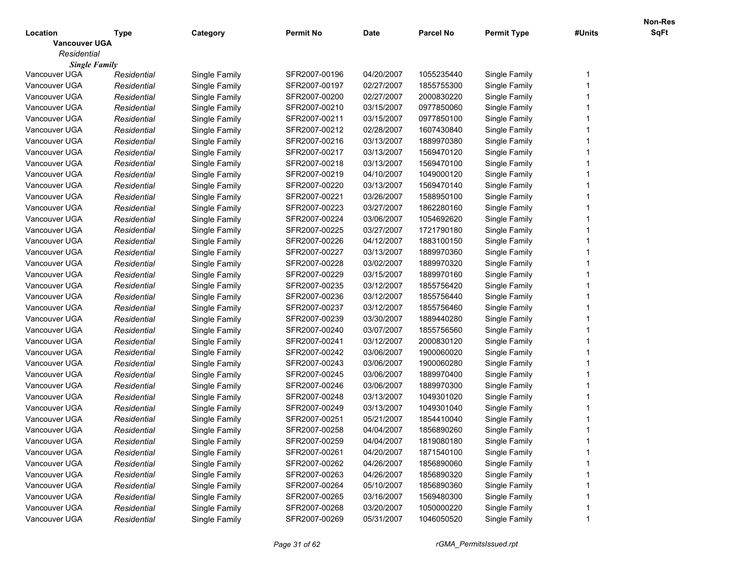|                      |             |               |                  |             |                  |                    |        | <b>Non-Res</b> |
|----------------------|-------------|---------------|------------------|-------------|------------------|--------------------|--------|----------------|
| Location             | Type        | Category      | <b>Permit No</b> | <b>Date</b> | <b>Parcel No</b> | <b>Permit Type</b> | #Units | SqFt           |
| <b>Vancouver UGA</b> |             |               |                  |             |                  |                    |        |                |
| Residential          |             |               |                  |             |                  |                    |        |                |
| <b>Single Family</b> |             |               |                  |             |                  |                    |        |                |
| Vancouver UGA        | Residential | Single Family | SFR2007-00196    | 04/20/2007  | 1055235440       | Single Family      |        |                |
| Vancouver UGA        | Residential | Single Family | SFR2007-00197    | 02/27/2007  | 1855755300       | Single Family      |        |                |
| Vancouver UGA        | Residential | Single Family | SFR2007-00200    | 02/27/2007  | 2000830220       | Single Family      |        |                |
| Vancouver UGA        | Residential | Single Family | SFR2007-00210    | 03/15/2007  | 0977850060       | Single Family      |        |                |
| Vancouver UGA        | Residential | Single Family | SFR2007-00211    | 03/15/2007  | 0977850100       | Single Family      |        |                |
| Vancouver UGA        | Residential | Single Family | SFR2007-00212    | 02/28/2007  | 1607430840       | Single Family      |        |                |
| Vancouver UGA        | Residential | Single Family | SFR2007-00216    | 03/13/2007  | 1889970380       | Single Family      |        |                |
| Vancouver UGA        | Residential | Single Family | SFR2007-00217    | 03/13/2007  | 1569470120       | Single Family      |        |                |
| Vancouver UGA        | Residential | Single Family | SFR2007-00218    | 03/13/2007  | 1569470100       | Single Family      |        |                |
| Vancouver UGA        | Residential | Single Family | SFR2007-00219    | 04/10/2007  | 1049000120       | Single Family      |        |                |
| Vancouver UGA        | Residential | Single Family | SFR2007-00220    | 03/13/2007  | 1569470140       | Single Family      |        |                |
| Vancouver UGA        | Residential | Single Family | SFR2007-00221    | 03/26/2007  | 1588950100       | Single Family      |        |                |
| Vancouver UGA        | Residential | Single Family | SFR2007-00223    | 03/27/2007  | 1862280160       | Single Family      |        |                |
| Vancouver UGA        | Residential | Single Family | SFR2007-00224    | 03/06/2007  | 1054692620       | Single Family      |        |                |
| Vancouver UGA        | Residential | Single Family | SFR2007-00225    | 03/27/2007  | 1721790180       | Single Family      |        |                |
| Vancouver UGA        | Residential | Single Family | SFR2007-00226    | 04/12/2007  | 1883100150       | Single Family      |        |                |
| Vancouver UGA        | Residential | Single Family | SFR2007-00227    | 03/13/2007  | 1889970360       | Single Family      |        |                |
| Vancouver UGA        | Residential | Single Family | SFR2007-00228    | 03/02/2007  | 1889970320       | Single Family      |        |                |
| Vancouver UGA        | Residential | Single Family | SFR2007-00229    | 03/15/2007  | 1889970160       | Single Family      |        |                |
| Vancouver UGA        | Residential | Single Family | SFR2007-00235    | 03/12/2007  | 1855756420       | Single Family      |        |                |
| Vancouver UGA        | Residential | Single Family | SFR2007-00236    | 03/12/2007  | 1855756440       | Single Family      |        |                |
| Vancouver UGA        | Residential | Single Family | SFR2007-00237    | 03/12/2007  | 1855756460       | Single Family      |        |                |
| Vancouver UGA        | Residential | Single Family | SFR2007-00239    | 03/30/2007  | 1889440280       | Single Family      |        |                |
| Vancouver UGA        | Residential | Single Family | SFR2007-00240    | 03/07/2007  | 1855756560       | Single Family      |        |                |
| Vancouver UGA        | Residential | Single Family | SFR2007-00241    | 03/12/2007  | 2000830120       | Single Family      |        |                |
| Vancouver UGA        | Residential | Single Family | SFR2007-00242    | 03/06/2007  | 1900060020       | Single Family      |        |                |
| Vancouver UGA        | Residential | Single Family | SFR2007-00243    | 03/06/2007  | 1900060280       | Single Family      |        |                |
| Vancouver UGA        | Residential | Single Family | SFR2007-00245    | 03/06/2007  | 1889970400       | Single Family      |        |                |
| Vancouver UGA        | Residential | Single Family | SFR2007-00246    | 03/06/2007  | 1889970300       | Single Family      |        |                |
| Vancouver UGA        | Residential | Single Family | SFR2007-00248    | 03/13/2007  | 1049301020       | Single Family      |        |                |
| Vancouver UGA        | Residential | Single Family | SFR2007-00249    | 03/13/2007  | 1049301040       | Single Family      |        |                |
| Vancouver UGA        | Residential | Single Family | SFR2007-00251    | 05/21/2007  | 1854410040       | Single Family      |        |                |
| Vancouver UGA        | Residential | Single Family | SFR2007-00258    | 04/04/2007  | 1856890260       | Single Family      |        |                |
| Vancouver UGA        | Residential | Single Family | SFR2007-00259    | 04/04/2007  | 1819080180       | Single Family      |        |                |
| Vancouver UGA        | Residential | Single Family | SFR2007-00261    | 04/20/2007  | 1871540100       | Single Family      |        |                |
| Vancouver UGA        | Residential | Single Family | SFR2007-00262    | 04/26/2007  | 1856890060       | Single Family      |        |                |
| Vancouver UGA        | Residential | Single Family | SFR2007-00263    | 04/26/2007  | 1856890320       | Single Family      |        |                |
| Vancouver UGA        | Residential | Single Family | SFR2007-00264    | 05/10/2007  | 1856890360       | Single Family      |        |                |
| Vancouver UGA        | Residential | Single Family | SFR2007-00265    | 03/16/2007  | 1569480300       | Single Family      |        |                |
| Vancouver UGA        | Residential | Single Family | SFR2007-00268    | 03/20/2007  | 1050000220       | Single Family      |        |                |
| Vancouver UGA        |             |               | SFR2007-00269    | 05/31/2007  | 1046050520       | Single Family      |        |                |
|                      | Residential | Single Family |                  |             |                  |                    |        |                |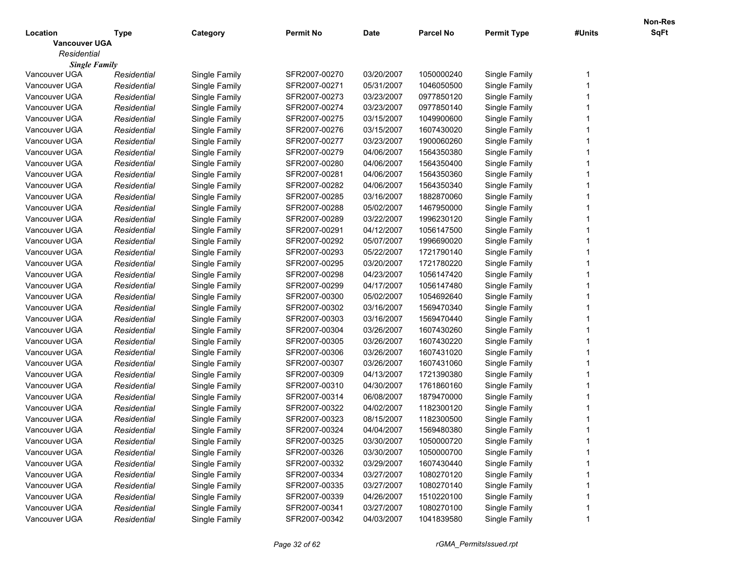|                      |             |               |                  |             |            |                    |        | <b>Non-Res</b> |
|----------------------|-------------|---------------|------------------|-------------|------------|--------------------|--------|----------------|
| Location             | Type        | Category      | <b>Permit No</b> | <b>Date</b> | Parcel No  | <b>Permit Type</b> | #Units | SqFt           |
| <b>Vancouver UGA</b> |             |               |                  |             |            |                    |        |                |
| Residential          |             |               |                  |             |            |                    |        |                |
| <b>Single Family</b> |             |               |                  |             |            |                    |        |                |
| Vancouver UGA        | Residential | Single Family | SFR2007-00270    | 03/20/2007  | 1050000240 | Single Family      |        |                |
| Vancouver UGA        | Residential | Single Family | SFR2007-00271    | 05/31/2007  | 1046050500 | Single Family      |        |                |
| Vancouver UGA        | Residential | Single Family | SFR2007-00273    | 03/23/2007  | 0977850120 | Single Family      |        |                |
| Vancouver UGA        | Residential | Single Family | SFR2007-00274    | 03/23/2007  | 0977850140 | Single Family      |        |                |
| Vancouver UGA        | Residential | Single Family | SFR2007-00275    | 03/15/2007  | 1049900600 | Single Family      |        |                |
| Vancouver UGA        | Residential | Single Family | SFR2007-00276    | 03/15/2007  | 1607430020 | Single Family      |        |                |
| Vancouver UGA        | Residential | Single Family | SFR2007-00277    | 03/23/2007  | 1900060260 | Single Family      |        |                |
| Vancouver UGA        | Residential | Single Family | SFR2007-00279    | 04/06/2007  | 1564350380 | Single Family      |        |                |
| Vancouver UGA        | Residential | Single Family | SFR2007-00280    | 04/06/2007  | 1564350400 | Single Family      |        |                |
| Vancouver UGA        | Residential | Single Family | SFR2007-00281    | 04/06/2007  | 1564350360 | Single Family      |        |                |
| Vancouver UGA        | Residential | Single Family | SFR2007-00282    | 04/06/2007  | 1564350340 | Single Family      |        |                |
| Vancouver UGA        | Residential | Single Family | SFR2007-00285    | 03/16/2007  | 1882870060 | Single Family      |        |                |
| Vancouver UGA        | Residential | Single Family | SFR2007-00288    | 05/02/2007  | 1467950000 | Single Family      |        |                |
| Vancouver UGA        | Residential | Single Family | SFR2007-00289    | 03/22/2007  | 1996230120 | Single Family      |        |                |
| Vancouver UGA        | Residential | Single Family | SFR2007-00291    | 04/12/2007  | 1056147500 | Single Family      |        |                |
| Vancouver UGA        | Residential | Single Family | SFR2007-00292    | 05/07/2007  | 1996690020 | Single Family      |        |                |
| Vancouver UGA        | Residential | Single Family | SFR2007-00293    | 05/22/2007  | 1721790140 | Single Family      |        |                |
| Vancouver UGA        | Residential | Single Family | SFR2007-00295    | 03/20/2007  | 1721780220 | Single Family      |        |                |
| Vancouver UGA        | Residential | Single Family | SFR2007-00298    | 04/23/2007  | 1056147420 | Single Family      |        |                |
| Vancouver UGA        | Residential | Single Family | SFR2007-00299    | 04/17/2007  | 1056147480 | Single Family      |        |                |
| Vancouver UGA        | Residential | Single Family | SFR2007-00300    | 05/02/2007  | 1054692640 | Single Family      |        |                |
| Vancouver UGA        | Residential | Single Family | SFR2007-00302    | 03/16/2007  | 1569470340 | Single Family      |        |                |
| Vancouver UGA        | Residential | Single Family | SFR2007-00303    | 03/16/2007  | 1569470440 | Single Family      |        |                |
| Vancouver UGA        | Residential | Single Family | SFR2007-00304    | 03/26/2007  | 1607430260 | Single Family      |        |                |
| Vancouver UGA        | Residential | Single Family | SFR2007-00305    | 03/26/2007  | 1607430220 | Single Family      |        |                |
| Vancouver UGA        | Residential | Single Family | SFR2007-00306    | 03/26/2007  | 1607431020 | Single Family      |        |                |
| Vancouver UGA        | Residential | Single Family | SFR2007-00307    | 03/26/2007  | 1607431060 | Single Family      |        |                |
| Vancouver UGA        | Residential | Single Family | SFR2007-00309    | 04/13/2007  | 1721390380 | Single Family      |        |                |
| Vancouver UGA        | Residential | Single Family | SFR2007-00310    | 04/30/2007  | 1761860160 | Single Family      |        |                |
| Vancouver UGA        | Residential | Single Family | SFR2007-00314    | 06/08/2007  | 1879470000 | Single Family      |        |                |
| Vancouver UGA        | Residential | Single Family | SFR2007-00322    | 04/02/2007  | 1182300120 | Single Family      |        |                |
| Vancouver UGA        | Residential | Single Family | SFR2007-00323    | 08/15/2007  | 1182300500 | Single Family      |        |                |
| Vancouver UGA        | Residential | Single Family | SFR2007-00324    | 04/04/2007  | 1569480380 | Single Family      |        |                |
| Vancouver UGA        | Residential | Single Family | SFR2007-00325    | 03/30/2007  | 1050000720 | Single Family      |        |                |
| Vancouver UGA        | Residential | Single Family | SFR2007-00326    | 03/30/2007  | 1050000700 | Single Family      |        |                |
| Vancouver UGA        | Residential | Single Family | SFR2007-00332    | 03/29/2007  | 1607430440 | Single Family      |        |                |
| Vancouver UGA        | Residential | Single Family | SFR2007-00334    | 03/27/2007  | 1080270120 | Single Family      |        |                |
| Vancouver UGA        | Residential | Single Family | SFR2007-00335    | 03/27/2007  | 1080270140 | Single Family      |        |                |
| Vancouver UGA        | Residential | Single Family | SFR2007-00339    | 04/26/2007  | 1510220100 | Single Family      |        |                |
| Vancouver UGA        | Residential | Single Family | SFR2007-00341    | 03/27/2007  | 1080270100 | Single Family      |        |                |
| Vancouver UGA        | Residential | Single Family | SFR2007-00342    | 04/03/2007  | 1041839580 | Single Family      |        |                |
|                      |             |               |                  |             |            |                    |        |                |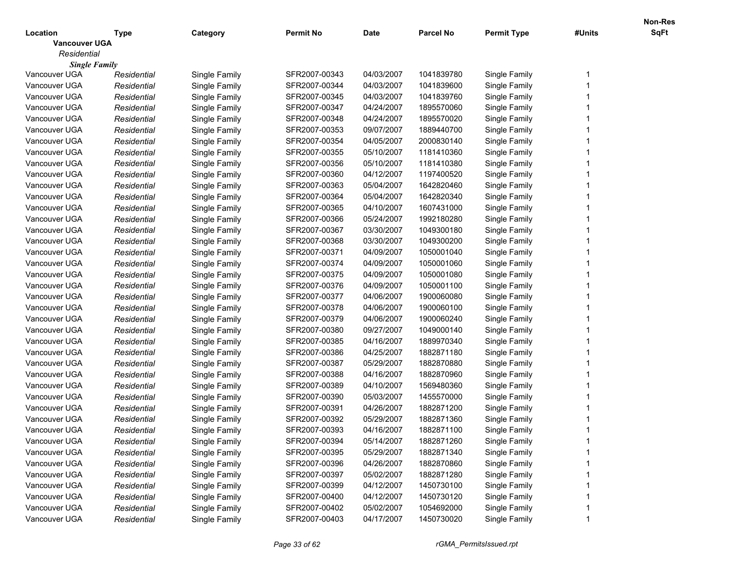|                      |             |               |                  |             |                  |                    |        | <b>Non-Res</b> |
|----------------------|-------------|---------------|------------------|-------------|------------------|--------------------|--------|----------------|
| Location             | Type        | Category      | <b>Permit No</b> | <b>Date</b> | <b>Parcel No</b> | <b>Permit Type</b> | #Units | SqFt           |
| <b>Vancouver UGA</b> |             |               |                  |             |                  |                    |        |                |
| Residential          |             |               |                  |             |                  |                    |        |                |
| <b>Single Family</b> |             |               |                  |             |                  |                    |        |                |
| Vancouver UGA        | Residential | Single Family | SFR2007-00343    | 04/03/2007  | 1041839780       | Single Family      |        |                |
| Vancouver UGA        | Residential | Single Family | SFR2007-00344    | 04/03/2007  | 1041839600       | Single Family      |        |                |
| Vancouver UGA        | Residential | Single Family | SFR2007-00345    | 04/03/2007  | 1041839760       | Single Family      |        |                |
| Vancouver UGA        | Residential | Single Family | SFR2007-00347    | 04/24/2007  | 1895570060       | Single Family      |        |                |
| Vancouver UGA        | Residential | Single Family | SFR2007-00348    | 04/24/2007  | 1895570020       | Single Family      |        |                |
| Vancouver UGA        | Residential | Single Family | SFR2007-00353    | 09/07/2007  | 1889440700       | Single Family      |        |                |
| Vancouver UGA        | Residential | Single Family | SFR2007-00354    | 04/05/2007  | 2000830140       | Single Family      |        |                |
| Vancouver UGA        | Residential | Single Family | SFR2007-00355    | 05/10/2007  | 1181410360       | Single Family      |        |                |
| Vancouver UGA        | Residential | Single Family | SFR2007-00356    | 05/10/2007  | 1181410380       | Single Family      |        |                |
| Vancouver UGA        | Residential | Single Family | SFR2007-00360    | 04/12/2007  | 1197400520       | Single Family      |        |                |
| Vancouver UGA        | Residential | Single Family | SFR2007-00363    | 05/04/2007  | 1642820460       | Single Family      |        |                |
| Vancouver UGA        | Residential | Single Family | SFR2007-00364    | 05/04/2007  | 1642820340       | Single Family      |        |                |
| Vancouver UGA        | Residential | Single Family | SFR2007-00365    | 04/10/2007  | 1607431000       | Single Family      |        |                |
| Vancouver UGA        | Residential | Single Family | SFR2007-00366    | 05/24/2007  | 1992180280       | Single Family      |        |                |
| Vancouver UGA        | Residential | Single Family | SFR2007-00367    | 03/30/2007  | 1049300180       | Single Family      |        |                |
| Vancouver UGA        | Residential | Single Family | SFR2007-00368    | 03/30/2007  | 1049300200       | Single Family      |        |                |
| Vancouver UGA        | Residential | Single Family | SFR2007-00371    | 04/09/2007  | 1050001040       | Single Family      |        |                |
| Vancouver UGA        | Residential | Single Family | SFR2007-00374    | 04/09/2007  | 1050001060       | Single Family      |        |                |
| Vancouver UGA        | Residential | Single Family | SFR2007-00375    | 04/09/2007  | 1050001080       | Single Family      |        |                |
| Vancouver UGA        | Residential | Single Family | SFR2007-00376    | 04/09/2007  | 1050001100       | Single Family      |        |                |
| Vancouver UGA        | Residential | Single Family | SFR2007-00377    | 04/06/2007  | 1900060080       | Single Family      |        |                |
| Vancouver UGA        | Residential | Single Family | SFR2007-00378    | 04/06/2007  | 1900060100       | Single Family      |        |                |
| Vancouver UGA        | Residential | Single Family | SFR2007-00379    | 04/06/2007  | 1900060240       | Single Family      |        |                |
| Vancouver UGA        | Residential | Single Family | SFR2007-00380    | 09/27/2007  | 1049000140       | Single Family      |        |                |
| Vancouver UGA        | Residential | Single Family | SFR2007-00385    | 04/16/2007  | 1889970340       | Single Family      |        |                |
| Vancouver UGA        | Residential | Single Family | SFR2007-00386    | 04/25/2007  | 1882871180       | Single Family      |        |                |
| Vancouver UGA        | Residential | Single Family | SFR2007-00387    | 05/29/2007  | 1882870880       | Single Family      |        |                |
| Vancouver UGA        | Residential | Single Family | SFR2007-00388    | 04/16/2007  | 1882870960       | Single Family      |        |                |
| Vancouver UGA        | Residential | Single Family | SFR2007-00389    | 04/10/2007  | 1569480360       | Single Family      |        |                |
| Vancouver UGA        | Residential | Single Family | SFR2007-00390    | 05/03/2007  | 1455570000       | Single Family      |        |                |
| Vancouver UGA        | Residential | Single Family | SFR2007-00391    | 04/26/2007  | 1882871200       | Single Family      |        |                |
| Vancouver UGA        | Residential | Single Family | SFR2007-00392    | 05/29/2007  | 1882871360       | Single Family      |        |                |
| Vancouver UGA        | Residential | Single Family | SFR2007-00393    | 04/16/2007  | 1882871100       | Single Family      |        |                |
| Vancouver UGA        | Residential | Single Family | SFR2007-00394    | 05/14/2007  | 1882871260       | Single Family      |        |                |
| Vancouver UGA        | Residential | Single Family | SFR2007-00395    | 05/29/2007  | 1882871340       | Single Family      |        |                |
| Vancouver UGA        | Residential | Single Family | SFR2007-00396    | 04/26/2007  | 1882870860       | Single Family      |        |                |
| Vancouver UGA        | Residential | Single Family | SFR2007-00397    | 05/02/2007  | 1882871280       | Single Family      |        |                |
| Vancouver UGA        | Residential | Single Family | SFR2007-00399    | 04/12/2007  | 1450730100       | Single Family      |        |                |
| Vancouver UGA        | Residential | Single Family | SFR2007-00400    | 04/12/2007  | 1450730120       | Single Family      |        |                |
| Vancouver UGA        | Residential | Single Family | SFR2007-00402    | 05/02/2007  | 1054692000       | Single Family      |        |                |
| Vancouver UGA        |             |               | SFR2007-00403    | 04/17/2007  | 1450730020       | Single Family      |        |                |
|                      | Residential | Single Family |                  |             |                  |                    |        |                |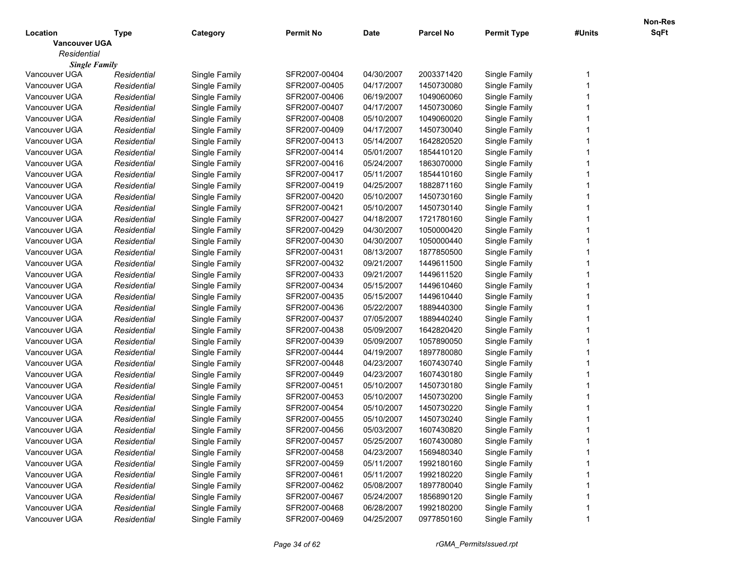|                      |             |               |                  |             |                  |                    |        | <b>Non-Res</b> |
|----------------------|-------------|---------------|------------------|-------------|------------------|--------------------|--------|----------------|
| Location             | Type        | Category      | <b>Permit No</b> | <b>Date</b> | <b>Parcel No</b> | <b>Permit Type</b> | #Units | SqFt           |
| <b>Vancouver UGA</b> |             |               |                  |             |                  |                    |        |                |
| Residential          |             |               |                  |             |                  |                    |        |                |
| <b>Single Family</b> |             |               |                  |             |                  |                    |        |                |
| Vancouver UGA        | Residential | Single Family | SFR2007-00404    | 04/30/2007  | 2003371420       | Single Family      |        |                |
| Vancouver UGA        | Residential | Single Family | SFR2007-00405    | 04/17/2007  | 1450730080       | Single Family      |        |                |
| Vancouver UGA        | Residential | Single Family | SFR2007-00406    | 06/19/2007  | 1049060060       | Single Family      |        |                |
| Vancouver UGA        | Residential | Single Family | SFR2007-00407    | 04/17/2007  | 1450730060       | Single Family      |        |                |
| Vancouver UGA        | Residential | Single Family | SFR2007-00408    | 05/10/2007  | 1049060020       | Single Family      |        |                |
| Vancouver UGA        | Residential | Single Family | SFR2007-00409    | 04/17/2007  | 1450730040       | Single Family      |        |                |
| Vancouver UGA        | Residential | Single Family | SFR2007-00413    | 05/14/2007  | 1642820520       | Single Family      |        |                |
| Vancouver UGA        | Residential | Single Family | SFR2007-00414    | 05/01/2007  | 1854410120       | Single Family      |        |                |
| Vancouver UGA        | Residential | Single Family | SFR2007-00416    | 05/24/2007  | 1863070000       | Single Family      |        |                |
| Vancouver UGA        | Residential | Single Family | SFR2007-00417    | 05/11/2007  | 1854410160       | Single Family      |        |                |
| Vancouver UGA        | Residential | Single Family | SFR2007-00419    | 04/25/2007  | 1882871160       | Single Family      |        |                |
| Vancouver UGA        | Residential | Single Family | SFR2007-00420    | 05/10/2007  | 1450730160       | Single Family      |        |                |
| Vancouver UGA        | Residential | Single Family | SFR2007-00421    | 05/10/2007  | 1450730140       | Single Family      |        |                |
| Vancouver UGA        | Residential | Single Family | SFR2007-00427    | 04/18/2007  | 1721780160       | Single Family      |        |                |
| Vancouver UGA        | Residential | Single Family | SFR2007-00429    | 04/30/2007  | 1050000420       | Single Family      |        |                |
| Vancouver UGA        | Residential | Single Family | SFR2007-00430    | 04/30/2007  | 1050000440       | Single Family      |        |                |
| Vancouver UGA        | Residential | Single Family | SFR2007-00431    | 08/13/2007  | 1877850500       | Single Family      |        |                |
| Vancouver UGA        | Residential | Single Family | SFR2007-00432    | 09/21/2007  | 1449611500       | Single Family      |        |                |
| Vancouver UGA        | Residential | Single Family | SFR2007-00433    | 09/21/2007  | 1449611520       | Single Family      |        |                |
| Vancouver UGA        | Residential | Single Family | SFR2007-00434    | 05/15/2007  | 1449610460       | Single Family      |        |                |
| Vancouver UGA        | Residential | Single Family | SFR2007-00435    | 05/15/2007  | 1449610440       | Single Family      |        |                |
| Vancouver UGA        | Residential | Single Family | SFR2007-00436    | 05/22/2007  | 1889440300       | Single Family      |        |                |
| Vancouver UGA        | Residential | Single Family | SFR2007-00437    | 07/05/2007  | 1889440240       | Single Family      |        |                |
| Vancouver UGA        | Residential | Single Family | SFR2007-00438    | 05/09/2007  | 1642820420       | Single Family      |        |                |
| Vancouver UGA        | Residential | Single Family | SFR2007-00439    | 05/09/2007  | 1057890050       | Single Family      |        |                |
| Vancouver UGA        | Residential | Single Family | SFR2007-00444    | 04/19/2007  | 1897780080       | Single Family      |        |                |
| Vancouver UGA        | Residential | Single Family | SFR2007-00448    | 04/23/2007  | 1607430740       | Single Family      |        |                |
| Vancouver UGA        | Residential | Single Family | SFR2007-00449    | 04/23/2007  | 1607430180       | Single Family      |        |                |
| Vancouver UGA        | Residential | Single Family | SFR2007-00451    | 05/10/2007  | 1450730180       | Single Family      |        |                |
| Vancouver UGA        | Residential | Single Family | SFR2007-00453    | 05/10/2007  | 1450730200       | Single Family      |        |                |
| Vancouver UGA        | Residential | Single Family | SFR2007-00454    | 05/10/2007  | 1450730220       | Single Family      |        |                |
| Vancouver UGA        | Residential | Single Family | SFR2007-00455    | 05/10/2007  | 1450730240       | Single Family      |        |                |
| Vancouver UGA        | Residential | Single Family | SFR2007-00456    | 05/03/2007  | 1607430820       | Single Family      |        |                |
| Vancouver UGA        | Residential | Single Family | SFR2007-00457    | 05/25/2007  | 1607430080       | Single Family      |        |                |
| Vancouver UGA        | Residential | Single Family | SFR2007-00458    | 04/23/2007  | 1569480340       | Single Family      |        |                |
| Vancouver UGA        | Residential | Single Family | SFR2007-00459    | 05/11/2007  | 1992180160       | Single Family      |        |                |
| Vancouver UGA        | Residential | Single Family | SFR2007-00461    | 05/11/2007  | 1992180220       | Single Family      |        |                |
| Vancouver UGA        | Residential | Single Family | SFR2007-00462    | 05/08/2007  | 1897780040       | Single Family      |        |                |
| Vancouver UGA        | Residential | Single Family | SFR2007-00467    | 05/24/2007  | 1856890120       | Single Family      |        |                |
| Vancouver UGA        | Residential | Single Family | SFR2007-00468    | 06/28/2007  | 1992180200       | Single Family      |        |                |
| Vancouver UGA        | Residential | Single Family | SFR2007-00469    | 04/25/2007  | 0977850160       | Single Family      |        |                |
|                      |             |               |                  |             |                  |                    |        |                |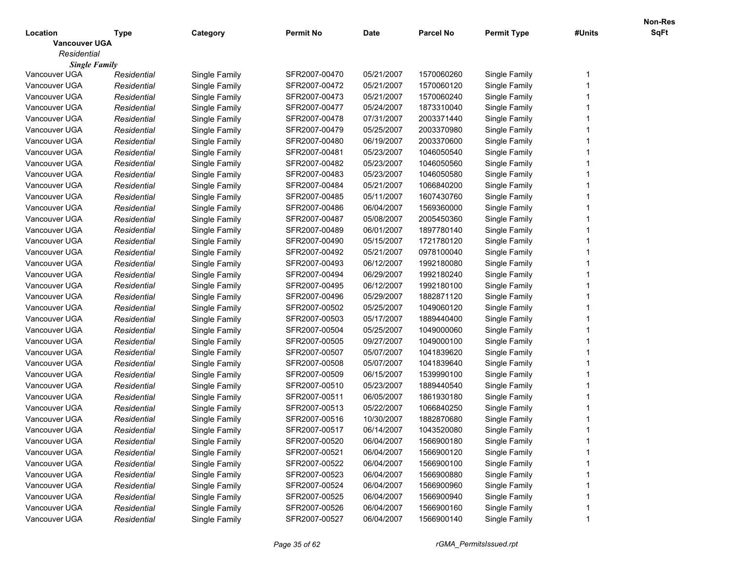|                      |             |               |                  |             |                  |                    |        | <b>Non-Res</b> |
|----------------------|-------------|---------------|------------------|-------------|------------------|--------------------|--------|----------------|
| Location             | Type        | Category      | <b>Permit No</b> | <b>Date</b> | <b>Parcel No</b> | <b>Permit Type</b> | #Units | SqFt           |
| <b>Vancouver UGA</b> |             |               |                  |             |                  |                    |        |                |
| Residential          |             |               |                  |             |                  |                    |        |                |
| <b>Single Family</b> |             |               |                  |             |                  |                    |        |                |
| Vancouver UGA        | Residential | Single Family | SFR2007-00470    | 05/21/2007  | 1570060260       | Single Family      |        |                |
| Vancouver UGA        | Residential | Single Family | SFR2007-00472    | 05/21/2007  | 1570060120       | Single Family      |        |                |
| Vancouver UGA        | Residential | Single Family | SFR2007-00473    | 05/21/2007  | 1570060240       | Single Family      |        |                |
| Vancouver UGA        | Residential | Single Family | SFR2007-00477    | 05/24/2007  | 1873310040       | Single Family      |        |                |
| Vancouver UGA        | Residential | Single Family | SFR2007-00478    | 07/31/2007  | 2003371440       | Single Family      |        |                |
| Vancouver UGA        | Residential | Single Family | SFR2007-00479    | 05/25/2007  | 2003370980       | Single Family      |        |                |
| Vancouver UGA        | Residential | Single Family | SFR2007-00480    | 06/19/2007  | 2003370600       | Single Family      |        |                |
| Vancouver UGA        | Residential | Single Family | SFR2007-00481    | 05/23/2007  | 1046050540       | Single Family      |        |                |
| Vancouver UGA        | Residential | Single Family | SFR2007-00482    | 05/23/2007  | 1046050560       | Single Family      |        |                |
| Vancouver UGA        | Residential | Single Family | SFR2007-00483    | 05/23/2007  | 1046050580       | Single Family      |        |                |
| Vancouver UGA        | Residential | Single Family | SFR2007-00484    | 05/21/2007  | 1066840200       | Single Family      |        |                |
| Vancouver UGA        | Residential | Single Family | SFR2007-00485    | 05/11/2007  | 1607430760       | Single Family      |        |                |
| Vancouver UGA        | Residential | Single Family | SFR2007-00486    | 06/04/2007  | 1569360000       | Single Family      |        |                |
| Vancouver UGA        | Residential | Single Family | SFR2007-00487    | 05/08/2007  | 2005450360       | Single Family      |        |                |
| Vancouver UGA        | Residential | Single Family | SFR2007-00489    | 06/01/2007  | 1897780140       | Single Family      |        |                |
| Vancouver UGA        | Residential | Single Family | SFR2007-00490    | 05/15/2007  | 1721780120       | Single Family      |        |                |
| Vancouver UGA        | Residential | Single Family | SFR2007-00492    | 05/21/2007  | 0978100040       | Single Family      |        |                |
| Vancouver UGA        | Residential | Single Family | SFR2007-00493    | 06/12/2007  | 1992180080       | Single Family      |        |                |
| Vancouver UGA        | Residential | Single Family | SFR2007-00494    | 06/29/2007  | 1992180240       | Single Family      |        |                |
| Vancouver UGA        | Residential | Single Family | SFR2007-00495    | 06/12/2007  | 1992180100       | Single Family      |        |                |
| Vancouver UGA        | Residential | Single Family | SFR2007-00496    | 05/29/2007  | 1882871120       | Single Family      |        |                |
| Vancouver UGA        | Residential | Single Family | SFR2007-00502    | 05/25/2007  | 1049060120       | Single Family      |        |                |
| Vancouver UGA        | Residential | Single Family | SFR2007-00503    | 05/17/2007  | 1889440400       | Single Family      |        |                |
| Vancouver UGA        | Residential | Single Family | SFR2007-00504    | 05/25/2007  | 1049000060       | Single Family      |        |                |
| Vancouver UGA        | Residential | Single Family | SFR2007-00505    | 09/27/2007  | 1049000100       | Single Family      |        |                |
| Vancouver UGA        | Residential | Single Family | SFR2007-00507    | 05/07/2007  | 1041839620       | Single Family      |        |                |
| Vancouver UGA        | Residential | Single Family | SFR2007-00508    | 05/07/2007  | 1041839640       | Single Family      |        |                |
| Vancouver UGA        | Residential | Single Family | SFR2007-00509    | 06/15/2007  | 1539990100       | Single Family      |        |                |
| Vancouver UGA        | Residential | Single Family | SFR2007-00510    | 05/23/2007  | 1889440540       | Single Family      |        |                |
| Vancouver UGA        | Residential | Single Family | SFR2007-00511    | 06/05/2007  | 1861930180       | Single Family      |        |                |
| Vancouver UGA        | Residential | Single Family | SFR2007-00513    | 05/22/2007  | 1066840250       | Single Family      |        |                |
| Vancouver UGA        | Residential | Single Family | SFR2007-00516    | 10/30/2007  | 1882870680       | Single Family      |        |                |
| Vancouver UGA        | Residential | Single Family | SFR2007-00517    | 06/14/2007  | 1043520080       | Single Family      |        |                |
| Vancouver UGA        | Residential | Single Family | SFR2007-00520    | 06/04/2007  | 1566900180       | Single Family      |        |                |
| Vancouver UGA        | Residential | Single Family | SFR2007-00521    | 06/04/2007  | 1566900120       | Single Family      |        |                |
| Vancouver UGA        | Residential | Single Family | SFR2007-00522    | 06/04/2007  | 1566900100       | Single Family      |        |                |
| Vancouver UGA        | Residential | Single Family | SFR2007-00523    | 06/04/2007  | 1566900880       | Single Family      |        |                |
| Vancouver UGA        | Residential | Single Family | SFR2007-00524    | 06/04/2007  | 1566900960       | Single Family      |        |                |
| Vancouver UGA        | Residential | Single Family | SFR2007-00525    | 06/04/2007  | 1566900940       | Single Family      |        |                |
| Vancouver UGA        | Residential | Single Family | SFR2007-00526    | 06/04/2007  | 1566900160       | Single Family      |        |                |
| Vancouver UGA        | Residential | Single Family | SFR2007-00527    | 06/04/2007  | 1566900140       | Single Family      |        |                |
|                      |             |               |                  |             |                  |                    |        |                |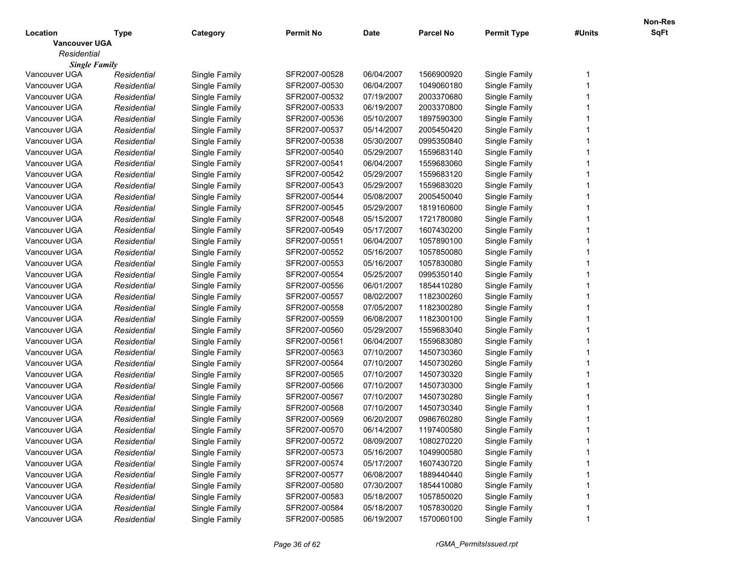|                      |             |               |                  |             |                  |                    |        | <b>Non-Res</b> |
|----------------------|-------------|---------------|------------------|-------------|------------------|--------------------|--------|----------------|
| Location             | Type        | Category      | <b>Permit No</b> | <b>Date</b> | <b>Parcel No</b> | <b>Permit Type</b> | #Units | SqFt           |
| <b>Vancouver UGA</b> |             |               |                  |             |                  |                    |        |                |
| Residential          |             |               |                  |             |                  |                    |        |                |
| <b>Single Family</b> |             |               |                  |             |                  |                    |        |                |
| Vancouver UGA        | Residential | Single Family | SFR2007-00528    | 06/04/2007  | 1566900920       | Single Family      |        |                |
| Vancouver UGA        | Residential | Single Family | SFR2007-00530    | 06/04/2007  | 1049060180       | Single Family      |        |                |
| Vancouver UGA        | Residential | Single Family | SFR2007-00532    | 07/19/2007  | 2003370680       | Single Family      |        |                |
| Vancouver UGA        | Residential | Single Family | SFR2007-00533    | 06/19/2007  | 2003370800       | Single Family      |        |                |
| Vancouver UGA        | Residential | Single Family | SFR2007-00536    | 05/10/2007  | 1897590300       | Single Family      |        |                |
| Vancouver UGA        | Residential | Single Family | SFR2007-00537    | 05/14/2007  | 2005450420       | Single Family      |        |                |
| Vancouver UGA        | Residential | Single Family | SFR2007-00538    | 05/30/2007  | 0995350840       | Single Family      |        |                |
| Vancouver UGA        | Residential | Single Family | SFR2007-00540    | 05/29/2007  | 1559683140       | Single Family      |        |                |
| Vancouver UGA        | Residential | Single Family | SFR2007-00541    | 06/04/2007  | 1559683060       | Single Family      |        |                |
| Vancouver UGA        | Residential | Single Family | SFR2007-00542    | 05/29/2007  | 1559683120       | Single Family      |        |                |
| Vancouver UGA        | Residential | Single Family | SFR2007-00543    | 05/29/2007  | 1559683020       | Single Family      |        |                |
| Vancouver UGA        | Residential | Single Family | SFR2007-00544    | 05/08/2007  | 2005450040       | Single Family      |        |                |
| Vancouver UGA        | Residential | Single Family | SFR2007-00545    | 05/29/2007  | 1819160600       | Single Family      |        |                |
| Vancouver UGA        | Residential | Single Family | SFR2007-00548    | 05/15/2007  | 1721780080       | Single Family      |        |                |
| Vancouver UGA        | Residential | Single Family | SFR2007-00549    | 05/17/2007  | 1607430200       | Single Family      |        |                |
| Vancouver UGA        | Residential | Single Family | SFR2007-00551    | 06/04/2007  | 1057890100       | Single Family      |        |                |
| Vancouver UGA        | Residential | Single Family | SFR2007-00552    | 05/16/2007  | 1057850080       | Single Family      |        |                |
| Vancouver UGA        | Residential | Single Family | SFR2007-00553    | 05/16/2007  | 1057830080       | Single Family      |        |                |
| Vancouver UGA        | Residential | Single Family | SFR2007-00554    | 05/25/2007  | 0995350140       | Single Family      |        |                |
| Vancouver UGA        | Residential | Single Family | SFR2007-00556    | 06/01/2007  | 1854410280       | Single Family      |        |                |
| Vancouver UGA        | Residential | Single Family | SFR2007-00557    | 08/02/2007  | 1182300260       | Single Family      |        |                |
| Vancouver UGA        | Residential | Single Family | SFR2007-00558    | 07/05/2007  | 1182300280       | Single Family      |        |                |
| Vancouver UGA        | Residential | Single Family | SFR2007-00559    | 06/08/2007  | 1182300100       | Single Family      |        |                |
| Vancouver UGA        | Residential | Single Family | SFR2007-00560    | 05/29/2007  | 1559683040       | Single Family      |        |                |
| Vancouver UGA        | Residential | Single Family | SFR2007-00561    | 06/04/2007  | 1559683080       | Single Family      |        |                |
| Vancouver UGA        | Residential | Single Family | SFR2007-00563    | 07/10/2007  | 1450730360       | Single Family      |        |                |
| Vancouver UGA        | Residential | Single Family | SFR2007-00564    | 07/10/2007  | 1450730260       | Single Family      |        |                |
| Vancouver UGA        | Residential | Single Family | SFR2007-00565    | 07/10/2007  | 1450730320       | Single Family      |        |                |
| Vancouver UGA        | Residential | Single Family | SFR2007-00566    | 07/10/2007  | 1450730300       | Single Family      |        |                |
| Vancouver UGA        | Residential | Single Family | SFR2007-00567    | 07/10/2007  | 1450730280       | Single Family      |        |                |
| Vancouver UGA        | Residential | Single Family | SFR2007-00568    | 07/10/2007  | 1450730340       | Single Family      |        |                |
| Vancouver UGA        | Residential | Single Family | SFR2007-00569    | 06/20/2007  | 0986760280       | Single Family      |        |                |
| Vancouver UGA        | Residential | Single Family | SFR2007-00570    | 06/14/2007  | 1197400580       | Single Family      |        |                |
| Vancouver UGA        | Residential | Single Family | SFR2007-00572    | 08/09/2007  | 1080270220       | Single Family      |        |                |
| Vancouver UGA        | Residential | Single Family | SFR2007-00573    | 05/16/2007  | 1049900580       | Single Family      |        |                |
| Vancouver UGA        | Residential | Single Family | SFR2007-00574    | 05/17/2007  | 1607430720       | Single Family      |        |                |
| Vancouver UGA        | Residential | Single Family | SFR2007-00577    | 06/08/2007  | 1889440440       | Single Family      |        |                |
| Vancouver UGA        | Residential | Single Family | SFR2007-00580    | 07/30/2007  | 1854410080       | Single Family      |        |                |
| Vancouver UGA        | Residential | Single Family | SFR2007-00583    | 05/18/2007  | 1057850020       | Single Family      |        |                |
| Vancouver UGA        | Residential | Single Family | SFR2007-00584    | 05/18/2007  | 1057830020       | Single Family      |        |                |
| Vancouver UGA        | Residential | Single Family | SFR2007-00585    | 06/19/2007  | 1570060100       | Single Family      |        |                |
|                      |             |               |                  |             |                  |                    |        |                |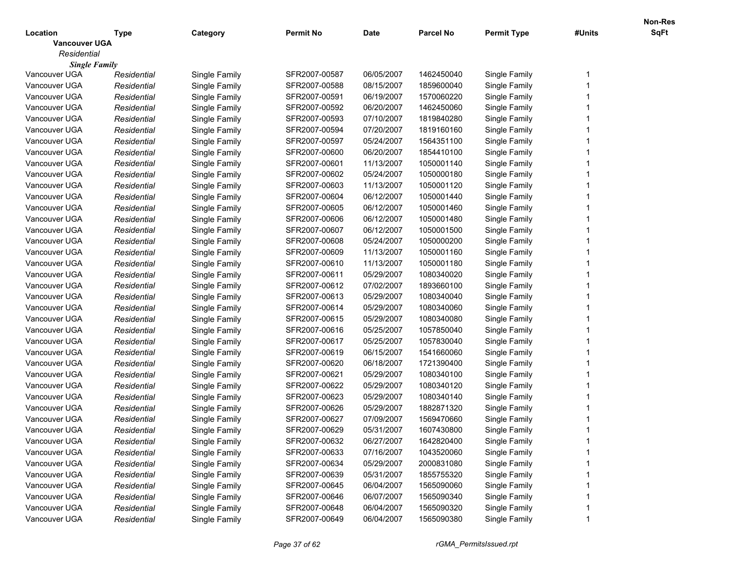|                      |             |               |                  |             |                  |                    |        | Non-Res |
|----------------------|-------------|---------------|------------------|-------------|------------------|--------------------|--------|---------|
| Location             | Type        | Category      | <b>Permit No</b> | <b>Date</b> | <b>Parcel No</b> | <b>Permit Type</b> | #Units | SqFt    |
| <b>Vancouver UGA</b> |             |               |                  |             |                  |                    |        |         |
| Residential          |             |               |                  |             |                  |                    |        |         |
| <b>Single Family</b> |             |               |                  |             |                  |                    |        |         |
| Vancouver UGA        | Residential | Single Family | SFR2007-00587    | 06/05/2007  | 1462450040       | Single Family      |        |         |
| Vancouver UGA        | Residential | Single Family | SFR2007-00588    | 08/15/2007  | 1859600040       | Single Family      |        |         |
| Vancouver UGA        | Residential | Single Family | SFR2007-00591    | 06/19/2007  | 1570060220       | Single Family      |        |         |
| Vancouver UGA        | Residential | Single Family | SFR2007-00592    | 06/20/2007  | 1462450060       | Single Family      |        |         |
| Vancouver UGA        | Residential | Single Family | SFR2007-00593    | 07/10/2007  | 1819840280       | Single Family      |        |         |
| Vancouver UGA        | Residential | Single Family | SFR2007-00594    | 07/20/2007  | 1819160160       | Single Family      |        |         |
| Vancouver UGA        | Residential | Single Family | SFR2007-00597    | 05/24/2007  | 1564351100       | Single Family      |        |         |
| Vancouver UGA        | Residential | Single Family | SFR2007-00600    | 06/20/2007  | 1854410100       | Single Family      |        |         |
| Vancouver UGA        | Residential | Single Family | SFR2007-00601    | 11/13/2007  | 1050001140       | Single Family      |        |         |
| Vancouver UGA        | Residential | Single Family | SFR2007-00602    | 05/24/2007  | 1050000180       | Single Family      |        |         |
| Vancouver UGA        | Residential | Single Family | SFR2007-00603    | 11/13/2007  | 1050001120       | Single Family      |        |         |
| Vancouver UGA        | Residential | Single Family | SFR2007-00604    | 06/12/2007  | 1050001440       | Single Family      |        |         |
| Vancouver UGA        | Residential | Single Family | SFR2007-00605    | 06/12/2007  | 1050001460       | Single Family      |        |         |
| Vancouver UGA        | Residential | Single Family | SFR2007-00606    | 06/12/2007  | 1050001480       | Single Family      |        |         |
| Vancouver UGA        | Residential | Single Family | SFR2007-00607    | 06/12/2007  | 1050001500       | Single Family      |        |         |
| Vancouver UGA        | Residential | Single Family | SFR2007-00608    | 05/24/2007  | 1050000200       | Single Family      |        |         |
| Vancouver UGA        | Residential | Single Family | SFR2007-00609    | 11/13/2007  | 1050001160       | Single Family      |        |         |
| Vancouver UGA        | Residential | Single Family | SFR2007-00610    | 11/13/2007  | 1050001180       | Single Family      |        |         |
| Vancouver UGA        | Residential | Single Family | SFR2007-00611    | 05/29/2007  | 1080340020       | Single Family      |        |         |
| Vancouver UGA        | Residential | Single Family | SFR2007-00612    | 07/02/2007  | 1893660100       | Single Family      |        |         |
| Vancouver UGA        | Residential | Single Family | SFR2007-00613    | 05/29/2007  | 1080340040       | Single Family      |        |         |
| Vancouver UGA        | Residential | Single Family | SFR2007-00614    | 05/29/2007  | 1080340060       | Single Family      |        |         |
| Vancouver UGA        | Residential | Single Family | SFR2007-00615    | 05/29/2007  | 1080340080       | Single Family      |        |         |
| Vancouver UGA        | Residential | Single Family | SFR2007-00616    | 05/25/2007  | 1057850040       | Single Family      |        |         |
| Vancouver UGA        | Residential | Single Family | SFR2007-00617    | 05/25/2007  | 1057830040       | Single Family      |        |         |
| Vancouver UGA        | Residential | Single Family | SFR2007-00619    | 06/15/2007  | 1541660060       | Single Family      |        |         |
| Vancouver UGA        | Residential | Single Family | SFR2007-00620    | 06/18/2007  | 1721390400       | Single Family      |        |         |
| Vancouver UGA        | Residential | Single Family | SFR2007-00621    | 05/29/2007  | 1080340100       | Single Family      |        |         |
| Vancouver UGA        | Residential | Single Family | SFR2007-00622    | 05/29/2007  | 1080340120       | Single Family      |        |         |
| Vancouver UGA        | Residential | Single Family | SFR2007-00623    | 05/29/2007  | 1080340140       | Single Family      |        |         |
| Vancouver UGA        | Residential | Single Family | SFR2007-00626    | 05/29/2007  | 1882871320       | Single Family      |        |         |
| Vancouver UGA        | Residential | Single Family | SFR2007-00627    | 07/09/2007  | 1569470660       | Single Family      |        |         |
| Vancouver UGA        | Residential | Single Family | SFR2007-00629    | 05/31/2007  | 1607430800       | Single Family      |        |         |
| Vancouver UGA        | Residential | Single Family | SFR2007-00632    | 06/27/2007  | 1642820400       | Single Family      |        |         |
| Vancouver UGA        | Residential | Single Family | SFR2007-00633    | 07/16/2007  | 1043520060       | Single Family      |        |         |
| Vancouver UGA        | Residential | Single Family | SFR2007-00634    | 05/29/2007  | 2000831080       | Single Family      |        |         |
| Vancouver UGA        | Residential | Single Family | SFR2007-00639    | 05/31/2007  | 1855755320       | Single Family      |        |         |
| Vancouver UGA        | Residential | Single Family | SFR2007-00645    | 06/04/2007  | 1565090060       | Single Family      |        |         |
| Vancouver UGA        | Residential | Single Family | SFR2007-00646    | 06/07/2007  | 1565090340       | Single Family      |        |         |
| Vancouver UGA        | Residential | Single Family | SFR2007-00648    | 06/04/2007  | 1565090320       | Single Family      |        |         |
| Vancouver UGA        | Residential |               | SFR2007-00649    | 06/04/2007  | 1565090380       | Single Family      |        |         |
|                      |             | Single Family |                  |             |                  |                    |        |         |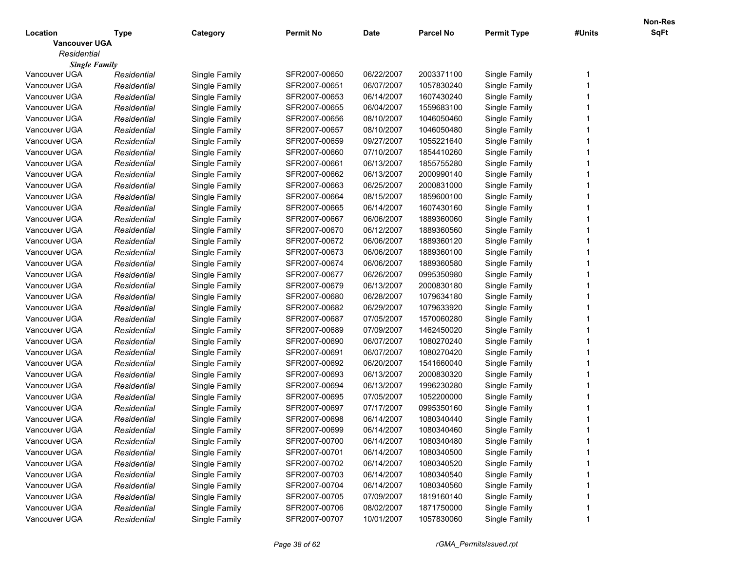|                      |             |               |                  |             |                  |                    |        | Non-Res |
|----------------------|-------------|---------------|------------------|-------------|------------------|--------------------|--------|---------|
| Location             | Type        | Category      | <b>Permit No</b> | <b>Date</b> | <b>Parcel No</b> | <b>Permit Type</b> | #Units | SqFt    |
| <b>Vancouver UGA</b> |             |               |                  |             |                  |                    |        |         |
| Residential          |             |               |                  |             |                  |                    |        |         |
| <b>Single Family</b> |             |               |                  |             |                  |                    |        |         |
| Vancouver UGA        | Residential | Single Family | SFR2007-00650    | 06/22/2007  | 2003371100       | Single Family      |        |         |
| Vancouver UGA        | Residential | Single Family | SFR2007-00651    | 06/07/2007  | 1057830240       | Single Family      |        |         |
| Vancouver UGA        | Residential | Single Family | SFR2007-00653    | 06/14/2007  | 1607430240       | Single Family      |        |         |
| Vancouver UGA        | Residential | Single Family | SFR2007-00655    | 06/04/2007  | 1559683100       | Single Family      |        |         |
| Vancouver UGA        | Residential | Single Family | SFR2007-00656    | 08/10/2007  | 1046050460       | Single Family      |        |         |
| Vancouver UGA        | Residential | Single Family | SFR2007-00657    | 08/10/2007  | 1046050480       | Single Family      |        |         |
| Vancouver UGA        | Residential | Single Family | SFR2007-00659    | 09/27/2007  | 1055221640       | Single Family      |        |         |
| Vancouver UGA        | Residential | Single Family | SFR2007-00660    | 07/10/2007  | 1854410260       | Single Family      |        |         |
| Vancouver UGA        | Residential | Single Family | SFR2007-00661    | 06/13/2007  | 1855755280       | Single Family      |        |         |
| Vancouver UGA        | Residential | Single Family | SFR2007-00662    | 06/13/2007  | 2000990140       | Single Family      |        |         |
| Vancouver UGA        | Residential | Single Family | SFR2007-00663    | 06/25/2007  | 2000831000       | Single Family      |        |         |
| Vancouver UGA        | Residential | Single Family | SFR2007-00664    | 08/15/2007  | 1859600100       | Single Family      |        |         |
| Vancouver UGA        | Residential | Single Family | SFR2007-00665    | 06/14/2007  | 1607430160       | Single Family      |        |         |
| Vancouver UGA        | Residential | Single Family | SFR2007-00667    | 06/06/2007  | 1889360060       | Single Family      |        |         |
| Vancouver UGA        | Residential | Single Family | SFR2007-00670    | 06/12/2007  | 1889360560       | Single Family      |        |         |
| Vancouver UGA        | Residential | Single Family | SFR2007-00672    | 06/06/2007  | 1889360120       | Single Family      |        |         |
| Vancouver UGA        | Residential | Single Family | SFR2007-00673    | 06/06/2007  | 1889360100       | Single Family      |        |         |
| Vancouver UGA        | Residential | Single Family | SFR2007-00674    | 06/06/2007  | 1889360580       | Single Family      |        |         |
| Vancouver UGA        | Residential | Single Family | SFR2007-00677    | 06/26/2007  | 0995350980       | Single Family      |        |         |
| Vancouver UGA        | Residential | Single Family | SFR2007-00679    | 06/13/2007  | 2000830180       | Single Family      |        |         |
| Vancouver UGA        | Residential | Single Family | SFR2007-00680    | 06/28/2007  | 1079634180       | Single Family      |        |         |
| Vancouver UGA        | Residential | Single Family | SFR2007-00682    | 06/29/2007  | 1079633920       | Single Family      |        |         |
| Vancouver UGA        | Residential | Single Family | SFR2007-00687    | 07/05/2007  | 1570060280       | Single Family      |        |         |
| Vancouver UGA        | Residential | Single Family | SFR2007-00689    | 07/09/2007  | 1462450020       | Single Family      |        |         |
| Vancouver UGA        | Residential | Single Family | SFR2007-00690    | 06/07/2007  | 1080270240       | Single Family      |        |         |
| Vancouver UGA        | Residential | Single Family | SFR2007-00691    | 06/07/2007  | 1080270420       | Single Family      |        |         |
| Vancouver UGA        | Residential | Single Family | SFR2007-00692    | 06/20/2007  | 1541660040       | Single Family      |        |         |
| Vancouver UGA        | Residential | Single Family | SFR2007-00693    | 06/13/2007  | 2000830320       | Single Family      |        |         |
| Vancouver UGA        | Residential | Single Family | SFR2007-00694    | 06/13/2007  | 1996230280       | Single Family      |        |         |
| Vancouver UGA        | Residential | Single Family | SFR2007-00695    | 07/05/2007  | 1052200000       | Single Family      |        |         |
| Vancouver UGA        | Residential | Single Family | SFR2007-00697    | 07/17/2007  | 0995350160       | Single Family      |        |         |
| Vancouver UGA        | Residential | Single Family | SFR2007-00698    | 06/14/2007  | 1080340440       | Single Family      |        |         |
| Vancouver UGA        | Residential | Single Family | SFR2007-00699    | 06/14/2007  | 1080340460       | Single Family      |        |         |
| Vancouver UGA        | Residential | Single Family | SFR2007-00700    | 06/14/2007  | 1080340480       | Single Family      |        |         |
| Vancouver UGA        | Residential | Single Family | SFR2007-00701    | 06/14/2007  | 1080340500       | Single Family      |        |         |
| Vancouver UGA        | Residential | Single Family | SFR2007-00702    | 06/14/2007  | 1080340520       | Single Family      |        |         |
|                      |             |               |                  |             |                  |                    |        |         |
| Vancouver UGA        | Residential | Single Family | SFR2007-00703    | 06/14/2007  | 1080340540       | Single Family      |        |         |
| Vancouver UGA        | Residential | Single Family | SFR2007-00704    | 06/14/2007  | 1080340560       | Single Family      |        |         |
| Vancouver UGA        | Residential | Single Family | SFR2007-00705    | 07/09/2007  | 1819160140       | Single Family      |        |         |
| Vancouver UGA        | Residential | Single Family | SFR2007-00706    | 08/02/2007  | 1871750000       | Single Family      |        |         |
| Vancouver UGA        | Residential | Single Family | SFR2007-00707    | 10/01/2007  | 1057830060       | Single Family      |        |         |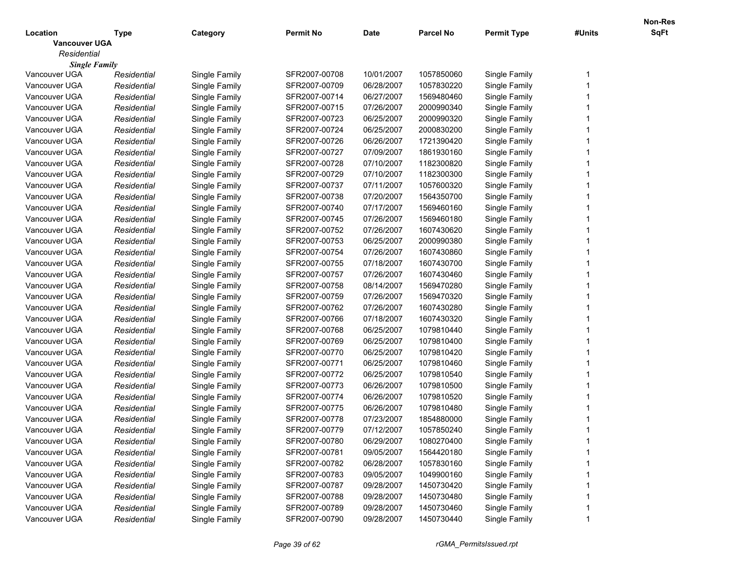|                      |             |               |                  |             |                  |                    |        | Non-Res |
|----------------------|-------------|---------------|------------------|-------------|------------------|--------------------|--------|---------|
| Location             | Type        | Category      | <b>Permit No</b> | <b>Date</b> | <b>Parcel No</b> | <b>Permit Type</b> | #Units | SqFt    |
| <b>Vancouver UGA</b> |             |               |                  |             |                  |                    |        |         |
| Residential          |             |               |                  |             |                  |                    |        |         |
| <b>Single Family</b> |             |               |                  |             |                  |                    |        |         |
| Vancouver UGA        | Residential | Single Family | SFR2007-00708    | 10/01/2007  | 1057850060       | Single Family      |        |         |
| Vancouver UGA        | Residential | Single Family | SFR2007-00709    | 06/28/2007  | 1057830220       | Single Family      |        |         |
| Vancouver UGA        | Residential | Single Family | SFR2007-00714    | 06/27/2007  | 1569480460       | Single Family      |        |         |
| Vancouver UGA        | Residential | Single Family | SFR2007-00715    | 07/26/2007  | 2000990340       | Single Family      |        |         |
| Vancouver UGA        | Residential | Single Family | SFR2007-00723    | 06/25/2007  | 2000990320       | Single Family      |        |         |
| Vancouver UGA        | Residential | Single Family | SFR2007-00724    | 06/25/2007  | 2000830200       | Single Family      |        |         |
| Vancouver UGA        | Residential | Single Family | SFR2007-00726    | 06/26/2007  | 1721390420       | Single Family      |        |         |
| Vancouver UGA        | Residential | Single Family | SFR2007-00727    | 07/09/2007  | 1861930160       | Single Family      |        |         |
| Vancouver UGA        | Residential | Single Family | SFR2007-00728    | 07/10/2007  | 1182300820       | Single Family      |        |         |
| Vancouver UGA        | Residential | Single Family | SFR2007-00729    | 07/10/2007  | 1182300300       | Single Family      |        |         |
| Vancouver UGA        | Residential | Single Family | SFR2007-00737    | 07/11/2007  | 1057600320       | Single Family      |        |         |
| Vancouver UGA        | Residential | Single Family | SFR2007-00738    | 07/20/2007  | 1564350700       | Single Family      |        |         |
| Vancouver UGA        | Residential | Single Family | SFR2007-00740    | 07/17/2007  | 1569460160       | Single Family      |        |         |
| Vancouver UGA        | Residential | Single Family | SFR2007-00745    | 07/26/2007  | 1569460180       | Single Family      |        |         |
| Vancouver UGA        | Residential | Single Family | SFR2007-00752    | 07/26/2007  | 1607430620       | Single Family      |        |         |
| Vancouver UGA        | Residential | Single Family | SFR2007-00753    | 06/25/2007  | 2000990380       | Single Family      |        |         |
| Vancouver UGA        | Residential | Single Family | SFR2007-00754    | 07/26/2007  | 1607430860       | Single Family      |        |         |
| Vancouver UGA        | Residential | Single Family | SFR2007-00755    | 07/18/2007  | 1607430700       | Single Family      |        |         |
| Vancouver UGA        | Residential | Single Family | SFR2007-00757    | 07/26/2007  | 1607430460       | Single Family      |        |         |
| Vancouver UGA        | Residential | Single Family | SFR2007-00758    | 08/14/2007  | 1569470280       | Single Family      |        |         |
| Vancouver UGA        | Residential | Single Family | SFR2007-00759    | 07/26/2007  | 1569470320       | Single Family      |        |         |
| Vancouver UGA        | Residential | Single Family | SFR2007-00762    | 07/26/2007  | 1607430280       | Single Family      |        |         |
| Vancouver UGA        | Residential | Single Family | SFR2007-00766    | 07/18/2007  | 1607430320       | Single Family      |        |         |
| Vancouver UGA        | Residential | Single Family | SFR2007-00768    | 06/25/2007  | 1079810440       | Single Family      |        |         |
| Vancouver UGA        | Residential | Single Family | SFR2007-00769    | 06/25/2007  | 1079810400       | Single Family      |        |         |
| Vancouver UGA        | Residential | Single Family | SFR2007-00770    | 06/25/2007  | 1079810420       | Single Family      |        |         |
| Vancouver UGA        | Residential | Single Family | SFR2007-00771    | 06/25/2007  | 1079810460       | Single Family      |        |         |
| Vancouver UGA        | Residential | Single Family | SFR2007-00772    | 06/25/2007  | 1079810540       | Single Family      |        |         |
| Vancouver UGA        | Residential | Single Family | SFR2007-00773    | 06/26/2007  | 1079810500       | Single Family      |        |         |
| Vancouver UGA        | Residential | Single Family | SFR2007-00774    | 06/26/2007  | 1079810520       | Single Family      |        |         |
| Vancouver UGA        | Residential | Single Family | SFR2007-00775    | 06/26/2007  | 1079810480       | Single Family      |        |         |
| Vancouver UGA        | Residential | Single Family | SFR2007-00778    | 07/23/2007  | 1854880000       | Single Family      |        |         |
| Vancouver UGA        | Residential | Single Family | SFR2007-00779    | 07/12/2007  | 1057850240       | Single Family      |        |         |
| Vancouver UGA        | Residential | Single Family | SFR2007-00780    | 06/29/2007  | 1080270400       | Single Family      |        |         |
| Vancouver UGA        | Residential | Single Family | SFR2007-00781    | 09/05/2007  | 1564420180       | Single Family      |        |         |
| Vancouver UGA        | Residential | Single Family | SFR2007-00782    | 06/28/2007  | 1057830160       | Single Family      |        |         |
| Vancouver UGA        | Residential | Single Family | SFR2007-00783    | 09/05/2007  | 1049900160       | Single Family      |        |         |
| Vancouver UGA        | Residential | Single Family | SFR2007-00787    | 09/28/2007  | 1450730420       | Single Family      |        |         |
| Vancouver UGA        | Residential | Single Family | SFR2007-00788    | 09/28/2007  | 1450730480       | Single Family      |        |         |
| Vancouver UGA        | Residential | Single Family | SFR2007-00789    | 09/28/2007  | 1450730460       | Single Family      |        |         |
|                      |             |               |                  |             |                  |                    |        |         |
| Vancouver UGA        | Residential | Single Family | SFR2007-00790    | 09/28/2007  | 1450730440       | Single Family      |        |         |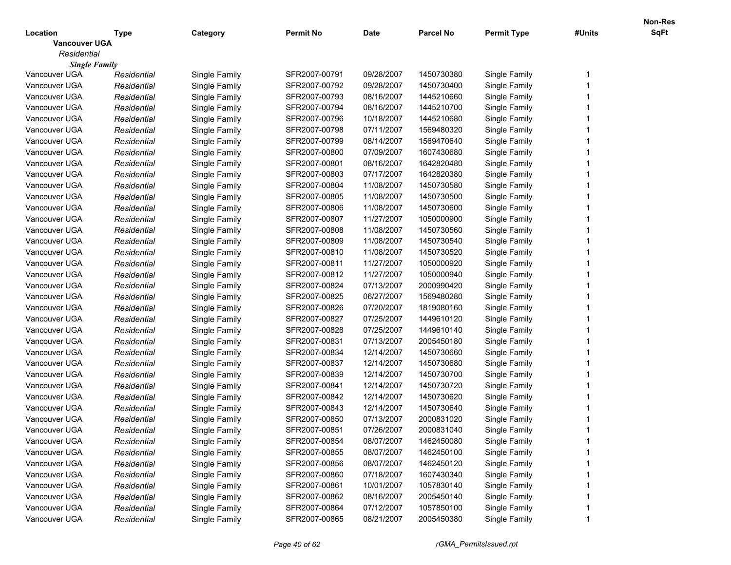|                      |             |               |                  |             |                  |                    |        | Non-Res |
|----------------------|-------------|---------------|------------------|-------------|------------------|--------------------|--------|---------|
| Location             | Type        | Category      | <b>Permit No</b> | <b>Date</b> | <b>Parcel No</b> | <b>Permit Type</b> | #Units | SqFt    |
| <b>Vancouver UGA</b> |             |               |                  |             |                  |                    |        |         |
| Residential          |             |               |                  |             |                  |                    |        |         |
| <b>Single Family</b> |             |               |                  |             |                  |                    |        |         |
| Vancouver UGA        | Residential | Single Family | SFR2007-00791    | 09/28/2007  | 1450730380       | Single Family      |        |         |
| Vancouver UGA        | Residential | Single Family | SFR2007-00792    | 09/28/2007  | 1450730400       | Single Family      |        |         |
| Vancouver UGA        | Residential | Single Family | SFR2007-00793    | 08/16/2007  | 1445210660       | Single Family      |        |         |
| Vancouver UGA        | Residential | Single Family | SFR2007-00794    | 08/16/2007  | 1445210700       | Single Family      |        |         |
| Vancouver UGA        | Residential | Single Family | SFR2007-00796    | 10/18/2007  | 1445210680       | Single Family      |        |         |
| Vancouver UGA        | Residential | Single Family | SFR2007-00798    | 07/11/2007  | 1569480320       | Single Family      |        |         |
| Vancouver UGA        | Residential | Single Family | SFR2007-00799    | 08/14/2007  | 1569470640       | Single Family      |        |         |
| Vancouver UGA        | Residential | Single Family | SFR2007-00800    | 07/09/2007  | 1607430680       | Single Family      |        |         |
| Vancouver UGA        | Residential | Single Family | SFR2007-00801    | 08/16/2007  | 1642820480       | Single Family      |        |         |
| Vancouver UGA        | Residential | Single Family | SFR2007-00803    | 07/17/2007  | 1642820380       | Single Family      |        |         |
| Vancouver UGA        | Residential | Single Family | SFR2007-00804    | 11/08/2007  | 1450730580       | Single Family      |        |         |
| Vancouver UGA        | Residential | Single Family | SFR2007-00805    | 11/08/2007  | 1450730500       | Single Family      |        |         |
| Vancouver UGA        | Residential | Single Family | SFR2007-00806    | 11/08/2007  | 1450730600       | Single Family      |        |         |
| Vancouver UGA        | Residential | Single Family | SFR2007-00807    | 11/27/2007  | 1050000900       | Single Family      |        |         |
| Vancouver UGA        | Residential | Single Family | SFR2007-00808    | 11/08/2007  | 1450730560       | Single Family      |        |         |
| Vancouver UGA        | Residential | Single Family | SFR2007-00809    | 11/08/2007  | 1450730540       | Single Family      |        |         |
| Vancouver UGA        | Residential | Single Family | SFR2007-00810    | 11/08/2007  | 1450730520       | Single Family      |        |         |
| Vancouver UGA        | Residential | Single Family | SFR2007-00811    | 11/27/2007  | 1050000920       | Single Family      |        |         |
| Vancouver UGA        | Residential | Single Family | SFR2007-00812    | 11/27/2007  | 1050000940       | Single Family      |        |         |
| Vancouver UGA        | Residential | Single Family | SFR2007-00824    | 07/13/2007  | 2000990420       | Single Family      |        |         |
| Vancouver UGA        | Residential | Single Family | SFR2007-00825    | 06/27/2007  | 1569480280       | Single Family      |        |         |
| Vancouver UGA        | Residential | Single Family | SFR2007-00826    | 07/20/2007  | 1819080160       | Single Family      |        |         |
| Vancouver UGA        | Residential | Single Family | SFR2007-00827    | 07/25/2007  | 1449610120       | Single Family      |        |         |
| Vancouver UGA        | Residential | Single Family | SFR2007-00828    | 07/25/2007  | 1449610140       | Single Family      |        |         |
| Vancouver UGA        | Residential | Single Family | SFR2007-00831    | 07/13/2007  | 2005450180       | Single Family      |        |         |
| Vancouver UGA        | Residential | Single Family | SFR2007-00834    | 12/14/2007  | 1450730660       | Single Family      |        |         |
| Vancouver UGA        | Residential | Single Family | SFR2007-00837    | 12/14/2007  | 1450730680       | Single Family      |        |         |
| Vancouver UGA        | Residential | Single Family | SFR2007-00839    | 12/14/2007  | 1450730700       | Single Family      |        |         |
| Vancouver UGA        | Residential | Single Family | SFR2007-00841    | 12/14/2007  | 1450730720       | Single Family      |        |         |
| Vancouver UGA        | Residential | Single Family | SFR2007-00842    | 12/14/2007  | 1450730620       | Single Family      |        |         |
| Vancouver UGA        | Residential | Single Family | SFR2007-00843    | 12/14/2007  | 1450730640       | Single Family      |        |         |
| Vancouver UGA        | Residential | Single Family | SFR2007-00850    | 07/13/2007  | 2000831020       | Single Family      |        |         |
| Vancouver UGA        | Residential | Single Family | SFR2007-00851    | 07/26/2007  | 2000831040       | Single Family      |        |         |
| Vancouver UGA        | Residential | Single Family | SFR2007-00854    | 08/07/2007  | 1462450080       | Single Family      |        |         |
| Vancouver UGA        | Residential | Single Family | SFR2007-00855    | 08/07/2007  | 1462450100       | Single Family      |        |         |
| Vancouver UGA        | Residential | Single Family | SFR2007-00856    | 08/07/2007  | 1462450120       | Single Family      |        |         |
| Vancouver UGA        | Residential | Single Family | SFR2007-00860    | 07/18/2007  | 1607430340       | Single Family      |        |         |
| Vancouver UGA        | Residential | Single Family | SFR2007-00861    | 10/01/2007  | 1057830140       | Single Family      |        |         |
| Vancouver UGA        | Residential | Single Family | SFR2007-00862    | 08/16/2007  | 2005450140       | Single Family      |        |         |
| Vancouver UGA        | Residential | Single Family | SFR2007-00864    | 07/12/2007  | 1057850100       | Single Family      |        |         |
| Vancouver UGA        | Residential | Single Family | SFR2007-00865    | 08/21/2007  | 2005450380       | Single Family      |        |         |
|                      |             |               |                  |             |                  |                    |        |         |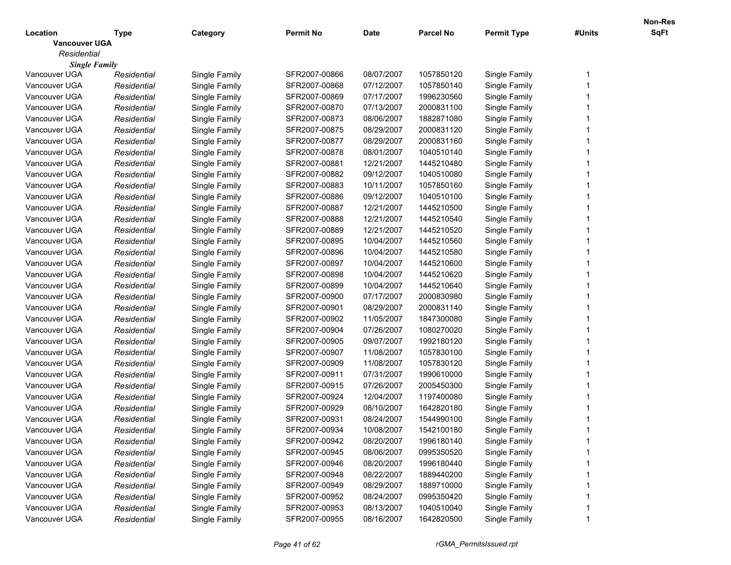|                      |             |               |                  |             |                  |                    |        | Non-Res |
|----------------------|-------------|---------------|------------------|-------------|------------------|--------------------|--------|---------|
| Location             | Type        | Category      | <b>Permit No</b> | <b>Date</b> | <b>Parcel No</b> | <b>Permit Type</b> | #Units | SqFt    |
| <b>Vancouver UGA</b> |             |               |                  |             |                  |                    |        |         |
| Residential          |             |               |                  |             |                  |                    |        |         |
| <b>Single Family</b> |             |               |                  |             |                  |                    |        |         |
| Vancouver UGA        | Residential | Single Family | SFR2007-00866    | 08/07/2007  | 1057850120       | Single Family      |        |         |
| Vancouver UGA        | Residential | Single Family | SFR2007-00868    | 07/12/2007  | 1057850140       | Single Family      |        |         |
| Vancouver UGA        | Residential | Single Family | SFR2007-00869    | 07/17/2007  | 1996230560       | Single Family      |        |         |
| Vancouver UGA        | Residential | Single Family | SFR2007-00870    | 07/13/2007  | 2000831100       | Single Family      |        |         |
| Vancouver UGA        | Residential | Single Family | SFR2007-00873    | 08/06/2007  | 1882871080       | Single Family      |        |         |
| Vancouver UGA        | Residential | Single Family | SFR2007-00875    | 08/29/2007  | 2000831120       | Single Family      |        |         |
| Vancouver UGA        | Residential | Single Family | SFR2007-00877    | 08/29/2007  | 2000831160       | Single Family      |        |         |
| Vancouver UGA        | Residential | Single Family | SFR2007-00878    | 08/01/2007  | 1040510140       | Single Family      |        |         |
| Vancouver UGA        | Residential | Single Family | SFR2007-00881    | 12/21/2007  | 1445210480       | Single Family      |        |         |
| Vancouver UGA        | Residential | Single Family | SFR2007-00882    | 09/12/2007  | 1040510080       | Single Family      |        |         |
| Vancouver UGA        | Residential | Single Family | SFR2007-00883    | 10/11/2007  | 1057850160       | Single Family      |        |         |
| Vancouver UGA        | Residential | Single Family | SFR2007-00886    | 09/12/2007  | 1040510100       | Single Family      |        |         |
| Vancouver UGA        | Residential | Single Family | SFR2007-00887    | 12/21/2007  | 1445210500       | Single Family      |        |         |
| Vancouver UGA        | Residential | Single Family | SFR2007-00888    | 12/21/2007  | 1445210540       | Single Family      |        |         |
| Vancouver UGA        | Residential | Single Family | SFR2007-00889    | 12/21/2007  | 1445210520       | Single Family      |        |         |
| Vancouver UGA        | Residential | Single Family | SFR2007-00895    | 10/04/2007  | 1445210560       | Single Family      |        |         |
| Vancouver UGA        | Residential | Single Family | SFR2007-00896    | 10/04/2007  | 1445210580       | Single Family      |        |         |
| Vancouver UGA        | Residential | Single Family | SFR2007-00897    | 10/04/2007  | 1445210600       | Single Family      |        |         |
| Vancouver UGA        | Residential | Single Family | SFR2007-00898    | 10/04/2007  | 1445210620       | Single Family      |        |         |
| Vancouver UGA        | Residential | Single Family | SFR2007-00899    | 10/04/2007  | 1445210640       | Single Family      |        |         |
| Vancouver UGA        | Residential | Single Family | SFR2007-00900    | 07/17/2007  | 2000830980       | Single Family      |        |         |
| Vancouver UGA        | Residential | Single Family | SFR2007-00901    | 08/29/2007  | 2000831140       | Single Family      |        |         |
| Vancouver UGA        | Residential | Single Family | SFR2007-00902    | 11/05/2007  | 1847300080       | Single Family      |        |         |
| Vancouver UGA        | Residential | Single Family | SFR2007-00904    | 07/26/2007  | 1080270020       | Single Family      |        |         |
| Vancouver UGA        | Residential | Single Family | SFR2007-00905    | 09/07/2007  | 1992180120       | Single Family      |        |         |
| Vancouver UGA        | Residential | Single Family | SFR2007-00907    | 11/08/2007  | 1057830100       | Single Family      |        |         |
| Vancouver UGA        | Residential | Single Family | SFR2007-00909    | 11/08/2007  | 1057830120       | Single Family      |        |         |
| Vancouver UGA        | Residential | Single Family | SFR2007-00911    | 07/31/2007  | 1990610000       | Single Family      |        |         |
| Vancouver UGA        | Residential | Single Family | SFR2007-00915    | 07/26/2007  | 2005450300       | Single Family      |        |         |
| Vancouver UGA        | Residential | Single Family | SFR2007-00924    | 12/04/2007  | 1197400080       | Single Family      |        |         |
| Vancouver UGA        | Residential | Single Family | SFR2007-00929    | 08/10/2007  | 1642820180       | Single Family      |        |         |
| Vancouver UGA        | Residential | Single Family | SFR2007-00931    | 08/24/2007  | 1544990100       | Single Family      |        |         |
| Vancouver UGA        | Residential | Single Family | SFR2007-00934    | 10/08/2007  | 1542100180       | Single Family      |        |         |
| Vancouver UGA        | Residential | Single Family | SFR2007-00942    | 08/20/2007  | 1996180140       | Single Family      |        |         |
| Vancouver UGA        | Residential | Single Family | SFR2007-00945    | 08/06/2007  | 0995350520       | Single Family      |        |         |
| Vancouver UGA        | Residential | Single Family | SFR2007-00946    | 08/20/2007  | 1996180440       | Single Family      |        |         |
| Vancouver UGA        | Residential | Single Family | SFR2007-00948    | 08/22/2007  | 1889440200       | Single Family      |        |         |
| Vancouver UGA        | Residential | Single Family | SFR2007-00949    | 08/29/2007  | 1889710000       | Single Family      |        |         |
| Vancouver UGA        | Residential | Single Family | SFR2007-00952    | 08/24/2007  | 0995350420       | Single Family      |        |         |
| Vancouver UGA        | Residential | Single Family | SFR2007-00953    | 08/13/2007  | 1040510040       | Single Family      |        |         |
| Vancouver UGA        | Residential |               | SFR2007-00955    | 08/16/2007  | 1642820500       | Single Family      |        |         |
|                      |             | Single Family |                  |             |                  |                    |        |         |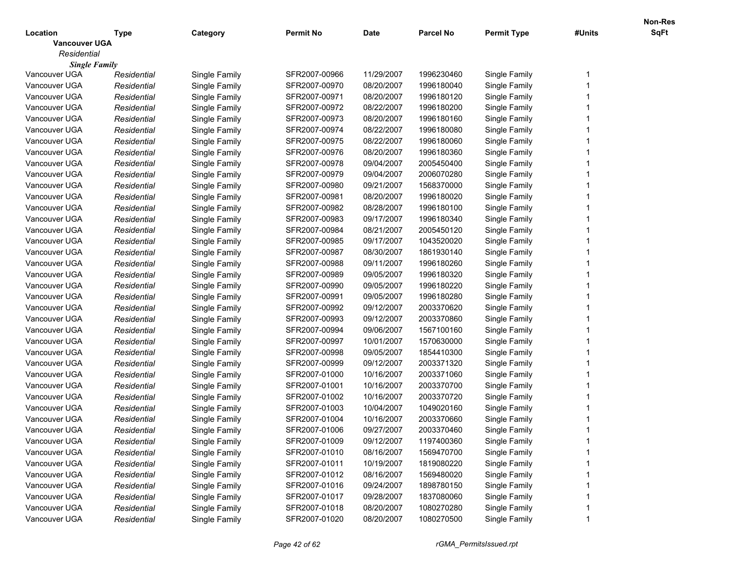|                      |             |               |                  |             |                  |                    |        | Non-Res |
|----------------------|-------------|---------------|------------------|-------------|------------------|--------------------|--------|---------|
| Location             | Type        | Category      | <b>Permit No</b> | <b>Date</b> | <b>Parcel No</b> | <b>Permit Type</b> | #Units | SqFt    |
| <b>Vancouver UGA</b> |             |               |                  |             |                  |                    |        |         |
| Residential          |             |               |                  |             |                  |                    |        |         |
| <b>Single Family</b> |             |               |                  |             |                  |                    |        |         |
| Vancouver UGA        | Residential | Single Family | SFR2007-00966    | 11/29/2007  | 1996230460       | Single Family      |        |         |
| Vancouver UGA        | Residential | Single Family | SFR2007-00970    | 08/20/2007  | 1996180040       | Single Family      |        |         |
| Vancouver UGA        | Residential | Single Family | SFR2007-00971    | 08/20/2007  | 1996180120       | Single Family      |        |         |
| Vancouver UGA        | Residential | Single Family | SFR2007-00972    | 08/22/2007  | 1996180200       | Single Family      |        |         |
| Vancouver UGA        | Residential | Single Family | SFR2007-00973    | 08/20/2007  | 1996180160       | Single Family      |        |         |
| Vancouver UGA        | Residential | Single Family | SFR2007-00974    | 08/22/2007  | 1996180080       | Single Family      |        |         |
| Vancouver UGA        | Residential | Single Family | SFR2007-00975    | 08/22/2007  | 1996180060       | Single Family      |        |         |
| Vancouver UGA        | Residential | Single Family | SFR2007-00976    | 08/20/2007  | 1996180360       | Single Family      |        |         |
| Vancouver UGA        | Residential | Single Family | SFR2007-00978    | 09/04/2007  | 2005450400       | Single Family      |        |         |
| Vancouver UGA        | Residential | Single Family | SFR2007-00979    | 09/04/2007  | 2006070280       | Single Family      |        |         |
| Vancouver UGA        | Residential | Single Family | SFR2007-00980    | 09/21/2007  | 1568370000       | Single Family      |        |         |
| Vancouver UGA        | Residential | Single Family | SFR2007-00981    | 08/20/2007  | 1996180020       | Single Family      |        |         |
| Vancouver UGA        | Residential | Single Family | SFR2007-00982    | 08/28/2007  | 1996180100       | Single Family      |        |         |
| Vancouver UGA        | Residential | Single Family | SFR2007-00983    | 09/17/2007  | 1996180340       | Single Family      |        |         |
| Vancouver UGA        | Residential | Single Family | SFR2007-00984    | 08/21/2007  | 2005450120       | Single Family      |        |         |
| Vancouver UGA        | Residential | Single Family | SFR2007-00985    | 09/17/2007  | 1043520020       | Single Family      |        |         |
| Vancouver UGA        | Residential | Single Family | SFR2007-00987    | 08/30/2007  | 1861930140       | Single Family      |        |         |
| Vancouver UGA        | Residential | Single Family | SFR2007-00988    | 09/11/2007  | 1996180260       | Single Family      |        |         |
| Vancouver UGA        | Residential | Single Family | SFR2007-00989    | 09/05/2007  | 1996180320       | Single Family      |        |         |
| Vancouver UGA        | Residential | Single Family | SFR2007-00990    | 09/05/2007  | 1996180220       | Single Family      |        |         |
| Vancouver UGA        | Residential | Single Family | SFR2007-00991    | 09/05/2007  | 1996180280       | Single Family      |        |         |
| Vancouver UGA        | Residential | Single Family | SFR2007-00992    | 09/12/2007  | 2003370620       | Single Family      |        |         |
| Vancouver UGA        | Residential | Single Family | SFR2007-00993    | 09/12/2007  | 2003370860       | Single Family      |        |         |
| Vancouver UGA        | Residential | Single Family | SFR2007-00994    | 09/06/2007  | 1567100160       | Single Family      |        |         |
| Vancouver UGA        | Residential | Single Family | SFR2007-00997    | 10/01/2007  | 1570630000       | Single Family      |        |         |
| Vancouver UGA        | Residential | Single Family | SFR2007-00998    | 09/05/2007  | 1854410300       | Single Family      |        |         |
| Vancouver UGA        | Residential | Single Family | SFR2007-00999    | 09/12/2007  | 2003371320       | Single Family      |        |         |
| Vancouver UGA        | Residential | Single Family | SFR2007-01000    | 10/16/2007  | 2003371060       | Single Family      |        |         |
| Vancouver UGA        | Residential | Single Family | SFR2007-01001    | 10/16/2007  | 2003370700       | Single Family      |        |         |
| Vancouver UGA        | Residential | Single Family | SFR2007-01002    | 10/16/2007  | 2003370720       | Single Family      |        |         |
| Vancouver UGA        | Residential | Single Family | SFR2007-01003    | 10/04/2007  | 1049020160       | Single Family      |        |         |
| Vancouver UGA        | Residential | Single Family | SFR2007-01004    | 10/16/2007  | 2003370660       | Single Family      |        |         |
| Vancouver UGA        | Residential | Single Family | SFR2007-01006    | 09/27/2007  | 2003370460       | Single Family      |        |         |
| Vancouver UGA        | Residential | Single Family | SFR2007-01009    | 09/12/2007  | 1197400360       | Single Family      |        |         |
| Vancouver UGA        | Residential | Single Family | SFR2007-01010    | 08/16/2007  | 1569470700       | Single Family      |        |         |
| Vancouver UGA        | Residential | Single Family | SFR2007-01011    | 10/19/2007  | 1819080220       | Single Family      |        |         |
| Vancouver UGA        | Residential | Single Family | SFR2007-01012    | 08/16/2007  | 1569480020       | Single Family      |        |         |
| Vancouver UGA        | Residential | Single Family | SFR2007-01016    | 09/24/2007  | 1898780150       | Single Family      |        |         |
| Vancouver UGA        | Residential | Single Family | SFR2007-01017    | 09/28/2007  | 1837080060       | Single Family      |        |         |
| Vancouver UGA        | Residential | Single Family | SFR2007-01018    | 08/20/2007  | 1080270280       | Single Family      |        |         |
| Vancouver UGA        | Residential | Single Family | SFR2007-01020    | 08/20/2007  | 1080270500       | Single Family      |        |         |
|                      |             |               |                  |             |                  |                    |        |         |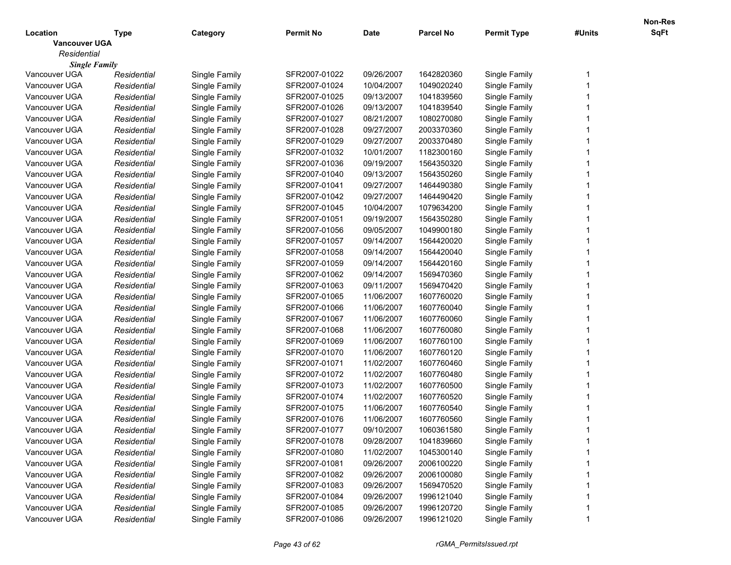|                      |             |               |                  |             |                  |                    |        | Non-Res |
|----------------------|-------------|---------------|------------------|-------------|------------------|--------------------|--------|---------|
| Location             | Type        | Category      | <b>Permit No</b> | <b>Date</b> | <b>Parcel No</b> | <b>Permit Type</b> | #Units | SqFt    |
| <b>Vancouver UGA</b> |             |               |                  |             |                  |                    |        |         |
| Residential          |             |               |                  |             |                  |                    |        |         |
| <b>Single Family</b> |             |               |                  |             |                  |                    |        |         |
| Vancouver UGA        | Residential | Single Family | SFR2007-01022    | 09/26/2007  | 1642820360       | Single Family      |        |         |
| Vancouver UGA        | Residential | Single Family | SFR2007-01024    | 10/04/2007  | 1049020240       | Single Family      |        |         |
| Vancouver UGA        | Residential | Single Family | SFR2007-01025    | 09/13/2007  | 1041839560       | Single Family      |        |         |
| Vancouver UGA        | Residential | Single Family | SFR2007-01026    | 09/13/2007  | 1041839540       | Single Family      |        |         |
| Vancouver UGA        | Residential | Single Family | SFR2007-01027    | 08/21/2007  | 1080270080       | Single Family      |        |         |
| Vancouver UGA        | Residential | Single Family | SFR2007-01028    | 09/27/2007  | 2003370360       | Single Family      |        |         |
| Vancouver UGA        | Residential | Single Family | SFR2007-01029    | 09/27/2007  | 2003370480       | Single Family      |        |         |
| Vancouver UGA        | Residential | Single Family | SFR2007-01032    | 10/01/2007  | 1182300160       | Single Family      |        |         |
| Vancouver UGA        | Residential | Single Family | SFR2007-01036    | 09/19/2007  | 1564350320       | Single Family      |        |         |
| Vancouver UGA        | Residential | Single Family | SFR2007-01040    | 09/13/2007  | 1564350260       | Single Family      |        |         |
| Vancouver UGA        | Residential | Single Family | SFR2007-01041    | 09/27/2007  | 1464490380       | Single Family      |        |         |
| Vancouver UGA        | Residential | Single Family | SFR2007-01042    | 09/27/2007  | 1464490420       | Single Family      |        |         |
| Vancouver UGA        | Residential | Single Family | SFR2007-01045    | 10/04/2007  | 1079634200       | Single Family      |        |         |
| Vancouver UGA        | Residential | Single Family | SFR2007-01051    | 09/19/2007  | 1564350280       | Single Family      |        |         |
| Vancouver UGA        | Residential | Single Family | SFR2007-01056    | 09/05/2007  | 1049900180       | Single Family      |        |         |
| Vancouver UGA        | Residential | Single Family | SFR2007-01057    | 09/14/2007  | 1564420020       | Single Family      |        |         |
| Vancouver UGA        | Residential | Single Family | SFR2007-01058    | 09/14/2007  | 1564420040       | Single Family      |        |         |
| Vancouver UGA        | Residential | Single Family | SFR2007-01059    | 09/14/2007  | 1564420160       | Single Family      |        |         |
| Vancouver UGA        | Residential | Single Family | SFR2007-01062    | 09/14/2007  | 1569470360       | Single Family      |        |         |
| Vancouver UGA        | Residential | Single Family | SFR2007-01063    | 09/11/2007  | 1569470420       | Single Family      |        |         |
| Vancouver UGA        | Residential | Single Family | SFR2007-01065    | 11/06/2007  | 1607760020       | Single Family      |        |         |
| Vancouver UGA        | Residential | Single Family | SFR2007-01066    | 11/06/2007  | 1607760040       | Single Family      |        |         |
| Vancouver UGA        | Residential | Single Family | SFR2007-01067    | 11/06/2007  | 1607760060       | Single Family      |        |         |
| Vancouver UGA        | Residential | Single Family | SFR2007-01068    | 11/06/2007  | 1607760080       | Single Family      |        |         |
| Vancouver UGA        | Residential | Single Family | SFR2007-01069    | 11/06/2007  | 1607760100       | Single Family      |        |         |
| Vancouver UGA        | Residential | Single Family | SFR2007-01070    | 11/06/2007  | 1607760120       | Single Family      |        |         |
| Vancouver UGA        | Residential | Single Family | SFR2007-01071    | 11/02/2007  | 1607760460       | Single Family      |        |         |
| Vancouver UGA        | Residential | Single Family | SFR2007-01072    | 11/02/2007  | 1607760480       | Single Family      |        |         |
| Vancouver UGA        | Residential | Single Family | SFR2007-01073    | 11/02/2007  | 1607760500       | Single Family      |        |         |
| Vancouver UGA        | Residential | Single Family | SFR2007-01074    | 11/02/2007  | 1607760520       | Single Family      |        |         |
| Vancouver UGA        | Residential | Single Family | SFR2007-01075    | 11/06/2007  | 1607760540       | Single Family      |        |         |
| Vancouver UGA        | Residential | Single Family | SFR2007-01076    | 11/06/2007  | 1607760560       | Single Family      |        |         |
| Vancouver UGA        | Residential | Single Family | SFR2007-01077    | 09/10/2007  | 1060361580       | Single Family      |        |         |
| Vancouver UGA        | Residential | Single Family | SFR2007-01078    | 09/28/2007  | 1041839660       | Single Family      |        |         |
| Vancouver UGA        | Residential | Single Family | SFR2007-01080    | 11/02/2007  | 1045300140       | Single Family      |        |         |
| Vancouver UGA        | Residential | Single Family | SFR2007-01081    | 09/26/2007  | 2006100220       | Single Family      |        |         |
| Vancouver UGA        | Residential | Single Family | SFR2007-01082    | 09/26/2007  | 2006100080       | Single Family      |        |         |
| Vancouver UGA        | Residential | Single Family | SFR2007-01083    | 09/26/2007  | 1569470520       | Single Family      |        |         |
| Vancouver UGA        | Residential | Single Family | SFR2007-01084    | 09/26/2007  | 1996121040       | Single Family      |        |         |
| Vancouver UGA        | Residential | Single Family | SFR2007-01085    | 09/26/2007  | 1996120720       | Single Family      |        |         |
| Vancouver UGA        |             |               | SFR2007-01086    | 09/26/2007  | 1996121020       | Single Family      |        |         |
|                      | Residential | Single Family |                  |             |                  |                    |        |         |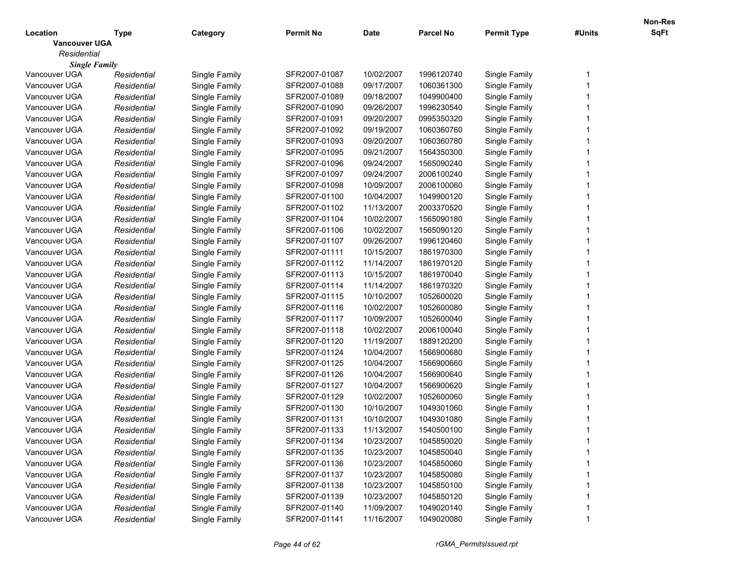|                      |             |               |                  |             |                  |                    |        | Non-Res |
|----------------------|-------------|---------------|------------------|-------------|------------------|--------------------|--------|---------|
| Location             | Type        | Category      | <b>Permit No</b> | <b>Date</b> | <b>Parcel No</b> | <b>Permit Type</b> | #Units | SqFt    |
| <b>Vancouver UGA</b> |             |               |                  |             |                  |                    |        |         |
| Residential          |             |               |                  |             |                  |                    |        |         |
| <b>Single Family</b> |             |               |                  |             |                  |                    |        |         |
| Vancouver UGA        | Residential | Single Family | SFR2007-01087    | 10/02/2007  | 1996120740       | Single Family      |        |         |
| Vancouver UGA        | Residential | Single Family | SFR2007-01088    | 09/17/2007  | 1060361300       | Single Family      |        |         |
| Vancouver UGA        | Residential | Single Family | SFR2007-01089    | 09/18/2007  | 1049900400       | Single Family      |        |         |
| Vancouver UGA        | Residential | Single Family | SFR2007-01090    | 09/26/2007  | 1996230540       | Single Family      |        |         |
| Vancouver UGA        | Residential | Single Family | SFR2007-01091    | 09/20/2007  | 0995350320       | Single Family      |        |         |
| Vancouver UGA        | Residential | Single Family | SFR2007-01092    | 09/19/2007  | 1060360760       | Single Family      |        |         |
| Vancouver UGA        | Residential | Single Family | SFR2007-01093    | 09/20/2007  | 1060360780       | Single Family      |        |         |
| Vancouver UGA        | Residential | Single Family | SFR2007-01095    | 09/21/2007  | 1564350300       | Single Family      |        |         |
| Vancouver UGA        | Residential | Single Family | SFR2007-01096    | 09/24/2007  | 1565090240       | Single Family      |        |         |
| Vancouver UGA        | Residential | Single Family | SFR2007-01097    | 09/24/2007  | 2006100240       | Single Family      |        |         |
| Vancouver UGA        | Residential | Single Family | SFR2007-01098    | 10/09/2007  | 2006100060       | Single Family      |        |         |
| Vancouver UGA        | Residential | Single Family | SFR2007-01100    | 10/04/2007  | 1049900120       | Single Family      |        |         |
| Vancouver UGA        | Residential | Single Family | SFR2007-01102    | 11/13/2007  | 2003370520       | Single Family      |        |         |
| Vancouver UGA        | Residential | Single Family | SFR2007-01104    | 10/02/2007  | 1565090180       | Single Family      |        |         |
| Vancouver UGA        | Residential | Single Family | SFR2007-01106    | 10/02/2007  | 1565090120       | Single Family      |        |         |
| Vancouver UGA        | Residential | Single Family | SFR2007-01107    | 09/26/2007  | 1996120460       | Single Family      |        |         |
| Vancouver UGA        | Residential | Single Family | SFR2007-01111    | 10/15/2007  | 1861970300       | Single Family      |        |         |
| Vancouver UGA        | Residential | Single Family | SFR2007-01112    | 11/14/2007  | 1861970120       | Single Family      |        |         |
| Vancouver UGA        | Residential | Single Family | SFR2007-01113    | 10/15/2007  | 1861970040       | Single Family      |        |         |
| Vancouver UGA        | Residential | Single Family | SFR2007-01114    | 11/14/2007  | 1861970320       | Single Family      |        |         |
| Vancouver UGA        | Residential | Single Family | SFR2007-01115    | 10/10/2007  | 1052600020       | Single Family      |        |         |
| Vancouver UGA        | Residential | Single Family | SFR2007-01116    | 10/02/2007  | 1052600080       | Single Family      |        |         |
| Vancouver UGA        | Residential | Single Family | SFR2007-01117    | 10/09/2007  | 1052600040       | Single Family      |        |         |
| Vancouver UGA        | Residential | Single Family | SFR2007-01118    | 10/02/2007  | 2006100040       | Single Family      |        |         |
| Vancouver UGA        | Residential | Single Family | SFR2007-01120    | 11/19/2007  | 1889120200       | Single Family      |        |         |
| Vancouver UGA        | Residential | Single Family | SFR2007-01124    | 10/04/2007  | 1566900680       | Single Family      |        |         |
| Vancouver UGA        | Residential | Single Family | SFR2007-01125    | 10/04/2007  | 1566900660       | Single Family      |        |         |
| Vancouver UGA        | Residential | Single Family | SFR2007-01126    | 10/04/2007  | 1566900640       | Single Family      |        |         |
| Vancouver UGA        | Residential | Single Family | SFR2007-01127    | 10/04/2007  | 1566900620       | Single Family      |        |         |
| Vancouver UGA        | Residential | Single Family | SFR2007-01129    | 10/02/2007  | 1052600060       | Single Family      |        |         |
| Vancouver UGA        | Residential | Single Family | SFR2007-01130    | 10/10/2007  | 1049301060       | Single Family      |        |         |
| Vancouver UGA        | Residential | Single Family | SFR2007-01131    | 10/10/2007  | 1049301080       | Single Family      |        |         |
| Vancouver UGA        | Residential | Single Family | SFR2007-01133    | 11/13/2007  | 1540500100       | Single Family      |        |         |
| Vancouver UGA        | Residential | Single Family | SFR2007-01134    | 10/23/2007  | 1045850020       | Single Family      |        |         |
| Vancouver UGA        | Residential | Single Family | SFR2007-01135    | 10/23/2007  | 1045850040       | Single Family      |        |         |
| Vancouver UGA        | Residential | Single Family | SFR2007-01136    | 10/23/2007  | 1045850060       | Single Family      |        |         |
| Vancouver UGA        | Residential | Single Family | SFR2007-01137    | 10/23/2007  | 1045850080       | Single Family      |        |         |
| Vancouver UGA        | Residential | Single Family | SFR2007-01138    | 10/23/2007  | 1045850100       | Single Family      |        |         |
| Vancouver UGA        | Residential | Single Family | SFR2007-01139    | 10/23/2007  | 1045850120       | Single Family      |        |         |
| Vancouver UGA        | Residential | Single Family | SFR2007-01140    | 11/09/2007  | 1049020140       | Single Family      |        |         |
| Vancouver UGA        | Residential | Single Family | SFR2007-01141    | 11/16/2007  | 1049020080       | Single Family      |        |         |
|                      |             |               |                  |             |                  |                    |        |         |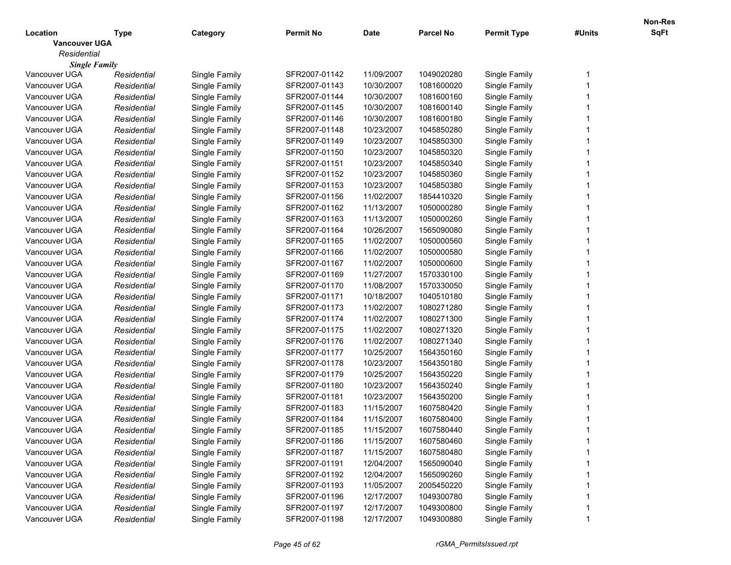|                      |             |               |                  |             |                  |                    |        | Non-Res |
|----------------------|-------------|---------------|------------------|-------------|------------------|--------------------|--------|---------|
| Location             | Type        | Category      | <b>Permit No</b> | <b>Date</b> | <b>Parcel No</b> | <b>Permit Type</b> | #Units | SqFt    |
| <b>Vancouver UGA</b> |             |               |                  |             |                  |                    |        |         |
| Residential          |             |               |                  |             |                  |                    |        |         |
| <b>Single Family</b> |             |               |                  |             |                  |                    |        |         |
| Vancouver UGA        | Residential | Single Family | SFR2007-01142    | 11/09/2007  | 1049020280       | Single Family      |        |         |
| Vancouver UGA        | Residential | Single Family | SFR2007-01143    | 10/30/2007  | 1081600020       | Single Family      |        |         |
| Vancouver UGA        | Residential | Single Family | SFR2007-01144    | 10/30/2007  | 1081600160       | Single Family      |        |         |
| Vancouver UGA        | Residential | Single Family | SFR2007-01145    | 10/30/2007  | 1081600140       | Single Family      |        |         |
| Vancouver UGA        | Residential | Single Family | SFR2007-01146    | 10/30/2007  | 1081600180       | Single Family      |        |         |
| Vancouver UGA        | Residential | Single Family | SFR2007-01148    | 10/23/2007  | 1045850280       | Single Family      |        |         |
| Vancouver UGA        | Residential | Single Family | SFR2007-01149    | 10/23/2007  | 1045850300       | Single Family      |        |         |
| Vancouver UGA        | Residential | Single Family | SFR2007-01150    | 10/23/2007  | 1045850320       | Single Family      |        |         |
| Vancouver UGA        | Residential | Single Family | SFR2007-01151    | 10/23/2007  | 1045850340       | Single Family      |        |         |
| Vancouver UGA        | Residential | Single Family | SFR2007-01152    | 10/23/2007  | 1045850360       | Single Family      |        |         |
| Vancouver UGA        | Residential | Single Family | SFR2007-01153    | 10/23/2007  | 1045850380       | Single Family      |        |         |
| Vancouver UGA        | Residential | Single Family | SFR2007-01156    | 11/02/2007  | 1854410320       | Single Family      |        |         |
| Vancouver UGA        | Residential | Single Family | SFR2007-01162    | 11/13/2007  | 1050000280       | Single Family      |        |         |
| Vancouver UGA        | Residential | Single Family | SFR2007-01163    | 11/13/2007  | 1050000260       | Single Family      |        |         |
| Vancouver UGA        | Residential | Single Family | SFR2007-01164    | 10/26/2007  | 1565090080       | Single Family      |        |         |
| Vancouver UGA        | Residential | Single Family | SFR2007-01165    | 11/02/2007  | 1050000560       | Single Family      |        |         |
| Vancouver UGA        | Residential | Single Family | SFR2007-01166    | 11/02/2007  | 1050000580       | Single Family      |        |         |
| Vancouver UGA        | Residential | Single Family | SFR2007-01167    | 11/02/2007  | 1050000600       | Single Family      |        |         |
| Vancouver UGA        | Residential | Single Family | SFR2007-01169    | 11/27/2007  | 1570330100       | Single Family      |        |         |
| Vancouver UGA        | Residential | Single Family | SFR2007-01170    | 11/08/2007  | 1570330050       | Single Family      |        |         |
| Vancouver UGA        | Residential | Single Family | SFR2007-01171    | 10/18/2007  | 1040510180       | Single Family      |        |         |
| Vancouver UGA        | Residential | Single Family | SFR2007-01173    | 11/02/2007  | 1080271280       | Single Family      |        |         |
| Vancouver UGA        | Residential | Single Family | SFR2007-01174    | 11/02/2007  | 1080271300       | Single Family      |        |         |
| Vancouver UGA        | Residential | Single Family | SFR2007-01175    | 11/02/2007  | 1080271320       | Single Family      |        |         |
| Vancouver UGA        | Residential | Single Family | SFR2007-01176    | 11/02/2007  | 1080271340       | Single Family      |        |         |
| Vancouver UGA        | Residential | Single Family | SFR2007-01177    | 10/25/2007  | 1564350160       | Single Family      |        |         |
| Vancouver UGA        | Residential | Single Family | SFR2007-01178    | 10/23/2007  | 1564350180       | Single Family      |        |         |
| Vancouver UGA        | Residential | Single Family | SFR2007-01179    | 10/25/2007  | 1564350220       | Single Family      |        |         |
| Vancouver UGA        | Residential | Single Family | SFR2007-01180    | 10/23/2007  | 1564350240       | Single Family      |        |         |
| Vancouver UGA        | Residential | Single Family | SFR2007-01181    | 10/23/2007  | 1564350200       | Single Family      |        |         |
| Vancouver UGA        | Residential | Single Family | SFR2007-01183    | 11/15/2007  | 1607580420       | Single Family      |        |         |
| Vancouver UGA        | Residential | Single Family | SFR2007-01184    | 11/15/2007  | 1607580400       | Single Family      |        |         |
| Vancouver UGA        | Residential | Single Family | SFR2007-01185    | 11/15/2007  | 1607580440       | Single Family      |        |         |
| Vancouver UGA        | Residential | Single Family | SFR2007-01186    | 11/15/2007  | 1607580460       | Single Family      |        |         |
| Vancouver UGA        | Residential | Single Family | SFR2007-01187    | 11/15/2007  | 1607580480       | Single Family      |        |         |
| Vancouver UGA        | Residential | Single Family | SFR2007-01191    | 12/04/2007  | 1565090040       | Single Family      |        |         |
| Vancouver UGA        | Residential | Single Family | SFR2007-01192    | 12/04/2007  | 1565090260       | Single Family      |        |         |
| Vancouver UGA        | Residential | Single Family | SFR2007-01193    | 11/05/2007  | 2005450220       | Single Family      |        |         |
| Vancouver UGA        | Residential | Single Family | SFR2007-01196    | 12/17/2007  | 1049300780       | Single Family      |        |         |
| Vancouver UGA        | Residential | Single Family | SFR2007-01197    | 12/17/2007  | 1049300800       | Single Family      |        |         |
| Vancouver UGA        | Residential | Single Family | SFR2007-01198    | 12/17/2007  | 1049300880       | Single Family      |        |         |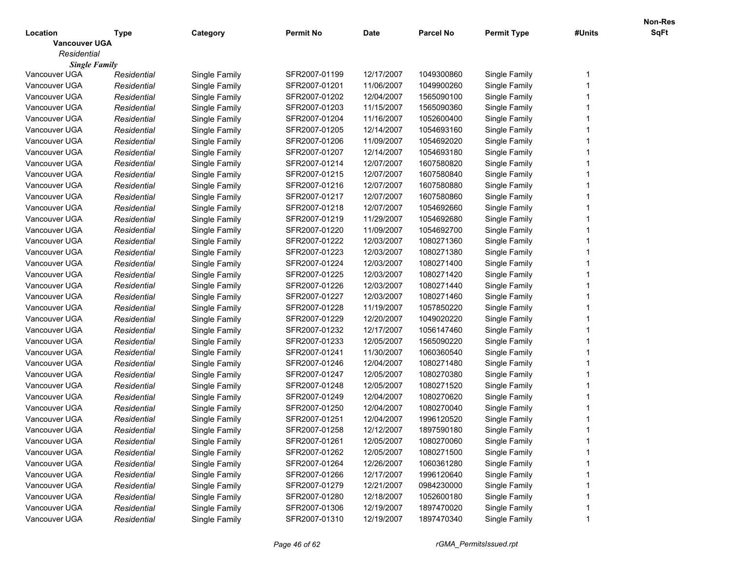|                      |             |               |                  |             |                  |                    |        | Non-Res |
|----------------------|-------------|---------------|------------------|-------------|------------------|--------------------|--------|---------|
| Location             | Type        | Category      | <b>Permit No</b> | <b>Date</b> | <b>Parcel No</b> | <b>Permit Type</b> | #Units | SqFt    |
| <b>Vancouver UGA</b> |             |               |                  |             |                  |                    |        |         |
| Residential          |             |               |                  |             |                  |                    |        |         |
| <b>Single Family</b> |             |               |                  |             |                  |                    |        |         |
| Vancouver UGA        | Residential | Single Family | SFR2007-01199    | 12/17/2007  | 1049300860       | Single Family      |        |         |
| Vancouver UGA        | Residential | Single Family | SFR2007-01201    | 11/06/2007  | 1049900260       | Single Family      |        |         |
| Vancouver UGA        | Residential | Single Family | SFR2007-01202    | 12/04/2007  | 1565090100       | Single Family      |        |         |
| Vancouver UGA        | Residential | Single Family | SFR2007-01203    | 11/15/2007  | 1565090360       | Single Family      |        |         |
| Vancouver UGA        | Residential | Single Family | SFR2007-01204    | 11/16/2007  | 1052600400       | Single Family      |        |         |
| Vancouver UGA        | Residential | Single Family | SFR2007-01205    | 12/14/2007  | 1054693160       | Single Family      |        |         |
| Vancouver UGA        | Residential | Single Family | SFR2007-01206    | 11/09/2007  | 1054692020       | Single Family      |        |         |
| Vancouver UGA        | Residential | Single Family | SFR2007-01207    | 12/14/2007  | 1054693180       | Single Family      |        |         |
| Vancouver UGA        | Residential | Single Family | SFR2007-01214    | 12/07/2007  | 1607580820       | Single Family      |        |         |
| Vancouver UGA        | Residential | Single Family | SFR2007-01215    | 12/07/2007  | 1607580840       | Single Family      |        |         |
| Vancouver UGA        | Residential | Single Family | SFR2007-01216    | 12/07/2007  | 1607580880       | Single Family      |        |         |
| Vancouver UGA        | Residential | Single Family | SFR2007-01217    | 12/07/2007  | 1607580860       | Single Family      |        |         |
| Vancouver UGA        | Residential | Single Family | SFR2007-01218    | 12/07/2007  | 1054692660       | Single Family      |        |         |
| Vancouver UGA        | Residential | Single Family | SFR2007-01219    | 11/29/2007  | 1054692680       | Single Family      |        |         |
| Vancouver UGA        | Residential | Single Family | SFR2007-01220    | 11/09/2007  | 1054692700       | Single Family      |        |         |
| Vancouver UGA        | Residential | Single Family | SFR2007-01222    | 12/03/2007  | 1080271360       | Single Family      |        |         |
| Vancouver UGA        | Residential | Single Family | SFR2007-01223    | 12/03/2007  | 1080271380       | Single Family      |        |         |
| Vancouver UGA        | Residential | Single Family | SFR2007-01224    | 12/03/2007  | 1080271400       | Single Family      |        |         |
| Vancouver UGA        | Residential | Single Family | SFR2007-01225    | 12/03/2007  | 1080271420       | Single Family      |        |         |
| Vancouver UGA        | Residential | Single Family | SFR2007-01226    | 12/03/2007  | 1080271440       | Single Family      |        |         |
| Vancouver UGA        | Residential | Single Family | SFR2007-01227    | 12/03/2007  | 1080271460       | Single Family      |        |         |
| Vancouver UGA        | Residential | Single Family | SFR2007-01228    | 11/19/2007  | 1057850220       | Single Family      |        |         |
| Vancouver UGA        | Residential | Single Family | SFR2007-01229    | 12/20/2007  | 1049020220       | Single Family      |        |         |
| Vancouver UGA        | Residential | Single Family | SFR2007-01232    | 12/17/2007  | 1056147460       | Single Family      |        |         |
| Vancouver UGA        | Residential | Single Family | SFR2007-01233    | 12/05/2007  | 1565090220       | Single Family      |        |         |
| Vancouver UGA        | Residential | Single Family | SFR2007-01241    | 11/30/2007  | 1060360540       | Single Family      |        |         |
| Vancouver UGA        | Residential | Single Family | SFR2007-01246    | 12/04/2007  | 1080271480       | Single Family      |        |         |
| Vancouver UGA        | Residential | Single Family | SFR2007-01247    | 12/05/2007  | 1080270380       | Single Family      |        |         |
| Vancouver UGA        | Residential | Single Family | SFR2007-01248    | 12/05/2007  | 1080271520       | Single Family      |        |         |
| Vancouver UGA        | Residential | Single Family | SFR2007-01249    | 12/04/2007  | 1080270620       | Single Family      |        |         |
| Vancouver UGA        | Residential | Single Family | SFR2007-01250    | 12/04/2007  | 1080270040       | Single Family      |        |         |
| Vancouver UGA        | Residential | Single Family | SFR2007-01251    | 12/04/2007  | 1996120520       | Single Family      |        |         |
| Vancouver UGA        | Residential | Single Family | SFR2007-01258    | 12/12/2007  | 1897590180       | Single Family      |        |         |
| Vancouver UGA        | Residential | Single Family | SFR2007-01261    | 12/05/2007  | 1080270060       | Single Family      |        |         |
| Vancouver UGA        | Residential | Single Family | SFR2007-01262    | 12/05/2007  | 1080271500       | Single Family      |        |         |
| Vancouver UGA        | Residential | Single Family | SFR2007-01264    | 12/26/2007  | 1060361280       | Single Family      |        |         |
| Vancouver UGA        | Residential | Single Family | SFR2007-01266    | 12/17/2007  | 1996120640       | Single Family      |        |         |
| Vancouver UGA        | Residential | Single Family | SFR2007-01279    | 12/21/2007  | 0984230000       | Single Family      |        |         |
| Vancouver UGA        | Residential | Single Family | SFR2007-01280    | 12/18/2007  | 1052600180       | Single Family      |        |         |
| Vancouver UGA        | Residential | Single Family | SFR2007-01306    | 12/19/2007  | 1897470020       | Single Family      |        |         |
| Vancouver UGA        | Residential | Single Family | SFR2007-01310    | 12/19/2007  | 1897470340       | Single Family      |        |         |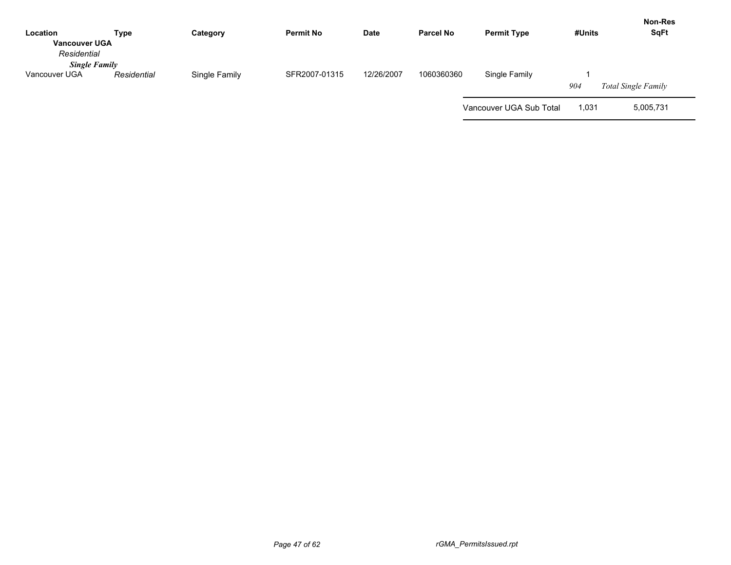| Location<br><b>Vancouver UGA</b><br>Residential | Type        | Category      | <b>Permit No</b> | <b>Date</b> | <b>Parcel No</b> | <b>Permit Type</b>      | #Units | <b>Non-Res</b><br><b>SqFt</b> |
|-------------------------------------------------|-------------|---------------|------------------|-------------|------------------|-------------------------|--------|-------------------------------|
| <b>Single Family</b><br>Vancouver UGA           | Residential | Single Family | SFR2007-01315    | 12/26/2007  | 1060360360       | Single Family           | 904    | Total Single Family           |
|                                                 |             |               |                  |             |                  | Vancouver UGA Sub Total | 1,031  | 5,005,731                     |

 $\sim$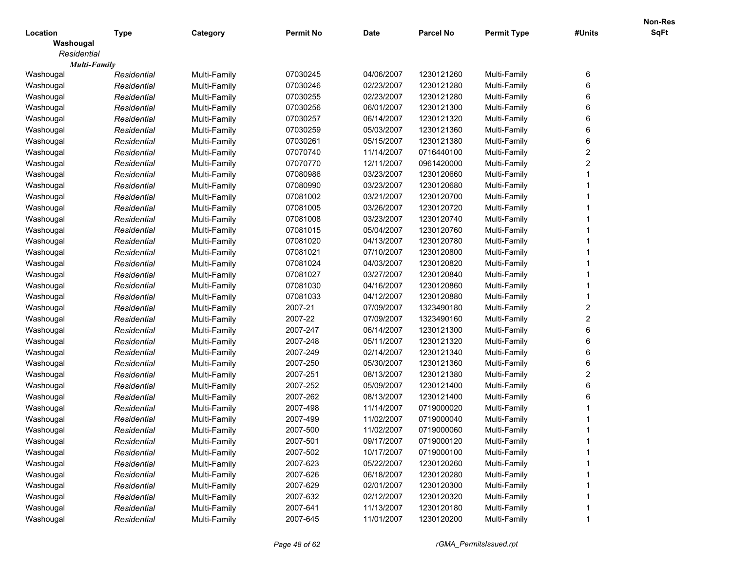|             |                     |              |                  |             |                  |                    |              | <b>Non-Res</b> |
|-------------|---------------------|--------------|------------------|-------------|------------------|--------------------|--------------|----------------|
| Location    | Type                | Category     | <b>Permit No</b> | <b>Date</b> | <b>Parcel No</b> | <b>Permit Type</b> | #Units       | <b>SqFt</b>    |
| Washougal   |                     |              |                  |             |                  |                    |              |                |
| Residential |                     |              |                  |             |                  |                    |              |                |
|             | <b>Multi-Family</b> |              |                  |             |                  |                    |              |                |
| Washougal   | Residential         | Multi-Family | 07030245         | 04/06/2007  | 1230121260       | Multi-Family       | 6            |                |
| Washougal   | Residential         | Multi-Family | 07030246         | 02/23/2007  | 1230121280       | Multi-Family       | 6            |                |
| Washougal   | Residential         | Multi-Family | 07030255         | 02/23/2007  | 1230121280       | Multi-Family       | 6            |                |
| Washougal   | Residential         | Multi-Family | 07030256         | 06/01/2007  | 1230121300       | Multi-Family       | 6            |                |
| Washougal   | Residential         | Multi-Family | 07030257         | 06/14/2007  | 1230121320       | Multi-Family       | 6            |                |
| Washougal   | Residential         | Multi-Family | 07030259         | 05/03/2007  | 1230121360       | Multi-Family       | 6            |                |
| Washougal   | Residential         | Multi-Family | 07030261         | 05/15/2007  | 1230121380       | Multi-Family       | 6            |                |
| Washougal   | Residential         | Multi-Family | 07070740         | 11/14/2007  | 0716440100       | Multi-Family       | $\mathbf{2}$ |                |
| Washougal   | Residential         | Multi-Family | 07070770         | 12/11/2007  | 0961420000       | Multi-Family       | $\mathbf{2}$ |                |
| Washougal   | Residential         | Multi-Family | 07080986         | 03/23/2007  | 1230120660       | Multi-Family       |              |                |
| Washougal   | Residential         | Multi-Family | 07080990         | 03/23/2007  | 1230120680       | Multi-Family       |              |                |
| Washougal   | Residential         | Multi-Family | 07081002         | 03/21/2007  | 1230120700       | Multi-Family       |              |                |
| Washougal   | Residential         | Multi-Family | 07081005         | 03/26/2007  | 1230120720       | Multi-Family       |              |                |
| Washougal   | Residential         | Multi-Family | 07081008         | 03/23/2007  | 1230120740       | Multi-Family       |              |                |
| Washougal   | Residential         | Multi-Family | 07081015         | 05/04/2007  | 1230120760       | Multi-Family       |              |                |
| Washougal   | Residential         | Multi-Family | 07081020         | 04/13/2007  | 1230120780       | Multi-Family       |              |                |
| Washougal   | Residential         | Multi-Family | 07081021         | 07/10/2007  | 1230120800       | Multi-Family       |              |                |
| Washougal   | Residential         | Multi-Family | 07081024         | 04/03/2007  | 1230120820       | Multi-Family       |              |                |
| Washougal   | Residential         | Multi-Family | 07081027         | 03/27/2007  | 1230120840       | Multi-Family       |              |                |
| Washougal   | Residential         | Multi-Family | 07081030         | 04/16/2007  | 1230120860       | Multi-Family       |              |                |
| Washougal   | Residential         | Multi-Family | 07081033         | 04/12/2007  | 1230120880       | Multi-Family       |              |                |
| Washougal   | Residential         | Multi-Family | 2007-21          | 07/09/2007  | 1323490180       | Multi-Family       | 2            |                |
| Washougal   | Residential         | Multi-Family | 2007-22          | 07/09/2007  | 1323490160       | Multi-Family       | $\mathbf{2}$ |                |
| Washougal   | Residential         | Multi-Family | 2007-247         | 06/14/2007  | 1230121300       | Multi-Family       | 6            |                |
| Washougal   | Residential         | Multi-Family | 2007-248         | 05/11/2007  | 1230121320       | Multi-Family       | 6            |                |
| Washougal   | Residential         | Multi-Family | 2007-249         | 02/14/2007  | 1230121340       | Multi-Family       | 6            |                |
| Washougal   | Residential         | Multi-Family | 2007-250         | 05/30/2007  | 1230121360       | Multi-Family       | 6            |                |
| Washougal   | Residential         | Multi-Family | 2007-251         | 08/13/2007  | 1230121380       | Multi-Family       | 2            |                |
| Washougal   | Residential         | Multi-Family | 2007-252         | 05/09/2007  | 1230121400       | Multi-Family       | 6            |                |
| Washougal   | Residential         | Multi-Family | 2007-262         | 08/13/2007  | 1230121400       | Multi-Family       | 6            |                |
| Washougal   | Residential         | Multi-Family | 2007-498         | 11/14/2007  | 0719000020       | Multi-Family       |              |                |
| Washougal   | Residential         | Multi-Family | 2007-499         | 11/02/2007  | 0719000040       | Multi-Family       |              |                |
| Washougal   | Residential         | Multi-Family | 2007-500         | 11/02/2007  | 0719000060       | Multi-Family       |              |                |
| Washougal   | Residential         | Multi-Family | 2007-501         | 09/17/2007  | 0719000120       | Multi-Family       |              |                |
| Washougal   | Residential         | Multi-Family | 2007-502         | 10/17/2007  | 0719000100       | Multi-Family       |              |                |
| Washougal   | Residential         | Multi-Family | 2007-623         | 05/22/2007  | 1230120260       | Multi-Family       |              |                |
| Washougal   | Residential         | Multi-Family | 2007-626         | 06/18/2007  | 1230120280       | Multi-Family       |              |                |
| Washougal   | Residential         | Multi-Family | 2007-629         | 02/01/2007  | 1230120300       | Multi-Family       |              |                |
| Washougal   | Residential         | Multi-Family | 2007-632         | 02/12/2007  | 1230120320       | Multi-Family       |              |                |
| Washougal   | Residential         | Multi-Family | 2007-641         | 11/13/2007  | 1230120180       | Multi-Family       |              |                |
| Washougal   | Residential         | Multi-Family | 2007-645         | 11/01/2007  | 1230120200       | Multi-Family       |              |                |
|             |                     |              |                  |             |                  |                    |              |                |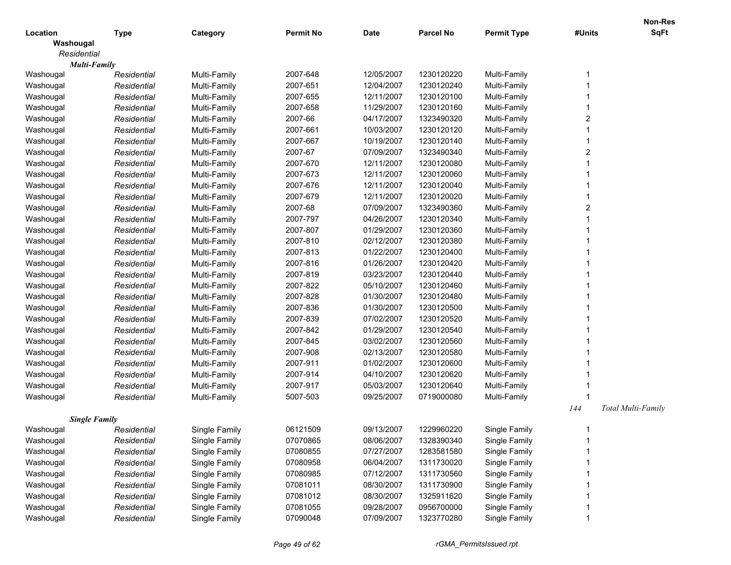|             |                      |               |                  |                          |                          |                    |        | <b>Non-Res</b>     |
|-------------|----------------------|---------------|------------------|--------------------------|--------------------------|--------------------|--------|--------------------|
| Location    | <b>Type</b>          | Category      | <b>Permit No</b> | <b>Date</b>              | <b>Parcel No</b>         | <b>Permit Type</b> | #Units | <b>SqFt</b>        |
| Washougal   |                      |               |                  |                          |                          |                    |        |                    |
| Residential |                      |               |                  |                          |                          |                    |        |                    |
|             | <b>Multi-Family</b>  |               | 2007-648         | 12/05/2007               | 1230120220               | Multi-Family       |        |                    |
| Washougal   | Residential          | Multi-Family  | 2007-651         |                          |                          | Multi-Family       |        |                    |
| Washougal   | Residential          | Multi-Family  | 2007-655         | 12/04/2007<br>12/11/2007 | 1230120240<br>1230120100 |                    |        |                    |
| Washougal   | Residential          | Multi-Family  |                  |                          |                          | Multi-Family       |        |                    |
| Washougal   | Residential          | Multi-Family  | 2007-658         | 11/29/2007               | 1230120160               | Multi-Family       |        |                    |
| Washougal   | Residential          | Multi-Family  | 2007-66          | 04/17/2007               | 1323490320               | Multi-Family       | 2      |                    |
| Washougal   | Residential          | Multi-Family  | 2007-661         | 10/03/2007               | 1230120120               | Multi-Family       |        |                    |
| Washougal   | Residential          | Multi-Family  | 2007-667         | 10/19/2007               | 1230120140               | Multi-Family       |        |                    |
| Washougal   | Residential          | Multi-Family  | 2007-67          | 07/09/2007               | 1323490340               | Multi-Family       | 2      |                    |
| Washougal   | Residential          | Multi-Family  | 2007-670         | 12/11/2007               | 1230120080               | Multi-Family       |        |                    |
| Washougal   | Residential          | Multi-Family  | 2007-673         | 12/11/2007               | 1230120060               | Multi-Family       |        |                    |
| Washougal   | Residential          | Multi-Family  | 2007-676         | 12/11/2007               | 1230120040               | Multi-Family       |        |                    |
| Washougal   | Residential          | Multi-Family  | 2007-679         | 12/11/2007               | 1230120020               | Multi-Family       |        |                    |
| Washougal   | Residential          | Multi-Family  | 2007-68          | 07/09/2007               | 1323490360               | Multi-Family       | 2      |                    |
| Washougal   | Residential          | Multi-Family  | 2007-797         | 04/26/2007               | 1230120340               | Multi-Family       |        |                    |
| Washougal   | Residential          | Multi-Family  | 2007-807         | 01/29/2007               | 1230120360               | Multi-Family       |        |                    |
| Washougal   | Residential          | Multi-Family  | 2007-810         | 02/12/2007               | 1230120380               | Multi-Family       |        |                    |
| Washougal   | Residential          | Multi-Family  | 2007-813         | 01/22/2007               | 1230120400               | Multi-Family       |        |                    |
| Washougal   | Residential          | Multi-Family  | 2007-816         | 01/26/2007               | 1230120420               | Multi-Family       |        |                    |
| Washougal   | Residential          | Multi-Family  | 2007-819         | 03/23/2007               | 1230120440               | Multi-Family       |        |                    |
| Washougal   | Residential          | Multi-Family  | 2007-822         | 05/10/2007               | 1230120460               | Multi-Family       |        |                    |
| Washougal   | Residential          | Multi-Family  | 2007-828         | 01/30/2007               | 1230120480               | Multi-Family       |        |                    |
| Washougal   | Residential          | Multi-Family  | 2007-836         | 01/30/2007               | 1230120500               | Multi-Family       |        |                    |
| Washougal   | Residential          | Multi-Family  | 2007-839         | 07/02/2007               | 1230120520               | Multi-Family       |        |                    |
| Washougal   | Residential          | Multi-Family  | 2007-842         | 01/29/2007               | 1230120540               | Multi-Family       |        |                    |
| Washougal   | Residential          | Multi-Family  | 2007-845         | 03/02/2007               | 1230120560               | Multi-Family       |        |                    |
| Washougal   | Residential          | Multi-Family  | 2007-908         | 02/13/2007               | 1230120580               | Multi-Family       |        |                    |
| Washougal   | Residential          | Multi-Family  | 2007-911         | 01/02/2007               | 1230120600               | Multi-Family       |        |                    |
| Washougal   | Residential          | Multi-Family  | 2007-914         | 04/10/2007               | 1230120620               | Multi-Family       |        |                    |
| Washougal   | Residential          | Multi-Family  | 2007-917         | 05/03/2007               | 1230120640               | Multi-Family       |        |                    |
| Washougal   | Residential          | Multi-Family  | 5007-503         | 09/25/2007               | 0719000080               | Multi-Family       |        |                    |
|             |                      |               |                  |                          |                          |                    | 144    | Total Multi-Family |
|             | <b>Single Family</b> |               |                  |                          |                          |                    |        |                    |
| Washougal   | Residential          | Single Family | 06121509         | 09/13/2007               | 1229960220               | Single Family      |        |                    |
| Washougal   | Residential          | Single Family | 07070865         | 08/06/2007               | 1328390340               | Single Family      |        |                    |
| Washougal   | Residential          | Single Family | 07080855         | 07/27/2007               | 1283581580               | Single Family      |        |                    |
| Washougal   | Residential          | Single Family | 07080958         | 06/04/2007               | 1311730020               | Single Family      |        |                    |
| Washougal   | Residential          | Single Family | 07080985         | 07/12/2007               | 1311730560               | Single Family      |        |                    |
| Washougal   | Residential          | Single Family | 07081011         | 08/30/2007               | 1311730900               | Single Family      |        |                    |
| Washougal   | Residential          | Single Family | 07081012         | 08/30/2007               | 1325911620               | Single Family      |        |                    |
| Washougal   | Residential          | Single Family | 07081055         | 09/28/2007               | 0956700000               | Single Family      |        |                    |
| Washougal   | Residential          | Single Family | 07090048         | 07/09/2007               | 1323770280               | Single Family      |        |                    |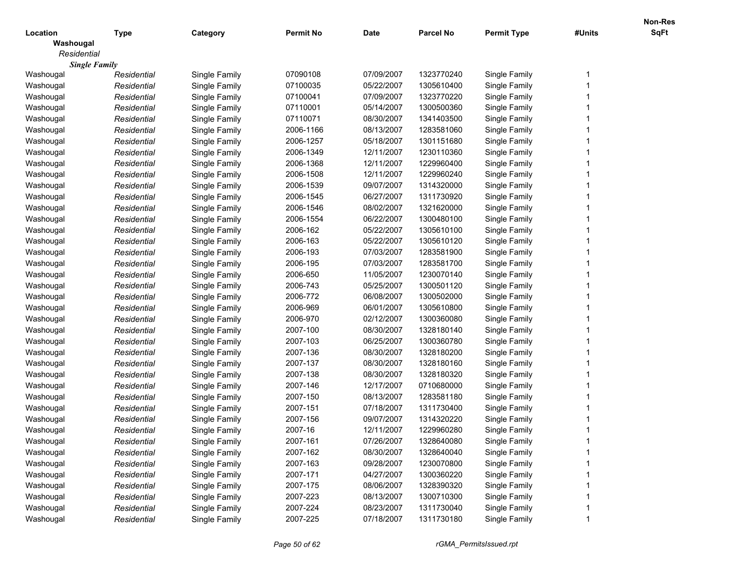|                      |             |               |                  |             |                  |                    |        | Non-Res     |
|----------------------|-------------|---------------|------------------|-------------|------------------|--------------------|--------|-------------|
| Location             | <b>Type</b> | Category      | <b>Permit No</b> | <b>Date</b> | <b>Parcel No</b> | <b>Permit Type</b> | #Units | <b>SqFt</b> |
| Washougal            |             |               |                  |             |                  |                    |        |             |
| Residential          |             |               |                  |             |                  |                    |        |             |
| <b>Single Family</b> |             |               |                  |             |                  |                    |        |             |
| Washougal            | Residential | Single Family | 07090108         | 07/09/2007  | 1323770240       | Single Family      |        |             |
| Washougal            | Residential | Single Family | 07100035         | 05/22/2007  | 1305610400       | Single Family      |        |             |
| Washougal            | Residential | Single Family | 07100041         | 07/09/2007  | 1323770220       | Single Family      |        |             |
| Washougal            | Residential | Single Family | 07110001         | 05/14/2007  | 1300500360       | Single Family      |        |             |
| Washougal            | Residential | Single Family | 07110071         | 08/30/2007  | 1341403500       | Single Family      |        |             |
| Washougal            | Residential | Single Family | 2006-1166        | 08/13/2007  | 1283581060       | Single Family      |        |             |
| Washougal            | Residential | Single Family | 2006-1257        | 05/18/2007  | 1301151680       | Single Family      |        |             |
| Washougal            | Residential | Single Family | 2006-1349        | 12/11/2007  | 1230110360       | Single Family      |        |             |
| Washougal            | Residential | Single Family | 2006-1368        | 12/11/2007  | 1229960400       | Single Family      |        |             |
| Washougal            | Residential | Single Family | 2006-1508        | 12/11/2007  | 1229960240       | Single Family      |        |             |
| Washougal            | Residential | Single Family | 2006-1539        | 09/07/2007  | 1314320000       | Single Family      |        |             |
| Washougal            | Residential | Single Family | 2006-1545        | 06/27/2007  | 1311730920       | Single Family      |        |             |
| Washougal            | Residential | Single Family | 2006-1546        | 08/02/2007  | 1321620000       | Single Family      |        |             |
| Washougal            | Residential | Single Family | 2006-1554        | 06/22/2007  | 1300480100       | Single Family      |        |             |
| Washougal            | Residential | Single Family | 2006-162         | 05/22/2007  | 1305610100       | Single Family      |        |             |
| Washougal            | Residential | Single Family | 2006-163         | 05/22/2007  | 1305610120       | Single Family      |        |             |
| Washougal            | Residential | Single Family | 2006-193         | 07/03/2007  | 1283581900       | Single Family      |        |             |
| Washougal            | Residential | Single Family | 2006-195         | 07/03/2007  | 1283581700       | Single Family      |        |             |
| Washougal            | Residential | Single Family | 2006-650         | 11/05/2007  | 1230070140       | Single Family      |        |             |
| Washougal            | Residential | Single Family | 2006-743         | 05/25/2007  | 1300501120       | Single Family      |        |             |
| Washougal            | Residential | Single Family | 2006-772         | 06/08/2007  | 1300502000       | Single Family      |        |             |
| Washougal            | Residential | Single Family | 2006-969         | 06/01/2007  | 1305610800       | Single Family      |        |             |
| Washougal            | Residential | Single Family | 2006-970         | 02/12/2007  | 1300360080       | Single Family      |        |             |
| Washougal            | Residential | Single Family | 2007-100         | 08/30/2007  | 1328180140       | Single Family      |        |             |
| Washougal            | Residential | Single Family | 2007-103         | 06/25/2007  | 1300360780       | Single Family      |        |             |
| Washougal            | Residential | Single Family | 2007-136         | 08/30/2007  | 1328180200       | Single Family      |        |             |
| Washougal            | Residential | Single Family | 2007-137         | 08/30/2007  | 1328180160       | Single Family      |        |             |
| Washougal            | Residential | Single Family | 2007-138         | 08/30/2007  | 1328180320       | Single Family      |        |             |
| Washougal            | Residential | Single Family | 2007-146         | 12/17/2007  | 0710680000       | Single Family      |        |             |
| Washougal            | Residential | Single Family | 2007-150         | 08/13/2007  | 1283581180       | Single Family      |        |             |
| Washougal            | Residential | Single Family | 2007-151         | 07/18/2007  | 1311730400       | Single Family      |        |             |
| Washougal            | Residential | Single Family | 2007-156         | 09/07/2007  | 1314320220       | Single Family      |        |             |
| Washougal            | Residential | Single Family | 2007-16          | 12/11/2007  | 1229960280       | Single Family      |        |             |
| Washougal            | Residential | Single Family | 2007-161         | 07/26/2007  | 1328640080       | Single Family      |        |             |
| Washougal            | Residential | Single Family | 2007-162         | 08/30/2007  | 1328640040       | Single Family      |        |             |
| Washougal            | Residential | Single Family | 2007-163         | 09/28/2007  | 1230070800       | Single Family      |        |             |
| Washougal            | Residential | Single Family | 2007-171         | 04/27/2007  | 1300360220       | Single Family      |        |             |
| Washougal            | Residential | Single Family | 2007-175         | 08/06/2007  | 1328390320       | Single Family      |        |             |
| Washougal            | Residential | Single Family | 2007-223         | 08/13/2007  | 1300710300       | Single Family      |        |             |
|                      |             |               | 2007-224         | 08/23/2007  | 1311730040       | Single Family      |        |             |
| Washougal            | Residential | Single Family |                  |             |                  |                    |        |             |
| Washougal            | Residential | Single Family | 2007-225         | 07/18/2007  | 1311730180       | Single Family      |        |             |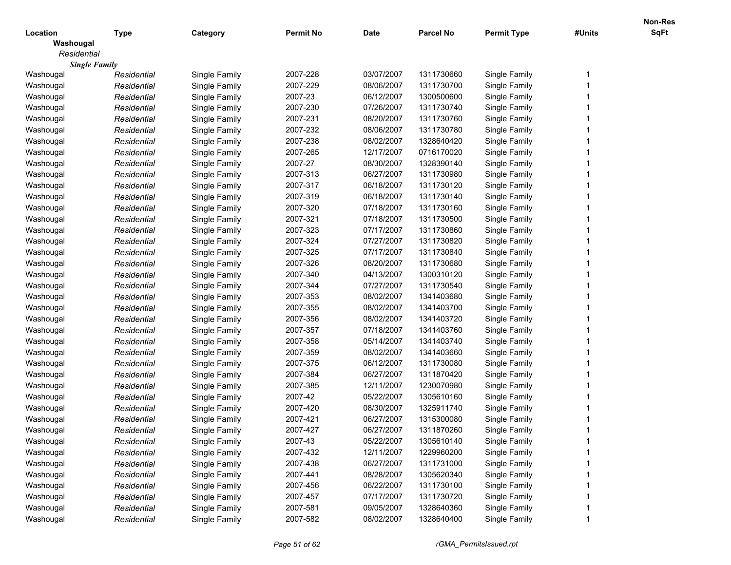|             |                      |               |                  |             |                  |                    |        | Non-Res     |
|-------------|----------------------|---------------|------------------|-------------|------------------|--------------------|--------|-------------|
| Location    | <b>Type</b>          | Category      | <b>Permit No</b> | <b>Date</b> | <b>Parcel No</b> | <b>Permit Type</b> | #Units | <b>SqFt</b> |
| Washougal   |                      |               |                  |             |                  |                    |        |             |
| Residential |                      |               |                  |             |                  |                    |        |             |
|             | <b>Single Family</b> |               |                  |             |                  |                    |        |             |
| Washougal   | Residential          | Single Family | 2007-228         | 03/07/2007  | 1311730660       | Single Family      |        |             |
| Washougal   | Residential          | Single Family | 2007-229         | 08/06/2007  | 1311730700       | Single Family      |        |             |
| Washougal   | Residential          | Single Family | 2007-23          | 06/12/2007  | 1300500600       | Single Family      |        |             |
| Washougal   | Residential          | Single Family | 2007-230         | 07/26/2007  | 1311730740       | Single Family      |        |             |
| Washougal   | Residential          | Single Family | 2007-231         | 08/20/2007  | 1311730760       | Single Family      |        |             |
| Washougal   | Residential          | Single Family | 2007-232         | 08/06/2007  | 1311730780       | Single Family      |        |             |
| Washougal   | Residential          | Single Family | 2007-238         | 08/02/2007  | 1328640420       | Single Family      |        |             |
| Washougal   | Residential          | Single Family | 2007-265         | 12/17/2007  | 0716170020       | Single Family      |        |             |
| Washougal   | Residential          | Single Family | 2007-27          | 08/30/2007  | 1328390140       | Single Family      |        |             |
| Washougal   | Residential          | Single Family | 2007-313         | 06/27/2007  | 1311730980       | Single Family      |        |             |
| Washougal   | Residential          | Single Family | 2007-317         | 06/18/2007  | 1311730120       | Single Family      |        |             |
| Washougal   | Residential          | Single Family | 2007-319         | 06/18/2007  | 1311730140       | Single Family      |        |             |
| Washougal   | Residential          | Single Family | 2007-320         | 07/18/2007  | 1311730160       | Single Family      |        |             |
| Washougal   | Residential          | Single Family | 2007-321         | 07/18/2007  | 1311730500       | Single Family      |        |             |
| Washougal   | Residential          | Single Family | 2007-323         | 07/17/2007  | 1311730860       | Single Family      |        |             |
| Washougal   | Residential          | Single Family | 2007-324         | 07/27/2007  | 1311730820       | Single Family      |        |             |
| Washougal   | Residential          | Single Family | 2007-325         | 07/17/2007  | 1311730840       | Single Family      |        |             |
| Washougal   | Residential          | Single Family | 2007-326         | 08/20/2007  | 1311730680       | Single Family      |        |             |
| Washougal   | Residential          | Single Family | 2007-340         | 04/13/2007  | 1300310120       | Single Family      |        |             |
| Washougal   | Residential          | Single Family | 2007-344         | 07/27/2007  | 1311730540       | Single Family      |        |             |
| Washougal   | Residential          | Single Family | 2007-353         | 08/02/2007  | 1341403680       | Single Family      |        |             |
| Washougal   | Residential          | Single Family | 2007-355         | 08/02/2007  | 1341403700       | Single Family      |        |             |
| Washougal   | Residential          | Single Family | 2007-356         | 08/02/2007  | 1341403720       | Single Family      |        |             |
| Washougal   | Residential          | Single Family | 2007-357         | 07/18/2007  | 1341403760       | Single Family      |        |             |
| Washougal   | Residential          | Single Family | 2007-358         | 05/14/2007  | 1341403740       | Single Family      |        |             |
| Washougal   | Residential          | Single Family | 2007-359         | 08/02/2007  | 1341403660       | Single Family      |        |             |
| Washougal   | Residential          | Single Family | 2007-375         | 06/12/2007  | 1311730080       | Single Family      |        |             |
| Washougal   | Residential          | Single Family | 2007-384         | 06/27/2007  | 1311870420       | Single Family      |        |             |
| Washougal   | Residential          | Single Family | 2007-385         | 12/11/2007  | 1230070980       | Single Family      |        |             |
| Washougal   | Residential          | Single Family | 2007-42          | 05/22/2007  | 1305610160       | Single Family      |        |             |
| Washougal   | Residential          | Single Family | 2007-420         | 08/30/2007  | 1325911740       | Single Family      |        |             |
| Washougal   | Residential          | Single Family | 2007-421         | 06/27/2007  | 1315300080       | Single Family      |        |             |
| Washougal   | Residential          | Single Family | 2007-427         | 06/27/2007  | 1311870260       | Single Family      |        |             |
| Washougal   | Residential          | Single Family | 2007-43          | 05/22/2007  | 1305610140       | Single Family      |        |             |
| Washougal   | Residential          | Single Family | 2007-432         | 12/11/2007  | 1229960200       | Single Family      |        |             |
| Washougal   | Residential          | Single Family | 2007-438         | 06/27/2007  | 1311731000       | Single Family      |        |             |
| Washougal   | Residential          | Single Family | 2007-441         | 08/28/2007  | 1305620340       | Single Family      |        |             |
| Washougal   | Residential          | Single Family | 2007-456         | 06/22/2007  | 1311730100       | Single Family      |        |             |
| Washougal   | Residential          | Single Family | 2007-457         | 07/17/2007  | 1311730720       | Single Family      |        |             |
| Washougal   | Residential          | Single Family | 2007-581         | 09/05/2007  | 1328640360       | Single Family      |        |             |
| Washougal   |                      |               | 2007-582         | 08/02/2007  | 1328640400       | Single Family      |        |             |
|             | Residential          | Single Family |                  |             |                  |                    |        |             |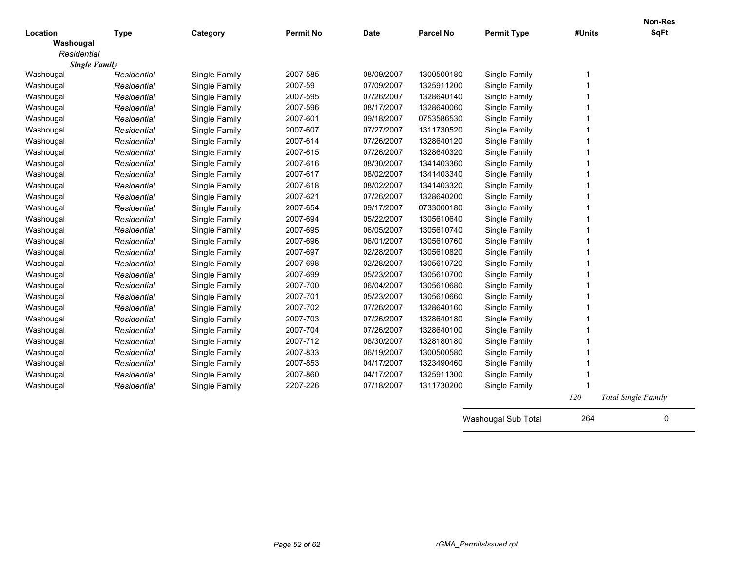| Location             | <b>Type</b> | Category      | <b>Permit No</b> | <b>Date</b> | <b>Parcel No</b> | <b>Permit Type</b> | #Units     | <b>Non-Res</b><br><b>SqFt</b> |
|----------------------|-------------|---------------|------------------|-------------|------------------|--------------------|------------|-------------------------------|
| Washougal            |             |               |                  |             |                  |                    |            |                               |
| Residential          |             |               |                  |             |                  |                    |            |                               |
| <b>Single Family</b> |             |               |                  |             |                  |                    |            |                               |
| Washougal            | Residential | Single Family | 2007-585         | 08/09/2007  | 1300500180       | Single Family      |            |                               |
| Washougal            | Residential | Single Family | 2007-59          | 07/09/2007  | 1325911200       | Single Family      |            |                               |
| Washougal            | Residential | Single Family | 2007-595         | 07/26/2007  | 1328640140       | Single Family      |            |                               |
| Washougal            | Residential | Single Family | 2007-596         | 08/17/2007  | 1328640060       | Single Family      |            |                               |
| Washougal            | Residential | Single Family | 2007-601         | 09/18/2007  | 0753586530       | Single Family      |            |                               |
| Washougal            | Residential | Single Family | 2007-607         | 07/27/2007  | 1311730520       | Single Family      |            |                               |
| Washougal            | Residential | Single Family | 2007-614         | 07/26/2007  | 1328640120       | Single Family      |            |                               |
| Washougal            | Residential | Single Family | 2007-615         | 07/26/2007  | 1328640320       | Single Family      |            |                               |
| Washougal            | Residential | Single Family | 2007-616         | 08/30/2007  | 1341403360       | Single Family      |            |                               |
| Washougal            | Residential | Single Family | 2007-617         | 08/02/2007  | 1341403340       | Single Family      |            |                               |
| Washougal            | Residential | Single Family | 2007-618         | 08/02/2007  | 1341403320       | Single Family      |            |                               |
| Washougal            | Residential | Single Family | 2007-621         | 07/26/2007  | 1328640200       | Single Family      |            |                               |
| Washougal            | Residential | Single Family | 2007-654         | 09/17/2007  | 0733000180       | Single Family      |            |                               |
| Washougal            | Residential | Single Family | 2007-694         | 05/22/2007  | 1305610640       | Single Family      |            |                               |
| Washougal            | Residential | Single Family | 2007-695         | 06/05/2007  | 1305610740       | Single Family      |            |                               |
| Washougal            | Residential | Single Family | 2007-696         | 06/01/2007  | 1305610760       | Single Family      |            |                               |
| Washougal            | Residential | Single Family | 2007-697         | 02/28/2007  | 1305610820       | Single Family      |            |                               |
| Washougal            | Residential | Single Family | 2007-698         | 02/28/2007  | 1305610720       | Single Family      |            |                               |
| Washougal            | Residential | Single Family | 2007-699         | 05/23/2007  | 1305610700       | Single Family      |            |                               |
| Washougal            | Residential | Single Family | 2007-700         | 06/04/2007  | 1305610680       | Single Family      |            |                               |
| Washougal            | Residential | Single Family | 2007-701         | 05/23/2007  | 1305610660       | Single Family      |            |                               |
| Washougal            | Residential | Single Family | 2007-702         | 07/26/2007  | 1328640160       | Single Family      |            |                               |
| Washougal            | Residential | Single Family | 2007-703         | 07/26/2007  | 1328640180       | Single Family      |            |                               |
| Washougal            | Residential | Single Family | 2007-704         | 07/26/2007  | 1328640100       | Single Family      |            |                               |
| Washougal            | Residential | Single Family | 2007-712         | 08/30/2007  | 1328180180       | Single Family      |            |                               |
| Washougal            | Residential | Single Family | 2007-833         | 06/19/2007  | 1300500580       | Single Family      |            |                               |
| Washougal            | Residential | Single Family | 2007-853         | 04/17/2007  | 1323490460       | Single Family      |            |                               |
| Washougal            | Residential | Single Family | 2007-860         | 04/17/2007  | 1325911300       | Single Family      |            |                               |
| Washougal            | Residential | Single Family | 2207-226         | 07/18/2007  | 1311730200       | Single Family      |            |                               |
|                      |             |               |                  |             |                  |                    | <i>120</i> | <b>Total Single Family</b>    |

Washougal Sub Total 264 0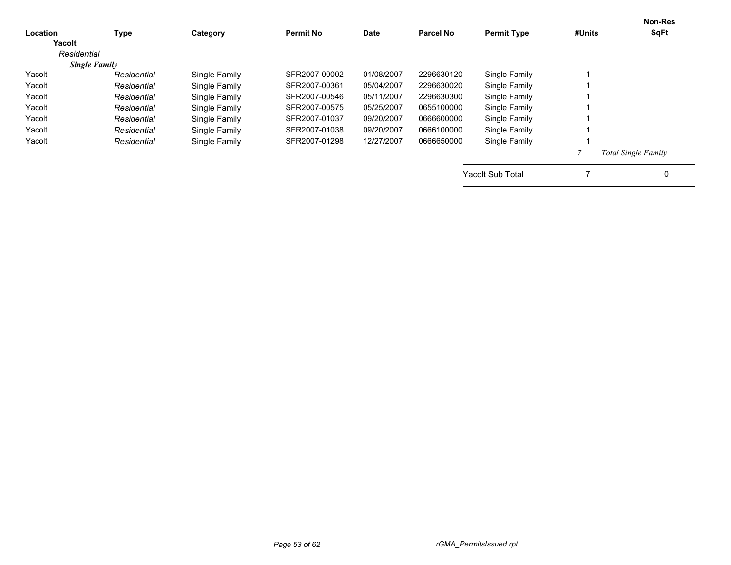|             |                      |                  |            |                  |                    |                         | <b>Non-Res</b>             |
|-------------|----------------------|------------------|------------|------------------|--------------------|-------------------------|----------------------------|
| Type        | Category             | <b>Permit No</b> | Date       | <b>Parcel No</b> | <b>Permit Type</b> | #Units                  | <b>SqFt</b>                |
|             |                      |                  |            |                  |                    |                         |                            |
|             |                      |                  |            |                  |                    |                         |                            |
|             |                      |                  |            |                  |                    |                         |                            |
| Residential | Single Family        | SFR2007-00002    | 01/08/2007 | 2296630120       | Single Family      |                         |                            |
| Residential | Single Family        | SFR2007-00361    | 05/04/2007 | 2296630020       | Single Family      |                         |                            |
| Residential | Single Family        | SFR2007-00546    | 05/11/2007 | 2296630300       | Single Family      |                         |                            |
| Residential | Single Family        | SFR2007-00575    | 05/25/2007 | 0655100000       | Single Family      |                         |                            |
| Residential | Single Family        | SFR2007-01037    | 09/20/2007 | 0666600000       | Single Family      |                         |                            |
| Residential | Single Family        | SFR2007-01038    | 09/20/2007 | 0666100000       | Single Family      |                         |                            |
| Residential | Single Family        | SFR2007-01298    | 12/27/2007 | 0666650000       | Single Family      |                         |                            |
|             |                      |                  |            |                  |                    |                         | <b>Total Single Family</b> |
|             |                      |                  |            |                  |                    |                         | 0                          |
|             | <b>Single Family</b> |                  |            |                  |                    | <b>Yacolt Sub Total</b> |                            |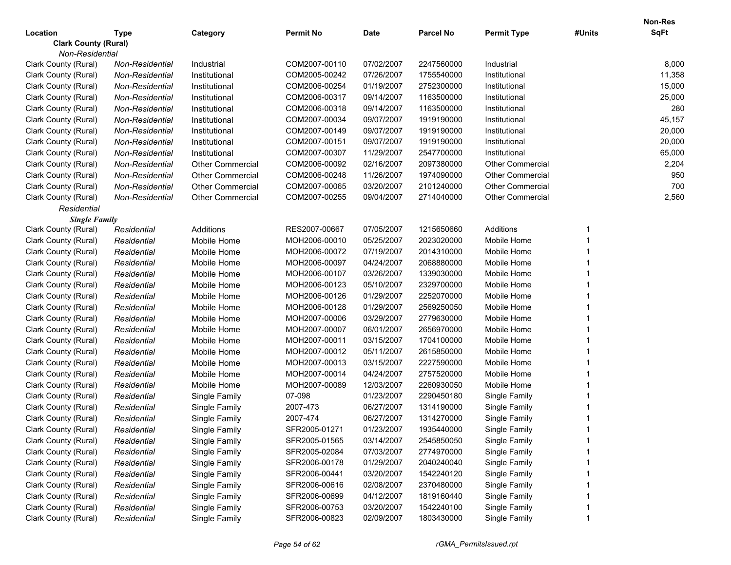|                                         |                        |                         |                  |             |                  |                         |        | Non-Res     |
|-----------------------------------------|------------------------|-------------------------|------------------|-------------|------------------|-------------------------|--------|-------------|
| Location                                | <b>Type</b>            | Category                | <b>Permit No</b> | <b>Date</b> | <b>Parcel No</b> | <b>Permit Type</b>      | #Units | <b>SqFt</b> |
| <b>Clark County (Rural)</b>             |                        |                         |                  |             |                  |                         |        |             |
| Non-Residential<br>Clark County (Rural) | <b>Non-Residential</b> | Industrial              | COM2007-00110    | 07/02/2007  | 2247560000       | Industrial              |        | 8,000       |
| Clark County (Rural)                    | Non-Residential        | Institutional           | COM2005-00242    | 07/26/2007  | 1755540000       | Institutional           |        | 11,358      |
| Clark County (Rural)                    | Non-Residential        | Institutional           | COM2006-00254    | 01/19/2007  | 2752300000       | Institutional           |        | 15,000      |
| Clark County (Rural)                    | Non-Residential        | Institutional           | COM2006-00317    | 09/14/2007  | 1163500000       | Institutional           |        | 25,000      |
| Clark County (Rural)                    | Non-Residential        | Institutional           | COM2006-00318    | 09/14/2007  | 1163500000       | Institutional           |        | 280         |
| Clark County (Rural)                    | Non-Residential        | Institutional           | COM2007-00034    | 09/07/2007  | 1919190000       | Institutional           |        | 45,157      |
| Clark County (Rural)                    | Non-Residential        | Institutional           | COM2007-00149    | 09/07/2007  | 1919190000       | Institutional           |        | 20,000      |
| Clark County (Rural)                    | Non-Residential        | Institutional           | COM2007-00151    | 09/07/2007  | 1919190000       | Institutional           |        | 20,000      |
| Clark County (Rural)                    | Non-Residential        | Institutional           | COM2007-00307    | 11/29/2007  | 2547700000       | Institutional           |        | 65,000      |
| Clark County (Rural)                    | Non-Residential        | <b>Other Commercial</b> | COM2006-00092    | 02/16/2007  | 2097380000       | <b>Other Commercial</b> |        | 2,204       |
| Clark County (Rural)                    | Non-Residential        | <b>Other Commercial</b> | COM2006-00248    | 11/26/2007  | 1974090000       | <b>Other Commercial</b> |        | 950         |
| Clark County (Rural)                    | Non-Residential        | <b>Other Commercial</b> | COM2007-00065    | 03/20/2007  | 2101240000       | <b>Other Commercial</b> |        | 700         |
| Clark County (Rural)                    | Non-Residential        | <b>Other Commercial</b> | COM2007-00255    | 09/04/2007  | 2714040000       | <b>Other Commercial</b> |        | 2,560       |
| Residential                             |                        |                         |                  |             |                  |                         |        |             |
| <b>Single Family</b>                    |                        |                         |                  |             |                  |                         |        |             |
| Clark County (Rural)                    | Residential            | Additions               | RES2007-00667    | 07/05/2007  | 1215650660       | Additions               |        |             |
| Clark County (Rural)                    | Residential            | Mobile Home             | MOH2006-00010    | 05/25/2007  | 2023020000       | Mobile Home             |        |             |
| Clark County (Rural)                    | Residential            | Mobile Home             | MOH2006-00072    | 07/19/2007  | 2014310000       | Mobile Home             |        |             |
| Clark County (Rural)                    | Residential            | Mobile Home             | MOH2006-00097    | 04/24/2007  | 2068880000       | Mobile Home             |        |             |
| Clark County (Rural)                    | Residential            | Mobile Home             | MOH2006-00107    | 03/26/2007  | 1339030000       | Mobile Home             |        |             |
| Clark County (Rural)                    | Residential            | Mobile Home             | MOH2006-00123    | 05/10/2007  | 2329700000       | Mobile Home             |        |             |
| Clark County (Rural)                    | Residential            | Mobile Home             | MOH2006-00126    | 01/29/2007  | 2252070000       | Mobile Home             |        |             |
| Clark County (Rural)                    | Residential            | Mobile Home             | MOH2006-00128    | 01/29/2007  | 2569250050       | Mobile Home             |        |             |
| Clark County (Rural)                    | Residential            | Mobile Home             | MOH2007-00006    | 03/29/2007  | 2779630000       | Mobile Home             |        |             |
| Clark County (Rural)                    | Residential            | Mobile Home             | MOH2007-00007    | 06/01/2007  | 2656970000       | Mobile Home             |        |             |
| Clark County (Rural)                    | Residential            | Mobile Home             | MOH2007-00011    | 03/15/2007  | 1704100000       | Mobile Home             |        |             |
| Clark County (Rural)                    | Residential            | Mobile Home             | MOH2007-00012    | 05/11/2007  | 2615850000       | Mobile Home             |        |             |
| Clark County (Rural)                    | Residential            | Mobile Home             | MOH2007-00013    | 03/15/2007  | 2227590000       | Mobile Home             |        |             |
| Clark County (Rural)                    | Residential            | Mobile Home             | MOH2007-00014    | 04/24/2007  | 2757520000       | Mobile Home             |        |             |
| Clark County (Rural)                    | Residential            | Mobile Home             | MOH2007-00089    | 12/03/2007  | 2260930050       | Mobile Home             |        |             |
| Clark County (Rural)                    | Residential            | Single Family           | 07-098           | 01/23/2007  | 2290450180       | Single Family           |        |             |
| Clark County (Rural)                    | Residential            | Single Family           | 2007-473         | 06/27/2007  | 1314190000       | Single Family           |        |             |
| Clark County (Rural)                    | Residential            | Single Family           | 2007-474         | 06/27/2007  | 1314270000       | Single Family           |        |             |
| Clark County (Rural)                    | Residential            | Single Family           | SFR2005-01271    | 01/23/2007  | 1935440000       | Single Family           |        |             |
| Clark County (Rural)                    | Residential            | Single Family           | SFR2005-01565    | 03/14/2007  | 2545850050       | Single Family           |        |             |
| Clark County (Rural)                    | Residential            | Single Family           | SFR2005-02084    | 07/03/2007  | 2774970000       | Single Family           |        |             |
| Clark County (Rural)                    | Residential            | Single Family           | SFR2006-00178    | 01/29/2007  | 2040240040       | Single Family           |        |             |
| Clark County (Rural)                    | Residential            | Single Family           | SFR2006-00441    | 03/20/2007  | 1542240120       | Single Family           |        |             |
| Clark County (Rural)                    | Residential            | Single Family           | SFR2006-00616    | 02/08/2007  | 2370480000       | Single Family           |        |             |
| Clark County (Rural)                    | Residential            | Single Family           | SFR2006-00699    | 04/12/2007  | 1819160440       | Single Family           |        |             |
| Clark County (Rural)                    | Residential            | Single Family           | SFR2006-00753    | 03/20/2007  | 1542240100       | Single Family           |        |             |
| Clark County (Rural)                    | Residential            | Single Family           | SFR2006-00823    | 02/09/2007  | 1803430000       | Single Family           |        |             |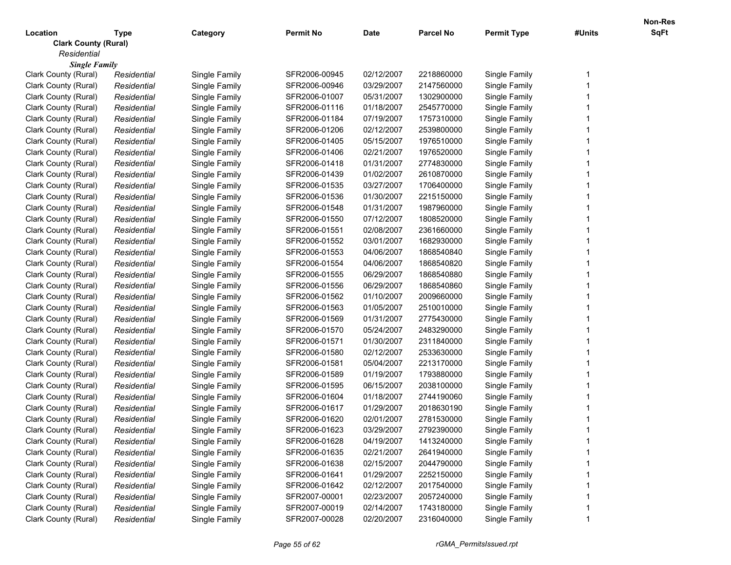| Location                    | <b>Type</b> | Category      | <b>Permit No</b> | <b>Date</b> | <b>Parcel No</b> | <b>Permit Type</b> | #Units | <b>SqFt</b> |
|-----------------------------|-------------|---------------|------------------|-------------|------------------|--------------------|--------|-------------|
| <b>Clark County (Rural)</b> |             |               |                  |             |                  |                    |        |             |
| Residential                 |             |               |                  |             |                  |                    |        |             |
| <b>Single Family</b>        |             |               |                  |             |                  |                    |        |             |
| Clark County (Rural)        | Residential | Single Family | SFR2006-00945    | 02/12/2007  | 2218860000       | Single Family      |        |             |
| Clark County (Rural)        | Residential | Single Family | SFR2006-00946    | 03/29/2007  | 2147560000       | Single Family      |        |             |
| Clark County (Rural)        | Residential | Single Family | SFR2006-01007    | 05/31/2007  | 1302900000       | Single Family      |        |             |
| Clark County (Rural)        | Residential | Single Family | SFR2006-01116    | 01/18/2007  | 2545770000       | Single Family      |        |             |
| Clark County (Rural)        | Residential | Single Family | SFR2006-01184    | 07/19/2007  | 1757310000       | Single Family      |        |             |
| Clark County (Rural)        | Residential | Single Family | SFR2006-01206    | 02/12/2007  | 2539800000       | Single Family      |        |             |
| Clark County (Rural)        | Residential | Single Family | SFR2006-01405    | 05/15/2007  | 1976510000       | Single Family      |        |             |
| Clark County (Rural)        | Residential | Single Family | SFR2006-01406    | 02/21/2007  | 1976520000       | Single Family      |        |             |
| Clark County (Rural)        | Residential | Single Family | SFR2006-01418    | 01/31/2007  | 2774830000       | Single Family      |        |             |
| Clark County (Rural)        | Residential | Single Family | SFR2006-01439    | 01/02/2007  | 2610870000       | Single Family      |        |             |
| Clark County (Rural)        | Residential | Single Family | SFR2006-01535    | 03/27/2007  | 1706400000       | Single Family      |        |             |
| Clark County (Rural)        | Residential | Single Family | SFR2006-01536    | 01/30/2007  | 2215150000       | Single Family      |        |             |
| Clark County (Rural)        | Residential | Single Family | SFR2006-01548    | 01/31/2007  | 1987960000       | Single Family      |        |             |
| Clark County (Rural)        | Residential | Single Family | SFR2006-01550    | 07/12/2007  | 1808520000       | Single Family      |        |             |
| Clark County (Rural)        | Residential | Single Family | SFR2006-01551    | 02/08/2007  | 2361660000       | Single Family      |        |             |
| Clark County (Rural)        | Residential | Single Family | SFR2006-01552    | 03/01/2007  | 1682930000       | Single Family      |        |             |
| Clark County (Rural)        | Residential | Single Family | SFR2006-01553    | 04/06/2007  | 1868540840       | Single Family      |        |             |
| Clark County (Rural)        | Residential | Single Family | SFR2006-01554    | 04/06/2007  | 1868540820       | Single Family      |        |             |
| Clark County (Rural)        | Residential | Single Family | SFR2006-01555    | 06/29/2007  | 1868540880       | Single Family      |        |             |
| Clark County (Rural)        | Residential | Single Family | SFR2006-01556    | 06/29/2007  | 1868540860       | Single Family      |        |             |
| Clark County (Rural)        | Residential | Single Family | SFR2006-01562    | 01/10/2007  | 2009660000       | Single Family      |        |             |
| Clark County (Rural)        | Residential | Single Family | SFR2006-01563    | 01/05/2007  | 2510010000       | Single Family      |        |             |
| Clark County (Rural)        | Residential | Single Family | SFR2006-01569    | 01/31/2007  | 2775430000       | Single Family      |        |             |
| Clark County (Rural)        | Residential | Single Family | SFR2006-01570    | 05/24/2007  | 2483290000       | Single Family      |        |             |
| Clark County (Rural)        | Residential | Single Family | SFR2006-01571    | 01/30/2007  | 2311840000       | Single Family      |        |             |
| Clark County (Rural)        | Residential | Single Family | SFR2006-01580    | 02/12/2007  | 2533630000       | Single Family      |        |             |
| Clark County (Rural)        | Residential | Single Family | SFR2006-01581    | 05/04/2007  | 2213170000       | Single Family      |        |             |
| Clark County (Rural)        | Residential | Single Family | SFR2006-01589    | 01/19/2007  | 1793880000       | Single Family      |        |             |
| Clark County (Rural)        | Residential | Single Family | SFR2006-01595    | 06/15/2007  | 2038100000       | Single Family      |        |             |
| Clark County (Rural)        | Residential | Single Family | SFR2006-01604    | 01/18/2007  | 2744190060       | Single Family      |        |             |
| Clark County (Rural)        | Residential | Single Family | SFR2006-01617    | 01/29/2007  | 2018630190       | Single Family      |        |             |
| Clark County (Rural)        | Residential | Single Family | SFR2006-01620    | 02/01/2007  | 2781530000       | Single Family      |        |             |
| Clark County (Rural)        | Residential | Single Family | SFR2006-01623    | 03/29/2007  | 2792390000       | Single Family      |        |             |
| Clark County (Rural)        | Residential | Single Family | SFR2006-01628    | 04/19/2007  | 1413240000       | Single Family      |        |             |
| Clark County (Rural)        | Residential | Single Family | SFR2006-01635    | 02/21/2007  | 2641940000       | Single Family      |        |             |
| Clark County (Rural)        | Residential | Single Family | SFR2006-01638    | 02/15/2007  | 2044790000       | Single Family      |        |             |
| Clark County (Rural)        | Residential | Single Family | SFR2006-01641    | 01/29/2007  | 2252150000       | Single Family      |        |             |
| Clark County (Rural)        | Residential | Single Family | SFR2006-01642    | 02/12/2007  | 2017540000       | Single Family      |        |             |
| Clark County (Rural)        | Residential | Single Family | SFR2007-00001    | 02/23/2007  | 2057240000       | Single Family      |        |             |
| Clark County (Rural)        | Residential | Single Family | SFR2007-00019    | 02/14/2007  | 1743180000       | Single Family      |        |             |
| Clark County (Rural)        | Residential | Single Family | SFR2007-00028    | 02/20/2007  | 2316040000       | Single Family      |        |             |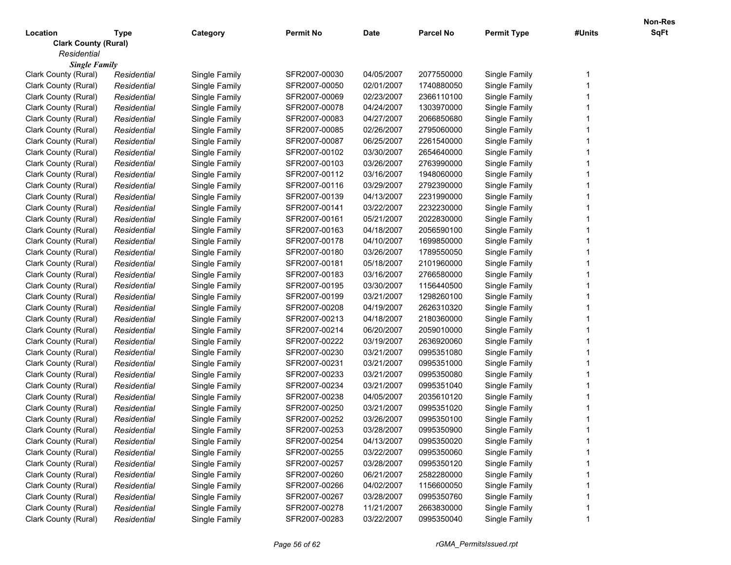| <b>Clark County (Rural)</b><br>Residential<br><b>Single Family</b><br>Clark County (Rural)<br>SFR2007-00030<br>04/05/2007<br>2077550000<br>Single Family<br>Residential<br>Single Family<br>1<br>Clark County (Rural)<br>SFR2007-00050<br>02/01/2007<br>1740880050<br>Single Family<br>Residential<br>Single Family<br>Clark County (Rural)<br>SFR2007-00069<br>02/23/2007<br>2366110100<br>Single Family<br>Residential<br>Single Family<br>Clark County (Rural)<br>Residential<br>Single Family<br>SFR2007-00078<br>04/24/2007<br>1303970000<br>Single Family<br>Clark County (Rural)<br>Residential<br>Single Family<br>SFR2007-00083<br>04/27/2007<br>2066850680<br>Single Family<br>Clark County (Rural)<br>Residential<br>Single Family<br>SFR2007-00085<br>02/26/2007<br>2795060000<br>Single Family<br>Clark County (Rural)<br>Single Family<br>SFR2007-00087<br>06/25/2007<br>2261540000<br>Single Family<br>Residential<br>Clark County (Rural)<br>Single Family<br>SFR2007-00102<br>03/30/2007<br>2654640000<br>Single Family<br>Residential<br>Clark County (Rural)<br>Single Family<br>SFR2007-00103<br>03/26/2007<br>2763990000<br>Single Family<br>Residential<br>Clark County (Rural)<br>SFR2007-00112<br>03/16/2007<br>1948060000<br>Single Family<br>Residential<br>Single Family<br>Clark County (Rural)<br>Single Family<br>SFR2007-00116<br>03/29/2007<br>2792390000<br>Single Family<br>Residential<br>Clark County (Rural)<br>Residential<br>Single Family<br>SFR2007-00139<br>04/13/2007<br>2231990000<br>Single Family<br>Clark County (Rural)<br>Single Family<br>SFR2007-00141<br>03/22/2007<br>2232230000<br>Single Family<br>Residential<br>Clark County (Rural)<br>Single Family<br>SFR2007-00161<br>05/21/2007<br>2022830000<br>Single Family<br>Residential<br>Clark County (Rural)<br>Single Family<br>SFR2007-00163<br>04/18/2007<br>2056590100<br>Single Family<br>Residential<br>Clark County (Rural)<br>Single Family<br>SFR2007-00178<br>04/10/2007<br>1699850000<br>Single Family<br>Residential<br>Clark County (Rural)<br>SFR2007-00180<br>03/26/2007<br>1789550050<br>Single Family<br>Residential<br>Single Family<br>Clark County (Rural)<br>SFR2007-00181<br>05/18/2007<br>2101960000<br>Single Family<br>Residential<br>Single Family<br>Clark County (Rural)<br>Single Family<br>SFR2007-00183<br>03/16/2007<br>2766580000<br>Single Family<br>Residential<br>Single Family<br>Clark County (Rural)<br>Single Family<br>SFR2007-00195<br>03/30/2007<br>1156440500<br>Residential<br>Clark County (Rural)<br>Single Family<br>SFR2007-00199<br>03/21/2007<br>1298260100<br>Single Family<br>Residential<br>Clark County (Rural)<br>Single Family<br>SFR2007-00208<br>04/19/2007<br>2626310320<br>Single Family<br>Residential<br>Clark County (Rural)<br>Single Family<br>SFR2007-00213<br>04/18/2007<br>2180360000<br>Single Family<br>Residential<br>Clark County (Rural)<br>Single Family<br>SFR2007-00214<br>06/20/2007<br>2059010000<br>Single Family<br>Residential<br>Clark County (Rural)<br>SFR2007-00222<br>03/19/2007<br>2636920060<br>Single Family<br>Residential<br>Single Family<br>0995351080<br>Clark County (Rural)<br>Single Family<br>SFR2007-00230<br>03/21/2007<br>Single Family<br>Residential<br>0995351000<br>Clark County (Rural)<br>Single Family<br>SFR2007-00231<br>03/21/2007<br>Single Family<br>Residential<br>0995350080<br>Clark County (Rural)<br>Single Family<br>SFR2007-00233<br>03/21/2007<br>Single Family<br>Residential<br>Clark County (Rural)<br>Single Family<br>SFR2007-00234<br>03/21/2007<br>0995351040<br>Single Family<br>Residential<br>Clark County (Rural)<br>Single Family<br>SFR2007-00238<br>04/05/2007<br>2035610120<br>Single Family<br>Residential<br>0995351020<br>Clark County (Rural)<br>Single Family<br>SFR2007-00250<br>03/21/2007<br>Single Family<br>Residential<br>Clark County (Rural)<br>SFR2007-00252<br>03/26/2007<br>0995350100<br>Single Family<br>Residential<br>Single Family<br>SFR2007-00253<br>03/28/2007<br>0995350900<br>Single Family<br>Clark County (Rural)<br>Residential<br>Single Family<br>Single Family<br>SFR2007-00254<br>04/13/2007<br>0995350020<br>Single Family<br>Clark County (Rural)<br>Residential<br>Clark County (Rural)<br>Single Family<br>SFR2007-00255<br>03/22/2007<br>0995350060<br>Single Family<br>Residential<br>Clark County (Rural)<br>SFR2007-00257<br>03/28/2007<br>0995350120<br>Single Family<br>Residential<br>Single Family<br>Clark County (Rural)<br>SFR2007-00260<br>06/21/2007<br>2582280000<br>Residential<br>Single Family<br>Single Family<br>Clark County (Rural)<br>SFR2007-00266<br>04/02/2007<br>1156600050<br>Single Family<br>Residential<br>Single Family<br>Clark County (Rural)<br>SFR2007-00267<br>0995350760<br>Residential<br>Single Family<br>03/28/2007<br>Single Family<br>Clark County (Rural)<br>SFR2007-00278<br>11/21/2007<br>2663830000<br>Single Family<br>Single Family<br>Residential<br>Clark County (Rural)<br>SFR2007-00283<br>03/22/2007<br>Single Family<br>Residential<br>0995350040 | Location | Type | Category      | <b>Permit No</b> | <b>Date</b> | <b>Parcel No</b> | <b>Permit Type</b> | #Units | SqFt |
|----------------------------------------------------------------------------------------------------------------------------------------------------------------------------------------------------------------------------------------------------------------------------------------------------------------------------------------------------------------------------------------------------------------------------------------------------------------------------------------------------------------------------------------------------------------------------------------------------------------------------------------------------------------------------------------------------------------------------------------------------------------------------------------------------------------------------------------------------------------------------------------------------------------------------------------------------------------------------------------------------------------------------------------------------------------------------------------------------------------------------------------------------------------------------------------------------------------------------------------------------------------------------------------------------------------------------------------------------------------------------------------------------------------------------------------------------------------------------------------------------------------------------------------------------------------------------------------------------------------------------------------------------------------------------------------------------------------------------------------------------------------------------------------------------------------------------------------------------------------------------------------------------------------------------------------------------------------------------------------------------------------------------------------------------------------------------------------------------------------------------------------------------------------------------------------------------------------------------------------------------------------------------------------------------------------------------------------------------------------------------------------------------------------------------------------------------------------------------------------------------------------------------------------------------------------------------------------------------------------------------------------------------------------------------------------------------------------------------------------------------------------------------------------------------------------------------------------------------------------------------------------------------------------------------------------------------------------------------------------------------------------------------------------------------------------------------------------------------------------------------------------------------------------------------------------------------------------------------------------------------------------------------------------------------------------------------------------------------------------------------------------------------------------------------------------------------------------------------------------------------------------------------------------------------------------------------------------------------------------------------------------------------------------------------------------------------------------------------------------------------------------------------------------------------------------------------------------------------------------------------------------------------------------------------------------------------------------------------------------------------------------------------------------------------------------------------------------------------------------------------------------------------------------------------------------------------------------------------------------------------------------------------------------------------------------------------------------------------------------------------------------------------------------------------------------------------------------------------------------------------------------------------------------------------------------------------------------------------------------------------------------------------------------------------------------------------------------------------------------------------------------------------------------------------------------------------------------------------------------------------------------------------------------------------------------------------------------------------------------------------------------------------------------------------------------------------------------------|----------|------|---------------|------------------|-------------|------------------|--------------------|--------|------|
|                                                                                                                                                                                                                                                                                                                                                                                                                                                                                                                                                                                                                                                                                                                                                                                                                                                                                                                                                                                                                                                                                                                                                                                                                                                                                                                                                                                                                                                                                                                                                                                                                                                                                                                                                                                                                                                                                                                                                                                                                                                                                                                                                                                                                                                                                                                                                                                                                                                                                                                                                                                                                                                                                                                                                                                                                                                                                                                                                                                                                                                                                                                                                                                                                                                                                                                                                                                                                                                                                                                                                                                                                                                                                                                                                                                                                                                                                                                                                                                                                                                                                                                                                                                                                                                                                                                                                                                                                                                                                                                                                                                                                                                                                                                                                                                                                                                                                                                                                                                                                                                                                              |          |      |               |                  |             |                  |                    |        |      |
|                                                                                                                                                                                                                                                                                                                                                                                                                                                                                                                                                                                                                                                                                                                                                                                                                                                                                                                                                                                                                                                                                                                                                                                                                                                                                                                                                                                                                                                                                                                                                                                                                                                                                                                                                                                                                                                                                                                                                                                                                                                                                                                                                                                                                                                                                                                                                                                                                                                                                                                                                                                                                                                                                                                                                                                                                                                                                                                                                                                                                                                                                                                                                                                                                                                                                                                                                                                                                                                                                                                                                                                                                                                                                                                                                                                                                                                                                                                                                                                                                                                                                                                                                                                                                                                                                                                                                                                                                                                                                                                                                                                                                                                                                                                                                                                                                                                                                                                                                                                                                                                                                              |          |      |               |                  |             |                  |                    |        |      |
|                                                                                                                                                                                                                                                                                                                                                                                                                                                                                                                                                                                                                                                                                                                                                                                                                                                                                                                                                                                                                                                                                                                                                                                                                                                                                                                                                                                                                                                                                                                                                                                                                                                                                                                                                                                                                                                                                                                                                                                                                                                                                                                                                                                                                                                                                                                                                                                                                                                                                                                                                                                                                                                                                                                                                                                                                                                                                                                                                                                                                                                                                                                                                                                                                                                                                                                                                                                                                                                                                                                                                                                                                                                                                                                                                                                                                                                                                                                                                                                                                                                                                                                                                                                                                                                                                                                                                                                                                                                                                                                                                                                                                                                                                                                                                                                                                                                                                                                                                                                                                                                                                              |          |      |               |                  |             |                  |                    |        |      |
|                                                                                                                                                                                                                                                                                                                                                                                                                                                                                                                                                                                                                                                                                                                                                                                                                                                                                                                                                                                                                                                                                                                                                                                                                                                                                                                                                                                                                                                                                                                                                                                                                                                                                                                                                                                                                                                                                                                                                                                                                                                                                                                                                                                                                                                                                                                                                                                                                                                                                                                                                                                                                                                                                                                                                                                                                                                                                                                                                                                                                                                                                                                                                                                                                                                                                                                                                                                                                                                                                                                                                                                                                                                                                                                                                                                                                                                                                                                                                                                                                                                                                                                                                                                                                                                                                                                                                                                                                                                                                                                                                                                                                                                                                                                                                                                                                                                                                                                                                                                                                                                                                              |          |      |               |                  |             |                  |                    |        |      |
|                                                                                                                                                                                                                                                                                                                                                                                                                                                                                                                                                                                                                                                                                                                                                                                                                                                                                                                                                                                                                                                                                                                                                                                                                                                                                                                                                                                                                                                                                                                                                                                                                                                                                                                                                                                                                                                                                                                                                                                                                                                                                                                                                                                                                                                                                                                                                                                                                                                                                                                                                                                                                                                                                                                                                                                                                                                                                                                                                                                                                                                                                                                                                                                                                                                                                                                                                                                                                                                                                                                                                                                                                                                                                                                                                                                                                                                                                                                                                                                                                                                                                                                                                                                                                                                                                                                                                                                                                                                                                                                                                                                                                                                                                                                                                                                                                                                                                                                                                                                                                                                                                              |          |      |               |                  |             |                  |                    |        |      |
|                                                                                                                                                                                                                                                                                                                                                                                                                                                                                                                                                                                                                                                                                                                                                                                                                                                                                                                                                                                                                                                                                                                                                                                                                                                                                                                                                                                                                                                                                                                                                                                                                                                                                                                                                                                                                                                                                                                                                                                                                                                                                                                                                                                                                                                                                                                                                                                                                                                                                                                                                                                                                                                                                                                                                                                                                                                                                                                                                                                                                                                                                                                                                                                                                                                                                                                                                                                                                                                                                                                                                                                                                                                                                                                                                                                                                                                                                                                                                                                                                                                                                                                                                                                                                                                                                                                                                                                                                                                                                                                                                                                                                                                                                                                                                                                                                                                                                                                                                                                                                                                                                              |          |      |               |                  |             |                  |                    |        |      |
|                                                                                                                                                                                                                                                                                                                                                                                                                                                                                                                                                                                                                                                                                                                                                                                                                                                                                                                                                                                                                                                                                                                                                                                                                                                                                                                                                                                                                                                                                                                                                                                                                                                                                                                                                                                                                                                                                                                                                                                                                                                                                                                                                                                                                                                                                                                                                                                                                                                                                                                                                                                                                                                                                                                                                                                                                                                                                                                                                                                                                                                                                                                                                                                                                                                                                                                                                                                                                                                                                                                                                                                                                                                                                                                                                                                                                                                                                                                                                                                                                                                                                                                                                                                                                                                                                                                                                                                                                                                                                                                                                                                                                                                                                                                                                                                                                                                                                                                                                                                                                                                                                              |          |      |               |                  |             |                  |                    |        |      |
|                                                                                                                                                                                                                                                                                                                                                                                                                                                                                                                                                                                                                                                                                                                                                                                                                                                                                                                                                                                                                                                                                                                                                                                                                                                                                                                                                                                                                                                                                                                                                                                                                                                                                                                                                                                                                                                                                                                                                                                                                                                                                                                                                                                                                                                                                                                                                                                                                                                                                                                                                                                                                                                                                                                                                                                                                                                                                                                                                                                                                                                                                                                                                                                                                                                                                                                                                                                                                                                                                                                                                                                                                                                                                                                                                                                                                                                                                                                                                                                                                                                                                                                                                                                                                                                                                                                                                                                                                                                                                                                                                                                                                                                                                                                                                                                                                                                                                                                                                                                                                                                                                              |          |      |               |                  |             |                  |                    |        |      |
|                                                                                                                                                                                                                                                                                                                                                                                                                                                                                                                                                                                                                                                                                                                                                                                                                                                                                                                                                                                                                                                                                                                                                                                                                                                                                                                                                                                                                                                                                                                                                                                                                                                                                                                                                                                                                                                                                                                                                                                                                                                                                                                                                                                                                                                                                                                                                                                                                                                                                                                                                                                                                                                                                                                                                                                                                                                                                                                                                                                                                                                                                                                                                                                                                                                                                                                                                                                                                                                                                                                                                                                                                                                                                                                                                                                                                                                                                                                                                                                                                                                                                                                                                                                                                                                                                                                                                                                                                                                                                                                                                                                                                                                                                                                                                                                                                                                                                                                                                                                                                                                                                              |          |      |               |                  |             |                  |                    |        |      |
|                                                                                                                                                                                                                                                                                                                                                                                                                                                                                                                                                                                                                                                                                                                                                                                                                                                                                                                                                                                                                                                                                                                                                                                                                                                                                                                                                                                                                                                                                                                                                                                                                                                                                                                                                                                                                                                                                                                                                                                                                                                                                                                                                                                                                                                                                                                                                                                                                                                                                                                                                                                                                                                                                                                                                                                                                                                                                                                                                                                                                                                                                                                                                                                                                                                                                                                                                                                                                                                                                                                                                                                                                                                                                                                                                                                                                                                                                                                                                                                                                                                                                                                                                                                                                                                                                                                                                                                                                                                                                                                                                                                                                                                                                                                                                                                                                                                                                                                                                                                                                                                                                              |          |      |               |                  |             |                  |                    |        |      |
|                                                                                                                                                                                                                                                                                                                                                                                                                                                                                                                                                                                                                                                                                                                                                                                                                                                                                                                                                                                                                                                                                                                                                                                                                                                                                                                                                                                                                                                                                                                                                                                                                                                                                                                                                                                                                                                                                                                                                                                                                                                                                                                                                                                                                                                                                                                                                                                                                                                                                                                                                                                                                                                                                                                                                                                                                                                                                                                                                                                                                                                                                                                                                                                                                                                                                                                                                                                                                                                                                                                                                                                                                                                                                                                                                                                                                                                                                                                                                                                                                                                                                                                                                                                                                                                                                                                                                                                                                                                                                                                                                                                                                                                                                                                                                                                                                                                                                                                                                                                                                                                                                              |          |      |               |                  |             |                  |                    |        |      |
|                                                                                                                                                                                                                                                                                                                                                                                                                                                                                                                                                                                                                                                                                                                                                                                                                                                                                                                                                                                                                                                                                                                                                                                                                                                                                                                                                                                                                                                                                                                                                                                                                                                                                                                                                                                                                                                                                                                                                                                                                                                                                                                                                                                                                                                                                                                                                                                                                                                                                                                                                                                                                                                                                                                                                                                                                                                                                                                                                                                                                                                                                                                                                                                                                                                                                                                                                                                                                                                                                                                                                                                                                                                                                                                                                                                                                                                                                                                                                                                                                                                                                                                                                                                                                                                                                                                                                                                                                                                                                                                                                                                                                                                                                                                                                                                                                                                                                                                                                                                                                                                                                              |          |      |               |                  |             |                  |                    |        |      |
|                                                                                                                                                                                                                                                                                                                                                                                                                                                                                                                                                                                                                                                                                                                                                                                                                                                                                                                                                                                                                                                                                                                                                                                                                                                                                                                                                                                                                                                                                                                                                                                                                                                                                                                                                                                                                                                                                                                                                                                                                                                                                                                                                                                                                                                                                                                                                                                                                                                                                                                                                                                                                                                                                                                                                                                                                                                                                                                                                                                                                                                                                                                                                                                                                                                                                                                                                                                                                                                                                                                                                                                                                                                                                                                                                                                                                                                                                                                                                                                                                                                                                                                                                                                                                                                                                                                                                                                                                                                                                                                                                                                                                                                                                                                                                                                                                                                                                                                                                                                                                                                                                              |          |      |               |                  |             |                  |                    |        |      |
|                                                                                                                                                                                                                                                                                                                                                                                                                                                                                                                                                                                                                                                                                                                                                                                                                                                                                                                                                                                                                                                                                                                                                                                                                                                                                                                                                                                                                                                                                                                                                                                                                                                                                                                                                                                                                                                                                                                                                                                                                                                                                                                                                                                                                                                                                                                                                                                                                                                                                                                                                                                                                                                                                                                                                                                                                                                                                                                                                                                                                                                                                                                                                                                                                                                                                                                                                                                                                                                                                                                                                                                                                                                                                                                                                                                                                                                                                                                                                                                                                                                                                                                                                                                                                                                                                                                                                                                                                                                                                                                                                                                                                                                                                                                                                                                                                                                                                                                                                                                                                                                                                              |          |      |               |                  |             |                  |                    |        |      |
|                                                                                                                                                                                                                                                                                                                                                                                                                                                                                                                                                                                                                                                                                                                                                                                                                                                                                                                                                                                                                                                                                                                                                                                                                                                                                                                                                                                                                                                                                                                                                                                                                                                                                                                                                                                                                                                                                                                                                                                                                                                                                                                                                                                                                                                                                                                                                                                                                                                                                                                                                                                                                                                                                                                                                                                                                                                                                                                                                                                                                                                                                                                                                                                                                                                                                                                                                                                                                                                                                                                                                                                                                                                                                                                                                                                                                                                                                                                                                                                                                                                                                                                                                                                                                                                                                                                                                                                                                                                                                                                                                                                                                                                                                                                                                                                                                                                                                                                                                                                                                                                                                              |          |      |               |                  |             |                  |                    |        |      |
|                                                                                                                                                                                                                                                                                                                                                                                                                                                                                                                                                                                                                                                                                                                                                                                                                                                                                                                                                                                                                                                                                                                                                                                                                                                                                                                                                                                                                                                                                                                                                                                                                                                                                                                                                                                                                                                                                                                                                                                                                                                                                                                                                                                                                                                                                                                                                                                                                                                                                                                                                                                                                                                                                                                                                                                                                                                                                                                                                                                                                                                                                                                                                                                                                                                                                                                                                                                                                                                                                                                                                                                                                                                                                                                                                                                                                                                                                                                                                                                                                                                                                                                                                                                                                                                                                                                                                                                                                                                                                                                                                                                                                                                                                                                                                                                                                                                                                                                                                                                                                                                                                              |          |      |               |                  |             |                  |                    |        |      |
|                                                                                                                                                                                                                                                                                                                                                                                                                                                                                                                                                                                                                                                                                                                                                                                                                                                                                                                                                                                                                                                                                                                                                                                                                                                                                                                                                                                                                                                                                                                                                                                                                                                                                                                                                                                                                                                                                                                                                                                                                                                                                                                                                                                                                                                                                                                                                                                                                                                                                                                                                                                                                                                                                                                                                                                                                                                                                                                                                                                                                                                                                                                                                                                                                                                                                                                                                                                                                                                                                                                                                                                                                                                                                                                                                                                                                                                                                                                                                                                                                                                                                                                                                                                                                                                                                                                                                                                                                                                                                                                                                                                                                                                                                                                                                                                                                                                                                                                                                                                                                                                                                              |          |      |               |                  |             |                  |                    |        |      |
|                                                                                                                                                                                                                                                                                                                                                                                                                                                                                                                                                                                                                                                                                                                                                                                                                                                                                                                                                                                                                                                                                                                                                                                                                                                                                                                                                                                                                                                                                                                                                                                                                                                                                                                                                                                                                                                                                                                                                                                                                                                                                                                                                                                                                                                                                                                                                                                                                                                                                                                                                                                                                                                                                                                                                                                                                                                                                                                                                                                                                                                                                                                                                                                                                                                                                                                                                                                                                                                                                                                                                                                                                                                                                                                                                                                                                                                                                                                                                                                                                                                                                                                                                                                                                                                                                                                                                                                                                                                                                                                                                                                                                                                                                                                                                                                                                                                                                                                                                                                                                                                                                              |          |      |               |                  |             |                  |                    |        |      |
|                                                                                                                                                                                                                                                                                                                                                                                                                                                                                                                                                                                                                                                                                                                                                                                                                                                                                                                                                                                                                                                                                                                                                                                                                                                                                                                                                                                                                                                                                                                                                                                                                                                                                                                                                                                                                                                                                                                                                                                                                                                                                                                                                                                                                                                                                                                                                                                                                                                                                                                                                                                                                                                                                                                                                                                                                                                                                                                                                                                                                                                                                                                                                                                                                                                                                                                                                                                                                                                                                                                                                                                                                                                                                                                                                                                                                                                                                                                                                                                                                                                                                                                                                                                                                                                                                                                                                                                                                                                                                                                                                                                                                                                                                                                                                                                                                                                                                                                                                                                                                                                                                              |          |      |               |                  |             |                  |                    |        |      |
|                                                                                                                                                                                                                                                                                                                                                                                                                                                                                                                                                                                                                                                                                                                                                                                                                                                                                                                                                                                                                                                                                                                                                                                                                                                                                                                                                                                                                                                                                                                                                                                                                                                                                                                                                                                                                                                                                                                                                                                                                                                                                                                                                                                                                                                                                                                                                                                                                                                                                                                                                                                                                                                                                                                                                                                                                                                                                                                                                                                                                                                                                                                                                                                                                                                                                                                                                                                                                                                                                                                                                                                                                                                                                                                                                                                                                                                                                                                                                                                                                                                                                                                                                                                                                                                                                                                                                                                                                                                                                                                                                                                                                                                                                                                                                                                                                                                                                                                                                                                                                                                                                              |          |      |               |                  |             |                  |                    |        |      |
|                                                                                                                                                                                                                                                                                                                                                                                                                                                                                                                                                                                                                                                                                                                                                                                                                                                                                                                                                                                                                                                                                                                                                                                                                                                                                                                                                                                                                                                                                                                                                                                                                                                                                                                                                                                                                                                                                                                                                                                                                                                                                                                                                                                                                                                                                                                                                                                                                                                                                                                                                                                                                                                                                                                                                                                                                                                                                                                                                                                                                                                                                                                                                                                                                                                                                                                                                                                                                                                                                                                                                                                                                                                                                                                                                                                                                                                                                                                                                                                                                                                                                                                                                                                                                                                                                                                                                                                                                                                                                                                                                                                                                                                                                                                                                                                                                                                                                                                                                                                                                                                                                              |          |      |               |                  |             |                  |                    |        |      |
|                                                                                                                                                                                                                                                                                                                                                                                                                                                                                                                                                                                                                                                                                                                                                                                                                                                                                                                                                                                                                                                                                                                                                                                                                                                                                                                                                                                                                                                                                                                                                                                                                                                                                                                                                                                                                                                                                                                                                                                                                                                                                                                                                                                                                                                                                                                                                                                                                                                                                                                                                                                                                                                                                                                                                                                                                                                                                                                                                                                                                                                                                                                                                                                                                                                                                                                                                                                                                                                                                                                                                                                                                                                                                                                                                                                                                                                                                                                                                                                                                                                                                                                                                                                                                                                                                                                                                                                                                                                                                                                                                                                                                                                                                                                                                                                                                                                                                                                                                                                                                                                                                              |          |      |               |                  |             |                  |                    |        |      |
|                                                                                                                                                                                                                                                                                                                                                                                                                                                                                                                                                                                                                                                                                                                                                                                                                                                                                                                                                                                                                                                                                                                                                                                                                                                                                                                                                                                                                                                                                                                                                                                                                                                                                                                                                                                                                                                                                                                                                                                                                                                                                                                                                                                                                                                                                                                                                                                                                                                                                                                                                                                                                                                                                                                                                                                                                                                                                                                                                                                                                                                                                                                                                                                                                                                                                                                                                                                                                                                                                                                                                                                                                                                                                                                                                                                                                                                                                                                                                                                                                                                                                                                                                                                                                                                                                                                                                                                                                                                                                                                                                                                                                                                                                                                                                                                                                                                                                                                                                                                                                                                                                              |          |      |               |                  |             |                  |                    |        |      |
|                                                                                                                                                                                                                                                                                                                                                                                                                                                                                                                                                                                                                                                                                                                                                                                                                                                                                                                                                                                                                                                                                                                                                                                                                                                                                                                                                                                                                                                                                                                                                                                                                                                                                                                                                                                                                                                                                                                                                                                                                                                                                                                                                                                                                                                                                                                                                                                                                                                                                                                                                                                                                                                                                                                                                                                                                                                                                                                                                                                                                                                                                                                                                                                                                                                                                                                                                                                                                                                                                                                                                                                                                                                                                                                                                                                                                                                                                                                                                                                                                                                                                                                                                                                                                                                                                                                                                                                                                                                                                                                                                                                                                                                                                                                                                                                                                                                                                                                                                                                                                                                                                              |          |      |               |                  |             |                  |                    |        |      |
|                                                                                                                                                                                                                                                                                                                                                                                                                                                                                                                                                                                                                                                                                                                                                                                                                                                                                                                                                                                                                                                                                                                                                                                                                                                                                                                                                                                                                                                                                                                                                                                                                                                                                                                                                                                                                                                                                                                                                                                                                                                                                                                                                                                                                                                                                                                                                                                                                                                                                                                                                                                                                                                                                                                                                                                                                                                                                                                                                                                                                                                                                                                                                                                                                                                                                                                                                                                                                                                                                                                                                                                                                                                                                                                                                                                                                                                                                                                                                                                                                                                                                                                                                                                                                                                                                                                                                                                                                                                                                                                                                                                                                                                                                                                                                                                                                                                                                                                                                                                                                                                                                              |          |      |               |                  |             |                  |                    |        |      |
|                                                                                                                                                                                                                                                                                                                                                                                                                                                                                                                                                                                                                                                                                                                                                                                                                                                                                                                                                                                                                                                                                                                                                                                                                                                                                                                                                                                                                                                                                                                                                                                                                                                                                                                                                                                                                                                                                                                                                                                                                                                                                                                                                                                                                                                                                                                                                                                                                                                                                                                                                                                                                                                                                                                                                                                                                                                                                                                                                                                                                                                                                                                                                                                                                                                                                                                                                                                                                                                                                                                                                                                                                                                                                                                                                                                                                                                                                                                                                                                                                                                                                                                                                                                                                                                                                                                                                                                                                                                                                                                                                                                                                                                                                                                                                                                                                                                                                                                                                                                                                                                                                              |          |      |               |                  |             |                  |                    |        |      |
|                                                                                                                                                                                                                                                                                                                                                                                                                                                                                                                                                                                                                                                                                                                                                                                                                                                                                                                                                                                                                                                                                                                                                                                                                                                                                                                                                                                                                                                                                                                                                                                                                                                                                                                                                                                                                                                                                                                                                                                                                                                                                                                                                                                                                                                                                                                                                                                                                                                                                                                                                                                                                                                                                                                                                                                                                                                                                                                                                                                                                                                                                                                                                                                                                                                                                                                                                                                                                                                                                                                                                                                                                                                                                                                                                                                                                                                                                                                                                                                                                                                                                                                                                                                                                                                                                                                                                                                                                                                                                                                                                                                                                                                                                                                                                                                                                                                                                                                                                                                                                                                                                              |          |      |               |                  |             |                  |                    |        |      |
|                                                                                                                                                                                                                                                                                                                                                                                                                                                                                                                                                                                                                                                                                                                                                                                                                                                                                                                                                                                                                                                                                                                                                                                                                                                                                                                                                                                                                                                                                                                                                                                                                                                                                                                                                                                                                                                                                                                                                                                                                                                                                                                                                                                                                                                                                                                                                                                                                                                                                                                                                                                                                                                                                                                                                                                                                                                                                                                                                                                                                                                                                                                                                                                                                                                                                                                                                                                                                                                                                                                                                                                                                                                                                                                                                                                                                                                                                                                                                                                                                                                                                                                                                                                                                                                                                                                                                                                                                                                                                                                                                                                                                                                                                                                                                                                                                                                                                                                                                                                                                                                                                              |          |      |               |                  |             |                  |                    |        |      |
|                                                                                                                                                                                                                                                                                                                                                                                                                                                                                                                                                                                                                                                                                                                                                                                                                                                                                                                                                                                                                                                                                                                                                                                                                                                                                                                                                                                                                                                                                                                                                                                                                                                                                                                                                                                                                                                                                                                                                                                                                                                                                                                                                                                                                                                                                                                                                                                                                                                                                                                                                                                                                                                                                                                                                                                                                                                                                                                                                                                                                                                                                                                                                                                                                                                                                                                                                                                                                                                                                                                                                                                                                                                                                                                                                                                                                                                                                                                                                                                                                                                                                                                                                                                                                                                                                                                                                                                                                                                                                                                                                                                                                                                                                                                                                                                                                                                                                                                                                                                                                                                                                              |          |      |               |                  |             |                  |                    |        |      |
|                                                                                                                                                                                                                                                                                                                                                                                                                                                                                                                                                                                                                                                                                                                                                                                                                                                                                                                                                                                                                                                                                                                                                                                                                                                                                                                                                                                                                                                                                                                                                                                                                                                                                                                                                                                                                                                                                                                                                                                                                                                                                                                                                                                                                                                                                                                                                                                                                                                                                                                                                                                                                                                                                                                                                                                                                                                                                                                                                                                                                                                                                                                                                                                                                                                                                                                                                                                                                                                                                                                                                                                                                                                                                                                                                                                                                                                                                                                                                                                                                                                                                                                                                                                                                                                                                                                                                                                                                                                                                                                                                                                                                                                                                                                                                                                                                                                                                                                                                                                                                                                                                              |          |      |               |                  |             |                  |                    |        |      |
|                                                                                                                                                                                                                                                                                                                                                                                                                                                                                                                                                                                                                                                                                                                                                                                                                                                                                                                                                                                                                                                                                                                                                                                                                                                                                                                                                                                                                                                                                                                                                                                                                                                                                                                                                                                                                                                                                                                                                                                                                                                                                                                                                                                                                                                                                                                                                                                                                                                                                                                                                                                                                                                                                                                                                                                                                                                                                                                                                                                                                                                                                                                                                                                                                                                                                                                                                                                                                                                                                                                                                                                                                                                                                                                                                                                                                                                                                                                                                                                                                                                                                                                                                                                                                                                                                                                                                                                                                                                                                                                                                                                                                                                                                                                                                                                                                                                                                                                                                                                                                                                                                              |          |      |               |                  |             |                  |                    |        |      |
|                                                                                                                                                                                                                                                                                                                                                                                                                                                                                                                                                                                                                                                                                                                                                                                                                                                                                                                                                                                                                                                                                                                                                                                                                                                                                                                                                                                                                                                                                                                                                                                                                                                                                                                                                                                                                                                                                                                                                                                                                                                                                                                                                                                                                                                                                                                                                                                                                                                                                                                                                                                                                                                                                                                                                                                                                                                                                                                                                                                                                                                                                                                                                                                                                                                                                                                                                                                                                                                                                                                                                                                                                                                                                                                                                                                                                                                                                                                                                                                                                                                                                                                                                                                                                                                                                                                                                                                                                                                                                                                                                                                                                                                                                                                                                                                                                                                                                                                                                                                                                                                                                              |          |      |               |                  |             |                  |                    |        |      |
|                                                                                                                                                                                                                                                                                                                                                                                                                                                                                                                                                                                                                                                                                                                                                                                                                                                                                                                                                                                                                                                                                                                                                                                                                                                                                                                                                                                                                                                                                                                                                                                                                                                                                                                                                                                                                                                                                                                                                                                                                                                                                                                                                                                                                                                                                                                                                                                                                                                                                                                                                                                                                                                                                                                                                                                                                                                                                                                                                                                                                                                                                                                                                                                                                                                                                                                                                                                                                                                                                                                                                                                                                                                                                                                                                                                                                                                                                                                                                                                                                                                                                                                                                                                                                                                                                                                                                                                                                                                                                                                                                                                                                                                                                                                                                                                                                                                                                                                                                                                                                                                                                              |          |      |               |                  |             |                  |                    |        |      |
|                                                                                                                                                                                                                                                                                                                                                                                                                                                                                                                                                                                                                                                                                                                                                                                                                                                                                                                                                                                                                                                                                                                                                                                                                                                                                                                                                                                                                                                                                                                                                                                                                                                                                                                                                                                                                                                                                                                                                                                                                                                                                                                                                                                                                                                                                                                                                                                                                                                                                                                                                                                                                                                                                                                                                                                                                                                                                                                                                                                                                                                                                                                                                                                                                                                                                                                                                                                                                                                                                                                                                                                                                                                                                                                                                                                                                                                                                                                                                                                                                                                                                                                                                                                                                                                                                                                                                                                                                                                                                                                                                                                                                                                                                                                                                                                                                                                                                                                                                                                                                                                                                              |          |      |               |                  |             |                  |                    |        |      |
|                                                                                                                                                                                                                                                                                                                                                                                                                                                                                                                                                                                                                                                                                                                                                                                                                                                                                                                                                                                                                                                                                                                                                                                                                                                                                                                                                                                                                                                                                                                                                                                                                                                                                                                                                                                                                                                                                                                                                                                                                                                                                                                                                                                                                                                                                                                                                                                                                                                                                                                                                                                                                                                                                                                                                                                                                                                                                                                                                                                                                                                                                                                                                                                                                                                                                                                                                                                                                                                                                                                                                                                                                                                                                                                                                                                                                                                                                                                                                                                                                                                                                                                                                                                                                                                                                                                                                                                                                                                                                                                                                                                                                                                                                                                                                                                                                                                                                                                                                                                                                                                                                              |          |      |               |                  |             |                  |                    |        |      |
|                                                                                                                                                                                                                                                                                                                                                                                                                                                                                                                                                                                                                                                                                                                                                                                                                                                                                                                                                                                                                                                                                                                                                                                                                                                                                                                                                                                                                                                                                                                                                                                                                                                                                                                                                                                                                                                                                                                                                                                                                                                                                                                                                                                                                                                                                                                                                                                                                                                                                                                                                                                                                                                                                                                                                                                                                                                                                                                                                                                                                                                                                                                                                                                                                                                                                                                                                                                                                                                                                                                                                                                                                                                                                                                                                                                                                                                                                                                                                                                                                                                                                                                                                                                                                                                                                                                                                                                                                                                                                                                                                                                                                                                                                                                                                                                                                                                                                                                                                                                                                                                                                              |          |      |               |                  |             |                  |                    |        |      |
|                                                                                                                                                                                                                                                                                                                                                                                                                                                                                                                                                                                                                                                                                                                                                                                                                                                                                                                                                                                                                                                                                                                                                                                                                                                                                                                                                                                                                                                                                                                                                                                                                                                                                                                                                                                                                                                                                                                                                                                                                                                                                                                                                                                                                                                                                                                                                                                                                                                                                                                                                                                                                                                                                                                                                                                                                                                                                                                                                                                                                                                                                                                                                                                                                                                                                                                                                                                                                                                                                                                                                                                                                                                                                                                                                                                                                                                                                                                                                                                                                                                                                                                                                                                                                                                                                                                                                                                                                                                                                                                                                                                                                                                                                                                                                                                                                                                                                                                                                                                                                                                                                              |          |      |               |                  |             |                  |                    |        |      |
|                                                                                                                                                                                                                                                                                                                                                                                                                                                                                                                                                                                                                                                                                                                                                                                                                                                                                                                                                                                                                                                                                                                                                                                                                                                                                                                                                                                                                                                                                                                                                                                                                                                                                                                                                                                                                                                                                                                                                                                                                                                                                                                                                                                                                                                                                                                                                                                                                                                                                                                                                                                                                                                                                                                                                                                                                                                                                                                                                                                                                                                                                                                                                                                                                                                                                                                                                                                                                                                                                                                                                                                                                                                                                                                                                                                                                                                                                                                                                                                                                                                                                                                                                                                                                                                                                                                                                                                                                                                                                                                                                                                                                                                                                                                                                                                                                                                                                                                                                                                                                                                                                              |          |      |               |                  |             |                  |                    |        |      |
|                                                                                                                                                                                                                                                                                                                                                                                                                                                                                                                                                                                                                                                                                                                                                                                                                                                                                                                                                                                                                                                                                                                                                                                                                                                                                                                                                                                                                                                                                                                                                                                                                                                                                                                                                                                                                                                                                                                                                                                                                                                                                                                                                                                                                                                                                                                                                                                                                                                                                                                                                                                                                                                                                                                                                                                                                                                                                                                                                                                                                                                                                                                                                                                                                                                                                                                                                                                                                                                                                                                                                                                                                                                                                                                                                                                                                                                                                                                                                                                                                                                                                                                                                                                                                                                                                                                                                                                                                                                                                                                                                                                                                                                                                                                                                                                                                                                                                                                                                                                                                                                                                              |          |      |               |                  |             |                  |                    |        |      |
|                                                                                                                                                                                                                                                                                                                                                                                                                                                                                                                                                                                                                                                                                                                                                                                                                                                                                                                                                                                                                                                                                                                                                                                                                                                                                                                                                                                                                                                                                                                                                                                                                                                                                                                                                                                                                                                                                                                                                                                                                                                                                                                                                                                                                                                                                                                                                                                                                                                                                                                                                                                                                                                                                                                                                                                                                                                                                                                                                                                                                                                                                                                                                                                                                                                                                                                                                                                                                                                                                                                                                                                                                                                                                                                                                                                                                                                                                                                                                                                                                                                                                                                                                                                                                                                                                                                                                                                                                                                                                                                                                                                                                                                                                                                                                                                                                                                                                                                                                                                                                                                                                              |          |      |               |                  |             |                  |                    |        |      |
|                                                                                                                                                                                                                                                                                                                                                                                                                                                                                                                                                                                                                                                                                                                                                                                                                                                                                                                                                                                                                                                                                                                                                                                                                                                                                                                                                                                                                                                                                                                                                                                                                                                                                                                                                                                                                                                                                                                                                                                                                                                                                                                                                                                                                                                                                                                                                                                                                                                                                                                                                                                                                                                                                                                                                                                                                                                                                                                                                                                                                                                                                                                                                                                                                                                                                                                                                                                                                                                                                                                                                                                                                                                                                                                                                                                                                                                                                                                                                                                                                                                                                                                                                                                                                                                                                                                                                                                                                                                                                                                                                                                                                                                                                                                                                                                                                                                                                                                                                                                                                                                                                              |          |      |               |                  |             |                  |                    |        |      |
|                                                                                                                                                                                                                                                                                                                                                                                                                                                                                                                                                                                                                                                                                                                                                                                                                                                                                                                                                                                                                                                                                                                                                                                                                                                                                                                                                                                                                                                                                                                                                                                                                                                                                                                                                                                                                                                                                                                                                                                                                                                                                                                                                                                                                                                                                                                                                                                                                                                                                                                                                                                                                                                                                                                                                                                                                                                                                                                                                                                                                                                                                                                                                                                                                                                                                                                                                                                                                                                                                                                                                                                                                                                                                                                                                                                                                                                                                                                                                                                                                                                                                                                                                                                                                                                                                                                                                                                                                                                                                                                                                                                                                                                                                                                                                                                                                                                                                                                                                                                                                                                                                              |          |      |               |                  |             |                  |                    |        |      |
|                                                                                                                                                                                                                                                                                                                                                                                                                                                                                                                                                                                                                                                                                                                                                                                                                                                                                                                                                                                                                                                                                                                                                                                                                                                                                                                                                                                                                                                                                                                                                                                                                                                                                                                                                                                                                                                                                                                                                                                                                                                                                                                                                                                                                                                                                                                                                                                                                                                                                                                                                                                                                                                                                                                                                                                                                                                                                                                                                                                                                                                                                                                                                                                                                                                                                                                                                                                                                                                                                                                                                                                                                                                                                                                                                                                                                                                                                                                                                                                                                                                                                                                                                                                                                                                                                                                                                                                                                                                                                                                                                                                                                                                                                                                                                                                                                                                                                                                                                                                                                                                                                              |          |      |               |                  |             |                  |                    |        |      |
|                                                                                                                                                                                                                                                                                                                                                                                                                                                                                                                                                                                                                                                                                                                                                                                                                                                                                                                                                                                                                                                                                                                                                                                                                                                                                                                                                                                                                                                                                                                                                                                                                                                                                                                                                                                                                                                                                                                                                                                                                                                                                                                                                                                                                                                                                                                                                                                                                                                                                                                                                                                                                                                                                                                                                                                                                                                                                                                                                                                                                                                                                                                                                                                                                                                                                                                                                                                                                                                                                                                                                                                                                                                                                                                                                                                                                                                                                                                                                                                                                                                                                                                                                                                                                                                                                                                                                                                                                                                                                                                                                                                                                                                                                                                                                                                                                                                                                                                                                                                                                                                                                              |          |      | Single Family |                  |             |                  |                    |        |      |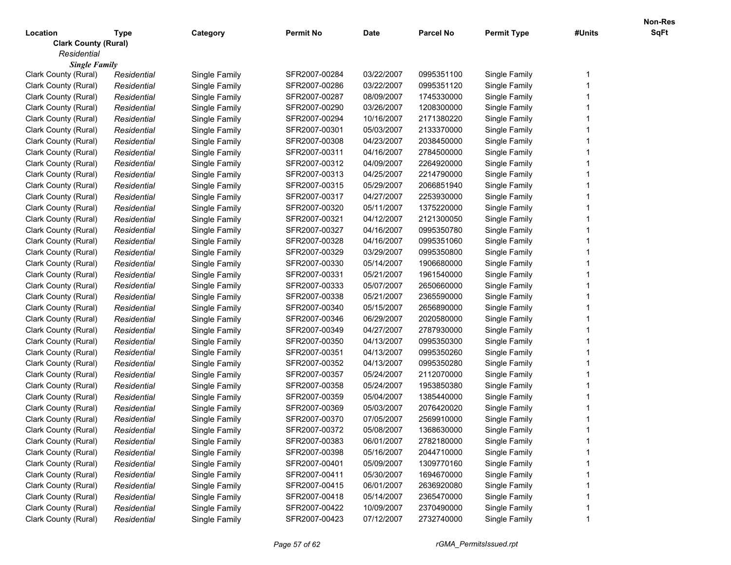| Location                    | <b>Type</b> | Category      | <b>Permit No</b> | <b>Date</b> | <b>Parcel No</b> | <b>Permit Type</b> | #Units | SqFt |
|-----------------------------|-------------|---------------|------------------|-------------|------------------|--------------------|--------|------|
| <b>Clark County (Rural)</b> |             |               |                  |             |                  |                    |        |      |
| Residential                 |             |               |                  |             |                  |                    |        |      |
| <b>Single Family</b>        |             |               |                  |             |                  |                    |        |      |
| Clark County (Rural)        | Residential | Single Family | SFR2007-00284    | 03/22/2007  | 0995351100       | Single Family      |        |      |
| Clark County (Rural)        | Residential | Single Family | SFR2007-00286    | 03/22/2007  | 0995351120       | Single Family      |        |      |
| Clark County (Rural)        | Residential | Single Family | SFR2007-00287    | 08/09/2007  | 1745330000       | Single Family      |        |      |
| Clark County (Rural)        | Residential | Single Family | SFR2007-00290    | 03/26/2007  | 1208300000       | Single Family      |        |      |
| Clark County (Rural)        | Residential | Single Family | SFR2007-00294    | 10/16/2007  | 2171380220       | Single Family      |        |      |
| Clark County (Rural)        | Residential | Single Family | SFR2007-00301    | 05/03/2007  | 2133370000       | Single Family      |        |      |
| Clark County (Rural)        | Residential | Single Family | SFR2007-00308    | 04/23/2007  | 2038450000       | Single Family      |        |      |
| Clark County (Rural)        | Residential | Single Family | SFR2007-00311    | 04/16/2007  | 2784500000       | Single Family      |        |      |
| Clark County (Rural)        | Residential | Single Family | SFR2007-00312    | 04/09/2007  | 2264920000       | Single Family      |        |      |
| Clark County (Rural)        | Residential | Single Family | SFR2007-00313    | 04/25/2007  | 2214790000       | Single Family      |        |      |
| Clark County (Rural)        | Residential | Single Family | SFR2007-00315    | 05/29/2007  | 2066851940       | Single Family      |        |      |
| Clark County (Rural)        | Residential | Single Family | SFR2007-00317    | 04/27/2007  | 2253930000       | Single Family      |        |      |
| Clark County (Rural)        | Residential | Single Family | SFR2007-00320    | 05/11/2007  | 1375220000       | Single Family      |        |      |
| Clark County (Rural)        | Residential | Single Family | SFR2007-00321    | 04/12/2007  | 2121300050       | Single Family      |        |      |
| Clark County (Rural)        | Residential | Single Family | SFR2007-00327    | 04/16/2007  | 0995350780       | Single Family      |        |      |
| Clark County (Rural)        | Residential | Single Family | SFR2007-00328    | 04/16/2007  | 0995351060       | Single Family      |        |      |
| Clark County (Rural)        | Residential | Single Family | SFR2007-00329    | 03/29/2007  | 0995350800       | Single Family      |        |      |
| Clark County (Rural)        | Residential | Single Family | SFR2007-00330    | 05/14/2007  | 1906680000       | Single Family      |        |      |
| Clark County (Rural)        | Residential | Single Family | SFR2007-00331    | 05/21/2007  | 1961540000       | Single Family      |        |      |
| Clark County (Rural)        | Residential | Single Family | SFR2007-00333    | 05/07/2007  | 2650660000       | Single Family      |        |      |
| Clark County (Rural)        | Residential | Single Family | SFR2007-00338    | 05/21/2007  | 2365590000       | Single Family      |        |      |
| Clark County (Rural)        | Residential | Single Family | SFR2007-00340    | 05/15/2007  | 2656890000       | Single Family      |        |      |
| Clark County (Rural)        | Residential | Single Family | SFR2007-00346    | 06/29/2007  | 2020580000       | Single Family      |        |      |
| Clark County (Rural)        | Residential | Single Family | SFR2007-00349    | 04/27/2007  | 2787930000       | Single Family      |        |      |
| Clark County (Rural)        | Residential | Single Family | SFR2007-00350    | 04/13/2007  | 0995350300       | Single Family      |        |      |
| Clark County (Rural)        | Residential | Single Family | SFR2007-00351    | 04/13/2007  | 0995350260       | Single Family      |        |      |
| Clark County (Rural)        | Residential | Single Family | SFR2007-00352    | 04/13/2007  | 0995350280       | Single Family      |        |      |
| Clark County (Rural)        | Residential | Single Family | SFR2007-00357    | 05/24/2007  | 2112070000       | Single Family      |        |      |
| Clark County (Rural)        | Residential | Single Family | SFR2007-00358    | 05/24/2007  | 1953850380       | Single Family      |        |      |
| Clark County (Rural)        | Residential | Single Family | SFR2007-00359    | 05/04/2007  | 1385440000       | Single Family      |        |      |
| Clark County (Rural)        | Residential | Single Family | SFR2007-00369    | 05/03/2007  | 2076420020       | Single Family      |        |      |
| Clark County (Rural)        | Residential | Single Family | SFR2007-00370    | 07/05/2007  | 2569910000       | Single Family      |        |      |
| Clark County (Rural)        | Residential | Single Family | SFR2007-00372    | 05/08/2007  | 1368630000       | Single Family      |        |      |
| Clark County (Rural)        | Residential | Single Family | SFR2007-00383    | 06/01/2007  | 2782180000       | Single Family      |        |      |
| Clark County (Rural)        | Residential | Single Family | SFR2007-00398    | 05/16/2007  | 2044710000       | Single Family      |        |      |
| Clark County (Rural)        | Residential | Single Family | SFR2007-00401    | 05/09/2007  | 1309770160       | Single Family      |        |      |
| Clark County (Rural)        | Residential | Single Family | SFR2007-00411    | 05/30/2007  | 1694670000       | Single Family      |        |      |
| Clark County (Rural)        | Residential | Single Family | SFR2007-00415    | 06/01/2007  | 2636920080       | Single Family      |        |      |
| Clark County (Rural)        | Residential | Single Family | SFR2007-00418    | 05/14/2007  | 2365470000       | Single Family      |        |      |
| Clark County (Rural)        | Residential | Single Family | SFR2007-00422    | 10/09/2007  | 2370490000       | Single Family      |        |      |
| Clark County (Rural)        | Residential | Single Family | SFR2007-00423    | 07/12/2007  | 2732740000       | Single Family      |        |      |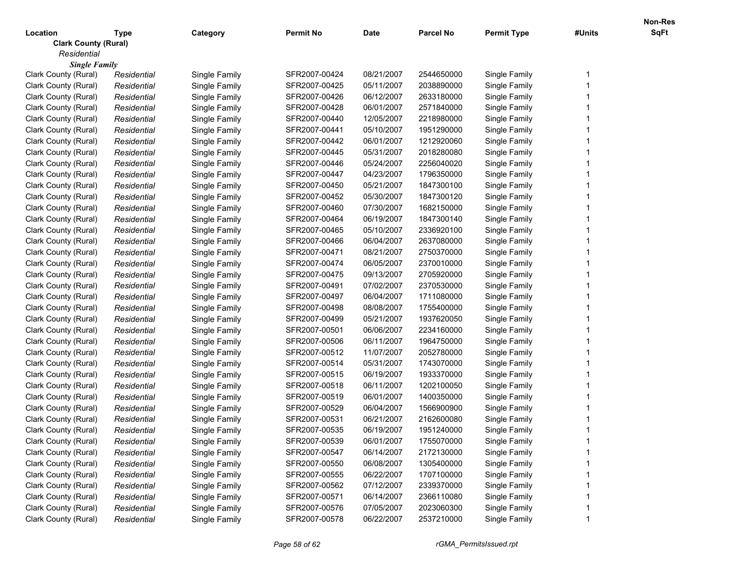| Location                    | <b>Type</b> | Category      | <b>Permit No</b> | Date       | <b>Parcel No</b> | <b>Permit Type</b> | #Units | SqFt |
|-----------------------------|-------------|---------------|------------------|------------|------------------|--------------------|--------|------|
| <b>Clark County (Rural)</b> |             |               |                  |            |                  |                    |        |      |
| Residential                 |             |               |                  |            |                  |                    |        |      |
| <b>Single Family</b>        |             |               |                  |            |                  |                    |        |      |
| Clark County (Rural)        | Residential | Single Family | SFR2007-00424    | 08/21/2007 | 2544650000       | Single Family      |        |      |
| Clark County (Rural)        | Residential | Single Family | SFR2007-00425    | 05/11/2007 | 2038890000       | Single Family      |        |      |
| Clark County (Rural)        | Residential | Single Family | SFR2007-00426    | 06/12/2007 | 2633180000       | Single Family      |        |      |
| Clark County (Rural)        | Residential | Single Family | SFR2007-00428    | 06/01/2007 | 2571840000       | Single Family      |        |      |
| Clark County (Rural)        | Residential | Single Family | SFR2007-00440    | 12/05/2007 | 2218980000       | Single Family      |        |      |
| Clark County (Rural)        | Residential | Single Family | SFR2007-00441    | 05/10/2007 | 1951290000       | Single Family      |        |      |
| Clark County (Rural)        | Residential | Single Family | SFR2007-00442    | 06/01/2007 | 1212920060       | Single Family      |        |      |
| Clark County (Rural)        | Residential | Single Family | SFR2007-00445    | 05/31/2007 | 2018280080       | Single Family      |        |      |
| Clark County (Rural)        | Residential | Single Family | SFR2007-00446    | 05/24/2007 | 2256040020       | Single Family      |        |      |
| Clark County (Rural)        | Residential | Single Family | SFR2007-00447    | 04/23/2007 | 1796350000       | Single Family      |        |      |
| Clark County (Rural)        | Residential | Single Family | SFR2007-00450    | 05/21/2007 | 1847300100       | Single Family      |        |      |
| Clark County (Rural)        | Residential | Single Family | SFR2007-00452    | 05/30/2007 | 1847300120       | Single Family      |        |      |
| Clark County (Rural)        | Residential | Single Family | SFR2007-00460    | 07/30/2007 | 1682150000       | Single Family      |        |      |
| Clark County (Rural)        | Residential | Single Family | SFR2007-00464    | 06/19/2007 | 1847300140       | Single Family      |        |      |
| Clark County (Rural)        | Residential | Single Family | SFR2007-00465    | 05/10/2007 | 2336920100       | Single Family      |        |      |
| Clark County (Rural)        | Residential | Single Family | SFR2007-00466    | 06/04/2007 | 2637080000       | Single Family      |        |      |
| Clark County (Rural)        | Residential | Single Family | SFR2007-00471    | 08/21/2007 | 2750370000       | Single Family      |        |      |
| Clark County (Rural)        | Residential | Single Family | SFR2007-00474    | 06/05/2007 | 2370010000       | Single Family      |        |      |
| Clark County (Rural)        | Residential | Single Family | SFR2007-00475    | 09/13/2007 | 2705920000       | Single Family      |        |      |
| Clark County (Rural)        | Residential | Single Family | SFR2007-00491    | 07/02/2007 | 2370530000       | Single Family      |        |      |
| Clark County (Rural)        | Residential | Single Family | SFR2007-00497    | 06/04/2007 | 1711080000       | Single Family      |        |      |
| Clark County (Rural)        | Residential | Single Family | SFR2007-00498    | 08/08/2007 | 1755400000       | Single Family      |        |      |
| Clark County (Rural)        | Residential | Single Family | SFR2007-00499    | 05/21/2007 | 1937620050       | Single Family      |        |      |
| Clark County (Rural)        | Residential | Single Family | SFR2007-00501    | 06/06/2007 | 2234160000       | Single Family      |        |      |
| Clark County (Rural)        | Residential | Single Family | SFR2007-00506    | 06/11/2007 | 1964750000       | Single Family      |        |      |
| Clark County (Rural)        | Residential | Single Family | SFR2007-00512    | 11/07/2007 | 2052780000       | Single Family      |        |      |
| Clark County (Rural)        | Residential | Single Family | SFR2007-00514    | 05/31/2007 | 1743070000       | Single Family      |        |      |
| Clark County (Rural)        | Residential | Single Family | SFR2007-00515    | 06/19/2007 | 1933370000       | Single Family      |        |      |
| Clark County (Rural)        | Residential | Single Family | SFR2007-00518    | 06/11/2007 | 1202100050       | Single Family      |        |      |
| Clark County (Rural)        | Residential | Single Family | SFR2007-00519    | 06/01/2007 | 1400350000       | Single Family      |        |      |
| Clark County (Rural)        | Residential | Single Family | SFR2007-00529    | 06/04/2007 | 1566900900       | Single Family      |        |      |
| Clark County (Rural)        | Residential | Single Family | SFR2007-00531    | 06/21/2007 | 2162600080       | Single Family      |        |      |
| Clark County (Rural)        | Residential | Single Family | SFR2007-00535    | 06/19/2007 | 1951240000       | Single Family      |        |      |
| Clark County (Rural)        | Residential | Single Family | SFR2007-00539    | 06/01/2007 | 1755070000       | Single Family      |        |      |
| Clark County (Rural)        | Residential | Single Family | SFR2007-00547    | 06/14/2007 | 2172130000       | Single Family      |        |      |
| Clark County (Rural)        | Residential | Single Family | SFR2007-00550    | 06/08/2007 | 1305400000       | Single Family      |        |      |
| Clark County (Rural)        | Residential | Single Family | SFR2007-00555    | 06/22/2007 | 1707100000       | Single Family      |        |      |
| Clark County (Rural)        | Residential | Single Family | SFR2007-00562    | 07/12/2007 | 2339370000       | Single Family      |        |      |
| Clark County (Rural)        | Residential | Single Family | SFR2007-00571    | 06/14/2007 | 2366110080       | Single Family      |        |      |
| Clark County (Rural)        | Residential | Single Family | SFR2007-00576    | 07/05/2007 | 2023060300       | Single Family      |        |      |
| Clark County (Rural)        | Residential | Single Family | SFR2007-00578    | 06/22/2007 | 2537210000       | Single Family      |        |      |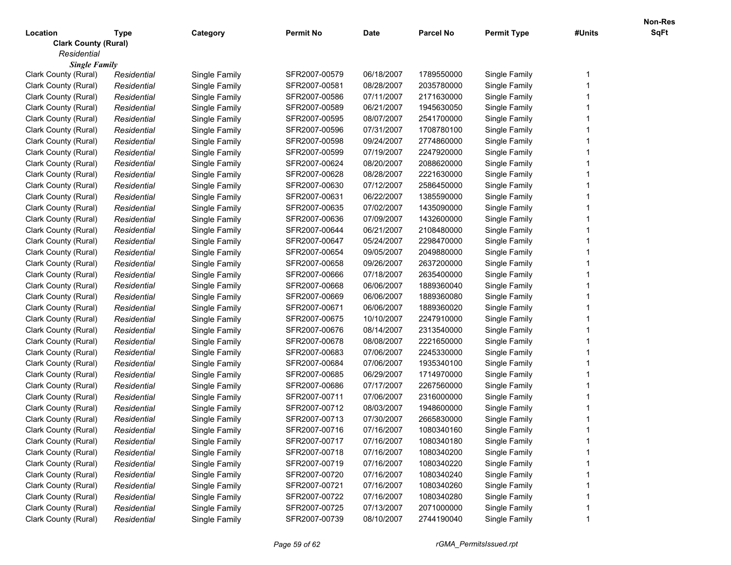| Location                    | <b>Type</b> | Category      | <b>Permit No</b> | <b>Date</b> | <b>Parcel No</b> | <b>Permit Type</b> | #Units | <b>SqFt</b> |
|-----------------------------|-------------|---------------|------------------|-------------|------------------|--------------------|--------|-------------|
| <b>Clark County (Rural)</b> |             |               |                  |             |                  |                    |        |             |
| Residential                 |             |               |                  |             |                  |                    |        |             |
| <b>Single Family</b>        |             |               |                  |             |                  |                    |        |             |
| Clark County (Rural)        | Residential | Single Family | SFR2007-00579    | 06/18/2007  | 1789550000       | Single Family      |        |             |
| Clark County (Rural)        | Residential | Single Family | SFR2007-00581    | 08/28/2007  | 2035780000       | Single Family      |        |             |
| Clark County (Rural)        | Residential | Single Family | SFR2007-00586    | 07/11/2007  | 2171630000       | Single Family      |        |             |
| Clark County (Rural)        | Residential | Single Family | SFR2007-00589    | 06/21/2007  | 1945630050       | Single Family      |        |             |
| Clark County (Rural)        | Residential | Single Family | SFR2007-00595    | 08/07/2007  | 2541700000       | Single Family      |        |             |
| Clark County (Rural)        | Residential | Single Family | SFR2007-00596    | 07/31/2007  | 1708780100       | Single Family      |        |             |
| Clark County (Rural)        | Residential | Single Family | SFR2007-00598    | 09/24/2007  | 2774860000       | Single Family      |        |             |
| Clark County (Rural)        | Residential | Single Family | SFR2007-00599    | 07/19/2007  | 2247920000       | Single Family      |        |             |
| Clark County (Rural)        | Residential | Single Family | SFR2007-00624    | 08/20/2007  | 2088620000       | Single Family      |        |             |
| Clark County (Rural)        | Residential | Single Family | SFR2007-00628    | 08/28/2007  | 2221630000       | Single Family      |        |             |
| Clark County (Rural)        | Residential | Single Family | SFR2007-00630    | 07/12/2007  | 2586450000       | Single Family      |        |             |
| Clark County (Rural)        | Residential | Single Family | SFR2007-00631    | 06/22/2007  | 1385590000       | Single Family      |        |             |
| Clark County (Rural)        | Residential | Single Family | SFR2007-00635    | 07/02/2007  | 1435090000       | Single Family      |        |             |
| Clark County (Rural)        | Residential | Single Family | SFR2007-00636    | 07/09/2007  | 1432600000       | Single Family      |        |             |
| Clark County (Rural)        | Residential | Single Family | SFR2007-00644    | 06/21/2007  | 2108480000       | Single Family      |        |             |
| Clark County (Rural)        | Residential | Single Family | SFR2007-00647    | 05/24/2007  | 2298470000       | Single Family      |        |             |
| Clark County (Rural)        | Residential | Single Family | SFR2007-00654    | 09/05/2007  | 2049880000       | Single Family      |        |             |
| Clark County (Rural)        | Residential | Single Family | SFR2007-00658    | 09/26/2007  | 2637200000       | Single Family      |        |             |
| Clark County (Rural)        | Residential | Single Family | SFR2007-00666    | 07/18/2007  | 2635400000       | Single Family      |        |             |
| Clark County (Rural)        | Residential | Single Family | SFR2007-00668    | 06/06/2007  | 1889360040       | Single Family      |        |             |
| Clark County (Rural)        | Residential | Single Family | SFR2007-00669    | 06/06/2007  | 1889360080       | Single Family      |        |             |
| Clark County (Rural)        | Residential | Single Family | SFR2007-00671    | 06/06/2007  | 1889360020       | Single Family      |        |             |
| Clark County (Rural)        | Residential | Single Family | SFR2007-00675    | 10/10/2007  | 2247910000       | Single Family      |        |             |
| Clark County (Rural)        | Residential | Single Family | SFR2007-00676    | 08/14/2007  | 2313540000       | Single Family      |        |             |
| Clark County (Rural)        | Residential | Single Family | SFR2007-00678    | 08/08/2007  | 2221650000       | Single Family      |        |             |
| Clark County (Rural)        | Residential | Single Family | SFR2007-00683    | 07/06/2007  | 2245330000       | Single Family      |        |             |
| Clark County (Rural)        | Residential | Single Family | SFR2007-00684    | 07/06/2007  | 1935340100       | Single Family      |        |             |
| Clark County (Rural)        | Residential | Single Family | SFR2007-00685    | 06/29/2007  | 1714970000       | Single Family      |        |             |
| Clark County (Rural)        | Residential | Single Family | SFR2007-00686    | 07/17/2007  | 2267560000       | Single Family      |        |             |
| Clark County (Rural)        | Residential | Single Family | SFR2007-00711    | 07/06/2007  | 2316000000       | Single Family      |        |             |
| Clark County (Rural)        | Residential | Single Family | SFR2007-00712    | 08/03/2007  | 1948600000       | Single Family      |        |             |
| Clark County (Rural)        | Residential | Single Family | SFR2007-00713    | 07/30/2007  | 2665830000       | Single Family      |        |             |
| Clark County (Rural)        | Residential | Single Family | SFR2007-00716    | 07/16/2007  | 1080340160       | Single Family      |        |             |
| Clark County (Rural)        | Residential | Single Family | SFR2007-00717    | 07/16/2007  | 1080340180       | Single Family      |        |             |
| Clark County (Rural)        | Residential | Single Family | SFR2007-00718    | 07/16/2007  | 1080340200       | Single Family      |        |             |
| Clark County (Rural)        | Residential | Single Family | SFR2007-00719    | 07/16/2007  | 1080340220       | Single Family      |        |             |
| Clark County (Rural)        | Residential | Single Family | SFR2007-00720    | 07/16/2007  | 1080340240       | Single Family      |        |             |
| Clark County (Rural)        | Residential | Single Family | SFR2007-00721    | 07/16/2007  | 1080340260       | Single Family      |        |             |
| Clark County (Rural)        | Residential | Single Family | SFR2007-00722    | 07/16/2007  | 1080340280       | Single Family      |        |             |
| Clark County (Rural)        | Residential | Single Family | SFR2007-00725    | 07/13/2007  | 2071000000       | Single Family      |        |             |
| Clark County (Rural)        | Residential | Single Family | SFR2007-00739    | 08/10/2007  | 2744190040       | Single Family      |        |             |
|                             |             |               |                  |             |                  |                    |        |             |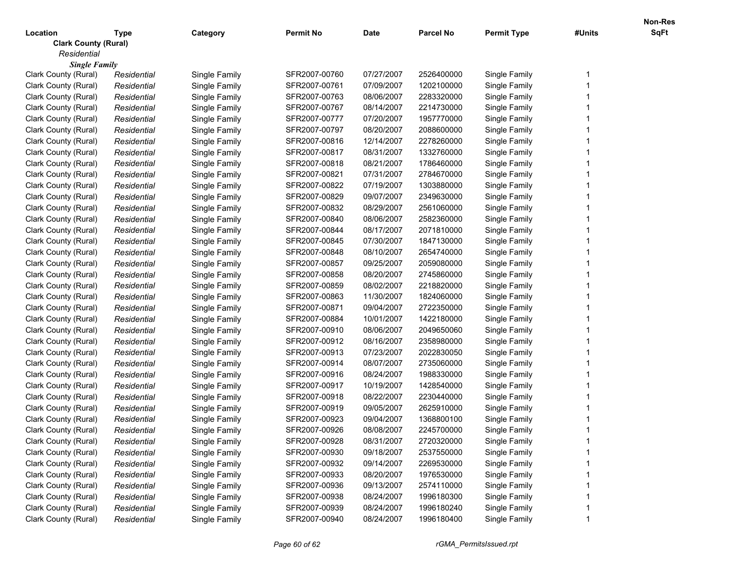| Location                    | Type        | Category      | <b>Permit No</b> | <b>Date</b> | <b>Parcel No</b> | <b>Permit Type</b> | #Units | <b>SqFt</b> |
|-----------------------------|-------------|---------------|------------------|-------------|------------------|--------------------|--------|-------------|
| <b>Clark County (Rural)</b> |             |               |                  |             |                  |                    |        |             |
| Residential                 |             |               |                  |             |                  |                    |        |             |
| <b>Single Family</b>        |             |               |                  |             |                  |                    |        |             |
| Clark County (Rural)        | Residential | Single Family | SFR2007-00760    | 07/27/2007  | 2526400000       | Single Family      |        |             |
| Clark County (Rural)        | Residential | Single Family | SFR2007-00761    | 07/09/2007  | 1202100000       | Single Family      |        |             |
| Clark County (Rural)        | Residential | Single Family | SFR2007-00763    | 08/06/2007  | 2283320000       | Single Family      |        |             |
| Clark County (Rural)        | Residential | Single Family | SFR2007-00767    | 08/14/2007  | 2214730000       | Single Family      |        |             |
| Clark County (Rural)        | Residential | Single Family | SFR2007-00777    | 07/20/2007  | 1957770000       | Single Family      |        |             |
| Clark County (Rural)        | Residential | Single Family | SFR2007-00797    | 08/20/2007  | 2088600000       | Single Family      |        |             |
| Clark County (Rural)        | Residential | Single Family | SFR2007-00816    | 12/14/2007  | 2278260000       | Single Family      |        |             |
| Clark County (Rural)        | Residential | Single Family | SFR2007-00817    | 08/31/2007  | 1332760000       | Single Family      |        |             |
| Clark County (Rural)        | Residential | Single Family | SFR2007-00818    | 08/21/2007  | 1786460000       | Single Family      |        |             |
| Clark County (Rural)        | Residential | Single Family | SFR2007-00821    | 07/31/2007  | 2784670000       | Single Family      |        |             |
| Clark County (Rural)        | Residential | Single Family | SFR2007-00822    | 07/19/2007  | 1303880000       | Single Family      |        |             |
| Clark County (Rural)        | Residential | Single Family | SFR2007-00829    | 09/07/2007  | 2349630000       | Single Family      |        |             |
| Clark County (Rural)        | Residential | Single Family | SFR2007-00832    | 08/29/2007  | 2561060000       | Single Family      |        |             |
| Clark County (Rural)        | Residential | Single Family | SFR2007-00840    | 08/06/2007  | 2582360000       | Single Family      |        |             |
| Clark County (Rural)        | Residential | Single Family | SFR2007-00844    | 08/17/2007  | 2071810000       | Single Family      |        |             |
| Clark County (Rural)        | Residential | Single Family | SFR2007-00845    | 07/30/2007  | 1847130000       | Single Family      |        |             |
| Clark County (Rural)        | Residential | Single Family | SFR2007-00848    | 08/10/2007  | 2654740000       | Single Family      |        |             |
| Clark County (Rural)        | Residential | Single Family | SFR2007-00857    | 09/25/2007  | 2059080000       | Single Family      |        |             |
| Clark County (Rural)        | Residential | Single Family | SFR2007-00858    | 08/20/2007  | 2745860000       | Single Family      |        |             |
| Clark County (Rural)        | Residential | Single Family | SFR2007-00859    | 08/02/2007  | 2218820000       | Single Family      |        |             |
| Clark County (Rural)        | Residential | Single Family | SFR2007-00863    | 11/30/2007  | 1824060000       | Single Family      |        |             |
| Clark County (Rural)        | Residential | Single Family | SFR2007-00871    | 09/04/2007  | 2722350000       | Single Family      |        |             |
| Clark County (Rural)        | Residential | Single Family | SFR2007-00884    | 10/01/2007  | 1422180000       | Single Family      |        |             |
| Clark County (Rural)        | Residential | Single Family | SFR2007-00910    | 08/06/2007  | 2049650060       | Single Family      |        |             |
| Clark County (Rural)        | Residential | Single Family | SFR2007-00912    | 08/16/2007  | 2358980000       | Single Family      |        |             |
| Clark County (Rural)        | Residential | Single Family | SFR2007-00913    | 07/23/2007  | 2022830050       | Single Family      |        |             |
| Clark County (Rural)        | Residential | Single Family | SFR2007-00914    | 08/07/2007  | 2735060000       | Single Family      |        |             |
| Clark County (Rural)        | Residential | Single Family | SFR2007-00916    | 08/24/2007  | 1988330000       | Single Family      |        |             |
| Clark County (Rural)        | Residential | Single Family | SFR2007-00917    | 10/19/2007  | 1428540000       | Single Family      |        |             |
| Clark County (Rural)        | Residential | Single Family | SFR2007-00918    | 08/22/2007  | 2230440000       | Single Family      |        |             |
| Clark County (Rural)        | Residential | Single Family | SFR2007-00919    | 09/05/2007  | 2625910000       | Single Family      |        |             |
| Clark County (Rural)        | Residential | Single Family | SFR2007-00923    | 09/04/2007  | 1368800100       | Single Family      |        |             |
| Clark County (Rural)        | Residential | Single Family | SFR2007-00926    | 08/08/2007  | 2245700000       | Single Family      |        |             |
| Clark County (Rural)        | Residential | Single Family | SFR2007-00928    | 08/31/2007  | 2720320000       | Single Family      |        |             |
| Clark County (Rural)        | Residential | Single Family | SFR2007-00930    | 09/18/2007  | 2537550000       | Single Family      |        |             |
| Clark County (Rural)        | Residential | Single Family | SFR2007-00932    | 09/14/2007  | 2269530000       | Single Family      |        |             |
| Clark County (Rural)        | Residential | Single Family | SFR2007-00933    | 08/20/2007  | 1976530000       | Single Family      |        |             |
| Clark County (Rural)        | Residential | Single Family | SFR2007-00936    | 09/13/2007  | 2574110000       | Single Family      |        |             |
| Clark County (Rural)        | Residential | Single Family | SFR2007-00938    | 08/24/2007  | 1996180300       | Single Family      |        |             |
| Clark County (Rural)        | Residential | Single Family | SFR2007-00939    | 08/24/2007  | 1996180240       | Single Family      |        |             |
| Clark County (Rural)        | Residential | Single Family | SFR2007-00940    | 08/24/2007  | 1996180400       | Single Family      |        |             |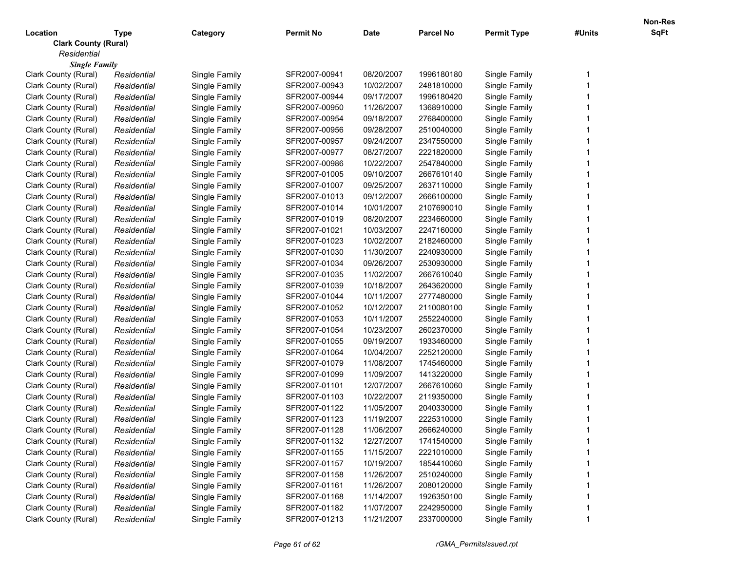| Location                    | <b>Type</b> | Category      | <b>Permit No</b> | <b>Date</b> | <b>Parcel No</b> | <b>Permit Type</b> | #Units | SqFt |  |  |  |  |
|-----------------------------|-------------|---------------|------------------|-------------|------------------|--------------------|--------|------|--|--|--|--|
| <b>Clark County (Rural)</b> |             |               |                  |             |                  |                    |        |      |  |  |  |  |
| Residential                 |             |               |                  |             |                  |                    |        |      |  |  |  |  |
| <b>Single Family</b>        |             |               |                  |             |                  |                    |        |      |  |  |  |  |
| Clark County (Rural)        | Residential | Single Family | SFR2007-00941    | 08/20/2007  | 1996180180       | Single Family      |        |      |  |  |  |  |
| Clark County (Rural)        | Residential | Single Family | SFR2007-00943    | 10/02/2007  | 2481810000       | Single Family      |        |      |  |  |  |  |
| Clark County (Rural)        | Residential | Single Family | SFR2007-00944    | 09/17/2007  | 1996180420       | Single Family      |        |      |  |  |  |  |
| Clark County (Rural)        | Residential | Single Family | SFR2007-00950    | 11/26/2007  | 1368910000       | Single Family      |        |      |  |  |  |  |
| Clark County (Rural)        | Residential | Single Family | SFR2007-00954    | 09/18/2007  | 2768400000       | Single Family      |        |      |  |  |  |  |
| Clark County (Rural)        | Residential | Single Family | SFR2007-00956    | 09/28/2007  | 2510040000       | Single Family      |        |      |  |  |  |  |
| Clark County (Rural)        | Residential | Single Family | SFR2007-00957    | 09/24/2007  | 2347550000       | Single Family      |        |      |  |  |  |  |
| Clark County (Rural)        | Residential | Single Family | SFR2007-00977    | 08/27/2007  | 2221820000       | Single Family      |        |      |  |  |  |  |
| Clark County (Rural)        | Residential | Single Family | SFR2007-00986    | 10/22/2007  | 2547840000       | Single Family      |        |      |  |  |  |  |
| Clark County (Rural)        | Residential | Single Family | SFR2007-01005    | 09/10/2007  | 2667610140       | Single Family      |        |      |  |  |  |  |
| Clark County (Rural)        | Residential | Single Family | SFR2007-01007    | 09/25/2007  | 2637110000       | Single Family      |        |      |  |  |  |  |
| Clark County (Rural)        | Residential | Single Family | SFR2007-01013    | 09/12/2007  | 2666100000       | Single Family      |        |      |  |  |  |  |
| Clark County (Rural)        | Residential | Single Family | SFR2007-01014    | 10/01/2007  | 2107690010       | Single Family      |        |      |  |  |  |  |
| Clark County (Rural)        | Residential | Single Family | SFR2007-01019    | 08/20/2007  | 2234660000       | Single Family      |        |      |  |  |  |  |
| Clark County (Rural)        | Residential | Single Family | SFR2007-01021    | 10/03/2007  | 2247160000       | Single Family      |        |      |  |  |  |  |
| Clark County (Rural)        | Residential | Single Family | SFR2007-01023    | 10/02/2007  | 2182460000       | Single Family      |        |      |  |  |  |  |
| Clark County (Rural)        | Residential | Single Family | SFR2007-01030    | 11/30/2007  | 2240930000       | Single Family      |        |      |  |  |  |  |
| Clark County (Rural)        | Residential | Single Family | SFR2007-01034    | 09/26/2007  | 2530930000       | Single Family      |        |      |  |  |  |  |
| Clark County (Rural)        | Residential | Single Family | SFR2007-01035    | 11/02/2007  | 2667610040       | Single Family      |        |      |  |  |  |  |
| Clark County (Rural)        | Residential | Single Family | SFR2007-01039    | 10/18/2007  | 2643620000       | Single Family      |        |      |  |  |  |  |
| Clark County (Rural)        | Residential | Single Family | SFR2007-01044    | 10/11/2007  | 2777480000       | Single Family      |        |      |  |  |  |  |
| Clark County (Rural)        | Residential | Single Family | SFR2007-01052    | 10/12/2007  | 2110080100       | Single Family      |        |      |  |  |  |  |
| Clark County (Rural)        | Residential | Single Family | SFR2007-01053    | 10/11/2007  | 2552240000       | Single Family      |        |      |  |  |  |  |
| Clark County (Rural)        | Residential | Single Family | SFR2007-01054    | 10/23/2007  | 2602370000       | Single Family      |        |      |  |  |  |  |
| Clark County (Rural)        | Residential | Single Family | SFR2007-01055    | 09/19/2007  | 1933460000       | Single Family      |        |      |  |  |  |  |
| Clark County (Rural)        | Residential | Single Family | SFR2007-01064    | 10/04/2007  | 2252120000       | Single Family      |        |      |  |  |  |  |
| Clark County (Rural)        | Residential | Single Family | SFR2007-01079    | 11/08/2007  | 1745460000       | Single Family      |        |      |  |  |  |  |
| Clark County (Rural)        | Residential | Single Family | SFR2007-01099    | 11/09/2007  | 1413220000       | Single Family      |        |      |  |  |  |  |
| Clark County (Rural)        | Residential | Single Family | SFR2007-01101    | 12/07/2007  | 2667610060       | Single Family      |        |      |  |  |  |  |
| Clark County (Rural)        | Residential | Single Family | SFR2007-01103    | 10/22/2007  | 2119350000       | Single Family      |        |      |  |  |  |  |
| Clark County (Rural)        | Residential | Single Family | SFR2007-01122    | 11/05/2007  | 2040330000       | Single Family      |        |      |  |  |  |  |
| Clark County (Rural)        | Residential | Single Family | SFR2007-01123    | 11/19/2007  | 2225310000       | Single Family      |        |      |  |  |  |  |
| Clark County (Rural)        | Residential | Single Family | SFR2007-01128    | 11/06/2007  | 2666240000       | Single Family      |        |      |  |  |  |  |
| Clark County (Rural)        | Residential | Single Family | SFR2007-01132    | 12/27/2007  | 1741540000       | Single Family      |        |      |  |  |  |  |
| Clark County (Rural)        | Residential | Single Family | SFR2007-01155    | 11/15/2007  | 2221010000       | Single Family      |        |      |  |  |  |  |
| Clark County (Rural)        | Residential | Single Family | SFR2007-01157    | 10/19/2007  | 1854410060       | Single Family      |        |      |  |  |  |  |
| Clark County (Rural)        | Residential | Single Family | SFR2007-01158    | 11/26/2007  | 2510240000       | Single Family      |        |      |  |  |  |  |
| Clark County (Rural)        | Residential | Single Family | SFR2007-01161    | 11/26/2007  | 2080120000       | Single Family      |        |      |  |  |  |  |
| Clark County (Rural)        | Residential | Single Family | SFR2007-01168    | 11/14/2007  | 1926350100       | Single Family      |        |      |  |  |  |  |
| Clark County (Rural)        | Residential | Single Family | SFR2007-01182    | 11/07/2007  | 2242950000       | Single Family      |        |      |  |  |  |  |
| Clark County (Rural)        | Residential | Single Family | SFR2007-01213    | 11/21/2007  | 2337000000       | Single Family      |        |      |  |  |  |  |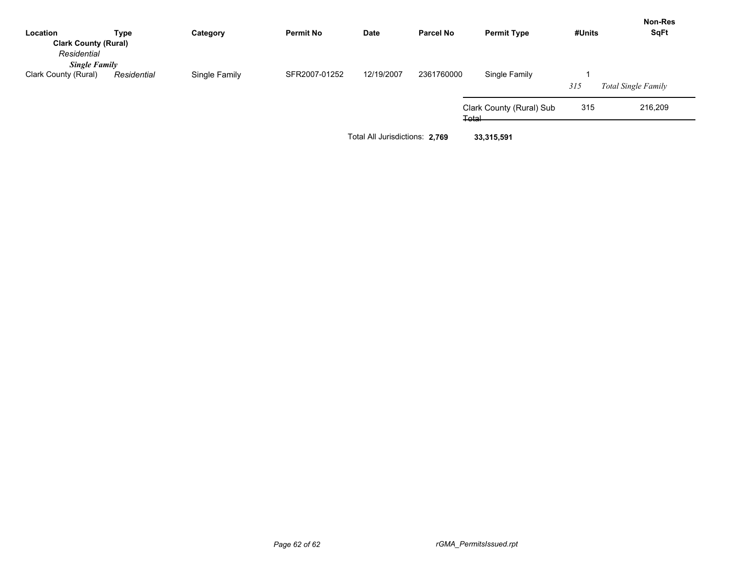| Location                    | Type        | Category                                     | <b>Permit No</b> | Date       | <b>Parcel No</b> | <b>Permit Type</b>       | #Units | <b>Non-Res</b><br><b>SqFt</b> |
|-----------------------------|-------------|----------------------------------------------|------------------|------------|------------------|--------------------------|--------|-------------------------------|
| <b>Clark County (Rural)</b> |             |                                              |                  |            |                  |                          |        |                               |
| Residential                 |             |                                              |                  |            |                  |                          |        |                               |
| <b>Single Family</b>        |             |                                              |                  |            |                  |                          |        |                               |
| Clark County (Rural)        | Residential | Single Family                                | SFR2007-01252    | 12/19/2007 | 2361760000       | Single Family            |        |                               |
|                             |             |                                              |                  |            |                  |                          | 315    | Total Single Family           |
|                             |             |                                              |                  |            |                  | Clark County (Rural) Sub | 315    | 216,209                       |
|                             |             |                                              |                  |            |                  | ∓ətal                    |        |                               |
|                             |             | Total All Jurisdictions: 2,769<br>33,315,591 |                  |            |                  |                          |        |                               |